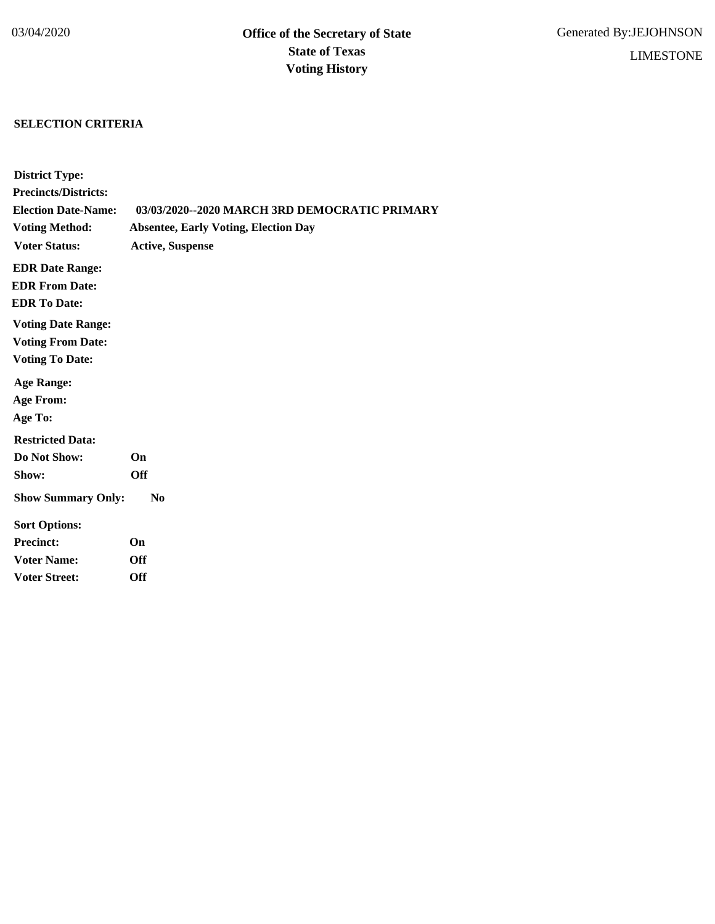# **SELECTION CRITERIA**

| <b>District Type:</b>       |                                               |
|-----------------------------|-----------------------------------------------|
| <b>Precincts/Districts:</b> |                                               |
| <b>Election Date-Name:</b>  | 03/03/2020--2020 MARCH 3RD DEMOCRATIC PRIMARY |
| <b>Voting Method:</b>       | <b>Absentee, Early Voting, Election Day</b>   |
| <b>Voter Status:</b>        | <b>Active, Suspense</b>                       |
| <b>EDR Date Range:</b>      |                                               |
| <b>EDR From Date:</b>       |                                               |
| <b>EDR To Date:</b>         |                                               |
| <b>Voting Date Range:</b>   |                                               |
| <b>Voting From Date:</b>    |                                               |
| <b>Voting To Date:</b>      |                                               |
| <b>Age Range:</b>           |                                               |
| <b>Age From:</b>            |                                               |
| Age To:                     |                                               |
| <b>Restricted Data:</b>     |                                               |
| Do Not Show:                | On                                            |
| Show:                       | <b>Off</b>                                    |
| <b>Show Summary Only:</b>   | N <sub>0</sub>                                |
| <b>Sort Options:</b>        |                                               |
| <b>Precinct:</b>            | On                                            |
| <b>Voter Name:</b>          | <b>Off</b>                                    |
| <b>Voter Street:</b>        | <b>Off</b>                                    |
|                             |                                               |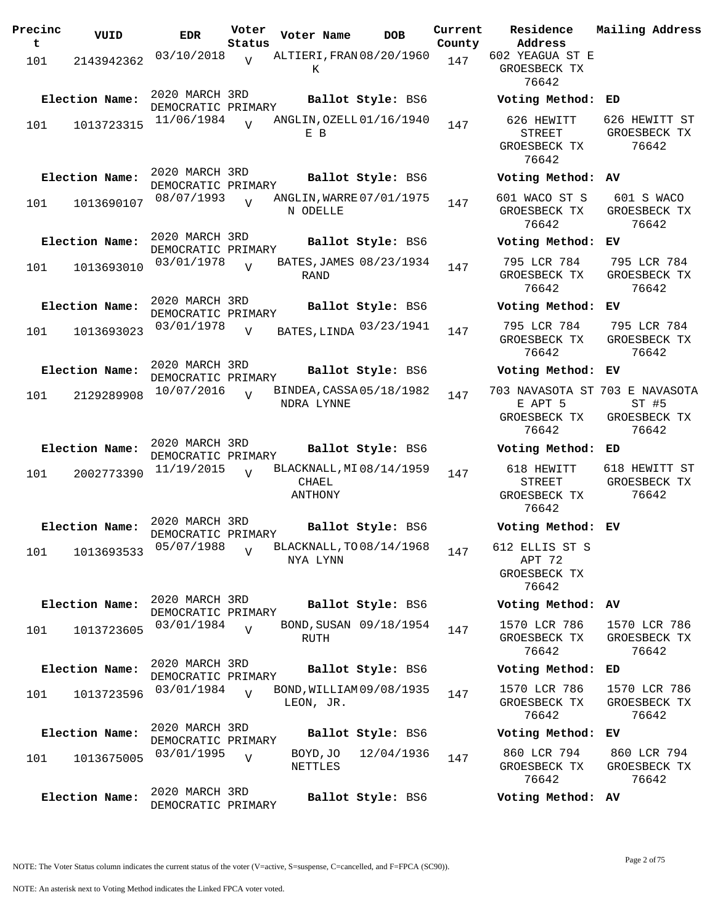| Precinc  | VUID           | <b>EDR</b>                           | Voter                    | Voter Name                                   | <b>DOB</b>        | Current       | Residence                                                          | Mailing Address                        |
|----------|----------------|--------------------------------------|--------------------------|----------------------------------------------|-------------------|---------------|--------------------------------------------------------------------|----------------------------------------|
| t<br>101 | 2143942362     | 03/10/2018                           | Status<br>$\overline{v}$ | ALTIERI, FRAN 08/20/1960<br>Κ                |                   | County<br>147 | Address<br>602 YEAGUA ST E<br>GROESBECK TX<br>76642                |                                        |
|          | Election Name: | 2020 MARCH 3RD<br>DEMOCRATIC PRIMARY |                          |                                              | Ballot Style: BS6 |               | Voting Method: ED                                                  |                                        |
| 101      | 1013723315     | 11/06/1984                           | $\bar{x}$                | ANGLIN, OZELL 01/16/1940<br>E B              |                   | 147           | 626 HEWITT<br><b>STREET</b><br>GROESBECK TX<br>76642               | 626 HEWITT ST<br>GROESBECK TX<br>76642 |
|          | Election Name: | 2020 MARCH 3RD<br>DEMOCRATIC PRIMARY |                          |                                              | Ballot Style: BS6 |               | Voting Method: AV                                                  |                                        |
| 101      | 1013690107     | 08/07/1993                           |                          | ANGLIN, WARRE 07/01/1975<br>N ODELLE         |                   | 147           | 601 WACO ST S<br>GROESBECK TX<br>76642                             | 601 S WACO<br>GROESBECK TX<br>76642    |
|          | Election Name: | 2020 MARCH 3RD<br>DEMOCRATIC PRIMARY |                          |                                              | Ballot Style: BS6 |               | Voting Method: EV                                                  |                                        |
| 101      | 1013693010     | 03/01/1978                           | $\overline{V}$           | BATES, JAMES 08/23/1934<br>RAND              |                   | 147           | 795 LCR 784<br>GROESBECK TX<br>76642                               | 795 LCR 784<br>GROESBECK TX<br>76642   |
|          | Election Name: | 2020 MARCH 3RD<br>DEMOCRATIC PRIMARY |                          |                                              | Ballot Style: BS6 |               | Voting Method:                                                     | ЕV                                     |
| 101      | 1013693023     | 03/01/1978                           | $\overline{V}$           | BATES, LINDA 03/23/1941                      |                   | 147           | 795 LCR 784<br>GROESBECK TX<br>76642                               | 795 LCR 784<br>GROESBECK TX<br>76642   |
|          | Election Name: | 2020 MARCH 3RD<br>DEMOCRATIC PRIMARY |                          |                                              | Ballot Style: BS6 |               | Voting Method: EV                                                  |                                        |
| 101      | 2129289908     | 10/07/2016                           | $\overline{V}$           | BINDEA, CASSA 05/18/1982<br>NDRA LYNNE       |                   | 147           | 703 NAVASOTA ST 703 E NAVASOTA<br>E APT 5<br>GROESBECK TX<br>76642 | $ST$ #5<br>GROESBECK TX<br>76642       |
|          | Election Name: | 2020 MARCH 3RD<br>DEMOCRATIC PRIMARY |                          |                                              | Ballot Style: BS6 |               | Voting Method: ED                                                  |                                        |
| 101      | 2002773390     | 11/19/2015                           | $\overline{V}$           | BLACKNALL, MI 08/14/1959<br>CHAEL<br>ANTHONY |                   | 147           | 618 HEWITT<br><b>STREET</b><br>GROESBECK TX<br>76642               | 618 HEWITT ST<br>GROESBECK TX<br>76642 |
|          | Election Name: | 2020 MARCH 3RD<br>DEMOCRATIC PRIMARY |                          |                                              | Ballot Style: BS6 |               | Voting Method: EV                                                  |                                        |
| 101      | 1013693533     | 05/07/1988                           | $\overline{V}$           | BLACKNALL, TO 08/14/1968<br>NYA LYNN         |                   | 147           | 612 ELLIS ST S<br>APT 72<br>GROESBECK TX<br>76642                  |                                        |
|          | Election Name: | 2020 MARCH 3RD<br>DEMOCRATIC PRIMARY |                          |                                              | Ballot Style: BS6 |               | Voting Method: AV                                                  |                                        |
| 101      | 1013723605     | 03/01/1984                           |                          | BOND, SUSAN 09/18/1954<br>RUTH               |                   | 147           | 1570 LCR 786<br>GROESBECK TX<br>76642                              | 1570 LCR 786<br>GROESBECK TX<br>76642  |
|          | Election Name: | 2020 MARCH 3RD<br>DEMOCRATIC PRIMARY |                          |                                              | Ballot Style: BS6 |               | Voting Method: ED                                                  |                                        |
| 101      | 1013723596     | 03/01/1984                           | $\overline{V}$           | BOND, WILLIAM 09/08/1935<br>LEON, JR.        |                   | 147           | 1570 LCR 786<br>GROESBECK TX<br>76642                              | 1570 LCR 786<br>GROESBECK TX<br>76642  |
|          | Election Name: | 2020 MARCH 3RD<br>DEMOCRATIC PRIMARY |                          |                                              | Ballot Style: BS6 |               | Voting Method:                                                     | ЕV                                     |
| 101      | 1013675005     | 03/01/1995                           | $\overline{V}$           | BOYD, JO<br>NETTLES                          | 12/04/1936        | 147           | 860 LCR 794<br>GROESBECK TX<br>76642                               | 860 LCR 794<br>GROESBECK TX<br>76642   |
|          | Election Name: | 2020 MARCH 3RD                       |                          |                                              | Ballot Style: BS6 |               | Voting Method: AV                                                  |                                        |
|          |                | DEMOCRATIC PRIMARY                   |                          |                                              |                   |               |                                                                    |                                        |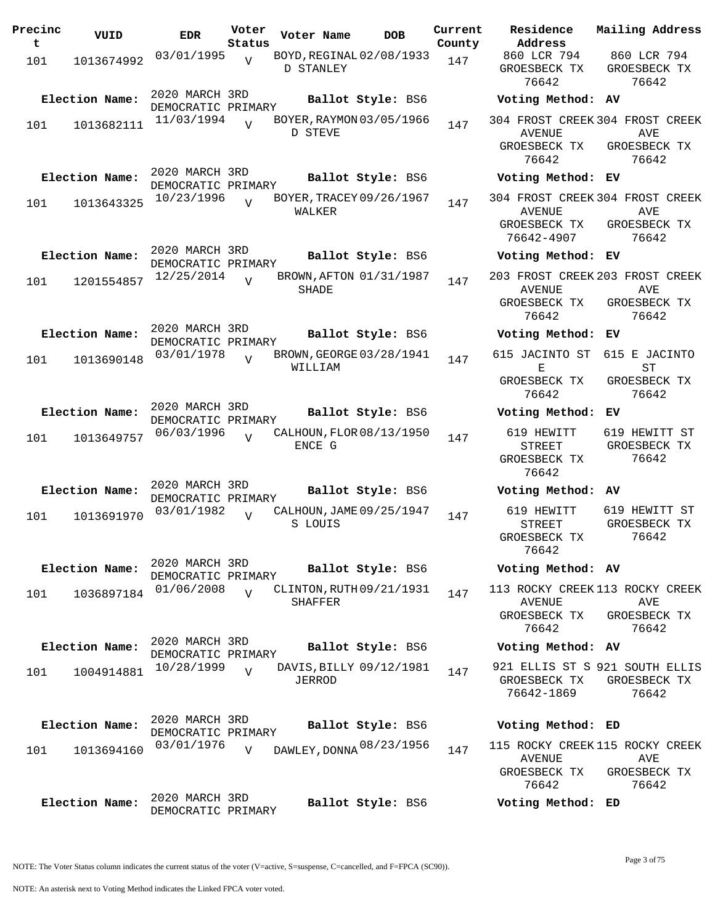| Precinc<br>t | VUID           | <b>EDR</b>                           | Voter<br>Status | Voter Name                                 | <b>DOB</b>        | Current<br>County | Residence<br>Address                                                           | Mailing Address                        |
|--------------|----------------|--------------------------------------|-----------------|--------------------------------------------|-------------------|-------------------|--------------------------------------------------------------------------------|----------------------------------------|
| 101          | 1013674992     | 03/01/1995                           | $\overline{V}$  | BOYD, REGINAL 02/08/1933<br>D STANLEY      |                   | 147               | 860 LCR 794<br>GROESBECK TX<br>76642                                           | 860 LCR 794<br>GROESBECK TX<br>76642   |
|              | Election Name: | 2020 MARCH 3RD<br>DEMOCRATIC PRIMARY |                 |                                            | Ballot Style: BS6 |                   | Voting Method: AV                                                              |                                        |
| 101          | 1013682111     | 11/03/1994                           | $\overline{U}$  | BOYER, RAYMON 03/05/1966<br>D STEVE        |                   | 147               | 304 FROST CREEK 304 FROST CREEK<br>AVENUE<br>GROESBECK TX<br>76642             | AVE<br>GROESBECK TX<br>76642           |
|              | Election Name: | 2020 MARCH 3RD<br>DEMOCRATIC PRIMARY |                 |                                            | Ballot Style: BS6 |                   | Voting Method: EV                                                              |                                        |
| 101          | 1013643325     | 10/23/1996                           | $\overline{V}$  | BOYER, TRACEY 09/26/1967<br>WALKER         |                   | 147               | 304 FROST CREEK 304 FROST CREEK<br><b>AVENUE</b><br>GROESBECK TX<br>76642-4907 | AVE<br>GROESBECK TX<br>76642           |
|              | Election Name: | 2020 MARCH 3RD<br>DEMOCRATIC PRIMARY |                 |                                            | Ballot Style: BS6 |                   | Voting Method: EV                                                              |                                        |
| 101          | 1201554857     | 12/25/2014                           | $\overline{V}$  | BROWN, AFTON 01/31/1987<br>SHADE           |                   | 147               | 203 FROST CREEK 203 FROST CREEK<br>AVENUE<br>GROESBECK TX<br>76642             | AVE<br>GROESBECK TX<br>76642           |
|              | Election Name: | 2020 MARCH 3RD<br>DEMOCRATIC PRIMARY |                 |                                            | Ballot Style: BS6 |                   | Voting Method: EV                                                              |                                        |
| 101          | 1013690148     | 03/01/1978                           | $\overline{U}$  | BROWN, GEORGE 03/28/1941<br>WILLIAM        |                   | 147               | 615 JACINTO ST<br>Е                                                            | 615 E JACINTO<br>ST                    |
|              |                |                                      |                 |                                            |                   |                   | GROESBECK TX<br>76642                                                          | GROESBECK TX<br>76642                  |
|              | Election Name: | 2020 MARCH 3RD<br>DEMOCRATIC PRIMARY |                 |                                            | Ballot Style: BS6 |                   | Voting Method:                                                                 | EV                                     |
| 101          | 1013649757     | 06/03/1996                           | $\overline{z}$  | CALHOUN, FLOR 08/13/1950<br>ENCE G         |                   | 147               | 619 HEWITT<br><b>STREET</b><br>GROESBECK TX<br>76642                           | 619 HEWITT ST<br>GROESBECK TX<br>76642 |
|              | Election Name: | 2020 MARCH 3RD<br>DEMOCRATIC PRIMARY |                 |                                            | Ballot Style: BS6 |                   | Voting Method: AV                                                              |                                        |
| 101          | 1013691970     | 03/01/1982                           | $\overline{V}$  | CALHOUN, JAME 09/25/1947<br>S LOUIS        |                   | 147               | 619 HEWITT<br><b>STREET</b><br>GROESBECK TX<br>76642                           | 619 HEWITT ST<br>GROESBECK TX<br>76642 |
|              | Election Name: | 2020 MARCH 3RD<br>DEMOCRATIC PRIMARY |                 |                                            | Ballot Style: BS6 |                   | Voting Method: AV                                                              |                                        |
| 101          | 1036897184     | 01/06/2008                           | $\overline{U}$  | CLINTON, RUTH 09/21/1931<br><b>SHAFFER</b> |                   | 147               | 113 ROCKY CREEK 113 ROCKY CREEK<br>AVENUE<br>GROESBECK TX<br>76642             | AVE<br>GROESBECK TX<br>76642           |
|              | Election Name: | 2020 MARCH 3RD<br>DEMOCRATIC PRIMARY |                 |                                            | Ballot Style: BS6 |                   | Voting Method: AV                                                              |                                        |
| 101          | 1004914881     | 10/28/1999                           | $\overline{U}$  | DAVIS, BILLY 09/12/1981<br>JERROD          |                   | 147               | 921 ELLIS ST S 921 SOUTH ELLIS<br>GROESBECK TX<br>76642-1869                   | GROESBECK TX<br>76642                  |
|              | Election Name: | 2020 MARCH 3RD                       |                 |                                            | Ballot Style: BS6 |                   | Voting Method: ED                                                              |                                        |
| 101          | 1013694160     | DEMOCRATIC PRIMARY<br>03/01/1976     | $\overline{V}$  | DAWLEY, DONNA 08/23/1956                   |                   | 147               | 115 ROCKY CREEK 115 ROCKY CREEK<br>AVENUE<br>GROESBECK TX<br>76642             | AVE<br>GROESBECK TX<br>76642           |
|              | Election Name: | 2020 MARCH 3RD<br>DEMOCRATIC PRIMARY |                 |                                            | Ballot Style: BS6 |                   | Voting Method: ED                                                              |                                        |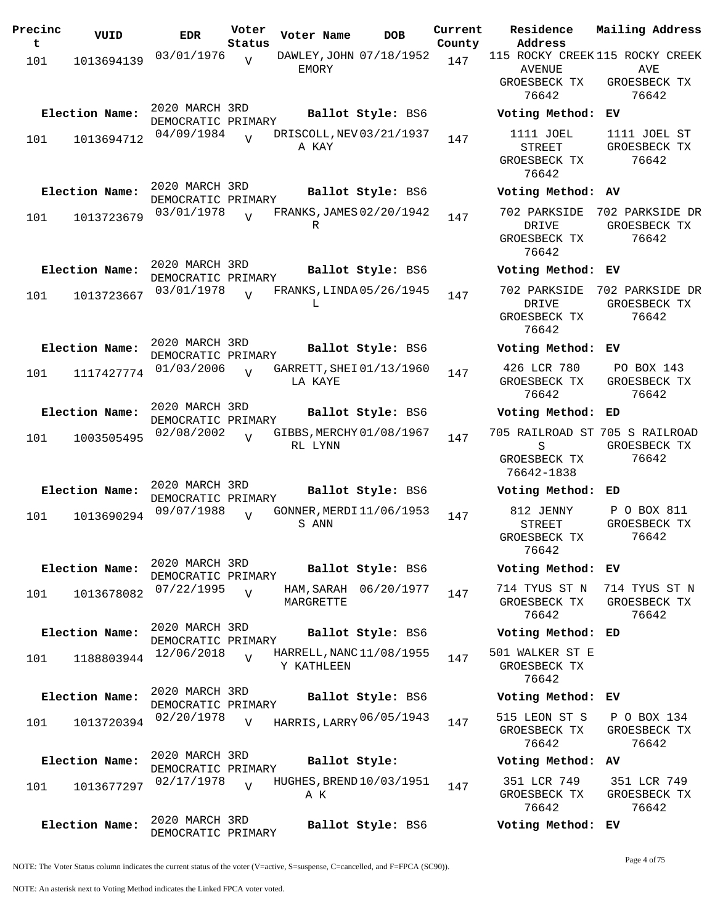| Precinc | VUID           | <b>EDR</b>         | Voter          | Voter Name | <b>DOB</b>               | Current | Residence                       | Mailing Address |
|---------|----------------|--------------------|----------------|------------|--------------------------|---------|---------------------------------|-----------------|
| t       |                |                    | Status         |            |                          | County  | Address                         |                 |
| 101     | 1013694139     | 03/01/1976         | $\overline{V}$ |            | DAWLEY, JOHN 07/18/1952  | 147     | 115 ROCKY CREEK 115 ROCKY CREEK |                 |
|         |                |                    |                | EMORY      |                          |         | <b>AVENUE</b>                   | AVE             |
|         |                |                    |                |            |                          |         | GROESBECK TX                    | GROESBECK TX    |
|         |                |                    |                |            |                          |         | 76642                           | 76642           |
|         | Election Name: | 2020 MARCH 3RD     |                |            | Ballot Style: BS6        |         | Voting Method:                  | ЕV              |
|         |                | DEMOCRATIC PRIMARY |                |            |                          |         |                                 |                 |
| 101     | 1013694712     | 04/09/1984         | $\overline{V}$ |            | DRISCOLL, NEV 03/21/1937 | 147     | 1111 JOEL                       | 1111 JOEL ST    |
|         |                |                    |                | A KAY      |                          |         | <b>STREET</b>                   | GROESBECK TX    |
|         |                |                    |                |            |                          |         | GROESBECK TX                    | 76642           |
|         |                |                    |                |            |                          |         | 76642                           |                 |
|         |                | 2020 MARCH 3RD     |                |            |                          |         |                                 |                 |
|         | Election Name: | DEMOCRATIC PRIMARY |                |            | Ballot Style: BS6        |         | Voting Method: AV               |                 |
|         |                | 03/01/1978         | $\overline{I}$ |            | FRANKS, JAMES 02/20/1942 | 147     | 702 PARKSIDE                    | 702 PARKSIDE DR |
| 101     | 1013723679     |                    |                | R          |                          |         | DRIVE                           | GROESBECK TX    |
|         |                |                    |                |            |                          |         | GROESBECK TX                    | 76642           |
|         |                |                    |                |            |                          |         | 76642                           |                 |
|         |                | 2020 MARCH 3RD     |                |            |                          |         |                                 |                 |
|         | Election Name: | DEMOCRATIC PRIMARY |                |            | Ballot Style: BS6        |         | Voting Method: EV               |                 |
|         |                | 03/01/1978         | $\overline{U}$ |            | FRANKS, LINDA 05/26/1945 |         | 702 PARKSIDE                    | 702 PARKSIDE DR |
| 101     | 1013723667     |                    |                | L          |                          | 147     | DRIVE                           | GROESBECK TX    |
|         |                |                    |                |            |                          |         | GROESBECK TX                    | 76642           |
|         |                |                    |                |            |                          |         | 76642                           |                 |
|         |                | 2020 MARCH 3RD     |                |            |                          |         |                                 |                 |
|         | Election Name: | DEMOCRATIC PRIMARY |                |            | Ballot Style: BS6        |         | Voting Method: EV               |                 |
|         |                | 01/03/2006         |                |            | GARRETT, SHEI 01/13/1960 |         | 426 LCR 780                     | PO BOX 143      |
| 101     | 1117427774     |                    | $\overline{U}$ | LA KAYE    |                          | 147     | GROESBECK TX                    | GROESBECK TX    |
|         |                |                    |                |            |                          |         | 76642                           | 76642           |
|         |                | 2020 MARCH 3RD     |                |            |                          |         |                                 |                 |
|         | Election Name: | DEMOCRATIC PRIMARY |                |            | Ballot Style: BS6        |         | Voting Method: ED               |                 |
|         |                | 02/08/2002         |                |            | GIBBS, MERCHY 01/08/1967 |         | 705 RAILROAD ST 705 S RAILROAD  |                 |
| 101     | 1003505495     |                    | $\overline{U}$ | RL LYNN    |                          | 147     | S                               | GROESBECK TX    |
|         |                |                    |                |            |                          |         | GROESBECK TX                    | 76642           |
|         |                |                    |                |            |                          |         | 76642-1838                      |                 |
|         |                | 2020 MARCH 3RD     |                |            |                          |         |                                 |                 |
|         | Election Name: | DEMOCRATIC PRIMARY |                |            | Ballot Style: BS6        |         | Voting Method: ED               |                 |
|         |                | 09/07/1988         |                |            | GONNER, MERDI 11/06/1953 |         | 812 JENNY                       | P O BOX 811     |
| 101     | 1013690294     |                    | $\overline{V}$ | S ANN      |                          | 147     | <b>STREET</b>                   | GROESBECK TX    |
|         |                |                    |                |            |                          |         | GROESBECK TX                    | 76642           |
|         |                |                    |                |            |                          |         | 76642                           |                 |
|         |                | 2020 MARCH 3RD     |                |            |                          |         |                                 |                 |
|         | Election Name: | DEMOCRATIC PRIMARY |                |            | Ballot Style: BS6        |         | Voting Method: EV               |                 |
|         |                | 07/22/1995         |                |            | HAM, SARAH 06/20/1977    |         | 714 TYUS ST N                   | 714 TYUS ST N   |
| 101     | 1013678082     |                    | $\overline{V}$ | MARGRETTE  |                          | 147     | GROESBECK TX                    | GROESBECK TX    |
|         |                |                    |                |            |                          |         | 76642                           | 76642           |
|         |                | 2020 MARCH 3RD     |                |            |                          |         |                                 |                 |
|         | Election Name: | DEMOCRATIC PRIMARY |                |            | Ballot Style: BS6        |         | Voting Method: ED               |                 |
|         |                | 12/06/2018         |                |            | HARRELL, NANC 11/08/1955 |         | 501 WALKER ST E                 |                 |
| 101     | 1188803944     |                    | $\overline{V}$ | Y KATHLEEN |                          | 147     | GROESBECK TX                    |                 |
|         |                |                    |                |            |                          |         | 76642                           |                 |
|         |                | 2020 MARCH 3RD     |                |            |                          |         |                                 |                 |
|         | Election Name: | DEMOCRATIC PRIMARY |                |            | Ballot Style: BS6        |         | Voting Method: EV               |                 |
|         |                | 02/20/1978         |                |            |                          |         | 515 LEON ST S                   | P O BOX 134     |
| 101     | 1013720394     |                    | $\overline{V}$ |            | HARRIS, LARRY 06/05/1943 | 147     | GROESBECK TX                    | GROESBECK TX    |
|         |                |                    |                |            |                          |         | 76642                           | 76642           |
|         |                | 2020 MARCH 3RD     |                |            |                          |         |                                 |                 |
|         | Election Name: | DEMOCRATIC PRIMARY |                |            | Ballot Style:            |         | Voting Method: AV               |                 |
|         |                | 02/17/1978         |                |            | HUGHES, BREND 10/03/1951 |         | 351 LCR 749                     | 351 LCR 749     |
| 101     | 1013677297     |                    | $\overline{U}$ | ΑK         |                          | 147     | GROESBECK TX                    | GROESBECK TX    |
|         |                |                    |                |            |                          |         | 76642                           | 76642           |
|         |                | 2020 MARCH 3RD     |                |            |                          |         |                                 |                 |
|         | Election Name: | DEMOCRATIC PRIMARY |                |            | Ballot Style: BS6        |         | Voting Method: EV               |                 |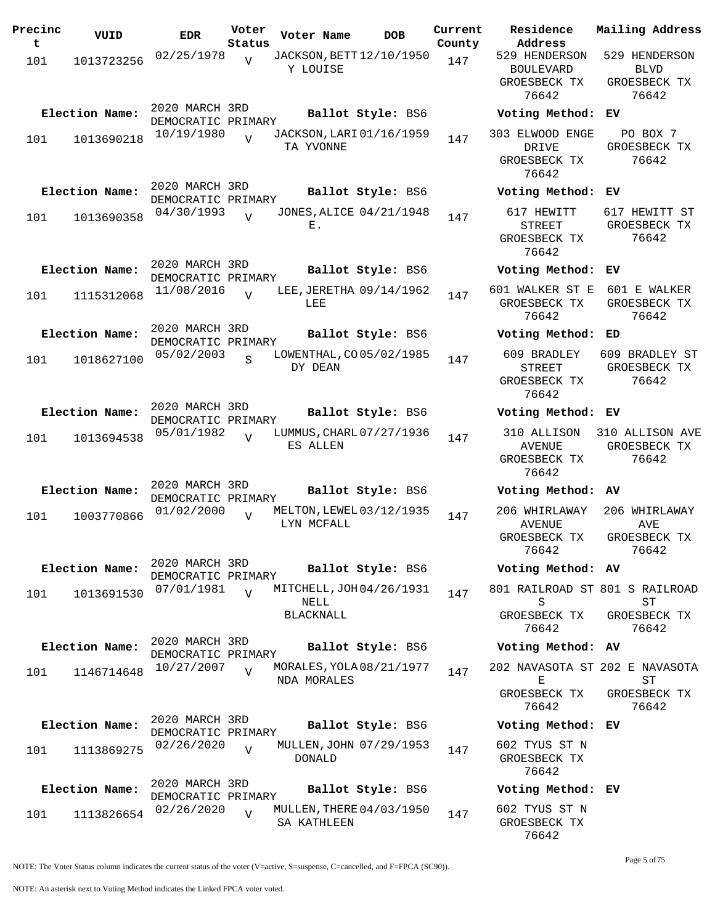| Precinc<br>t | VUID           | <b>EDR</b>                           | Voter<br>Status | Voter Name                                     | DOB               | Current<br>County |
|--------------|----------------|--------------------------------------|-----------------|------------------------------------------------|-------------------|-------------------|
| 101          | 1013723256     | 02/25/1978                           | $\overline{V}$  | JACKSON, BETT 12/10/1950<br>Y LOUISE           |                   | 147               |
|              | Election Name: | 2020 MARCH 3RD<br>DEMOCRATIC PRIMARY |                 |                                                | Ballot Style: BS6 |                   |
| 101          | 1013690218     | 10/19/1980                           | $\overline{U}$  | JACKSON, LARI 01/16/1959<br>TA YVONNE          |                   | 147               |
|              | Election Name: | 2020 MARCH 3RD<br>DEMOCRATIC PRIMARY |                 |                                                | Ballot Style: BS6 |                   |
| 101          | 1013690358     | 04/30/1993                           | $\overline{U}$  | JONES, ALICE 04/21/1948<br>Е.                  |                   | 147               |
|              | Election Name: | 2020 MARCH 3RD<br>DEMOCRATIC PRIMARY |                 |                                                | Ballot Style: BS6 |                   |
| 101          | 1115312068     | 11/08/2016                           | $\overline{U}$  | LEE, JERETHA 09/14/1962<br>LEE                 |                   | 147               |
|              | Election Name: | 2020 MARCH 3RD<br>DEMOCRATIC PRIMARY |                 |                                                | Ballot Style: BS6 |                   |
| 101          | 1018627100     | 05/02/2003                           | S               | LOWENTHAL, CO 05/02/1985<br>DY DEAN            |                   | 147               |
|              | Election Name: | 2020 MARCH 3RD<br>DEMOCRATIC PRIMARY |                 |                                                | Ballot Style: BS6 |                   |
| 101          | 1013694538     | 05/01/1982                           | $\overline{V}$  | LUMMUS, CHARL 07/27/1936<br>ES ALLEN           |                   | 147               |
|              | Election Name: | 2020 MARCH 3RD<br>DEMOCRATIC PRIMARY |                 |                                                | Ballot Style: BS6 |                   |
| 101          | 1003770866     | 01/02/2000                           | $\overline{V}$  | MELTON, LEWEL 03/12/1935<br>LYN MCFALL         |                   | 147               |
|              | Election Name: | 2020 MARCH 3RD<br>DEMOCRATIC PRIMARY |                 |                                                | Ballot Style: BS6 |                   |
| 101          | 1013691530     | 07/01/1981                           | $\overline{U}$  | MITCHELL, JOH 04/26/1931<br>NELL<br>BLACKNALL  |                   | 147               |
|              | Election Name: | 2020 MARCH 3RD<br>DEMOCRATIC PRIMARY |                 |                                                | Ballot Style: BS6 |                   |
| 101          | 1146714648     | 10/27/2007                           | $\overline{V}$  | MORALES, YOLA 08/21/1977<br><b>NDA MORALES</b> |                   | 147               |
|              | Election Name: | 2020 MARCH 3RD<br>DEMOCRATIC PRIMARY |                 |                                                | Ballot Style: BS6 |                   |
| 101          | 1113869275     | 02/26/2020                           | $\overline{V}$  | MULLEN, JOHN 07/29/1953<br><b>DONALD</b>       |                   | 147               |
|              | Election Name: | 2020 MARCH 3RD<br>DEMOCRATIC PRIMARY |                 |                                                | Ballot Style: BS6 |                   |
| 101          | 1113826654     | 02/26/2020                           | $\overline{V}$  | MULLEN, THERE 04/03/1950<br>SA KATHLEEN        |                   | 147               |

**Voter Name DOB Residence Address Current Mailing Address** 529 HENDERSON BOULEVARD GROESBECK TX 76642 529 HENDERSON BLVD GROESBECK TX 76642 **Election Name: Ballot Style:** BS6 **Voting Method: EV** 303 ELWOOD ENGE DRIVE GROESBECK TX 76642 PO BOX 7 GROESBECK TX 76642 **Election Name: Ballot Style:** BS6 **Voting Method: EV** 617 HEWITT STREET GROESBECK TX 76642 617 HEWITT ST GROESBECK TX 76642 **Election Name: Ballot Style:** BS6 **Voting Method: EV** 601 WALKER ST E 601 E WALKER GROESBECK TX GROESBECK TX 76642 76642 **Election Name: Ballot Style:** BS6 **Voting Method: ED** 609 BRADLEY 609 BRADLEY ST STREET GROESBECK TX 76642 GROESBECK TX 76642 **Election Name: Ballot Style:** BS6 **Voting Method: EV** 310 ALLISON 310 ALLISON AVE AVENUE GROESBECK TX 76642 GROESBECK TX 76642 **Election Name: Ballot Style:** BS6 **Voting Method: AV** 206 WHIRLAWAY AVENUE GROESBECK TX 76642 206 WHIRLAWAY AVE GROESBECK TX 76642 **Election Name: Ballot Style:** BS6 **Voting Method: AV** 801 RAILROAD ST 801 S RAILROAD S GROESBECK TX 76642 ST GROESBECK TX 76642 **Election Name: Ballot Style:** BS6 **Voting Method: AV** 202 NAVASOTA ST 202 E NAVASOTA E GROESBECK TX 76642 ST GROESBECK TX 76642 **Election Name: Ballot Style:** BS6 **Voting Method: EV** 602 TYUS ST N GROESBECK TX

#### **Election Name: Ballot Style:** BS6 **Voting Method: EV**

602 TYUS ST N GROESBECK TX 76642

76642

Page 5 of 75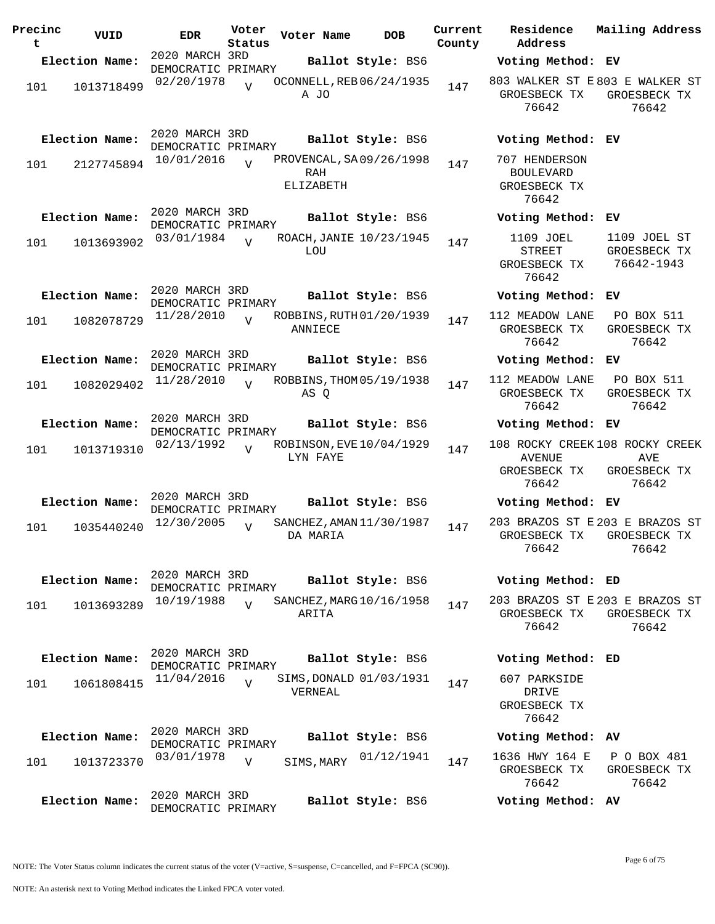| Precinc<br>t | VUID           | <b>EDR</b>                           | Voter<br>Status | Voter Name                                   | <b>DOB</b>        | Current<br>County | Residence<br>Address                                       | Mail                     |
|--------------|----------------|--------------------------------------|-----------------|----------------------------------------------|-------------------|-------------------|------------------------------------------------------------|--------------------------|
|              | Election Name: | 2020 MARCH 3RD                       |                 |                                              | Ballot Style: BS6 |                   | Voting Method: EV                                          |                          |
| 101          | 1013718499     | DEMOCRATIC PRIMARY<br>02/20/1978     | $\overline{V}$  | OCONNELL, REB 06/24/1935<br>A JO             |                   | 147               | 803 WALKER ST E803<br>GROESBECK TX<br>76642                | GR                       |
|              | Election Name: | 2020 MARCH 3RD<br>DEMOCRATIC PRIMARY |                 |                                              | Ballot Style: BS6 |                   | Voting Method: EV                                          |                          |
| 101          | 2127745894     | 10/01/2016                           | $\overline{V}$  | PROVENCAL, SA 09/26/1998<br>RAH<br>ELIZABETH |                   | 147               | 707 HENDERSON<br><b>BOULEVARD</b><br>GROESBECK TX<br>76642 |                          |
|              | Election Name: | 2020 MARCH 3RD<br>DEMOCRATIC PRIMARY |                 |                                              | Ballot Style: BS6 |                   | Voting Method:                                             | EV                       |
| 101          | 1013693902     | 03/01/1984                           | $\overline{17}$ | ROACH, JANIE 10/23/1945<br>LOU               |                   | 147               | 1109 JOEL<br><b>STREET</b><br>GROESBECK TX<br>76642        | 11<br>GR<br>7            |
|              | Election Name: | 2020 MARCH 3RD<br>DEMOCRATIC PRIMARY |                 |                                              | Ballot Style: BS6 |                   | Voting Method:                                             | ЕV                       |
| 101          | 1082078729     | 11/28/2010                           |                 | ROBBINS, RUTH 01/20/1939<br>ANNIECE          |                   | 147               | 112 MEADOW LANE<br>GROESBECK TX<br>76642                   | $\mathbf P$<br><b>GR</b> |
|              | Election Name: | 2020 MARCH 3RD<br>DEMOCRATIC PRIMARY |                 |                                              | Ballot Style: BS6 |                   | Voting Method:                                             | EV                       |
| 101          | 1082029402     | 11/28/2010                           | $\overline{U}$  | ROBBINS, THOM 05/19/1938<br>AS Q             |                   | 147               | 112 MEADOW LANE<br>GROESBECK TX<br>76642                   | $\mathbf P$<br>GR        |
|              | Election Name: | 2020 MARCH 3RD<br>DEMOCRATIC PRIMARY |                 |                                              | Ballot Style: BS6 |                   | Voting Method:                                             | ЕV                       |
| 101          | 1013719310     | 02/13/1992                           | $\overline{V}$  | ROBINSON, EVE 10/04/1929<br>LYN FAYE         |                   | 147               | 108 ROCKY CREEK 108<br>AVENUE<br>GROESBECK TX<br>76642     | GR                       |
|              | Election Name: | 2020 MARCH 3RD<br>DEMOCRATIC PRIMARY |                 |                                              | Ballot Style: BS6 |                   | Voting Method:                                             | ЕV                       |
| 101          | 1035440240     | 12/30/2005                           | $\overline{U}$  | SANCHEZ, AMAN 11/30/1987<br>DA MARIA         |                   | 147               | 203 BRAZOS ST E 203<br>GROESBECK TX<br>76642               | GR                       |
|              | Election Name: | 2020 MARCH 3RD<br>DEMOCRATIC PRIMARY |                 |                                              | Ballot Style: BS6 |                   | Voting Method: ED                                          |                          |
| 101          | 1013693289     | 10/19/1988                           | $\overline{V}$  | SANCHEZ, MARG 10/16/1958<br>ARITA            |                   | 147               | 203 BRAZOS ST E 203<br>GROESBECK TX<br>76642               | GR                       |
|              | Election Name: | 2020 MARCH 3RD<br>DEMOCRATIC PRIMARY |                 |                                              | Ballot Style: BS6 |                   | Voting Method: ED                                          |                          |
| 101          | 1061808415     | 11/04/2016                           | $\overline{U}$  | SIMS, DONALD 01/03/1931<br>VERNEAL           |                   | 147               | 607 PARKSIDE<br>DRIVE<br>GROESBECK TX<br>76642             |                          |
|              | Election Name: | 2020 MARCH 3RD<br>DEMOCRATIC PRIMARY |                 |                                              | Ballot Style: BS6 |                   | Voting Method: AV                                          |                          |
| 101          | 1013723370     | 03/01/1978                           | $\overline{V}$  | SIMS, MARY                                   | 01/12/1941        | 147               | 1636 HWY 164 E<br>GROESBECK TX<br>76642                    | Ρ<br>GR                  |
|              | Election Name: | 2020 MARCH 3RD<br>DEMOCRATIC PRIMARY |                 |                                              | Ballot Style: BS6 |                   | Voting Method: AV                                          |                          |

**Election Name: Ballot Style:** BS6 **Voting Method: EV** 803 WALKER ST E 803 E WALKER ST ROESBECK TX 76642 GROESBECK TX 76642 **Election Name: Ballot Style:** BS6 **Voting Method: EV** 7 HENDERSON BOULEVARD ROESBECK TX 76642 **Election Name: Ballot Style:** BS6 **Voting Method: EV** 1109 JOEL STREET ROESBECK TX 76642 1109 JOEL ST GROESBECK TX 76642-1943 **Election Name: Ballot Style:** BS6 **Voting Method: EV** MEADOW LANE ROESBECK TX 76642 PO BOX 511 GROESBECK TX 76642 **Election Name: Ballot Style:** BS6 **Voting Method: EV** MEADOW LANE ROESBECK TX 76642 PO BOX 511 GROESBECK TX 76642 **Election Name: Ballot Style:** BS6 **Voting Method: EV** 108 ROCKY CREEK 108 ROCKY CREEK AVENUE GROESBECK TX 76642 AVE GROESBECK TX 76642 **Election Name: Ballot Style:** BS6 **Voting Method: EV** 203 BRAZOS ST E 203 E BRAZOS ST ROESBECK TX 76642 GROESBECK TX 76642 **Election Name: Ballot Style:** BS6 **Voting Method: ED** 203 BRAZOS ST E 203 E BRAZOS ST GROESBECK TX GROESBECK TX 76642 76642 **Election Name: Ballot Style:** BS6 **Voting Method: ED**

**Current Mailing Address**

P O BOX 481 GROESBECK TX 76642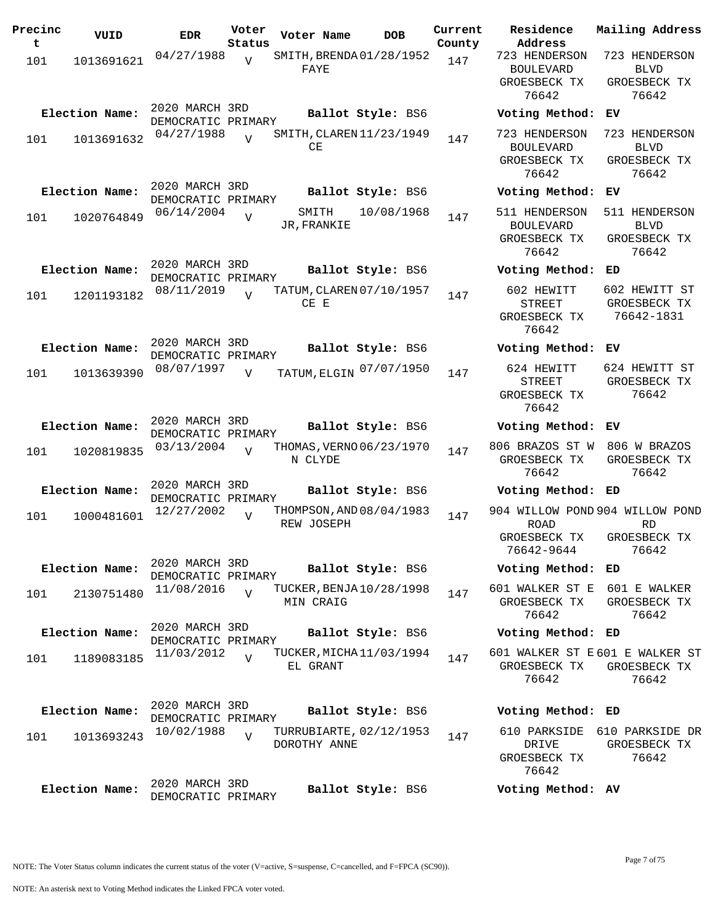| Precinc<br>t | VUID           | <b>EDR</b>                           | Voter<br>Status | Voter Name                              | <b>DOB</b>        | Current<br>County | Residence<br>Address                                    |
|--------------|----------------|--------------------------------------|-----------------|-----------------------------------------|-------------------|-------------------|---------------------------------------------------------|
| 101          | 1013691621     | 04/27/1988                           | $\overline{V}$  | SMITH, BRENDA01/28/1952<br>FAYE         |                   | 147               | 723 HENDERS<br><b>BOULEVARD</b><br>GROESBECK T<br>76642 |
|              | Election Name: | 2020 MARCH 3RD<br>DEMOCRATIC PRIMARY |                 |                                         | Ballot Style: BS6 |                   | Voting Meth                                             |
| 101          | 1013691632     | 04/27/1988                           | $\overline{V}$  | SMITH, CLAREN 11/23/1949<br>CE          |                   | 147               | 723 HENDERS<br><b>BOULEVARD</b><br>GROESBECK T<br>76642 |
|              | Election Name: | 2020 MARCH 3RD<br>DEMOCRATIC PRIMARY |                 |                                         | Ballot Style: BS6 |                   | Voting Meth                                             |
| 101          | 1020764849     | 06/14/2004                           | $\overline{V}$  | SMITH<br>JR, FRANKIE                    | 10/08/1968        | 147               | 511 HENDERS<br><b>BOULEVARD</b><br>GROESBECK T<br>76642 |
|              | Election Name: | 2020 MARCH 3RD<br>DEMOCRATIC PRIMARY |                 |                                         | Ballot Style: BS6 |                   | Voting Meth                                             |
| 101          | 1201193182     | 08/11/2019                           | $\overline{V}$  | TATUM, CLAREN 07/10/1957<br>$CE$ $E$    |                   | 147               | 602 HEWITT<br><b>STREET</b><br>GROESBECK T<br>76642     |
|              | Election Name: | 2020 MARCH 3RD<br>DEMOCRATIC PRIMARY |                 |                                         | Ballot Style: BS6 |                   | Voting Meth                                             |
| 101          | 1013639390     | 08/07/1997                           | $\overline{V}$  | TATUM, ELGIN 07/07/1950                 |                   | 147               | 624 HEWITT<br><b>STREET</b><br>GROESBECK T<br>76642     |
|              | Election Name: | 2020 MARCH 3RD<br>DEMOCRATIC PRIMARY |                 |                                         | Ballot Style: BS6 |                   | Voting Meth                                             |
| 101          | 1020819835     | 03/13/2004                           | $\overline{V}$  | THOMAS, VERNO 06/23/1970<br>N CLYDE     |                   | 147               | 806 BRAZOS ST<br>GROESBECK T<br>76642                   |
|              | Election Name: | 2020 MARCH 3RD<br>DEMOCRATIC PRIMARY |                 |                                         | Ballot Style: BS6 |                   | Voting Meth                                             |
| 101          | 1000481601     | 12/27/2002                           | $\overline{V}$  | THOMPSON, AND 08/04/1983<br>REW JOSEPH  |                   | 147               | 904 WILLOW PO<br><b>ROAD</b><br>GROESBECK T             |
|              |                | 2020 MARCH 3RD                       |                 |                                         |                   |                   | 76642-9644                                              |
|              | Election Name: | DEMOCRATIC PRIMARY                   |                 |                                         | Ballot Style: BS6 |                   | Voting Meth                                             |
| 101          | 2130751480     | 11/08/2016                           | $\overline{V}$  | TUCKER, BENJA 10/28/1998<br>MIN CRAIG   |                   | 147               | 601 WALKER ST<br>GROESBECK T<br>76642                   |
|              | Election Name: | 2020 MARCH 3RD<br>DEMOCRATIC PRIMARY |                 |                                         | Ballot Style: BS6 |                   | Voting Meth                                             |
| 101          | 1189083185     | 11/03/2012                           | $\overline{V}$  | TUCKER, MICHA 11/03/1994<br>EL GRANT    |                   | 147               | 601 WALKER ST<br>GROESBECK T<br>76642                   |
|              | Election Name: | 2020 MARCH 3RD                       |                 |                                         | Ballot Style: BS6 |                   | Voting Meth                                             |
| 101          | 1013693243     | DEMOCRATIC PRIMARY<br>10/02/1988     | $\overline{V}$  | TURRUBIARTE, 02/12/1953<br>DOROTHY ANNE |                   | 147               | 610 PARKSID<br>DRIVE<br>GROESBECK T<br>76642            |
|              | Election Name: | 2020 MARCH 3RD<br>DEMOCRATIC PRIMARY |                 |                                         | Ballot Style: BS6 |                   | Voting Meth                                             |

**Voter Name DOB Residence Address Current Mailing Address** 723 HENDERSON BOULEVARD GROESBECK TX 76642 723 HENDERSON BLVD GROESBECK TX 76642 **Election Name: Ballot Style:** BS6 **Voting Method: EV** 723 HENDERSON 723 HENDERSON BOULEVARD GROESBECK TX 76642 BLVD GROESBECK TX 76642 **Election Name: Ballot Style:** BS6 **Voting Method: EV** 511 HENDERSON BOULEVARD GROESBECK TX 76642 511 HENDERSON BLVD GROESBECK TX 76642 **Election Name: Ballot Style:** BS6 **Voting Method: ED** 602 HEWITT STREET GROESBECK TX 76642 602 HEWITT ST GROESBECK TX 76642-1831 **Election Name: Ballot Style:** BS6 **Voting Method: EV** STREET GROESBECK TX 76642 624 HEWITT ST GROESBECK TX 76642 **Election Name: Ballot Style:** BS6 **Voting Method: EV** 806 BRAZOS ST W 806 W BRAZOS GROESBECK TX 76642 GROESBECK TX 76642 **Election Name: Ballot Style:** BS6 **Voting Method: ED** 904 WILLOW POND 904 WILLOW POND ROAD GROESBECK TX 76642-9644 RD GROESBECK TX 76642 **Election Name: Ballot Style:** BS6 **Voting Method: ED** 601 WALKER ST E 601 E WALKER GROESBECK TX 76642 GROESBECK TX 76642 **Election Name: Ballot Style:** BS6 **Voting Method: ED** 601 WALKER ST E 601 E WALKER ST GROESBECK TX GROESBECK TX 76642 76642 **Election Name: Ballot Style:** BS6 **Voting Method: ED** 610 PARKSIDE 610 PARKSIDE DR DRIVE GROESBECK TX

GROESBECK TX 76642 **Election Name: Ballot Style:** BS6 **Voting Method: AV**

NOTE: The Voter Status column indicates the current status of the voter (V=active, S=suspense, C=cancelled, and F=FPCA (SC90)).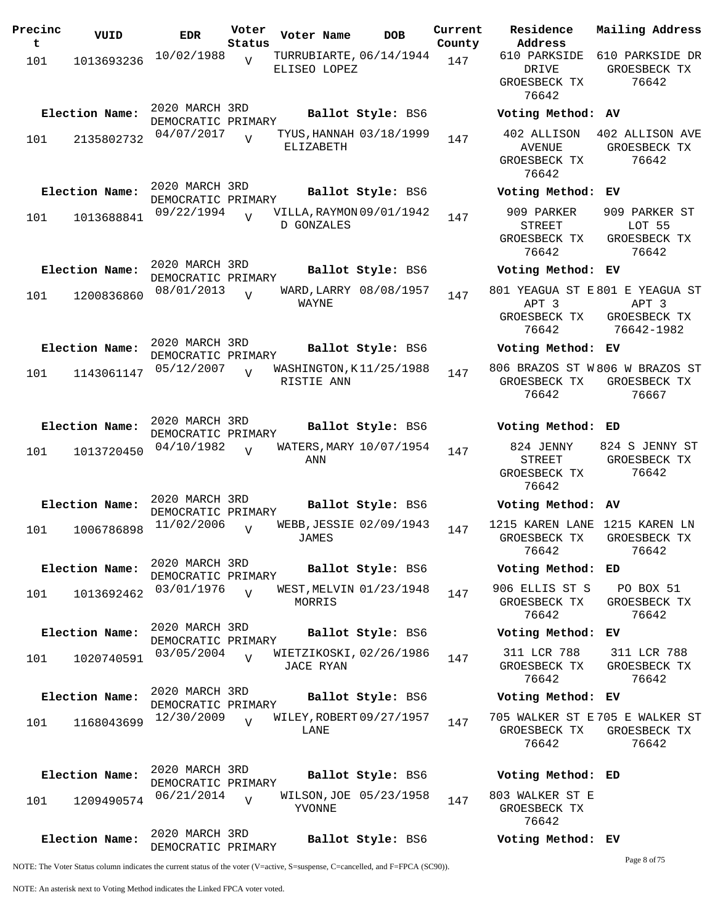| Precinc<br>t | VUID           | <b>EDR</b>                           | Voter<br>Status | Voter Name                                    | <b>DOB</b>             | Current<br>County | Residence<br>Address                                            | Mai:                  |
|--------------|----------------|--------------------------------------|-----------------|-----------------------------------------------|------------------------|-------------------|-----------------------------------------------------------------|-----------------------|
| 101          | 1013693236     | 10/02/1988                           | $\overline{V}$  | TURRUBIARTE, 06/14/1944<br>ELISEO LOPEZ       |                        | 147               | 610 PARKSIDE<br>DRIVE<br>GROESBECK TX<br>76642                  | 610<br>GR             |
|              | Election Name: | 2020 MARCH 3RD<br>DEMOCRATIC PRIMARY |                 |                                               | Ballot Style: BS6      |                   | Voting Method: AV                                               |                       |
| 101          | 2135802732     | 04/07/2017                           | $\overline{17}$ | TYUS, HANNAH 03/18/1999<br>ELIZABETH          |                        | 147               | 402 ALLISON<br><b>AVENUE</b><br>GROESBECK TX<br>76642           | 402<br>GR             |
|              | Election Name: | 2020 MARCH 3RD<br>DEMOCRATIC PRIMARY |                 |                                               | Ballot Style: BS6      |                   | Voting Method:                                                  | EV                    |
| 101          | 1013688841     | 09/22/1994                           | $\overline{U}$  | VILLA, RAYMON 09/01/1942<br><b>D GONZALES</b> |                        | 147               | 909 PARKER<br><b>STREET</b><br>GROESBECK TX<br>76642            | 90 <sub>2</sub><br>GR |
|              | Election Name: | 2020 MARCH 3RD<br>DEMOCRATIC PRIMARY |                 |                                               | Ballot Style: BS6      |                   | Voting Method: EV                                               |                       |
| 101          | 1200836860     | 08/01/2013                           | $\overline{U}$  | WAYNE                                         | WARD, LARRY 08/08/1957 | 147               | 801 YEAGUA ST E801<br>APT <sub>3</sub><br>GROESBECK TX<br>76642 | GR<br>7               |
|              | Election Name: | 2020 MARCH 3RD<br>DEMOCRATIC PRIMARY |                 |                                               | Ballot Style: BS6      |                   | Voting Method: EV                                               |                       |
| 101          | 1143061147     | 05/12/2007                           | $\overline{U}$  | WASHINGTON, K11/25/1988<br>RISTIE ANN         |                        | 147               | 806 BRAZOS ST W806<br>GROESBECK TX<br>76642                     | GR                    |
|              | Election Name: | 2020 MARCH 3RD<br>DEMOCRATIC PRIMARY |                 |                                               | Ballot Style: BS6      |                   | Voting Method: ED                                               |                       |
| 101          | 1013720450     | 04/10/1982                           | $\overline{V}$  | WATERS, MARY 10/07/1954<br>ANN                |                        | 147               | 824 JENNY<br>STREET<br>GROESBECK TX<br>76642                    | 824<br>GR             |
|              | Election Name: | 2020 MARCH 3RD<br>DEMOCRATIC PRIMARY |                 |                                               | Ballot Style: BS6      |                   | Voting Method: AV                                               |                       |
| 101          | 1006786898     | 11/02/2006                           | $\overline{V}$  | WEBB, JESSIE 02/09/1943<br>JAMES              |                        | 147               | 1215 KAREN LANE<br>GROESBECK TX<br>76642                        | 12<br>GR              |
|              | Election Name: | 2020 MARCH 3RD<br>DEMOCRATIC PRIMARY |                 |                                               | Ballot Style: BS6      |                   | Voting Method: ED                                               |                       |
| 101          | 1013692462     | 03/01/1976                           | $\overline{z}$  | WEST, MELVIN 01/23/1948<br>MORRIS             |                        | 147               | 906 ELLIS ST S<br>GROESBECK TX<br>76642                         | J<br>GR               |
|              | Election Name: | 2020 MARCH 3RD<br>DEMOCRATIC PRIMARY |                 |                                               | Ballot Style: BS6      |                   | Voting Method: EV                                               |                       |
| 101          | 1020740591     | 03/05/2004                           | $\overline{V}$  | WIETZIKOSKI, 02/26/1986<br>JACE RYAN          |                        | 147               | 311 LCR 788<br>GROESBECK TX<br>76642                            | 3 <sup>2</sup><br>GR  |
|              | Election Name: | 2020 MARCH 3RD<br>DEMOCRATIC PRIMARY |                 |                                               | Ballot Style: BS6      |                   | Voting Method: EV                                               |                       |
| 101          | 1168043699     | 12/30/2009                           | $\overline{U}$  | WILEY, ROBERT 09/27/1957<br>LANE              |                        | 147               | 705 WALKER ST E705<br>GROESBECK TX<br>76642                     | GR                    |
|              | Election Name: | 2020 MARCH 3RD<br>DEMOCRATIC PRIMARY |                 |                                               | Ballot Style: BS6      |                   | Voting Method: ED                                               |                       |
| 101          | 1209490574     | 06/21/2014                           | $\overline{U}$  | YVONNE                                        | WILSON, JOE 05/23/1958 | 147               | 803 WALKER ST E<br>GROESBECK TX<br>76642                        |                       |
|              | Election Name: | 2020 MARCH 3RD<br>DEMOCRATIC PRIMARY |                 |                                               | Ballot Style: BS6      |                   | Voting Method: EV                                               |                       |

**Address** 610 PARKSIDE 610 PARKSIDE DR DRIVE GROESBECK TX 76642 GROESBECK TX 76642 **Election Name: Ballot Style:** BS6 **Voting Method: AV** 402 ALLISON 402 ALLISON AVE AVENUE GROESBECK TX 76642 GROESBECK TX 76642 **Election Name: Ballot Style:** BS6 **Voting Method: EV** 909 PARKER STREET GROESBECK TX 76642 909 PARKER ST LOT 55 GROESBECK TX 76642 **Election Name: Ballot Style:** BS6 **Voting Method: EV** 801 YEAGUA ST E 801 E YEAGUA ST APT 3 GROESBECK TX 76642 APT 3 GROESBECK TX 76642-1982 **Election Name: Ballot Style:** BS6 **Voting Method: EV** 806 BRAZOS ST W 806 W BRAZOS ST GROESBECK TX GROESBECK TX 76642 76667 **Election Name: Ballot Style:** BS6 **Voting Method: ED** 824 JENNY STREET GROESBECK TX 76642 824 S JENNY ST GROESBECK TX 76642 **Election Name: Ballot Style:** BS6 **Voting Method: AV** 1215 KAREN LANE 1215 KAREN LN GROESBECK TX GROESBECK TX 76642 76642 **Election Name: Ballot Style:** BS6 **Voting Method: ED** 906 ELLIS ST S GROESBECK TX 76642 PO BOX 51 GROESBECK TX 76642 **Election Name: Ballot Style:** BS6 **Voting Method: EV** 311 LCR 788 GROESBECK TX 76642 311 LCR 788 GROESBECK TX 76642 **Election Name: Ballot Style:** BS6 **Voting Method: EV** 705 WALKER ST E 705 E WALKER ST GROESBECK TX GROESBECK TX 76642 76642 **Election Name: Ballot Style:** BS6 **Voting Method: ED** 803 WALKER ST E GROESBECK TX

**Current Mailing Address**

NOTE: The Voter Status column indicates the current status of the voter (V=active, S=suspense, C=cancelled, and F=FPCA (SC90)).

Page 8 of 75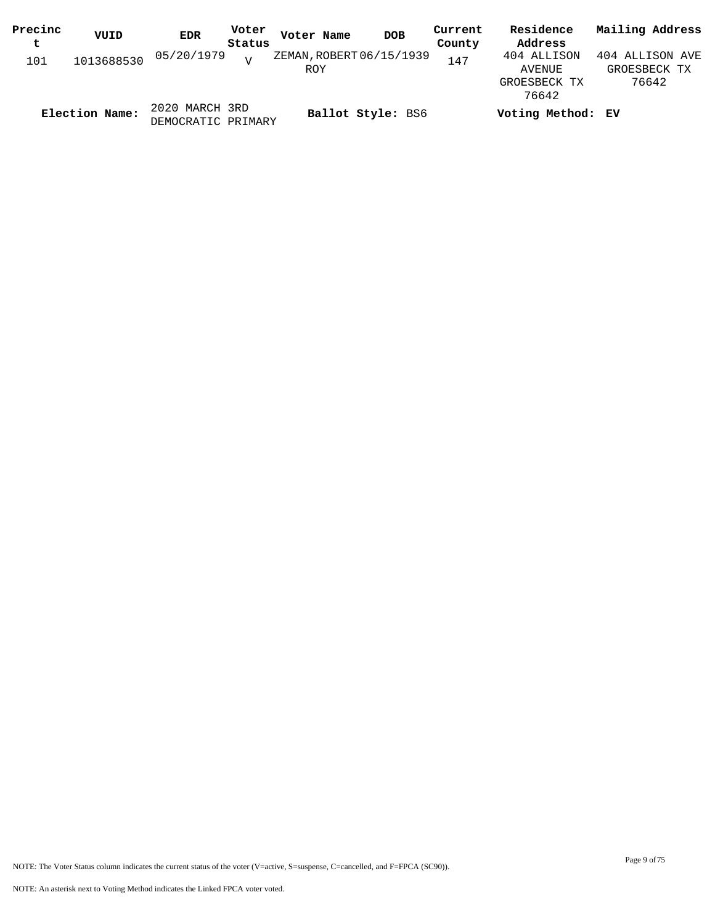| Precinc | VUID           | <b>EDR</b>         | Voter  | Voter Name               | <b>DOB</b>        | Current | Residence         | Mailing Address |
|---------|----------------|--------------------|--------|--------------------------|-------------------|---------|-------------------|-----------------|
| t       |                |                    | Status |                          |                   | County  | Address           |                 |
| 101     | 1013688530     | 05/20/1979         | T      | ZEMAN, ROBERT 06/15/1939 |                   | 147     | 404 ALLISON       | 404 ALLISON AVE |
|         |                |                    |        | ROY                      |                   |         | AVENUE            | GROESBECK TX    |
|         |                |                    |        |                          |                   |         | GROESBECK TX      | 76642           |
|         |                |                    |        |                          |                   |         | 76642             |                 |
|         | Election Name: | 2020 MARCH 3RD     |        |                          | Ballot Style: BS6 |         | Voting Method: EV |                 |
|         |                | DEMOCRATIC PRIMARY |        |                          |                   |         |                   |                 |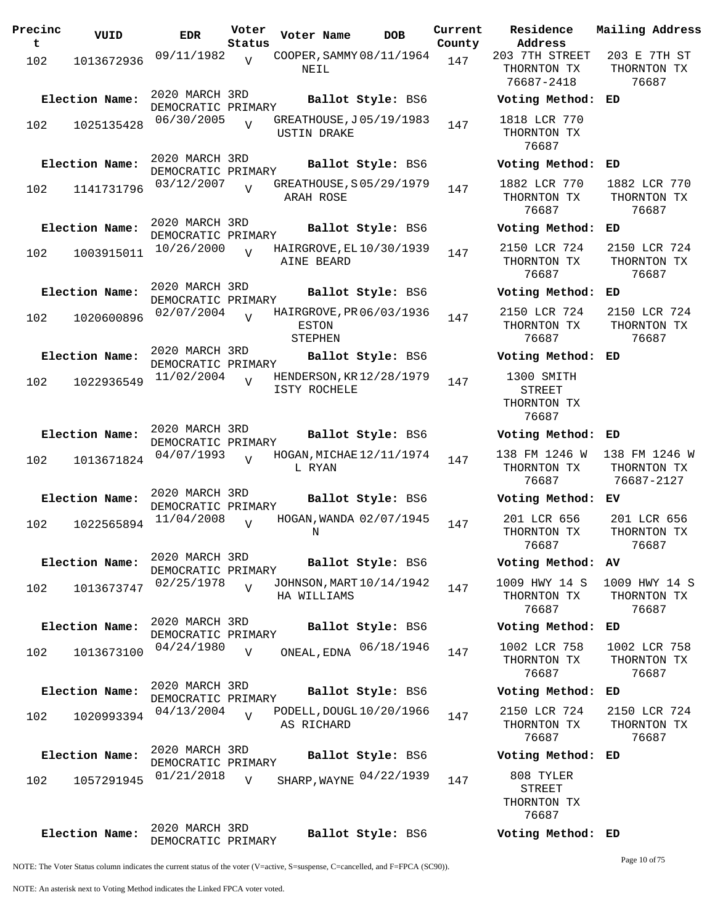| Precinc<br>$\mathbf t$ | VUID           | <b>EDR</b>                           | Voter<br>Status | Voter Name                                   | DOB        | Current<br>County | Residence<br>Address                                | Mai:           |
|------------------------|----------------|--------------------------------------|-----------------|----------------------------------------------|------------|-------------------|-----------------------------------------------------|----------------|
| 102                    | 1013672936     | 09/11/1982                           | $\overline{U}$  | COOPER, SAMMY 08/11/1964<br>NEIL             |            | 147               | 203 7TH STREET<br>THORNTON TX<br>76687-2418         | 20<br>TI       |
|                        | Election Name: | 2020 MARCH 3RD<br>DEMOCRATIC PRIMARY |                 | Ballot Style: BS6                            |            |                   | Voting Method:                                      | ED             |
| 102                    | 1025135428     | 06/30/2005                           | $\overline{V}$  | GREATHOUSE, J05/19/1983<br>USTIN DRAKE       |            | 147               | 1818 LCR 770<br>THORNTON TX<br>76687                |                |
|                        | Election Name: | 2020 MARCH 3RD<br>DEMOCRATIC PRIMARY |                 | Ballot Style: BS6                            |            |                   | Voting Method:                                      | ED             |
| 102                    | 1141731796     | 03/12/2007                           |                 | GREATHOUSE, S05/29/1979<br>ARAH ROSE         |            | 147               | 1882 LCR 770<br>THORNTON TX<br>76687                | 18<br>TI       |
|                        | Election Name: | 2020 MARCH 3RD                       |                 | Ballot Style: BS6                            |            |                   | Voting Method:                                      | ED             |
| 102                    | 1003915011     | DEMOCRATIC PRIMARY<br>10/26/2000     | $\overline{U}$  | HAIRGROVE, EL 10/30/1939<br>AINE BEARD       |            | 147               | 2150 LCR 724<br>THORNTON TX<br>76687                | 21<br>TI       |
|                        | Election Name: | 2020 MARCH 3RD<br>DEMOCRATIC PRIMARY |                 | Ballot Style: BS6                            |            |                   | Voting Method:                                      | ED             |
| 102                    | 1020600896     | 02/07/2004                           | $\overline{U}$  | HAIRGROVE, PR 06/03/1936<br>ESTON<br>STEPHEN |            | 147               | 2150 LCR 724<br>THORNTON TX<br>76687                | 21<br>TI       |
|                        | Election Name: | 2020 MARCH 3RD<br>DEMOCRATIC PRIMARY |                 | Ballot Style: BS6                            |            |                   | Voting Method:                                      | ED             |
| 102                    | 1022936549     | 11/02/2004                           | $\overline{V}$  | HENDERSON, KR 12/28/1979<br>ISTY ROCHELE     |            | 147               | 1300 SMITH<br><b>STREET</b><br>THORNTON TX<br>76687 |                |
|                        | Election Name: | 2020 MARCH 3RD<br>DEMOCRATIC PRIMARY |                 | Ballot Style: BS6                            |            |                   | Voting Method:                                      | ED             |
| 102                    | 1013671824     | 04/07/1993                           | $\overline{z}$  | HOGAN, MICHAE 12/11/1974<br>L RYAN           |            | 147               | 138 FM 1246 W<br>THORNTON TX<br>76687               | 138<br>TI<br>7 |
|                        | Election Name: | 2020 MARCH 3RD<br>DEMOCRATIC PRIMARY |                 | Ballot Style: BS6                            |            |                   | Voting Method:                                      | ЕV             |
| 102                    | 1022565894     | 11/04/2008                           | $\overline{U}$  | HOGAN, WANDA 02/07/1945<br>Ν                 |            | 147               | 201 LCR 656<br>THORNTON TX<br>76687                 | 2(<br>TI       |
|                        | Election Name: | 2020 MARCH 3RD<br>DEMOCRATIC PRIMARY |                 | Ballot Style: BS6                            |            |                   | Voting Method: AV                                   |                |
| 102                    | 1013673747     | 02/25/1978                           | $\overline{V}$  | JOHNSON, MART 10/14/1942<br>HA WILLIAMS      |            | 147               | 1009 HWY 14 S<br>THORNTON TX<br>76687               | 10(<br>TI      |
|                        | Election Name: | 2020 MARCH 3RD<br>DEMOCRATIC PRIMARY |                 | Ballot Style: BS6                            |            |                   | Voting Method:                                      | ED             |
| 102                    | 1013673100     | 04/24/1980                           | $\overline{V}$  | ONEAL, EDNA                                  | 06/18/1946 | 147               | 1002 LCR 758<br>THORNTON TX<br>76687                | 10<br>TI       |
|                        | Election Name: | 2020 MARCH 3RD<br>DEMOCRATIC PRIMARY |                 | Ballot Style: BS6                            |            |                   | Voting Method:                                      | ED             |
| 102                    | 1020993394     | 04/13/2004                           | $\overline{V}$  | PODELL, DOUGL 10/20/1966<br>AS RICHARD       |            | 147               | 2150 LCR 724<br>THORNTON TX<br>76687                | 21<br>TI       |
|                        | Election Name: | 2020 MARCH 3RD                       |                 | Ballot Style: BS6                            |            |                   | Voting Method: ED                                   |                |
| 102                    | 1057291945     | DEMOCRATIC PRIMARY<br>01/21/2018     | $\overline{V}$  | SHARP, WAYNE 04/22/1939                      |            | 147               | 808 TYLER<br>STREET<br>THORNTON TX<br>76687         |                |
|                        | Election Name: | 2020 MARCH 3RD                       |                 | Ballot Style: BS6                            |            |                   | Voting Method: ED                                   |                |

**Voter Name DOB Residence Address Current Mailing Address** 203 7TH STREET THORNTON TX 76687-2418 203 E 7TH ST THORNTON TX 76687 **Election Name: Ballot Style:** BS6 **Voting Method: ED** 1818 LCR 770 THORNTON TX 76687 **Election Name: Ballot Style:** BS6 **Voting Method: ED** 1882 LCR 770 THORNTON TX 76687 1882 LCR 770 THORNTON TX 76687 **Election Name: Ballot Style:** BS6 **Voting Method: ED** 2150 LCR 724 THORNTON TX 76687 2150 LCR 724 THORNTON TX 76687 **Election Name: Ballot Style:** BS6 **Voting Method: ED** 2150 LCR 724 THORNTON TX 76687 2150 LCR 724 THORNTON TX 76687 **Election Name: Ballot Style:** BS6 **Voting Method: ED** 1300 SMITH STREET THORNTON TX 76687 **Election Name: Ballot Style:** BS6 **Voting Method: ED** 138 FM 1246 W THORNTON TX 76687 138 FM 1246 W THORNTON TX 76687-2127 **Election Name: Ballot Style:** BS6 **Voting Method: EV** 201 LCR 656 THORNTON TX 76687 201 LCR 656 THORNTON TX 76687 **Election Name: Ballot Style:** BS6 **Voting Method: AV** 1009 HWY 14 S THORNTON TX 76687 1009 HWY 14 S THORNTON TX 76687 **Election Name: Ballot Style:** BS6 **Voting Method: ED** THORNTON TX 76687 1002 LCR 758 THORNTON TX 76687 **Election Name: Ballot Style:** BS6 **Voting Method: ED** 2150 LCR 724 THORNTON TX 76687 2150 LCR 724 THORNTON TX 76687 **Election Name: Ballot Style:** BS6 **Voting Method: ED** STREET THORNTON TX 76687

NOTE: The Voter Status column indicates the current status of the voter (V=active, S=suspense, C=cancelled, and F=FPCA (SC90)).

DEMOCRATIC PRIMARY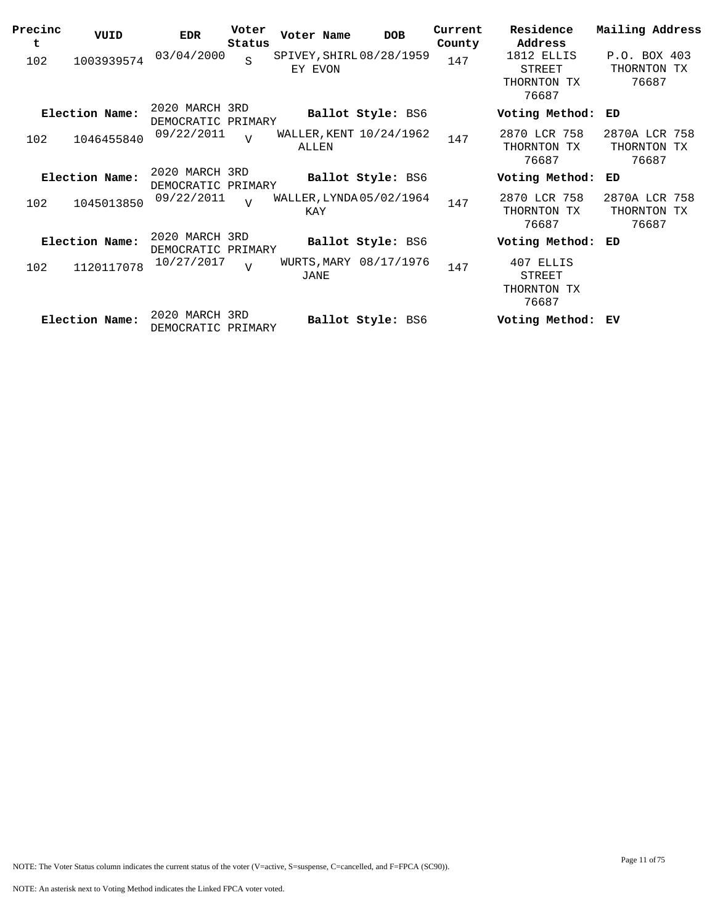| Precinc<br>t | VUID           | <b>EDR</b>                           | Voter<br>Status | Voter Name                          | <b>DOB</b>               | Current<br>County | Residence<br>Address                               | Mailing Address                       |
|--------------|----------------|--------------------------------------|-----------------|-------------------------------------|--------------------------|-------------------|----------------------------------------------------|---------------------------------------|
| 102          | 1003939574     | 03/04/2000                           | S               | SPIVEY, SHIRL 08/28/1959<br>EY EVON |                          | 147               | 1812 ELLIS<br>STREET<br>THORNTON TX<br>76687       | P.O. BOX 403<br>THORNTON TX<br>76687  |
|              | Election Name: | 2020 MARCH 3RD<br>DEMOCRATIC PRIMARY |                 |                                     | Ballot Style: BS6        |                   | Voting Method:                                     | ED                                    |
| 102          | 1046455840     | 09/22/2011                           | $\overline{U}$  | WALLER, KENT 10/24/1962<br>ALLEN    |                          | 147               | 2870 LCR 758<br>THORNTON TX<br>76687               | 2870A LCR 758<br>THORNTON TX<br>76687 |
|              | Election Name: | 2020 MARCH 3RD<br>DEMOCRATIC PRIMARY |                 |                                     | <b>Ballot Style: BS6</b> |                   | Voting Method:                                     | ED                                    |
| 102          | 1045013850     | 09/22/2011                           | $\overline{z}$  | WALLER, LYNDA 05/02/1964<br>KAY     |                          | 147               | 2870 LCR 758<br>THORNTON TX<br>76687               | 2870A LCR 758<br>THORNTON TX<br>76687 |
|              | Election Name: | 2020 MARCH 3RD<br>DEMOCRATIC PRIMARY |                 |                                     | <b>Ballot Style: BS6</b> |                   | Voting Method:                                     | ED                                    |
| 102          | 1120117078     | 10/27/2017                           | $\overline{V}$  | JANE                                | WURTS, MARY 08/17/1976   | 147               | 407 ELLIS<br><b>STREET</b><br>THORNTON TX<br>76687 |                                       |
|              | Election Name: | 2020 MARCH 3RD<br>DEMOCRATIC PRIMARY |                 |                                     | Ballot Style: BS6        |                   | Voting Method: EV                                  |                                       |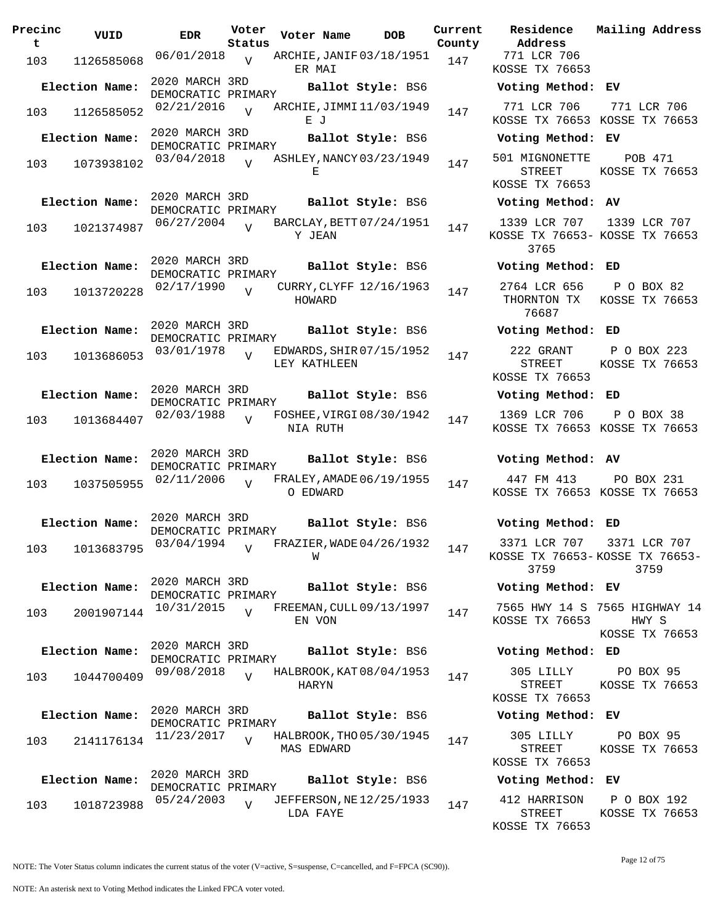| Precinc<br>t. | VUID                        | <b>EDR</b>                           | Voter<br>Status | Voter Name        | DOB                      | Current<br>County |
|---------------|-----------------------------|--------------------------------------|-----------------|-------------------|--------------------------|-------------------|
| 103           | 1126585068                  | 06/01/2018                           | V               | ER MAI            | ARCHIE, JANIF 03/18/1951 | 147               |
|               | Election Name:              | 2020 MARCH 3RD<br>DEMOCRATIC PRIMARY |                 |                   | Ballot Style: BS6        |                   |
| 103           | 1126585052                  | 02/21/2016                           | $\overline{V}$  | ЕJ                | ARCHIE, JIMMI 11/03/1949 | 147               |
|               | Election Name:              | 2020 MARCH 3RD<br>DEMOCRATIC PRIMARY |                 |                   | Ballot Style: BS6        |                   |
| 103           | 1073938102                  | 03/04/2018                           | $\overline{V}$  | E.                | ASHLEY, NANCY 03/23/1949 | 147               |
|               | Election Name:              | 2020 MARCH 3RD<br>DEMOCRATIC PRIMARY |                 |                   | Ballot Style: BS6        |                   |
| 103           | 1021374987                  | 06/27/2004                           | $\overline{V}$  | Y JEAN            | BARCLAY, BETT 07/24/1951 | 147               |
|               | Election Name:              | 2020 MARCH 3RD<br>DEMOCRATIC PRIMARY |                 |                   | Ballot Style: BS6        |                   |
| 103           | 1013720228                  | 02/17/1990                           | $\overline{U}$  | HOWARD            | CURRY, CLYFF 12/16/1963  | 147               |
|               | Election Name:              | 2020 MARCH 3RD<br>DEMOCRATIC PRIMARY |                 |                   | Ballot Style: BS6        |                   |
| 103           | 1013686053                  | 03/01/1978                           | $\overline{V}$  | LEY KATHLEEN      | EDWARDS, SHIR 07/15/1952 | 147               |
|               | Election Name:              | 2020 MARCH 3RD<br>DEMOCRATIC PRIMARY |                 |                   | Ballot Style: BS6        |                   |
| 103           | 1013684407                  | 02/03/1988                           | $\overline{V}$  | NIA RUTH          | FOSHEE, VIRGI 08/30/1942 | 147               |
|               | Election Name:              | 2020 MARCH 3RD<br>DEMOCRATIC PRIMARY |                 |                   | Ballot Style: BS6        |                   |
| 103           | 1037505955                  | 02/11/2006                           | $\overline{V}$  | O EDWARD          | FRALEY, AMADE 06/19/1955 | 147               |
|               | Election Name:              | 2020 MARCH 3RD<br>DEMOCRATIC PRIMARY |                 |                   | Ballot Style: BS6        |                   |
|               | 103 1013683795 03/04/1994 v |                                      |                 | W                 | FRAZIER, WADE 04/26/1932 | 147               |
|               | Election Name:              | 2020 MARCH 3RD<br>DEMOCRATIC PRIMARY |                 |                   | Ballot Style: BS6        |                   |
| 103           | 2001907144                  | 10/31/2015                           | $\overline{V}$  | EN VON            | FREEMAN, CULL 09/13/1997 | 147               |
|               | Election Name:              | 2020 MARCH 3RD<br>DEMOCRATIC PRIMARY |                 |                   | Ballot Style: BS6        |                   |
| 103           | 1044700409                  | 09/08/2018                           | $\overline{V}$  | HARYN             | HALBROOK, KAT 08/04/1953 | 147               |
|               | Election Name:              | 2020 MARCH 3RD<br>DEMOCRATIC PRIMARY |                 |                   | Ballot Style: BS6        |                   |
| 103           | 2141176134                  | 11/23/2017                           | $\overline{V}$  | <b>MAS EDWARD</b> | HALBROOK, THO 05/30/1945 | 147               |
|               | Election Name:              | 2020 MARCH 3RD<br>DEMOCRATIC PRIMARY |                 |                   | Ballot Style: BS6        |                   |
| 103           | 1018723988                  | 05/24/2003                           | $\overline{V}$  | LDA FAYE          | JEFFERSON, NE 12/25/1933 | 147               |

**U**ct Residence<br>Veter Address **Address Current Mailing Address** 771 LCR 706 KOSSE TX 76653 **Election Name: Ballot Style:** BS6 **Voting Method: EV** 771 LCR 706 KOSSE TX 76653 KOSSE TX 76653 771 LCR 706 **Election Name: Ballot Style:** BS6 **Voting Method: EV** 501 MIGNONETTE STREET KOSSE TX 76653 POB 471 KOSSE TX 76653 **Election Name: Ballot Style:** BS6 **Voting Method: AV** 1339 LCR 707 KOSSE TX 76653- KOSSE TX 76653 3765 1339 LCR 707 **Election Name: Ballot Style:** BS6 **Voting Method: ED** 2764 LCR 656 THORNTON TX KOSSE TX 76653 76687 P O BOX 82 **Election Name: Ballot Style:** BS6 **Voting Method: ED** 222 GRANT STREET KOSSE TX 76653 P O BOX 223 KOSSE TX 76653 **Election Name: Ballot Style:** BS6 **Voting Method: ED** 1369 LCR 706 KOSSE TX 76653 KOSSE TX 76653 P O BOX 38 **Election Name: Ballot Style:** BS6 **Voting Method: AV** 447 FM 413 KOSSE TX 76653 KOSSE TX 76653 PO BOX 231 **Election Name: Ballot Style:** BS6 **Voting Method: ED** 3371 LCR 707 3371 LCR 707 KOSSE TX 76653- KOSSE TX 76653- 3759 3759 **Election Name: Ballot Style:** BS6 **Voting Method: EV** 7565 HWY 14 S 7565 HIGHWAY 14 KOSSE TX 76653 HWY S KOSSE TX 76653 **Election Name: Ballot Style:** BS6 **Voting Method: ED** 305 LILLY STREET KOSSE TX 76653 PO BOX 95 KOSSE TX 76653 **Election Name: Ballot Style:** BS6 **Voting Method: EV** 305 LILLY PO BOX 95

## **Election Name: Ballot Style:** BS6 **Voting Method: EV**

STREET KOSSE TX 76653

412 HARRISON P O BOX 192 STREET KOSSE TX 76653 KOSSE TX 76653

KOSSE TX 76653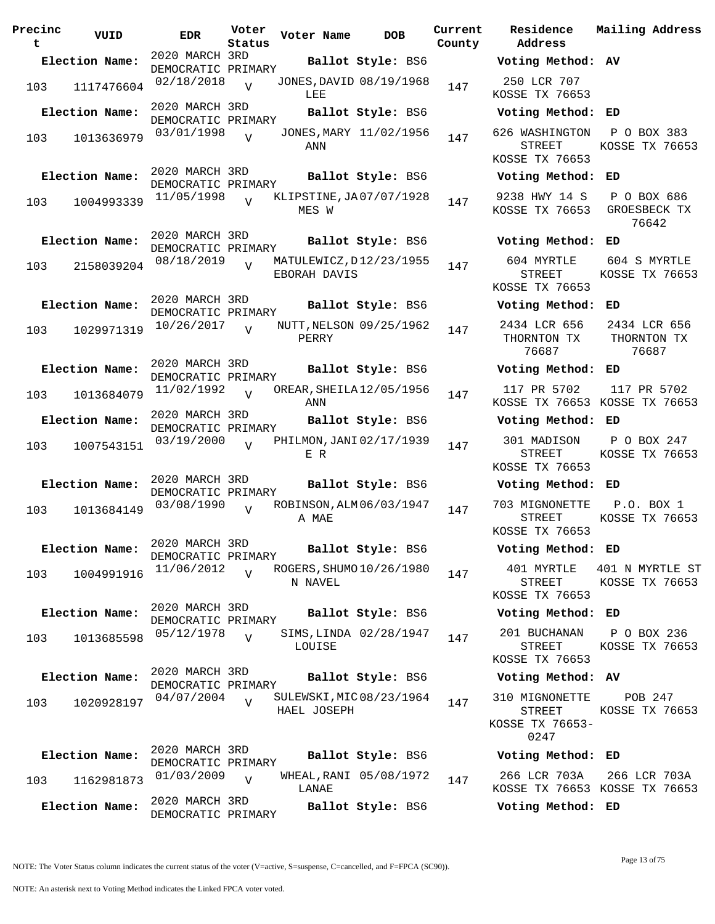| Precinc<br>t | VUID           | <b>EDR</b>                           | Voter<br>Status | Voter Name                              | <b>DOB</b>        | Current<br>County | Residence<br>Address                                | Mai.                      |
|--------------|----------------|--------------------------------------|-----------------|-----------------------------------------|-------------------|-------------------|-----------------------------------------------------|---------------------------|
|              | Election Name: | 2020 MARCH 3RD<br>DEMOCRATIC PRIMARY |                 |                                         | Ballot Style: BS6 |                   | Voting Method: AV                                   |                           |
| 103          | 1117476604     | 02/18/2018                           | $\overline{U}$  | JONES, DAVID 08/19/1968<br>LEE          |                   | 147               | 250 LCR 707<br>KOSSE TX 76653                       |                           |
|              | Election Name: | 2020 MARCH 3RD<br>DEMOCRATIC PRIMARY |                 |                                         | Ballot Style: BS6 |                   | Voting Method: ED                                   |                           |
| 103          | 1013636979     | 03/01/1998                           | $\overline{V}$  | JONES, MARY 11/02/1956<br>ANN           |                   | 147               | 626 WASHINGTON<br><b>STREET</b><br>KOSSE TX 76653   | $\mathbf P$<br><b>KOS</b> |
|              | Election Name: | 2020 MARCH 3RD                       |                 |                                         | Ballot Style: BS6 |                   | Voting Method:                                      | ED                        |
| 103          | 1004993339     | DEMOCRATIC PRIMARY<br>11/05/1998     | $\overline{U}$  | KLIPSTINE, JA07/07/1928<br>MES W        |                   | 147               | 9238 HWY 14 S<br>KOSSE TX 76653                     | P<br>GR                   |
|              | Election Name: | 2020 MARCH 3RD<br>DEMOCRATIC PRIMARY |                 |                                         | Ballot Style: BS6 |                   | Voting Method:                                      | ED                        |
| 103          | 2158039204     | 08/18/2019                           | $\overline{U}$  | MATULEWICZ, D12/23/1955<br>EBORAH DAVIS |                   | 147               | 604 MYRTLE<br>STREET<br>KOSSE TX 76653              | 60<br><b>KOS</b>          |
|              | Election Name: | 2020 MARCH 3RD<br>DEMOCRATIC PRIMARY |                 |                                         | Ballot Style: BS6 |                   | Voting Method:                                      | ED                        |
| 103          | 1029971319     | 10/26/2017                           | $\overline{V}$  | NUTT, NELSON 09/25/1962<br>PERRY        |                   | 147               | 2434 LCR 656<br>THORNTON TX<br>76687                | 24<br>T)                  |
|              | Election Name: | 2020 MARCH 3RD                       |                 |                                         | Ballot Style: BS6 |                   | Voting Method: ED                                   |                           |
| 103          | 1013684079     | DEMOCRATIC PRIMARY<br>11/02/1992     | $\overline{U}$  | OREAR, SHEILA 12/05/1956<br>ANN         |                   | 147               | 117 PR 5702<br>KOSSE TX 76653 KOS                   | 1                         |
|              | Election Name: | 2020 MARCH 3RD<br>DEMOCRATIC PRIMARY |                 |                                         | Ballot Style: BS6 |                   | Voting Method: ED                                   |                           |
| 103          | 1007543151     | 03/19/2000                           | $\overline{U}$  | PHILMON, JANI 02/17/1939<br>E R         |                   | 147               | 301 MADISON<br><b>STREET</b>                        | $\mathbf P$<br>KOS        |
|              | Election Name: | 2020 MARCH 3RD                       |                 |                                         | Ballot Style: BS6 |                   | KOSSE TX 76653<br>Voting Method:                    | ED                        |
|              |                | DEMOCRATIC PRIMARY<br>03/08/1990     |                 | ROBINSON, ALM 06/03/1947                |                   |                   | 703 MIGNONETTE                                      | $\mathbf{F}$              |
| 103          | 1013684149     |                                      | $\overline{U}$  | A MAE                                   |                   | 147               | <b>STREET</b><br>KOSSE TX 76653                     | <b>KOS</b>                |
|              | Election Name: | 2020 MARCH 3RD<br>DEMOCRATIC PRIMARY |                 |                                         | Ballot Style: BS6 |                   | Voting Method: ED                                   |                           |
| 103          | 1004991916     | 11/06/2012                           | $\overline{U}$  | ROGERS, SHUMO 10/26/1980<br>N NAVEL     |                   | 147               | 401 MYRTLE<br>STREET<br>KOSSE TX 76653              | 401<br>KOS                |
|              | Election Name: | 2020 MARCH 3RD                       |                 |                                         | Ballot Style: BS6 |                   | Voting Method: ED                                   |                           |
| 103          | 1013685598     | DEMOCRATIC PRIMARY<br>05/12/1978     | $\overline{V}$  | SIMS, LINDA 02/28/1947<br>LOUISE        |                   | 147               | 201 BUCHANAN<br><b>STREET</b>                       | P<br><b>KOS</b>           |
|              |                | 2020 MARCH 3RD                       |                 |                                         |                   |                   | KOSSE TX 76653                                      |                           |
|              | Election Name: | DEMOCRATIC PRIMARY                   |                 |                                         | Ballot Style: BS6 |                   | Voting Method: AV                                   |                           |
| 103          | 1020928197     | 04/07/2004                           | $\overline{z}$  | SULEWSKI, MIC 08/23/1964<br>HAEL JOSEPH |                   | 147               | 310 MIGNONETTE<br>STREET<br>KOSSE TX 76653-<br>0247 | KOS                       |
|              | Election Name: | 2020 MARCH 3RD<br>DEMOCRATIC PRIMARY |                 |                                         | Ballot Style: BS6 |                   | Voting Method: ED                                   |                           |
| 103          | 1162981873     | 01/03/2009                           | V               | WHEAL, RANI 05/08/1972                  |                   | 147               | 266 LCR 703A                                        | 26                        |
|              | Election Name: | 2020 MARCH 3RD                       |                 | LANAE                                   | Ballot Style: BS6 |                   | KOSSE TX 76653 KOS<br>Voting Method: ED             |                           |
|              |                | DEMOCRATIC PRIMARY                   |                 |                                         |                   |                   |                                                     |                           |

**Voter Name DOB Residence Address Current Mailing Address County Election Name: Ballot Style:** BS6 **Voting Method: AV** 250 LCR 707 KOSSE TX 76653 **Election Name: Ballot Style:** BS6 **Voting Method: ED** 626 WASHINGTON P O BOX 383 STREET KOSSE TX 76653 KOSSE TX 76653 **Election Name: Ballot Style:** BS6 **Voting Method: ED** 9238 HWY 14 S KOSSE TX 76653 GROESBECK TX P O BOX 686 76642 **Election Name: Ballot Style:** BS6 **Voting Method: ED** 604 MYRTLE STREET KOSSE TX 76653 604 S MYRTLE KOSSE TX 76653 **Election Name: Ballot Style:** BS6 **Voting Method: ED** 2434 LCR 656 THORNTON TX 76687 2434 LCR 656 THORNTON TX 76687 **Election Name: Ballot Style:** BS6 **Voting Method: ED** 117 PR 5702 KOSSE TX 76653 KOSSE TX 76653 117 PR 5702 **Election Name: Ballot Style:** BS6 **Voting Method: ED** 301 MADISON STREET KOSSE TX 76653 P O BOX 247 KOSSE TX 76653 **Election Name: Ballot Style:** BS6 **Voting Method: ED** 703 MIGNONETTE P.O. BOX 1 STREET KOSSE TX 76653 KOSSE TX 76653 **Election Name: Ballot Style:** BS6 **Voting Method: ED** 401 MYRTLE 401 N MYRTLE ST STREET KOSSE TX 76653 KOSSE TX 76653 **Election Name: Ballot Style:** BS6 **Voting Method: ED** 201 BUCHANAN STREET KOSSE TX 76653 P O BOX 236 KOSSE TX 76653 **Election Name: Ballot Style:** BS6 **Voting Method: AV** 310 MIGNONETTE STREET KOSSE TX 76653- 0247 POB 247 KOSSE TX 76653 **Election Name: Ballot Style:** BS6 **Voting Method: ED**

> 266 LCR 703A KOSSE TX 76653 KOSSE TX 76653 266 LCR 703A

NOTE: An asterisk next to Voting Method indicates the Linked FPCA voter voted.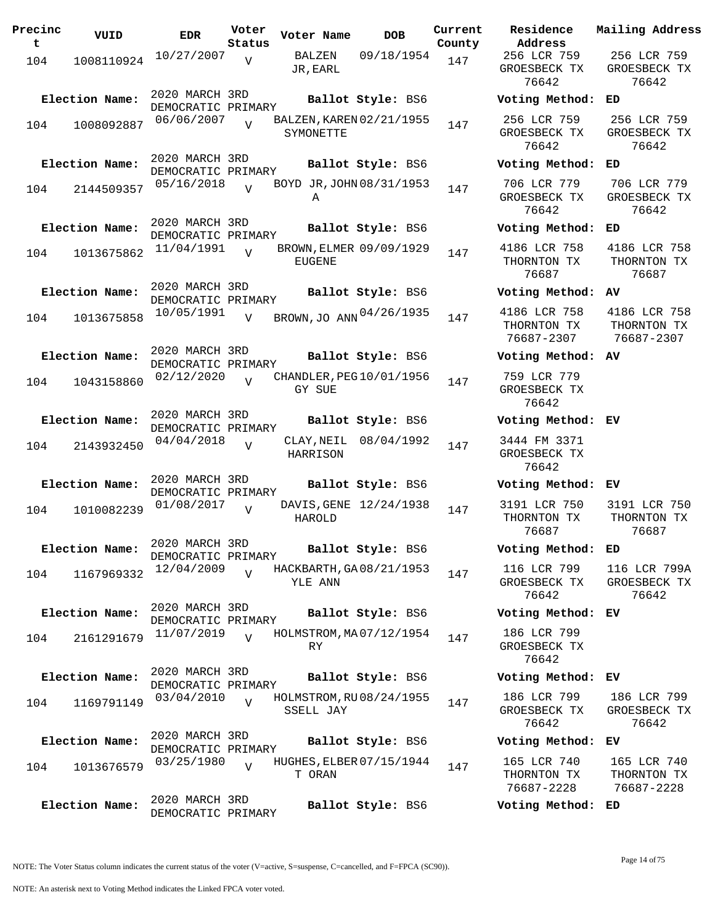| Precinc<br>t | VUID           | <b>EDR</b>                           | Voter<br>Status | Voter Name                            | <b>DOB</b>             | Current<br>County | Residence<br>Address                      |
|--------------|----------------|--------------------------------------|-----------------|---------------------------------------|------------------------|-------------------|-------------------------------------------|
| 104          | 1008110924     | 10/27/2007                           | $\overline{V}$  | JR, EARL                              | BALZEN 09/18/1954      | 147               | 256 LCR 759<br>GROESBECK TX<br>76642      |
|              | Election Name: | 2020 MARCH 3RD<br>DEMOCRATIC PRIMARY |                 |                                       | Ballot Style: BS6      |                   | Voting Metho                              |
| 104          | 1008092887     | 06/06/2007                           |                 | BALZEN, KAREN 02/21/1955<br>SYMONETTE |                        | 147               | 256 LCR 759<br>GROESBECK TX<br>76642      |
|              | Election Name: | 2020 MARCH 3RD<br>DEMOCRATIC PRIMARY |                 |                                       | Ballot Style: BS6      |                   | Voting Metho                              |
| 104          | 2144509357     | 05/16/2018                           | $\overline{V}$  | BOYD JR, JOHN 08/31/1953<br>Α         |                        | 147               | 706 LCR 779<br>GROESBECK TX<br>76642      |
|              | Election Name: | 2020 MARCH 3RD<br>DEMOCRATIC PRIMARY |                 |                                       | Ballot Style: BS6      |                   | Voting Metho                              |
| 104          | 1013675862     | 11/04/1991                           | $\overline{U}$  | BROWN, ELMER 09/09/1929<br>EUGENE     |                        | 147               | 4186 LCR 758<br>THORNTON TX<br>76687      |
|              | Election Name: | 2020 MARCH 3RD<br>DEMOCRATIC PRIMARY |                 |                                       | Ballot Style: BS6      |                   | Voting Metho                              |
| 104          | 1013675858     | 10/05/1991                           | $\overline{V}$  | BROWN, JO ANN 04/26/1935              |                        | 147               | 4186 LCR 758<br>THORNTON TX<br>76687-2307 |
|              | Election Name: | 2020 MARCH 3RD<br>DEMOCRATIC PRIMARY |                 |                                       | Ballot Style: BS6      |                   | Voting Metho                              |
| 104          | 1043158860     | 02/12/2020                           | $\overline{V}$  | CHANDLER, PEG 10/01/1956<br>GY SUE    |                        | 147               | 759 LCR 779<br>GROESBECK TX<br>76642      |
|              | Election Name: | 2020 MARCH 3RD<br>DEMOCRATIC PRIMARY |                 |                                       | Ballot Style: BS6      |                   | Voting Metho                              |
| 104          | 2143932450     | 04/04/2018                           | $\overline{V}$  | HARRISON                              | CLAY, NEIL 08/04/1992  | 147               | 3444 FM 3371<br>GROESBECK TX<br>76642     |
|              | Election Name: | 2020 MARCH 3RD<br>DEMOCRATIC PRIMARY |                 |                                       | Ballot Style: BS6      |                   | Voting Metho                              |
| 104          | 1010082239     | 01/08/2017                           | $\overline{V}$  | HAROLD                                | DAVIS, GENE 12/24/1938 | 147               | 3191 LCR 750<br>THORNTON TX<br>76687      |
|              | Election Name: | 2020 MARCH 3RD<br>DEMOCRATIC PRIMARY |                 |                                       | Ballot Style: BS6      |                   | Voting Metho                              |
| 104          | 1167969332     | 12/04/2009                           | $\overline{V}$  | HACKBARTH, GA08/21/1953<br>YLE ANN    |                        | 147               | 116 LCR 799<br>GROESBECK TX<br>76642      |
|              | Election Name: | 2020 MARCH 3RD<br>DEMOCRATIC PRIMARY |                 |                                       | Ballot Style: BS6      |                   | Voting Metho                              |
| 104          | 2161291679     | 11/07/2019                           | $\overline{V}$  | HOLMSTROM, MA07/12/1954<br>RY         |                        | 147               | 186 LCR 799<br>GROESBECK TX<br>76642      |
|              | Election Name: | 2020 MARCH 3RD<br>DEMOCRATIC PRIMARY |                 |                                       | Ballot Style: BS6      |                   | Voting Metho                              |
| 104          | 1169791149     | 03/04/2010                           | $\overline{V}$  | HOLMSTROM, RU08/24/1955<br>SSELL JAY  |                        | 147               | 186 LCR 799<br>GROESBECK TX<br>76642      |
|              | Election Name: | 2020 MARCH 3RD<br>DEMOCRATIC PRIMARY |                 |                                       | Ballot Style: BS6      |                   | Voting Metho                              |
| 104          | 1013676579     | 03/25/1980                           | $\overline{V}$  | HUGHES, ELBER 07/15/1944<br>T ORAN    |                        | 147               | 165 LCR 740<br>THORNTON TX<br>76687-2228  |
|              | Election Name: | 2020 MARCH 3RD<br>DEMOCRATIC PRIMARY |                 |                                       | Ballot Style: BS6      |                   | Voting Metho                              |

**Voter Name DOB Residence Address Current Mailing Address** 256 LCR 759 GROESBECK TX 76642 256 LCR 759 GROESBECK TX 76642 **Election Name: Ballot Style:** BS6 **Voting Method: ED** 256 LCR 759 GROESBECK TX 76642 256 LCR 759 GROESBECK TX 76642 **Election Name: Ballot Style:** BS6 **Voting Method: ED** 706 LCR 779 GROESBECK TX 76642 706 LCR 779 GROESBECK TX 76642 **Election Name: Ballot Style:** BS6 **Voting Method: ED** 4186 LCR 758 THORNTON TX 76687 4186 LCR 758 THORNTON TX 76687 **Election Name: Ballot Style:** BS6 **Voting Method: AV** THORNTON TX 76687-2307 4186 LCR 758 THORNTON TX 76687-2307 **Election Name: Ballot Style:** BS6 **Voting Method: AV** 759 LCR 779 GROESBECK TX 76642 **Election Name: Ballot Style:** BS6 **Voting Method: EV** 3444 FM 3371 GROESBECK TX 76642 **Election Name: Ballot Style:** BS6 **Voting Method: EV** 3191 LCR 750 THORNTON TX 76687 3191 LCR 750 THORNTON TX 76687 **Election Name: Ballot Style:** BS6 **Voting Method: ED** 116 LCR 799 GROESBECK TX 76642 116 LCR 799A GROESBECK TX 76642 **Election Name: Ballot Style:** BS6 **Voting Method: EV** 186 LCR 799 GROESBECK TX 76642 **Election Name: Ballot Style:** BS6 **Voting Method: EV** 186 LCR 799 GROESBECK TX 76642 186 LCR 799 GROESBECK TX 76642 **Election Name: Ballot Style:** BS6 **Voting Method: EV** 165 LCR 740 THORNTON TX 165 LCR 740 THORNTON TX

76687-2228 76687-2228

**Election Name: Ballot Style:** BS6 **Voting Method: ED**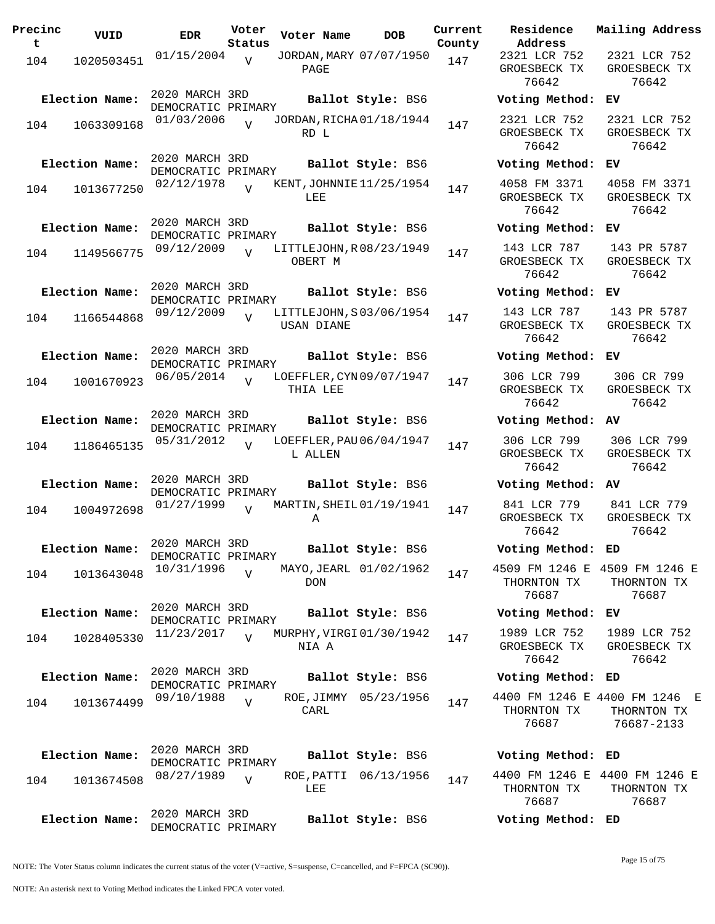| Precinc<br>t | VUID           | <b>EDR</b>                           | Voter<br>Status | Voter Name                                   | <b>DOB</b>            | Current<br>County | Residence<br>Address                        | Mail                 |
|--------------|----------------|--------------------------------------|-----------------|----------------------------------------------|-----------------------|-------------------|---------------------------------------------|----------------------|
| 104          | 1020503451     | 01/15/2004                           | V               | JORDAN, MARY 07/07/1950<br>PAGE              |                       | 147               | 2321 LCR 752<br>GROESBECK TX<br>76642       | 23<br>GR             |
|              | Election Name: | 2020 MARCH 3RD<br>DEMOCRATIC PRIMARY |                 |                                              | Ballot Style: BS6     |                   | Voting Method:                              | EV                   |
| 104          | 1063309168     | 01/03/2006                           | $\overline{z}$  | JORDAN, RICHA 01/18/1944<br>RD L             |                       | 147               | 2321 LCR 752<br>GROESBECK TX<br>76642       | 23<br>GR             |
|              | Election Name: | 2020 MARCH 3RD<br>DEMOCRATIC PRIMARY |                 |                                              | Ballot Style: BS6     |                   | Voting Method:                              | EV                   |
| 104          | 1013677250     | 02/12/1978                           | $\overline{U}$  | KENT, JOHNNIE 11/25/1954<br>LEE              |                       | 147               | 4058 FM 3371<br>GROESBECK TX<br>76642       | 40<br>GR             |
|              | Election Name: | 2020 MARCH 3RD<br>DEMOCRATIC PRIMARY |                 |                                              | Ballot Style: BS6     |                   | Voting Method:                              | EV                   |
| 104          | 1149566775     | 09/12/2009                           | $\overline{U}$  | LITTLEJOHN, R08/23/1949<br>OBERT M           |                       | 147               | 143 LCR 787<br>GROESBECK TX<br>76642        | 14<br>GR             |
|              | Election Name: | 2020 MARCH 3RD<br>DEMOCRATIC PRIMARY |                 |                                              | Ballot Style: BS6     |                   | Voting Method:                              | EV                   |
| 104          | 1166544868     | 09/12/2009                           | $\overline{V}$  | LITTLEJOHN, S03/06/1954<br><b>USAN DIANE</b> |                       | 147               | 143 LCR 787<br>GROESBECK TX<br>76642        | 14<br>GR             |
|              | Election Name: | 2020 MARCH 3RD<br>DEMOCRATIC PRIMARY |                 |                                              | Ballot Style: BS6     |                   | Voting Method:                              | EV                   |
| 104          | 1001670923     | 06/05/2014                           | $\overline{U}$  | LOEFFLER, CYN 09/07/1947<br>THIA LEE         |                       | 147               | 306 LCR 799<br>GROESBECK TX<br>76642        | 3<br>GR              |
|              | Election Name: | 2020 MARCH 3RD<br>DEMOCRATIC PRIMARY |                 |                                              | Ballot Style: BS6     |                   | Voting Method:                              | AV                   |
| 104          | 1186465135     | 05/31/2012                           | $\overline{U}$  | LOEFFLER, PAU 06/04/1947<br>L ALLEN          |                       | 147               | 306 LCR 799<br>GROESBECK TX<br>76642        | 3 <sup>0</sup><br>GR |
|              | Election Name: | 2020 MARCH 3RD<br>DEMOCRATIC PRIMARY |                 |                                              | Ballot Style: BS6     |                   | Voting Method:                              | AV                   |
| 104          | 1004972698     | 01/27/1999                           | $\overline{U}$  | MARTIN, SHEIL 01/19/1941<br>Α                |                       | 147               | 841 LCR 779<br>GROESBECK TX<br>76642        | 84<br>GR             |
|              | Election Name: | 2020 MARCH 3RD<br>DEMOCRATIC PRIMARY |                 |                                              | Ballot Style: BS6     |                   | Voting Method:                              | ED                   |
| 104          | 1013643048     | 10/31/1996                           | $\overline{V}$  | MAYO, JEARL 01/02/1962<br><b>DON</b>         |                       | 147               | 4509 FM 1246 E 450<br>THORNTON TX<br>76687  | TH                   |
|              | Election Name: | 2020 MARCH 3RD<br>DEMOCRATIC PRIMARY |                 |                                              | Ballot Style: BS6     |                   | Voting Method:                              | ЕV                   |
| 104          | 1028405330     | 11/23/2017                           | $\overline{V}$  | MURPHY, VIRGI 01/30/1942<br>NIA A            |                       | 147               | 1989 LCR 752<br>GROESBECK TX<br>76642       | 19<br>GR             |
|              | Election Name: | 2020 MARCH 3RD<br>DEMOCRATIC PRIMARY |                 |                                              | Ballot Style: BS6     |                   | Voting Method: ED                           |                      |
| 104          | 1013674499     | 09/10/1988                           | $\overline{V}$  | CARL                                         | ROE, JIMMY 05/23/1956 | 147               | 4400 FM 1246 E 4400<br>THORNTON TX<br>76687 | Тŀ<br>7              |
|              | Election Name: | 2020 MARCH 3RD                       |                 |                                              | Ballot Style: BS6     |                   | Voting Method: ED                           |                      |
| 104          | 1013674508     | DEMOCRATIC PRIMARY<br>08/27/1989     | $\overline{V}$  | LEE                                          | ROE, PATTI 06/13/1956 | 147               | 4400 FM 1246 E 440<br>THORNTON TX<br>76687  | Тŀ                   |
|              | Election Name: | 2020 MARCH 3RD<br>DEMOCRATIC PRIMARY |                 |                                              | Ballot Style: BS6     |                   | Voting Method: ED                           |                      |

**Voter Name DOB Residence Address Current Mailing Address** 2321 LCR 752 GROESBECK TX 76642 2321 LCR 752 GROESBECK TX 76642 **Election Name: Ballot Style:** BS6 **Voting Method: EV** 2321 LCR 752 GROESBECK TX 76642 2321 LCR 752 GROESBECK TX 76642 **Election Name: Ballot Style:** BS6 **Voting Method: EV** 4058 FM 3371 GROESBECK TX 76642 4058 FM 3371 GROESBECK TX 76642 **Election Name: Ballot Style:** BS6 **Voting Method: EV** 143 LCR 787 GROESBECK TX 76642 143 PR 5787 GROESBECK TX 76642 **Election Name: Ballot Style:** BS6 **Voting Method: EV** 143 LCR 787 GROESBECK TX 76642 143 PR 5787 GROESBECK TX 76642 **Election Name: Ballot Style:** BS6 **Voting Method: EV** 306 LCR 799 GROESBECK TX 76642 306 CR 799 GROESBECK TX 76642 **Election Name: Ballot Style:** BS6 **Voting Method: AV** 306 LCR 799 GROESBECK TX 76642 306 LCR 799 GROESBECK TX 76642 **Election Name: Ballot Style:** BS6 **Voting Method: AV** 841 LCR 779 GROESBECK TX 76642 841 LCR 779 GROESBECK TX 76642 **Election Name: Ballot Style:** BS6 **Voting Method: ED** 4509 FM 1246 E 4509 FM 1246 E THORNTON TX 76687 THORNTON TX 76687 **Election Name: Ballot Style:** BS6 **Voting Method: EV** 1989 LCR 752 GROESBECK TX 76642 1989 LCR 752 GROESBECK TX 76642 **Election Name: Ballot Style:** BS6 **Voting Method: ED** 4400 FM 1246 E 4400 FM 1246 E THORNTON TX 76687 THORNTON TX 76687-2133 **Election Name: Ballot Style:** BS6 **Voting Method: ED** 4400 FM 1246 E 4400 FM 1246 E THORNTON TX THORNTON TX

NOTE: The Voter Status column indicates the current status of the voter (V=active, S=suspense, C=cancelled, and F=FPCA (SC90)).

Page 15 of 75

76687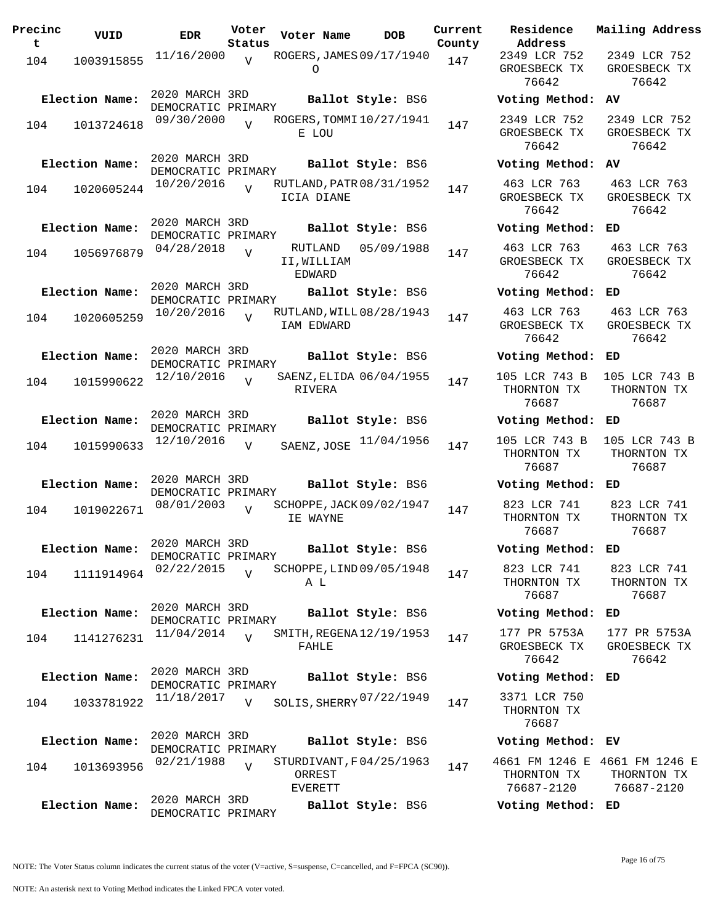| Precinc<br>t | VUID           | <b>EDR</b>                           | Voter<br>Status | Voter Name                       | <b>DOB</b>               | Current<br>County | Residence<br>Address                        |
|--------------|----------------|--------------------------------------|-----------------|----------------------------------|--------------------------|-------------------|---------------------------------------------|
| 104          | 1003915855     | 11/16/2000                           | $\overline{V}$  | O                                | ROGERS, JAMES 09/17/1940 | 147               | 2349 LCR 752<br>GROESBECK TX<br>76642       |
|              | Election Name: | 2020 MARCH 3RD<br>DEMOCRATIC PRIMARY |                 |                                  | Ballot Style: BS6        |                   | Voting Method                               |
| 104          | 1013724618     | 09/30/2000                           | $\overline{U}$  | E LOU                            | ROGERS, TOMMI 10/27/1941 | 147               | 2349 LCR 752<br>GROESBECK TX<br>76642       |
|              | Election Name: | 2020 MARCH 3RD<br>DEMOCRATIC PRIMARY |                 |                                  | Ballot Style: BS6        |                   | Voting Method                               |
| 104          | 1020605244     | 10/20/2016                           | $\overline{U}$  | ICIA DIANE                       | RUTLAND, PATR 08/31/1952 | 147               | 463 LCR 763<br>GROESBECK TX<br>76642        |
|              | Election Name: | 2020 MARCH 3RD<br>DEMOCRATIC PRIMARY |                 |                                  | Ballot Style: BS6        |                   | Voting Method                               |
| 104          | 1056976879     | 04/28/2018                           | $\overline{V}$  | RUTLAND<br>II, WILLIAM<br>EDWARD | 05/09/1988               | 147               | 463 LCR 763<br>GROESBECK TX<br>76642        |
|              | Election Name: | 2020 MARCH 3RD<br>DEMOCRATIC PRIMARY |                 |                                  | Ballot Style: BS6        |                   | Voting Method                               |
| 104          | 1020605259     | 10/20/2016                           | $\overline{17}$ | IAM EDWARD                       | RUTLAND, WILL 08/28/1943 | 147               | 463 LCR 763<br>GROESBECK TX<br>76642        |
|              | Election Name: | 2020 MARCH 3RD<br>DEMOCRATIC PRIMARY |                 |                                  | Ballot Style: BS6        |                   | Voting Method                               |
| 104          | 1015990622     | 12/10/2016                           | $\overline{z}$  | RIVERA                           | SAENZ, ELIDA 06/04/1955  | 147               | 105 LCR 743 B<br>THORNTON TX<br>76687       |
|              | Election Name: | 2020 MARCH 3RD<br>DEMOCRATIC PRIMARY |                 |                                  | Ballot Style: BS6        |                   | Voting Method                               |
| 104          | 1015990633     | 12/10/2016                           | $\overline{V}$  | SAENZ, JOSE                      | 11/04/1956               | 147               | 105 LCR 743 B<br>THORNTON TX<br>76687       |
|              | Election Name: | 2020 MARCH 3RD<br>DEMOCRATIC PRIMARY |                 |                                  | Ballot Style: BS6        |                   | Voting Method                               |
| 104          | 1019022671     | 08/01/2003                           | $\overline{U}$  | IE WAYNE                         | SCHOPPE, JACK 09/02/1947 | 147               | 823 LCR 741<br>THORNTON TX<br>76687         |
|              | Election Name: | 2020 MARCH 3RD<br>DEMOCRATIC PRIMARY |                 |                                  | Ballot Style: BS6        |                   | Voting Method                               |
| 104          | 1111914964     | 02/22/2015                           | $\overline{V}$  | A L                              | SCHOPPE, LIND 09/05/1948 | 147               | 823 LCR 741<br>THORNTON TX<br>76687         |
|              | Election Name: | 2020 MARCH 3RD<br>DEMOCRATIC PRIMARY |                 |                                  | Ballot Style: BS6        |                   | Voting Method                               |
| 104          | 1141276231     | 11/04/2014                           | $\overline{V}$  | FAHLE                            | SMITH, REGENA 12/19/1953 | 147               | 177 PR 5753A<br>GROESBECK TX<br>76642       |
|              | Election Name: | 2020 MARCH 3RD<br>DEMOCRATIC PRIMARY |                 |                                  | Ballot Style: BS6        |                   | Voting Method                               |
| 104          | 1033781922     | 11/18/2017                           | $\overline{V}$  |                                  | SOLIS, SHERRY 07/22/1949 | 147               | 3371 LCR 750<br>THORNTON TX<br>76687        |
|              | Election Name: | 2020 MARCH 3RD<br>DEMOCRATIC PRIMARY |                 |                                  | Ballot Style: BS6        |                   | Voting Method                               |
| 104          | 1013693956     | 02/21/1988                           | $\overline{V}$  | ORREST<br><b>EVERETT</b>         | STURDIVANT, F04/25/1963  | 147               | 4661 FM 1246 B<br>THORNTON TX<br>76687-2120 |
|              | Election Name: | 2020 MARCH 3RD<br>DEMOCRATIC PRIMARY |                 |                                  | Ballot Style: BS6        |                   | Voting Method                               |

**Voter Name DOB Residence Address Current Mailing Address** 2349 LCR 752 GROESBECK TX 76642 2349 LCR 752 GROESBECK TX 76642 **Election Name: Ballot Style:** BS6 **Voting Method: AV** 2349 LCR 752 GROESBECK TX 76642 2349 LCR 752 GROESBECK TX 76642 **Election Name: Ballot Style:** BS6 **Voting Method: AV** 463 LCR 763 GROESBECK TX 76642 463 LCR 763 GROESBECK TX 76642 **Election Name: Ballot Style:** BS6 **Voting Method: ED** 463 LCR 763 GROESBECK TX 76642 463 LCR 763 GROESBECK TX 76642 **Election Name: Ballot Style:** BS6 **Voting Method: ED** 463 LCR 763 GROESBECK TX 76642 463 LCR 763 GROESBECK TX 76642 **Election Name: Ballot Style:** BS6 **Voting Method: ED** 105 LCR 743 B THORNTON TX 76687 105 LCR 743 B THORNTON TX 76687 **Election Name: Ballot Style:** BS6 **Voting Method: ED** THORNTON TX 76687 105 LCR 743 B THORNTON TX 76687 **Election Name: Ballot Style:** BS6 **Voting Method: ED** 823 LCR 741 THORNTON TX 76687 823 LCR 741 THORNTON TX 76687 **Election Name: Ballot Style:** BS6 **Voting Method: ED** 823 LCR 741 THORNTON TX 76687 823 LCR 741 THORNTON TX 76687 **Election Name: Ballot Style:** BS6 **Voting Method: ED** 177 PR 5753A GROESBECK TX 76642 177 PR 5753A GROESBECK TX 76642 **Election Name: Ballot Style:** BS6 **Voting Method: ED** THORNTON TX 76687 **Election Name: Ballot Style:** BS6 **Voting Method: EV** 4661 FM 1246 E 4661 FM 1246 E THORNTON TX 76687-2120 THORNTON TX 76687-2120

NOTE: The Voter Status column indicates the current status of the voter (V=active, S=suspense, C=cancelled, and F=FPCA (SC90)).

**Election Name: Ballot Style:** BS6 **Voting Method: ED**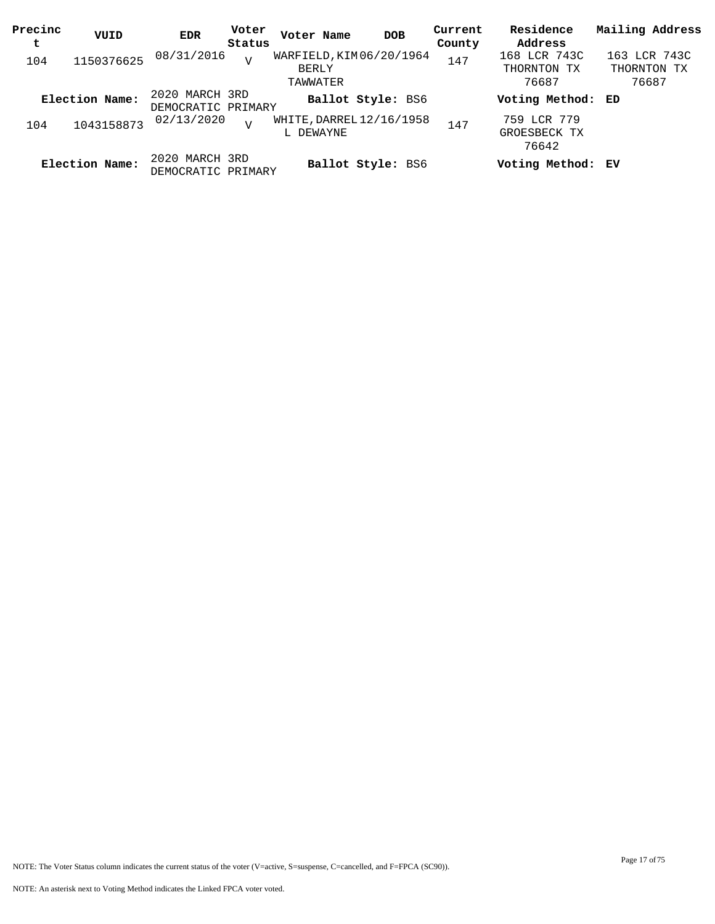| Precinc<br>t | VUID           | EDR                                  | Voter<br>Status | Voter Name                                    | <b>DOB</b>               | Current<br>County | Residence<br>Address                 | Mailing Address                      |
|--------------|----------------|--------------------------------------|-----------------|-----------------------------------------------|--------------------------|-------------------|--------------------------------------|--------------------------------------|
| 104          | 1150376625     | 08/31/2016                           | $\overline{U}$  | WARFIELD, KIM 06/20/1964<br>BERLY<br>TAWWATER |                          | 147               | 168 LCR 743C<br>THORNTON TX<br>76687 | 163 LCR 743C<br>THORNTON TX<br>76687 |
|              | Election Name: | 2020 MARCH 3RD<br>DEMOCRATIC PRIMARY |                 |                                               | <b>Ballot Style: BS6</b> |                   | Voting Method: ED                    |                                      |
| 104          | 1043158873     | 02/13/2020                           | $\overline{V}$  | WHITE, DARREL 12/16/1958<br>L DEWAYNE         |                          | 147               | 759 LCR 779<br>GROESBECK TX<br>76642 |                                      |
|              | Election Name: | 2020 MARCH 3RD<br>DEMOCRATIC PRIMARY |                 |                                               | <b>Ballot Style: BS6</b> |                   | Voting Method: EV                    |                                      |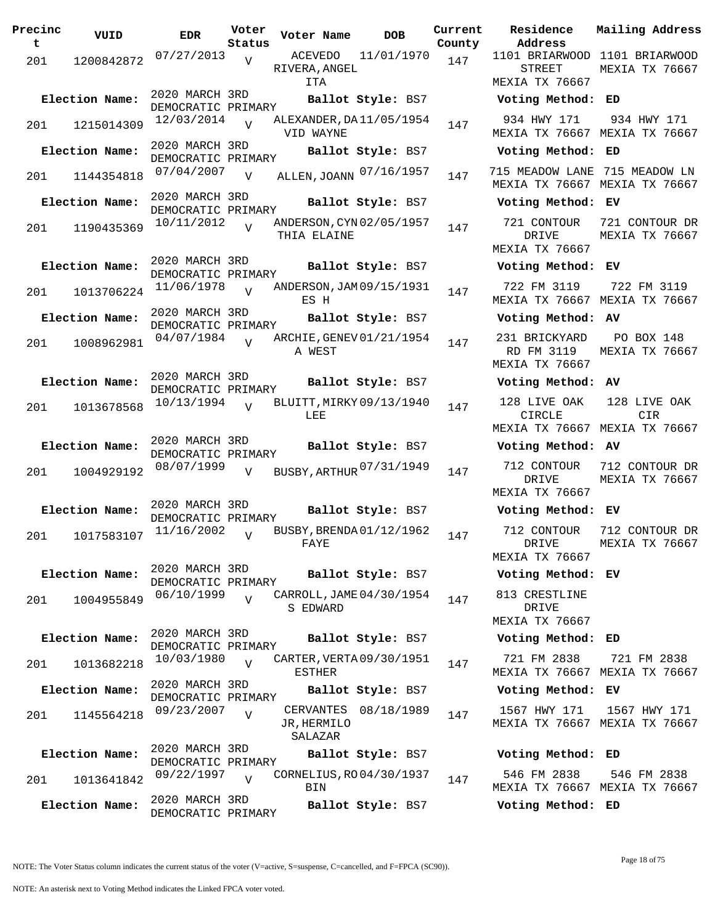| Precinc<br>t | VUID           | <b>EDR</b>                           | Voter<br>Status | Voter Name                              | <b>DOB</b>           | Current<br>County | Residence<br>Address                                           | Mailing Addres                  |
|--------------|----------------|--------------------------------------|-----------------|-----------------------------------------|----------------------|-------------------|----------------------------------------------------------------|---------------------------------|
| 201          | 1200842872     | 07/27/2013                           | V               | ACEVEDO                                 | 11/01/1970           | 147               | 1101 BRIARWOOD 1101 BRIARWOOD                                  |                                 |
|              |                |                                      |                 | RIVERA, ANGEL<br>ITA                    |                      |                   | <b>STREET</b><br>MEXIA TX 76667                                | MEXIA TX 7666                   |
|              | Election Name: | 2020 MARCH 3RD<br>DEMOCRATIC PRIMARY |                 |                                         | Ballot Style: BS7    |                   | Voting Method: ED                                              |                                 |
| 201          | 1215014309     | $12/03/2014$ V                       |                 | ALEXANDER, DA 11/05/1954<br>VID WAYNE   |                      | 147               | 934 HWY 171<br>MEXIA TX 76667 MEXIA TX 76667                   | 934 HWY 171                     |
|              | Election Name: | 2020 MARCH 3RD<br>DEMOCRATIC PRIMARY |                 |                                         | Ballot Style: BS7    |                   | Voting Method: ED                                              |                                 |
| 201          | 1144354818     | 07/04/2007                           | V               | ALLEN, JOANN 07/16/1957                 |                      | 147               | 715 MEADOW LANE 715 MEADOW LN<br>MEXIA TX 76667 MEXIA TX 76667 |                                 |
|              | Election Name: | 2020 MARCH 3RD<br>DEMOCRATIC PRIMARY |                 |                                         | Ballot Style: BS7    |                   | Voting Method: EV                                              |                                 |
| 201          | 1190435369     | 10/11/2012                           | $\overline{V}$  | ANDERSON, CYN 02/05/1957<br>THIA ELAINE |                      | 147               | 721 CONTOUR<br>DRIVE<br>MEXIA TX 76667                         | 721 CONTOUR DI<br>MEXIA TX 7666 |
|              | Election Name: | 2020 MARCH 3RD                       |                 |                                         | Ballot Style: BS7    |                   | Voting Method: EV                                              |                                 |
| 201          | 1013706224     | DEMOCRATIC PRIMARY<br>11/06/1978     | $\overline{v}$  | ANDERSON, JAM 09/15/1931<br>ES H        |                      | 147               | 722 FM 3119<br>MEXIA TX 76667 MEXIA TX 76667                   | 722 FM 3119                     |
|              | Election Name: | 2020 MARCH 3RD<br>DEMOCRATIC PRIMARY |                 |                                         | Ballot Style: BS7    |                   | Voting Method: AV                                              |                                 |
| 201          | 1008962981     | 04/07/1984                           |                 | ARCHIE, GENEV 01/21/1954<br>A WEST      |                      | 147               | 231 BRICKYARD<br>RD FM 3119<br>MEXIA TX 76667                  | PO BOX 148<br>MEXIA TX 7666     |
|              | Election Name: | 2020 MARCH 3RD<br>DEMOCRATIC PRIMARY |                 |                                         | Ballot Style: BS7    |                   | Voting Method: AV                                              |                                 |
| 201          | 1013678568     | 10/13/1994                           | $\overline{v}$  | BLUITT, MIRKY 09/13/1940<br>LEE         |                      | 147               | 128 LIVE OAK<br>CIRCLE                                         | 128 LIVE OAK<br>CIR             |
|              |                | 2020 MARCH 3RD                       |                 |                                         |                      |                   | MEXIA TX 76667 MEXIA TX 76667                                  |                                 |
|              | Election Name: | DEMOCRATIC PRIMARY                   |                 |                                         | Ballot Style: BS7    |                   | Voting Method: AV                                              |                                 |
| 201          | 1004929192     | 08/07/1999                           | $\overline{V}$  | BUSBY, ARTHUR 07/31/1949                |                      | 147               | 712 CONTOUR<br>DRIVE<br>MEXIA TX 76667                         | 712 CONTOUR DR<br>MEXIA TX 7666 |
|              | Election Name: | 2020 MARCH 3RD<br>DEMOCRATIC PRIMARY |                 |                                         | Ballot Style: BS7    |                   | Voting Method: EV                                              |                                 |
| 201          | 1017583107     | 11/16/2002                           | V               | BUSBY, BRENDA01/12/1962<br>FAYE         |                      | 147               | 712 CONTOUR<br>DRIVE<br>MEXIA TX 76667                         | 712 CONTOUR DI<br>MEXIA TX 7666 |
|              | Election Name: | 2020 MARCH 3RD                       |                 |                                         | Ballot Style: BS7    |                   | Voting Method: EV                                              |                                 |
| 201          | 1004955849     | DEMOCRATIC PRIMARY<br>06/10/1999     | $\overline{V}$  | CARROLL, JAME 04/30/1954<br>S EDWARD    |                      | 147               | 813 CRESTLINE<br>DRIVE                                         |                                 |
|              | Election Name: | 2020 MARCH 3RD                       |                 |                                         | Ballot Style: BS7    |                   | MEXIA TX 76667<br>Voting Method: ED                            |                                 |
|              |                | DEMOCRATIC PRIMARY                   |                 |                                         |                      |                   | 721 FM 2838                                                    | 721 FM 2838                     |
| 201          | 1013682218     | 10/03/1980                           | $\overline{v}$  | CARTER, VERTA 09/30/1951<br>ESTHER      |                      | 147               | MEXIA TX 76667 MEXIA TX 76667                                  |                                 |
|              | Election Name: | 2020 MARCH 3RD<br>DEMOCRATIC PRIMARY |                 |                                         | Ballot Style: BS7    |                   | Voting Method: EV                                              |                                 |
| 201          | 1145564218     | 09/23/2007                           | $\overline{V}$  | JR, HERMILO<br>SALAZAR                  | CERVANTES 08/18/1989 | 147               | 1567 HWY 171<br>MEXIA TX 76667 MEXIA TX 76667                  | 1567 HWY 171                    |
|              | Election Name: | 2020 MARCH 3RD                       |                 |                                         | Ballot Style: BS7    |                   | Voting Method: ED                                              |                                 |
| 201          | 1013641842     | DEMOCRATIC PRIMARY<br>09/22/1997     | $\overline{v}$  | CORNELIUS, RO 04/30/1937<br>BIN         |                      | 147               | 546 FM 2838<br>MEXIA TX 76667 MEXIA TX 76667                   | 546 FM 2838                     |
|              | Election Name: | 2020 MARCH 3RD<br>DEMOCRATIC PRIMARY |                 |                                         | Ballot Style: BS7    |                   | Voting Method: ED                                              |                                 |

**Voter Name DOB Residence Address Current Mailing Address** nty 1101 BRIARWOOD 1101 BRIARWOOD STREET MEXIA TX 76667 MEXIA TX 76667 **Election Name: Ballot Style:** BS7 **Voting Method: ED** 934 HWY 171 MEXIA TX 76667 MEXIA TX 76667 934 HWY 171 **Election Name: Ballot Style:** BS7 **Voting Method: ED** MEXIA TX 76667 MEXIA TX 76667 **Election Name: Ballot Style:** BS7 **Voting Method: EV** 721 CONTOUR DRIVE MEXIA TX 76667 721 CONTOUR DR MEXIA TX 76667 **Election Name: Ballot Style:** BS7 **Voting Method: EV** 722 FM 3119 MEXIA TX 76667 MEXIA TX 76667 722 FM 3119 **Election Name: Ballot Style:** BS7 **Voting Method: AV** 231 BRICKYARD RD FM 3119 MEXIA TX 76667 PO BOX 148 MEXIA TX 76667 **Election Name: Ballot Style:** BS7 **Voting Method: AV** 128 LIVE OAK CIRCLE MEXIA TX 76667 MEXIA TX 76667 128 LIVE OAK CIR **Election Name: Ballot Style:** BS7 **Voting Method: AV** DRIVE MEXIA TX 76667 712 CONTOUR DR MEXIA TX 76667 **Election Name: Ballot Style:** BS7 **Voting Method: EV** 712 CONTOUR DRIVE MEXIA TX 76667 712 CONTOUR DR MEXIA TX 76667 **Election Name: Ballot Style:** BS7 **Voting Method: EV** 813 CRESTLINE DRIVE MEXIA TX 76667 **Election Name: Ballot Style:** BS7 **Voting Method: ED** 721 FM 2838 MEXIA TX 76667 MEXIA TX 76667 721 FM 2838 **Election Name: Ballot Style:** BS7 **Voting Method: EV** 1567 HWY 171 MEXIA TX 76667 MEXIA TX 76667 1567 HWY 171 **Election Name: Ballot Style:** BS7 **Voting Method: ED** 546 FM 2838 MEXIA TX 76667 MEXIA TX 76667 546 FM 2838 **Election Name: Ballot Style:** BS7 **Voting Method: ED**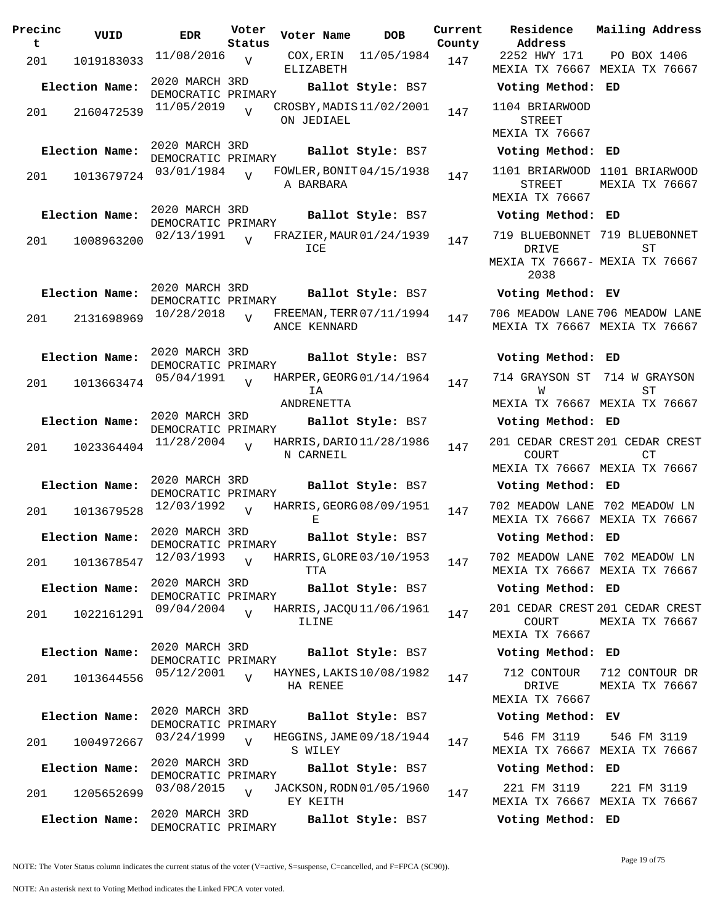| Precinc<br>t | VUID           | <b>EDR</b>                           | Voter<br>Status | Voter Name                                   | DOB               | Current<br>County |
|--------------|----------------|--------------------------------------|-----------------|----------------------------------------------|-------------------|-------------------|
| 201          | 1019183033     | 11/08/2016                           | $\mathbf{V}$    | COX, ERIN<br>ELIZABETH                       | 11/05/1984        | 147               |
|              | Election Name: | 2020 MARCH 3RD<br>DEMOCRATIC PRIMARY |                 |                                              | Ballot Style: BS7 |                   |
| 201          | 2160472539     | 11/05/2019                           | $\overline{V}$  | CROSBY, MADIS 11/02/2001<br>ON JEDIAEL       |                   | 147               |
|              | Election Name: | 2020 MARCH 3RD<br>DEMOCRATIC PRIMARY |                 |                                              | Ballot Style: BS7 |                   |
| 201          | 1013679724     | 03/01/1984                           | $\overline{V}$  | FOWLER, BONIT 04/15/1938<br>A BARBARA        |                   | 147               |
|              | Election Name: | 2020 MARCH 3RD<br>DEMOCRATIC PRIMARY |                 |                                              | Ballot Style: BS7 |                   |
| 201          | 1008963200     | 02/13/1991                           | ٦T              | FRAZIER, MAUR 01/24/1939<br>ICE              |                   | 147               |
|              | Election Name: | 2020 MARCH 3RD<br>DEMOCRATIC PRIMARY |                 |                                              | Ballot Style: BS7 |                   |
| 201          | 2131698969     | 10/28/2018                           |                 | FREEMAN, TERR 07/11/1994<br>ANCE KENNARD     |                   | 147               |
|              | Election Name: | 2020 MARCH 3RD<br>DEMOCRATIC PRIMARY |                 |                                              | Ballot Style: BS7 |                   |
| 201          | 1013663474     | 05/04/1991                           | $\overline{U}$  | HARPER, GEORG 01/14/1964<br>ΙA<br>ANDRENETTA |                   | 147               |
|              | Election Name: | 2020 MARCH 3RD<br>DEMOCRATIC PRIMARY |                 |                                              | Ballot Style: BS7 |                   |
| 201          | 1023364404     | 11/28/2004                           | V               | HARRIS, DARIO 11/28/1986<br>N CARNEIL        |                   | 147               |
|              | Election Name: | 2020 MARCH 3RD<br>DEMOCRATIC PRIMARY |                 |                                              | Ballot Style: BS7 |                   |
| 201          | 1013679528     | 12/03/1992                           | $\overline{V}$  | HARRIS, GEORG 08/09/1951<br>Е                |                   | 147               |
|              | Election Name: | 2020 MARCH 3RD<br>DEMOCRATIC PRIMARY |                 |                                              | Ballot Style: BS7 |                   |
| 201          | 1013678547     | 12/03/1993                           | $\overline{V}$  | HARRIS, GLORE 03/10/1953<br>TTA              |                   | 147               |
|              | Election Name: | 2020 MARCH 3RD<br>DEMOCRATIC PRIMARY |                 |                                              | Ballot Style: BS7 |                   |
| 201          | 1022161291     | 09/04/2004                           | $\overline{V}$  | HARRIS, JACQU 11/06/1961<br>ILINE            |                   | 147               |
|              | Election Name: | 2020 MARCH 3RD<br>DEMOCRATIC PRIMARY |                 |                                              | Ballot Style: BS7 |                   |
| 201          | 1013644556     | 05/12/2001                           | $\overline{V}$  | HAYNES, LAKIS 10/08/1982<br>HA RENEE         |                   | 147               |
|              | Election Name: | 2020 MARCH 3RD<br>DEMOCRATIC PRIMARY |                 |                                              | Ballot Style: BS7 |                   |
| 201          | 1004972667     | 03/24/1999                           | $\overline{V}$  | HEGGINS, JAME 09/18/1944<br>S WILEY          |                   | 147               |
|              | Election Name: | 2020 MARCH 3RD<br>DEMOCRATIC PRIMARY |                 |                                              | Ballot Style: BS7 |                   |
| 201          | 1205652699     | 03/08/2015                           | $\overline{V}$  | JACKSON, RODN 01/05/1960<br>EY KEITH         |                   | 147               |
|              | Election Name: | 2020 MARCH 3RD<br>DEMOCRATIC PRIMARY |                 |                                              | Ballot Style: BS7 |                   |

**Voter Name DOB Residence Address Current Mailing Address** 2252 HWY 171 MEXIA TX 76667 MEXIA TX 76667 PO BOX 1406 **Election Name: Ballot Style:** BS7 **Voting Method: ED** 1104 BRIARWOOD STREET MEXIA TX 76667 **Election Name: Ballot Style:** BS7 **Voting Method: ED** 1101 BRIARWOOD 1101 BRIARWOOD STREET MEXIA TX 76667 MEXIA TX 76667 **Election Name: Ballot Style:** BS7 **Voting Method: ED** 719 BLUEBONNET 719 BLUEBONNET DRIVE MEXIA TX 76667- MEXIA TX 76667 2038 ST **Election Name: Ballot Style:** BS7 **Voting Method: EV** 706 MEADOW LANE 706 MEADOW LANE MEXIA TX 76667 MEXIA TX 76667 **Election Name: Ballot Style:** BS7 **Voting Method: ED** 714 GRAYSON ST 714 W GRAYSON W MEXIA TX 76667 MEXIA TX 76667 ST **Election Name: Ballot Style:** BS7 **Voting Method: ED** 201 CEDAR CREST 201 CEDAR CREST COURT MEXIA TX 76667 MEXIA TX 76667 CT **Election Name: Ballot Style:** BS7 **Voting Method: ED** 702 MEADOW LANE 702 MEADOW LN MEXIA TX 76667 MEXIA TX 76667 **Election Name: Ballot Style:** BS7 **Voting Method: ED** 702 MEADOW LANE 702 MEADOW LN MEXIA TX 76667 MEXIA TX 76667 **Election Name: Ballot Style:** BS7 **Voting Method: ED** 201 CEDAR CREST 201 CEDAR CREST COURT MEXIA TX 76667 MEXIA TX 76667 **Election Name: Ballot Style:** BS7 **Voting Method: ED** 712 CONTOUR 712 CONTOUR DR DRIVE MEXIA TX 76667 MEXIA TX 76667 **Election Name: Ballot Style:** BS7 **Voting Method: EV** 546 FM 3119 MEXIA TX 76667 MEXIA TX 76667 546 FM 3119 **Election Name: Ballot Style:** BS7 **Voting Method: ED**

221 FM 3119 MEXIA TX 76667 MEXIA TX 76667 221 FM 3119

**Election Name: Ballot Style:** BS7 **Voting Method: ED**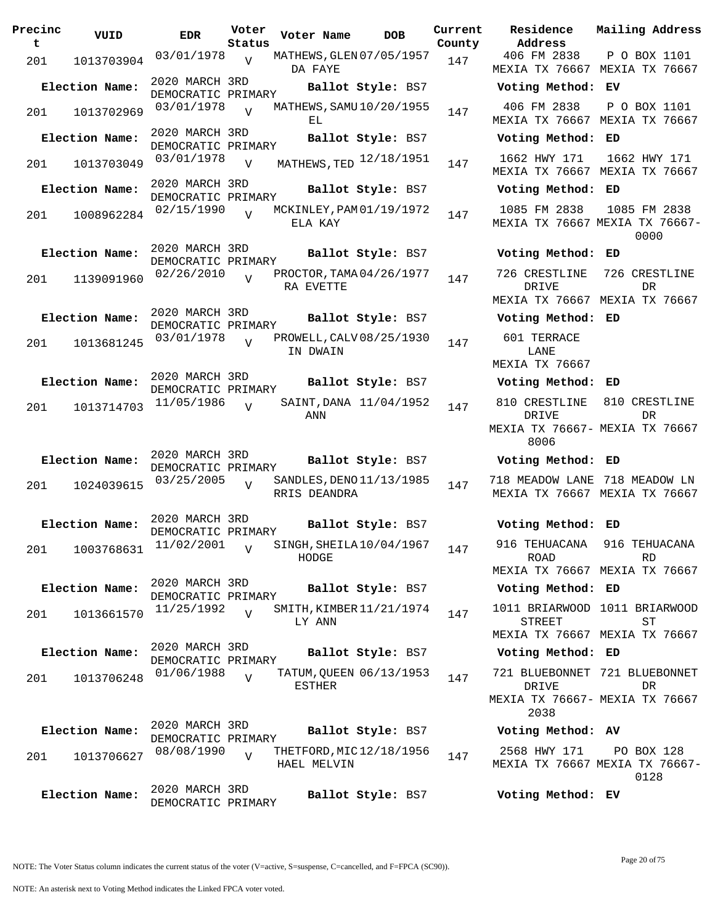| Precinc<br>t | VUID                          | <b>EDR</b>                           | Voter<br>Status | Voter Name                               | <b>DOB</b>             | Current<br>County | Residence<br>Address                            |
|--------------|-------------------------------|--------------------------------------|-----------------|------------------------------------------|------------------------|-------------------|-------------------------------------------------|
| 201          | 1013703904                    | 03/01/1978                           | V               | MATHEWS, GLEN 07/05/1957<br>DA FAYE      |                        | 147               | 406 FM 2838<br>MEXIA TX 7666                    |
|              | Election Name:                | 2020 MARCH 3RD<br>DEMOCRATIC PRIMARY |                 |                                          | Ballot Style: BS7      |                   | Voting Metho                                    |
| 201          | 1013702969                    | 03/01/1978                           | $\overline{V}$  | MATHEWS, SAMU 10/20/1955<br>EL           |                        | 147               | 406 FM 2838<br>MEXIA TX 7666                    |
|              | Election Name:                | 2020 MARCH 3RD<br>DEMOCRATIC PRIMARY |                 |                                          | Ballot Style: BS7      |                   | Voting Metho                                    |
| 201          | 1013703049                    | 03/01/1978                           | $\overline{V}$  | MATHEWS, TED 12/18/1951                  |                        | 147               | 1662 HWY 171<br>MEXIA TX 7666                   |
|              | Election Name:                | 2020 MARCH 3RD<br>DEMOCRATIC PRIMARY |                 |                                          | Ballot Style: BS7      |                   | Voting Metho                                    |
| 201          | 1008962284                    | 02/15/1990                           | $\overline{V}$  | MCKINLEY, PAM 01/19/1972<br>ELA KAY      |                        | 147               | 1085 FM 2838<br>MEXIA TX 7666                   |
|              | Election Name:                | 2020 MARCH 3RD<br>DEMOCRATIC PRIMARY |                 |                                          | Ballot Style: BS7      |                   | Voting Metho                                    |
| 201          | 1139091960                    | 02/26/2010                           | $\overline{v}$  | PROCTOR, TAMA 04/26/1977<br>RA EVETTE    |                        | 147               | 726 CRESTLINI<br>DRIVE                          |
|              | Election Name:                | 2020 MARCH 3RD                       |                 |                                          | Ballot Style: BS7      |                   | MEXIA TX 7666<br>Voting Metho                   |
| 201          | 1013681245                    | DEMOCRATIC PRIMARY<br>03/01/1978     | $\overline{V}$  | PROWELL, CALV 08/25/1930<br>IN DWAIN     |                        | 147               | 601 TERRACE<br>LANE                             |
|              | Election Name:                | 2020 MARCH 3RD                       |                 |                                          | Ballot Style: BS7      |                   | MEXIA TX 7666<br>Voting Metho                   |
|              |                               | DEMOCRATIC PRIMARY<br>11/05/1986     | $\overline{U}$  |                                          | SAINT, DANA 11/04/1952 |                   | 810 CRESTLINI                                   |
| 201          | 1013714703                    |                                      |                 | ANN                                      |                        | 147               | DRIVE<br>MEXIA TX 7666<br>8006                  |
|              | Election Name:                | 2020 MARCH 3RD<br>DEMOCRATIC PRIMARY |                 |                                          | Ballot Style: BS7      |                   | Voting Metho                                    |
| 201          | 1024039615                    | 03/25/2005                           | $\overline{V}$  | SANDLES, DENO 11/13/1985<br>RRIS DEANDRA |                        | 147               | 718 MEADOW LAD<br>MEXIA TX 7666                 |
|              | Election Name:                | 2020 MARCH 3RD<br>DEMOCRATIC PRIMARY |                 |                                          | Ballot Style: BS7      |                   | <b>Voting Metho</b>                             |
|              | 201 1003768631 $11/02/2001$ v |                                      |                 | SINGH, SHEILA10/04/1967<br>HODGE         |                        | 147               | 916 TEHUACAN<br>ROAD<br>MEXIA TX 7666           |
|              | Election Name:                | 2020 MARCH 3RD<br>DEMOCRATIC PRIMARY |                 |                                          | Ballot Style: BS7      |                   | Voting Metho                                    |
| 201          | 1013661570                    | 11/25/1992                           | $\overline{V}$  | SMITH, KIMBER 11/21/1974<br>LY ANN       |                        | 147               | 1011 BRIARWOO<br>STREET<br>MEXIA TX 7666        |
|              | Election Name:                | 2020 MARCH 3RD<br>DEMOCRATIC PRIMARY |                 |                                          | Ballot Style: BS7      |                   | Voting Metho                                    |
| 201          | 1013706248                    | 01/06/1988                           | $\overline{U}$  | TATUM, QUEEN 06/13/1953<br>ESTHER        |                        | 147               | 721 BLUEBONNE<br>DRIVE<br>MEXIA TX 7666<br>2038 |
|              | Election Name:                | 2020 MARCH 3RD<br>DEMOCRATIC PRIMARY |                 |                                          | Ballot Style: BS7      |                   | Voting Metho                                    |
| 201          | 1013706627                    | 08/08/1990                           | $\overline{V}$  | THETFORD, MIC 12/18/1956<br>HAEL MELVIN  |                        | 147               | 2568 HWY 171<br>MEXIA TX 7666                   |
|              | Election Name:                | 2020 MARCH 3RD<br>DEMOCRATIC PRIMARY |                 |                                          | Ballot Style: BS7      |                   | Voting Metho                                    |

**Voter Name DOB Residence Address Current Mailing Address** 406 FM 2838 MEXIA TX 76667 MEXIA TX 76667 P O BOX 1101 **Election Name: Ballot Style:** BS7 **Voting Method: EV** 406 FM 2838 MEXIA TX 76667 MEXIA TX 76667 P O BOX 1101 **Election Name: Ballot Style:** BS7 **Voting Method: ED** MEXIA TX 76667 MEXIA TX 76667 1662 HWY 171 **Election Name: Ballot Style:** BS7 **Voting Method: ED** 1085 FM 2838 MEXIA TX 76667 MEXIA TX 76667- 1085 FM 2838 0000 **Election Name: Ballot Style:** BS7 **Voting Method: ED** 726 CRESTLINE 726 CRESTLINE DRIVE MEXIA TX 76667 MEXIA TX 76667 DR **Election Name: Ballot Style:** BS7 **Voting Method: ED** 601 TERRACE LANE MEXIA TX 76667 **Election Name: Ballot Style:** BS7 **Voting Method: ED** 810 CRESTLINE 810 CRESTLINE DRIVE MEXIA TX 76667- MEXIA TX 76667 8006 DR **Election Name: Ballot Style:** BS7 **Voting Method: ED** 718 MEADOW LANE 718 MEADOW LN MEXIA TX 76667 MEXIA TX 76667 **Election Name: Ballot Style:** BS7 **Voting Method: ED** 916 TEHUACANA 916 TEHUACANA ROAD MEXIA TX 76667 MEXIA TX 76667 RD **Election Name: Ballot Style:** BS7 **Voting Method: ED** 1011 BRIARWOOD 1011 BRIARWOOD STREET MEXIA TX 76667 MEXIA TX 76667 **ST Election Name: Ballot Style:** BS7 **Voting Method: ED** 721 BLUEBONNET 721 BLUEBONNET DRIVE MEXIA TX 76667- MEXIA TX 76667 2038 DR **Election Name: Ballot Style:** BS7 **Voting Method: AV**

2568 HWY 171 MEXIA TX 76667 MEXIA TX 76667- PO BOX 128 0128

**Election Name: Ballot Style:** BS7 **Voting Method: EV**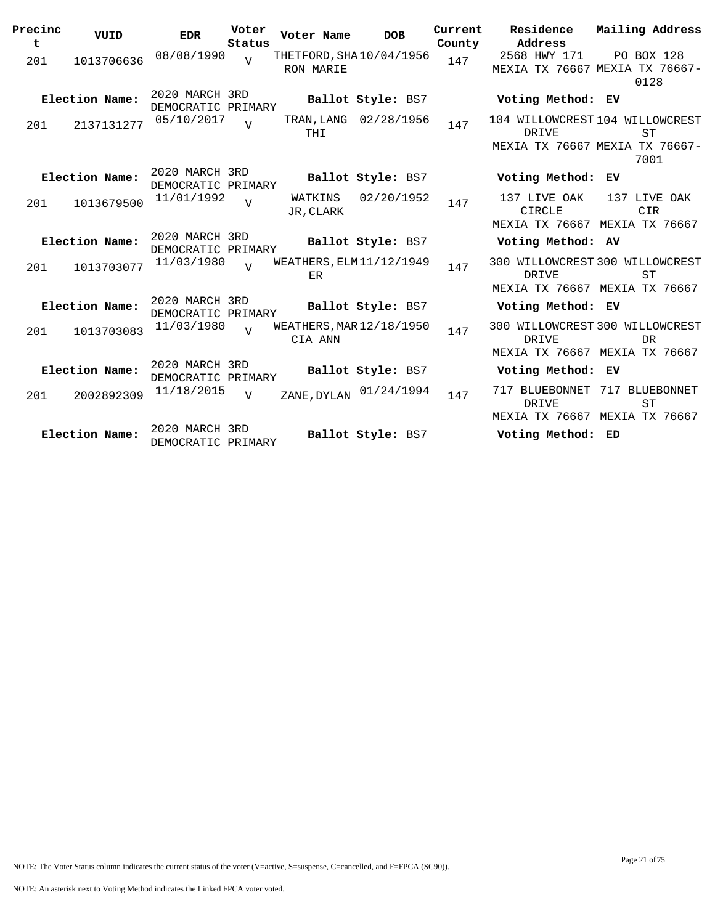| Precinc<br>t | VUID           | <b>EDR</b>                           | Voter<br>Status | Voter Name                            | <b>DOB</b>            | Current<br>County | Residence<br>Mailing Address<br>Address                                                                |
|--------------|----------------|--------------------------------------|-----------------|---------------------------------------|-----------------------|-------------------|--------------------------------------------------------------------------------------------------------|
| 201          | 1013706636     | 08/08/1990                           | $\overline{U}$  | THETFORD, SHA 10/04/1956<br>RON MARIE |                       | 147               | 2568 HWY 171<br>PO BOX 128<br>MEXIA TX 76667 MEXIA TX 76667-<br>0128                                   |
|              | Election Name: | 2020 MARCH 3RD<br>DEMOCRATIC PRIMARY |                 |                                       | Ballot Style: BS7     |                   | Voting Method: EV                                                                                      |
| 201          | 2137131277     | 05/10/2017                           | $\overline{I}$  | THI                                   | TRAN, LANG 02/28/1956 | 147               | 104 WILLOWCREST 104 WILLOWCREST<br><b>DRIVE</b><br><b>ST</b><br>MEXIA TX 76667 MEXIA TX 76667-<br>7001 |
|              | Election Name: | 2020 MARCH 3RD<br>DEMOCRATIC PRIMARY |                 |                                       | Ballot Style: BS7     |                   | Voting Method:<br>EV                                                                                   |
| 201          | 1013679500     | 11/01/1992                           | $\overline{U}$  | WATKINS<br>JR, CLARK                  | 02/20/1952            | 147               | 137 LIVE OAK<br>137 LIVE OAK<br><b>CIRCLE</b><br><b>CIR</b><br>MEXIA TX 76667 MEXIA TX 76667           |
|              | Election Name: | 2020 MARCH 3RD<br>DEMOCRATIC PRIMARY |                 |                                       | Ballot Style: BS7     |                   | Voting Method: AV                                                                                      |
| 201          | 1013703077     | 11/03/1980                           | $\overline{v}$  | WEATHERS, ELM $11/12/1949$<br>ER      |                       | 147               | 300 WILLOWCREST 300 WILLOWCREST<br><b>ST</b><br>DRIVE<br>MEXIA TX 76667 MEXIA TX 76667                 |
|              | Election Name: | 2020 MARCH 3RD<br>DEMOCRATIC PRIMARY |                 |                                       | Ballot Style: BS7     |                   | Voting Method: EV                                                                                      |
| 201          | 1013703083     | 11/03/1980                           | $\overline{U}$  | WEATHERS, MAR $12/18/1950$<br>CIA ANN |                       | 147               | 300 WILLOWCREST 300 WILLOWCREST<br>DRIVE<br>DR<br>MEXIA TX 76667 MEXIA TX 76667                        |
|              | Election Name: | 2020 MARCH 3RD<br>DEMOCRATIC PRIMARY |                 |                                       | Ballot Style: BS7     |                   | Voting Method: EV                                                                                      |
| 201          | 2002892309     | 11/18/2015                           | $\overline{V}$  | ZANE, DYLAN                           | 01/24/1994            | 147               | 717 BLUEBONNET<br>717 BLUEBONNET<br><b>ST</b><br>DRIVE<br>MEXIA TX 76667 MEXIA TX 76667                |
|              | Election Name: | 2020 MARCH 3RD<br>DEMOCRATIC PRIMARY |                 |                                       | Ballot Style: BS7     |                   | Voting Method: ED                                                                                      |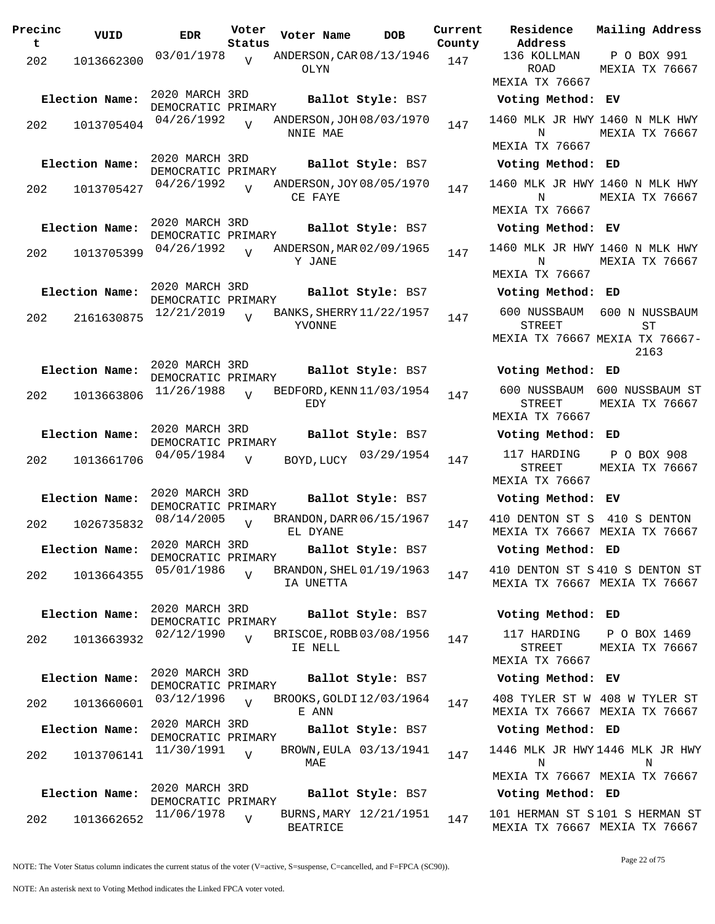| Precinc<br>t | VUID           | <b>EDR</b>                           | Voter<br>Status | Voter Name                            | <b>DOB</b>             | Current<br>County | Residence<br>Address                               |
|--------------|----------------|--------------------------------------|-----------------|---------------------------------------|------------------------|-------------------|----------------------------------------------------|
| 202          | 1013662300     | 03/01/1978                           | $\overline{V}$  | ANDERSON, CAR 08/13/1946<br>OLYN      |                        | 147               | 136 KOLLMAN<br><b>ROAD</b><br><b>MEXIA TX 7666</b> |
|              | Election Name: | 2020 MARCH 3RD                       |                 |                                       | Ballot Style: BS7      |                   | Voting Metho                                       |
| 202          | 1013705404     | DEMOCRATIC PRIMARY<br>04/26/1992     | $\overline{U}$  | ANDERSON, JOH 08/03/1970<br>NNIE MAE  |                        | 147               | 1460 MLK JR H<br>N                                 |
|              |                | 2020 MARCH 3RD                       |                 |                                       |                        |                   | MEXIA TX 7666                                      |
|              | Election Name: | DEMOCRATIC PRIMARY                   |                 |                                       | Ballot Style: BS7      |                   | Voting Metho                                       |
| 202          | 1013705427     | 04/26/1992                           | $\overline{U}$  | ANDERSON, JOY 08/05/1970<br>CE FAYE   |                        | 147               | 1460 MLK JR H<br>Ν<br>MEXIA TX 7666                |
|              | Election Name: | 2020 MARCH 3RD                       |                 |                                       | Ballot Style: BS7      |                   | Voting Metho                                       |
|              |                | DEMOCRATIC PRIMARY<br>04/26/1992     |                 | ANDERSON, MAR 02/09/1965              |                        |                   | 1460 MLK JR H                                      |
| 202          | 1013705399     |                                      | $\overline{U}$  | Y JANE                                |                        | 147               | N<br><b>MEXIA TX 7666</b>                          |
|              | Election Name: | 2020 MARCH 3RD<br>DEMOCRATIC PRIMARY |                 |                                       | Ballot Style: BS7      |                   | Voting Metho                                       |
| 202          | 2161630875     | 12/21/2019                           | $\overline{U}$  | BANKS, SHERRY 11/22/1957<br>YVONNE    |                        | 147               | 600 NUSSBAUN<br>STREET                             |
|              |                |                                      |                 |                                       |                        |                   | MEXIA TX 7666                                      |
|              | Election Name: | 2020 MARCH 3RD<br>DEMOCRATIC PRIMARY |                 |                                       | Ballot Style: BS7      |                   | Voting Metho                                       |
| 202          | 1013663806     | 11/26/1988                           | $\overline{U}$  | BEDFORD, KENN 11/03/1954<br>EDY       |                        | 147               | 600 NUSSBAUN<br>STREET<br>MEXIA TX 7666            |
|              | Election Name: | 2020 MARCH 3RD                       |                 |                                       | Ballot Style: BS7      |                   | Voting Metho                                       |
| 202          | 1013661706     | DEMOCRATIC PRIMARY<br>04/05/1984     | $\overline{V}$  | BOYD, LUCY                            | 03/29/1954             | 147               | 117 HARDING<br><b>STREET</b>                       |
|              |                |                                      |                 |                                       |                        |                   | <b>MEXIA TX 7666</b>                               |
|              | Election Name: | 2020 MARCH 3RD<br>DEMOCRATIC PRIMARY |                 |                                       | Ballot Style: BS7      |                   | Voting Metho                                       |
| 202          | 1026735832     | 08/14/2005                           | $\overline{U}$  | BRANDON, DARR 06/15/1967<br>EL DYANE  |                        | 147               | 410 DENTON ST<br>MEXIA TX 7666                     |
|              | Election Name: | 2020 MARCH 3RD<br>DEMOCRATIC PRIMARY |                 |                                       | Ballot Style: BS7      |                   | Voting Metho                                       |
| 202          | 1013664355     | 05/01/1986                           | $\overline{U}$  | BRANDON, SHEL 01/19/1963<br>IA UNETTA |                        | 147               | 410 DENTON ST<br><b>MEXIA TX 7666</b>              |
|              | Election Name: | 2020 MARCH 3RD<br>DEMOCRATIC PRIMARY |                 |                                       | Ballot Style: BS7      |                   | Voting Metho                                       |
| 202          | 1013663932     | 02/12/1990                           | $\overline{U}$  | BRISCOE, ROBB 03/08/1956<br>IE NELL   |                        | 147               | 117 HARDING<br>STREET                              |
|              |                |                                      |                 |                                       |                        |                   | MEXIA TX 7666                                      |
|              | Election Name: | 2020 MARCH 3RD<br>DEMOCRATIC PRIMARY |                 |                                       | Ballot Style: BS7      |                   | Voting Metho                                       |
| 202          | 1013660601     | 03/12/1996                           | $\overline{U}$  | BROOKS, GOLDI 12/03/1964<br>E ANN     |                        | 147               | 408 TYLER ST<br>MEXIA TX 7666                      |
|              | Election Name: | 2020 MARCH 3RD<br>DEMOCRATIC PRIMARY |                 |                                       | Ballot Style: BS7      |                   | Voting Metho                                       |
| 202          | 1013706141     | 11/30/1991                           | $\overline{V}$  | MAE                                   | BROWN, EULA 03/13/1941 | 147               | 1446 MLK JR H<br>N                                 |
|              |                |                                      |                 |                                       |                        |                   | MEXIA TX 7666                                      |
|              | Election Name: | 2020 MARCH 3RD<br>DEMOCRATIC PRIMARY |                 |                                       | Ballot Style: BS7      |                   | Voting Metho                                       |
| 202          | 1013662652     | 11/06/1978                           | $\overline{V}$  | <b>BEATRICE</b>                       | BURNS, MARY 12/21/1951 | 147               | 101 HERMAN ST<br>MEXIA TX 7666                     |

**Voter Name DOB Residence Address Current Mailing Address** 136 KOLLMAN ROAD MEXIA TX 76667 P O BOX 991 MEXIA TX 76667 **Election Name: Ballot Style:** BS7 **Voting Method: EV** 1460 MLK JR HWY 1460 N MLK HWY N MEXIA TX 76667 MEXIA TX 76667 **Election Name: Ballot Style:** BS7 **Voting Method: ED** 1460 MLK JR HWY 1460 N MLK HWY N MEXIA TX 76667 MEXIA TX 76667 **Election Name: Ballot Style:** BS7 **Voting Method: EV** 1460 MLK JR HWY 1460 N MLK HWY N MEXIA TX 76667 MEXIA TX 76667 **Election Name: Ballot Style:** BS7 **Voting Method: ED** 600 NUSSBAUM 600 N NUSSBAUM STREET MEXIA TX 76667 MEXIA TX 76667- ST 2163 **Election Name: Ballot Style:** BS7 **Voting Method: ED** 600 NUSSBAUM 600 NUSSBAUM ST STREET MEXIA TX 76667 MEXIA TX 76667 **Election Name: Ballot Style:** BS7 **Voting Method: ED** STREET MEXIA TX 76667 P O BOX 908 MEXIA TX 76667 **Election Name: Ballot Style:** BS7 **Voting Method: EV** 410 DENTON ST S 410 S DENTON MEXIA TX 76667 MEXIA TX 76667 **Election Name: Ballot Style:** BS7 **Voting Method: ED** 410 DENTON ST S 410 S DENTON ST MEXIA TX 76667 MEXIA TX 76667 **Election Name: Ballot Style:** BS7 **Voting Method: ED** 117 HARDING STREET MEXIA TX 76667 P O BOX 1469 MEXIA TX 76667 **Election Name: Ballot Style:** BS7 **Voting Method: EV** 408 TYLER ST W 408 W TYLER ST MEXIA TX 76667 MEXIA TX 76667 **Election Name: Ballot Style:** BS7 **Voting Method: ED**

1446 MLK JR HWY 1446 MLK JR HWY N MEXIA TX 76667 MEXIA TX 76667 N

### **Election Name: Ballot Style:** BS7 **Voting Method: ED**

101 HERMAN ST S 101 S HERMAN ST MEXIA TX 76667 MEXIA TX 76667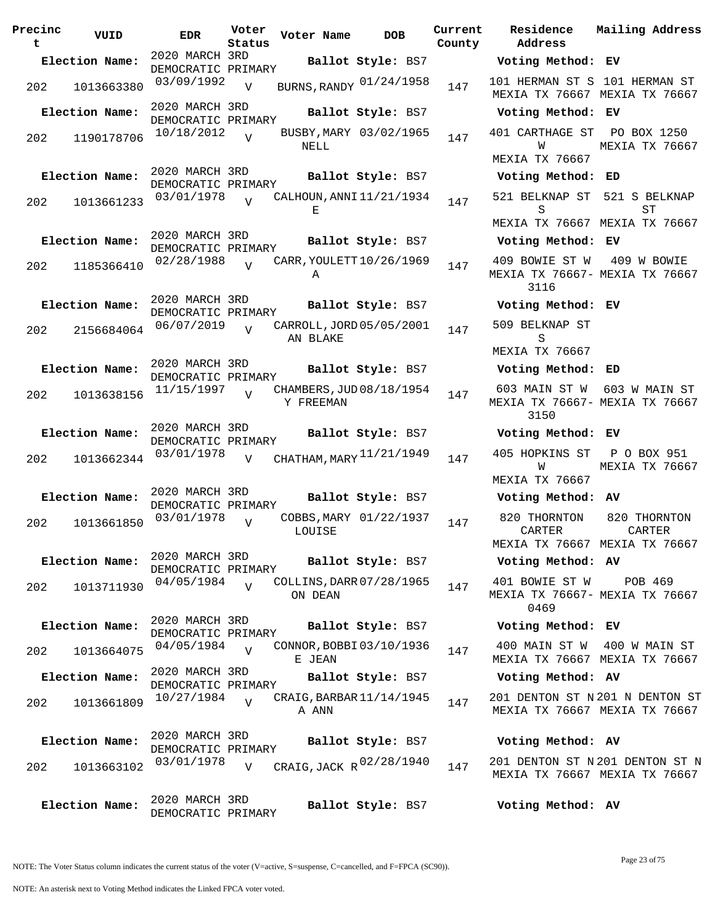| Precinc<br>t | VUID           | <b>EDR</b>                           | Voter<br>Status | Voter Name | <b>DOB</b>               | Current<br>County | Residence<br>Address                                               | Mailing Address                                              |
|--------------|----------------|--------------------------------------|-----------------|------------|--------------------------|-------------------|--------------------------------------------------------------------|--------------------------------------------------------------|
|              | Election Name: | 2020 MARCH 3RD                       |                 |            | Ballot Style: BS7        |                   | Voting Method: EV                                                  |                                                              |
|              |                | DEMOCRATIC PRIMARY<br>03/09/1992     |                 |            |                          |                   | 101 HERMAN ST S 101 HERMAN ST                                      |                                                              |
| 202          | 1013663380     |                                      | $\overline{V}$  |            | BURNS, RANDY 01/24/1958  | 147               | MEXIA TX 76667 MEXIA TX 76667                                      |                                                              |
|              | Election Name: | 2020 MARCH 3RD<br>DEMOCRATIC PRIMARY |                 |            | Ballot Style: BS7        |                   | Voting Method: EV                                                  |                                                              |
| 202          | 1190178706     | 10/18/2012                           | $\overline{V}$  | NELL       | BUSBY, MARY 03/02/1965   | 147               | 401 CARTHAGE ST PO BOX 1250<br>W                                   | MEXIA TX 76667                                               |
|              |                | 2020 MARCH 3RD                       |                 |            |                          |                   | MEXIA TX 76667                                                     |                                                              |
|              | Election Name: | DEMOCRATIC PRIMARY                   |                 |            | Ballot Style: BS7        |                   | Voting Method: ED                                                  |                                                              |
| 202          | 1013661233     | 03/01/1978                           | $\overline{17}$ | Е          | CALHOUN, ANNI 11/21/1934 | 147               | 521 BELKNAP ST 521 S BELKNAP<br>S<br>MEXIA TX 76667 MEXIA TX 76667 | ST                                                           |
|              | Election Name: | 2020 MARCH 3RD                       |                 |            | Ballot Style: BS7        |                   | Voting Method: EV                                                  |                                                              |
|              |                | DEMOCRATIC PRIMARY<br>02/28/1988     |                 |            | CARR, YOULETT 10/26/1969 |                   | 409 BOWIE ST W                                                     | 409 W BOWIE                                                  |
| 202          | 1185366410     |                                      |                 | A          |                          | 147               | MEXIA TX 76667- MEXIA TX 76667<br>3116                             |                                                              |
|              | Election Name: | 2020 MARCH 3RD<br>DEMOCRATIC PRIMARY |                 |            | Ballot Style: BS7        |                   | Voting Method: EV                                                  |                                                              |
| 202          | 2156684064     | 06/07/2019                           | $\overline{U}$  |            | CARROLL, JORD 05/05/2001 | 147               | 509 BELKNAP ST                                                     |                                                              |
|              |                |                                      |                 | AN BLAKE   |                          |                   | S<br>MEXIA TX 76667                                                |                                                              |
|              | Election Name: | 2020 MARCH 3RD<br>DEMOCRATIC PRIMARY |                 |            | Ballot Style: BS7        |                   | Voting Method: ED                                                  |                                                              |
| 202          | 1013638156     | 11/15/1997                           | $\overline{v}$  | Y FREEMAN  | CHAMBERS, JUD 08/18/1954 | 147               | MEXIA TX 76667- MEXIA TX 76667<br>3150                             | 603 MAIN ST W 603 W MAIN ST                                  |
|              | Election Name: | 2020 MARCH 3RD<br>DEMOCRATIC PRIMARY |                 |            | Ballot Style: BS7        |                   | Voting Method: EV                                                  |                                                              |
| 202          | 1013662344     | 03/01/1978                           | $\overline{v}$  |            | CHATHAM, MARY 11/21/1949 | 147               | 405 HOPKINS ST                                                     | P O BOX 951                                                  |
|              |                |                                      |                 |            |                          |                   | W<br>MEXIA TX 76667                                                | MEXIA TX 76667                                               |
|              | Election Name: | 2020 MARCH 3RD<br>DEMOCRATIC PRIMARY |                 |            | Ballot Style: BS7        |                   | Voting Method: AV                                                  |                                                              |
| 202          | 1013661850     | 03/01/1978                           | $\overline{V}$  | LOUISE     | COBBS, MARY 01/22/1937   | 147               | 820 THORNTON<br>CARTER<br>MEXIA TX 76667 MEXIA TX 76667            | 820 THORNTON<br>CARTER                                       |
|              | Election Name: | 2020 MARCH 3RD<br>DEMOCRATIC PRIMARY |                 |            | Ballot Style: BS7        |                   | Voting Method: AV                                                  |                                                              |
| 202          | 1013711930     | $04/05/1984$ V                       |                 | ON DEAN    | COLLINS, DARR 07/28/1965 | 147               | 401 BOWIE ST W<br>MEXIA TX 76667- MEXIA TX 76667<br>0469           | POB 469                                                      |
|              | Election Name: | 2020 MARCH 3RD<br>DEMOCRATIC PRIMARY |                 |            | Ballot Style: BS7        |                   | Voting Method: EV                                                  |                                                              |
| 202          | 1013664075     | 04/05/1984                           | $\overline{V}$  | E JEAN     | CONNOR, BOBBI03/10/1936  | 147               |                                                                    | 400 MAIN ST W 400 W MAIN ST<br>MEXIA TX 76667 MEXIA TX 76667 |
|              | Election Name: | 2020 MARCH 3RD<br>DEMOCRATIC PRIMARY |                 |            | Ballot Style: BS7        |                   | Voting Method: AV                                                  |                                                              |
| 202          | 1013661809     | 10/27/1984                           | $\overline{V}$  | A ANN      | CRAIG, BARBAR 11/14/1945 | 147               | 201 DENTON ST N 201 N DENTON ST                                    | MEXIA TX 76667 MEXIA TX 76667                                |
|              | Election Name: | 2020 MARCH 3RD                       |                 |            | Ballot Style: BS7        |                   | Voting Method: AV                                                  |                                                              |
|              |                | DEMOCRATIC PRIMARY<br>03/01/1978     | $\overline{V}$  |            | CRAIG, JACK R 02/28/1940 | 147               | 201 DENTON ST N 201 DENTON ST N                                    |                                                              |
| 202          | 1013663102     |                                      |                 |            |                          |                   |                                                                    | MEXIA TX 76667 MEXIA TX 76667                                |
|              | Election Name: | 2020 MARCH 3RD<br>DEMOCRATIC PRIMARY |                 |            | Ballot Style: BS7        |                   | Voting Method: AV                                                  |                                                              |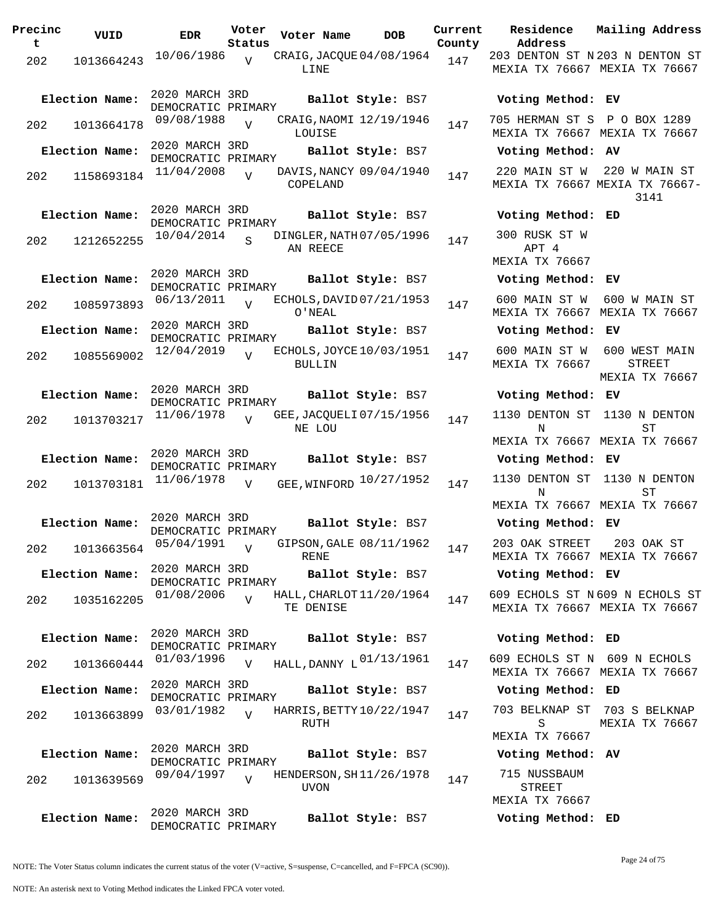**Precinc t VUID EDR Voter Status Voter Name DOB Current Residence County** 202 1013664243  $10/06/1986$  CRAIG, JACQUE 04/08/1964 147 LINE  $\overline{V}$ 2020 MARCH 3RD DEMOCRATIC PRIMARY<br>09/08/1988 **Election Name: Ballot Style:** BS7 **Voting Method: EV** 202 1013664178 09/08/1988 V CRAIG, NAOMI 12/19/1946 147 LOUISE  $\overline{V}$ 2020 MARCH 3RD DEMOCRATIC PRIMARY **Election Name: Ballot Style:** BS7 **Voting Method: AV**  $202$  1158693184  $11/04/2008$ COPELAND  $\overline{V}$ DAVIS, NANCY 09/04/1940 147 2020 MARCH 3RD DEMOCRATIC PRIMARY **Election Name: Ballot Style:** BS7 **Voting Method: ED** 202 1212652255 10/04/2014 S DINGLER, NATH 07/05/1996 147 AN REECE S 2020 MARCH 3RD DEMOCRATIC PRIMARY **Election Name: Ballot Style:** BS7 **Voting Method: EV** <sup>202</sup> ECHOLS,DAVID 06/13/2011 <sup>1085973893</sup> <sup>147</sup> 07/21/1953 O'NEAL V 2020 MARCH 3RD DEMOCRATIC PRIMARY<br>12/04/2019 .. E **Election Name: Ballot Style:** BS7 **Voting Method: EV** 202 1085569002 <sup>12/04/2019</sup> v ECHOLS, JOYCE 10/03/1951 147 BULLIN  $\overline{V}$ 2020 MARCH 3RD DEMOCRATIC PRIMARY **Election Name: Ballot Style:** BS7 **Voting Method: EV** 202 1013703217 <sup>11/06/1978</sup> V GEE,JACQUELI07/15/1956 147 NE LOU  $\overline{V}$ 2020 MARCH 3RD DEMOCRATIC PRIMARY **Election Name: Ballot Style:** BS7 **Voting Method: EV** 202 1013703181 <sup>11/06/1978</sup> v GEE,WINFORD <sup>10/27/1952</sup> 147 1130 DENTON ST V 2020 MARCH 3RD DEMOCRATIC PRIMARY **Election Name: Ballot Style:** BS7 **Voting Method: EV**  $202$  1013663564 05/04/1991 RENE  $\overline{V}$ GIPSON, GALE 08/11/1962 147 2020 MARCH 3RD DEMOCRATIC PRIMARY **Election Name: Ballot Style:** BS7 **Voting Method: EV** 202 1035162205 01/08/2006 TE DENISE  $\overline{V}$ HALL, CHARLOT 11/20/1964 147 2020 MARCH 3RD DEMOCRATIC PRIMARY **Election Name: Ballot Style:** BS7 **Voting Method: ED** 202 1013660444  $01/03/1996$  v HALL,DANNY  $L^{01/13/1961}$  147 609 ECHOLS ST N  $V$ 2020 MARCH 3RD DEMOCRATIC PRIMARY **Election Name: Ballot Style:** BS7 **Voting Method: ED** 202 1013663899 03/01/1982 V HARRIS, BETTY 10/22/1947 147 RUTH  $\overline{V}$ 2020 MARCH 3RD DEMOCRATIC PRIMARY **Election Name: Ballot Style:** BS7 **Voting Method: AV** 202 1013639569 09/04/1997 UVON  $V$ HENDERSON, SH11/26/1978 147 2020 MARCH 3RD **Election Name: Ballot Style:** BS7 **Voting Method: ED**

**Address Current Mailing Address** 203 DENTON ST N 203 N DENTON ST MEXIA TX 76667 MEXIA TX 76667 705 HERMAN ST S P O BOX 1289 MEXIA TX 76667 MEXIA TX 76667 220 MAIN ST W 220 W MAIN ST MEXIA TX 76667 MEXIA TX 76667- 3141 300 RUSK ST W APT 4 MEXIA TX 76667 600 MAIN ST W 600 W MAIN ST MEXIA TX 76667 MEXIA TX 76667 600 MAIN ST W 600 WEST MAIN MEXIA TX 76667 STREET MEXIA TX 76667 1130 DENTON ST 1130 N DENTON N MEXIA TX 76667 MEXIA TX 76667 ST N MEXIA TX 76667 MEXIA TX 76667 1130 DENTON ST 1130 N DENTON  $ST$ 203 OAK STREET MEXIA TX 76667 MEXIA TX 76667 203 OAK ST 609 ECHOLS ST N 609 N ECHOLS ST MEXIA TX 76667 MEXIA TX 76667 MEXIA TX 76667 MEXIA TX 76667 609 ECHOLS ST N 609 N ECHOLS 703 BELKNAP ST 703 S BELKNAP S MEXIA TX 76667 MEXIA TX 76667 715 NUSSBAUM STREET MEXIA TX 76667

NOTE: The Voter Status column indicates the current status of the voter (V=active, S=suspense, C=cancelled, and F=FPCA (SC90)).

DEMOCRATIC PRIMARY

Page 24 of 75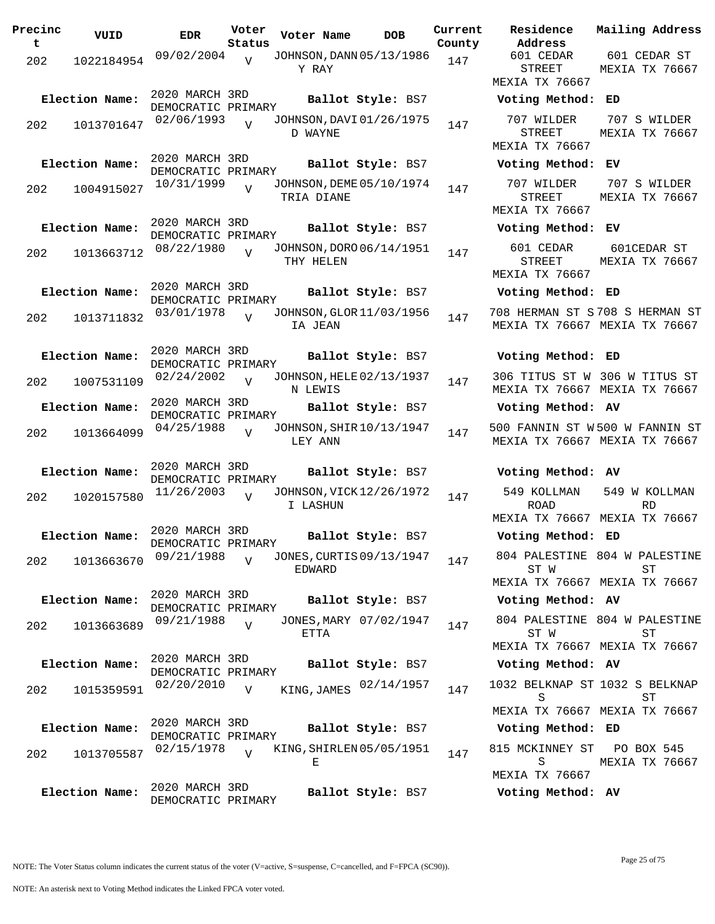| Precinc<br>t | VUID           | <b>EDR</b>                           | Voter<br>Status | Voter Name                             | <b>DOB</b>             | Current<br>County | Residence<br>Address                          |
|--------------|----------------|--------------------------------------|-----------------|----------------------------------------|------------------------|-------------------|-----------------------------------------------|
| 202          | 1022184954     | 09/02/2004                           | $\overline{V}$  | JOHNSON, DANN 05/13/1986<br>Y RAY      |                        | 147               | 601 CEDAR<br>STREET<br>MEXIA TX 76667         |
|              | Election Name: | 2020 MARCH 3RD<br>DEMOCRATIC PRIMARY |                 |                                        | Ballot Style: BS7      |                   | Voting Method:                                |
| 202          | 1013701647     | 02/06/1993                           |                 | JOHNSON, DAVI 01/26/1975<br>D WAYNE    |                        | 147               | 707 WILDER<br><b>STREET</b>                   |
|              |                | 2020 MARCH 3RD                       |                 |                                        |                        |                   | <b>MEXIA TX 76667</b>                         |
|              | Election Name: | DEMOCRATIC PRIMARY                   |                 |                                        | Ballot Style: BS7      |                   | Voting Method:                                |
| 202          | 1004915027     | 10/31/1999                           | $\overline{V}$  | JOHNSON, DEME 05/10/1974<br>TRIA DIANE |                        | 147               | 707 WILDER<br><b>STREET</b><br>MEXIA TX 76667 |
|              | Election Name: | 2020 MARCH 3RD                       |                 |                                        | Ballot Style: BS7      |                   | Voting Method:                                |
|              |                | DEMOCRATIC PRIMARY                   |                 |                                        |                        |                   |                                               |
| 202          | 1013663712     | 08/22/1980                           | $\overline{V}$  | JOHNSON, DORO 06/14/1951<br>THY HELEN  |                        | 147               | 601 CEDAR<br>STREET<br>MEXIA TX 76667         |
|              | Election Name: | 2020 MARCH 3RD<br>DEMOCRATIC PRIMARY |                 |                                        | Ballot Style: BS7      |                   | Voting Method:                                |
| 202          | 1013711832     | 03/01/1978                           | $\overline{V}$  | JOHNSON, GLOR 11/03/1956<br>IA JEAN    |                        | 147               | 708 HERMAN ST S<br>MEXIA TX 76667             |
|              | Election Name: | 2020 MARCH 3RD                       |                 |                                        | Ballot Style: BS7      |                   | Voting Method:                                |
| 202          | 1007531109     | DEMOCRATIC PRIMARY<br>02/24/2002     | V               | JOHNSON, HELE 02/13/1937<br>N LEWIS    |                        | 147               | 306 TITUS ST W<br>MEXIA TX 76667              |
|              | Election Name: | 2020 MARCH 3RD<br>DEMOCRATIC PRIMARY |                 |                                        | Ballot Style: BS7      |                   | Voting Method:                                |
| 202          | 1013664099     | 04/25/1988                           | $\overline{V}$  | JOHNSON, SHIR 10/13/1947<br>LEY ANN    |                        | 147               | 500 FANNIN ST W<br>MEXIA TX 76667             |
|              | Election Name: | 2020 MARCH 3RD<br>DEMOCRATIC PRIMARY |                 |                                        | Ballot Style: BS7      |                   | Voting Method:                                |
| 202          | 1020157580     | 11/26/2003                           | $\overline{V}$  | JOHNSON, VICK 12/26/1972<br>I LASHUN   |                        | 147               | 549 KOLLMAN<br><b>ROAD</b><br>MEXIA TX 76667  |
|              | Election Name: | 2020 MARCH 3RD<br>DEMOCRATIC PRIMARY |                 |                                        | Ballot Style: BS7      |                   | Voting Method:                                |
| 202          | 1013663670     | 09/21/1988                           | $\overline{V}$  | JONES, CURTIS 09/13/1947<br>EDWARD     |                        | 147               | 804 PALESTINE<br>ST W<br>MEXIA TX 76667       |
|              | Election Name: | 2020 MARCH 3RD                       |                 |                                        | Ballot Style: BS7      |                   | Voting Method:                                |
| 202          | 1013663689     | DEMOCRATIC PRIMARY<br>09/21/1988     | V               | ETTA                                   | JONES, MARY 07/02/1947 | 147               | 804 PALESTINE<br>ST W                         |
|              |                | 2020 MARCH 3RD                       |                 |                                        |                        |                   | MEXIA TX 76667                                |
|              | Election Name: | DEMOCRATIC PRIMARY                   |                 |                                        | Ballot Style: BS7      |                   | Voting Method:                                |
| 202          | 1015359591     | 02/20/2010                           | $\overline{V}$  | KING, JAMES                            | 02/14/1957             | 147               | 1032 BELKNAP ST<br>S<br>MEXIA TX 76667        |
|              | Election Name: | 2020 MARCH 3RD                       |                 |                                        | Ballot Style: BS7      |                   | Voting Method:                                |
| 202          | 1013705587     | DEMOCRATIC PRIMARY<br>02/15/1978     | V               | KING, SHIRLEN 05/05/1951<br>Е          |                        | 147               | 815 MCKINNEY ST<br>S                          |
|              |                |                                      |                 |                                        |                        |                   | MEXIA TX 76667                                |
|              | Election Name: | 2020 MARCH 3RD<br>DEMOCRATIC PRIMARY |                 |                                        | Ballot Style: BS7      |                   | Voting Method:                                |

601 CEDAR STREET MEXIA TX 76667 601 CEDAR ST MEXIA TX 76667 **Election Name: Ballot Style:** BS7 **Voting Method: ED** 707 WILDER STREET MEXIA TX 76667 707 S WILDER MEXIA TX 76667 **Election Name: Ballot Style:** BS7 **Voting Method: EV** 707 WILDER STREET MEXIA TX 76667 707 S WILDER MEXIA TX 76667 **Election Name: Ballot Style:** BS7 **Voting Method: EV** 601 CEDAR STREET MEXIA TX 76667 601CEDAR ST MEXIA TX 76667 **Election Name: Ballot Style:** BS7 **Voting Method: ED** 708 HERMAN ST S 708 S HERMAN ST MEXIA TX 76667 MEXIA TX 76667 **Election Name: Ballot Style:** BS7 **Voting Method: ED** 306 TITUS ST W 306 W TITUS ST MEXIA TX 76667 MEXIA TX 76667 **Election Name: Ballot Style:** BS7 **Voting Method: AV** 500 FANNIN ST W 500 W FANNIN ST MEXIA TX 76667 MEXIA TX 76667 **Election Name: Ballot Style:** BS7 **Voting Method: AV** 549 KOLLMAN ROAD MEXIA TX 76667 MEXIA TX 76667 549 W KOLLMAN RD **Election Name: Ballot Style:** BS7 **Voting Method: ED** 804 PALESTINE 804 W PALESTINE ST W MEXIA TX 76667 MEXIA TX 76667 ST **Election Name: Ballot Style:** BS7 **Voting Method: AV** 804 PALESTINE 804 W PALESTINE ST W MEXIA TX 76667 MEXIA TX 76667 ST **Election Name: Ballot Style:** BS7 **Voting Method: AV** S MEXIA TX 76667 MEXIA TX 76667 1032 BELKNAP ST 1032 S BELKNAP ST **Election Name: Ballot Style:** BS7 **Voting Method: ED** 815 MCKINNEY ST PO BOX 545 S MEXIA TX 76667 MEXIA TX 76667

**Current Mailing Address**

**Election Name: Ballot Style:** BS7 **Voting Method: AV**

NOTE: An asterisk next to Voting Method indicates the Linked FPCA voter voted.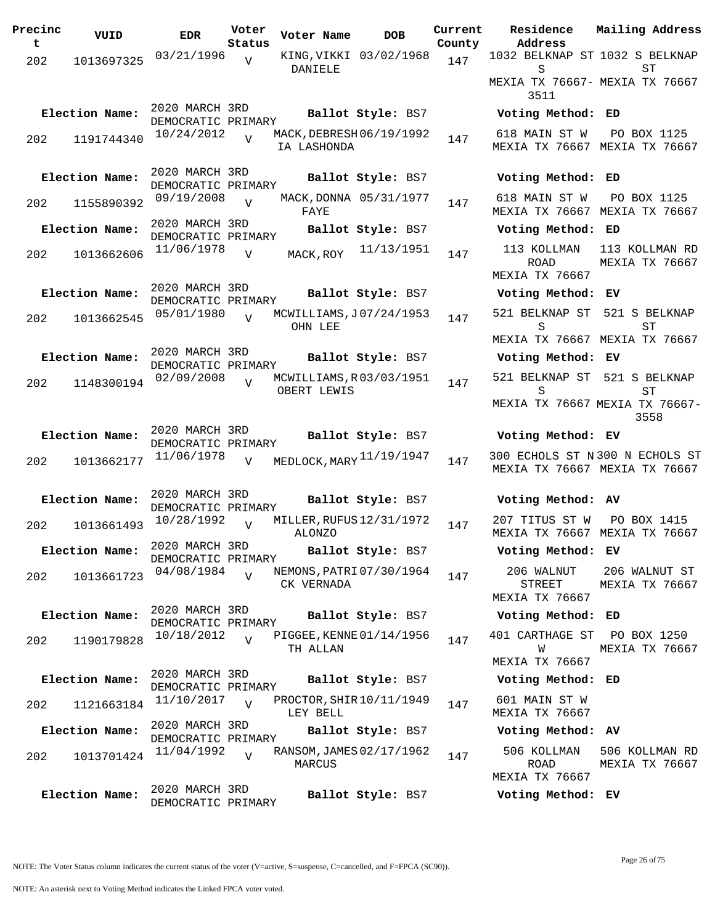| Precinc | VUID           | <b>EDR</b>                           | Voter                    | Voter Name                           | <b>DOB</b>               | Current       | Residence                                 | Mailing Address                                                  |
|---------|----------------|--------------------------------------|--------------------------|--------------------------------------|--------------------------|---------------|-------------------------------------------|------------------------------------------------------------------|
| t       | 1013697325     | 03/21/1996                           | Status<br>$\overline{V}$ |                                      | KING, VIKKI 03/02/1968   | County<br>147 | Address<br>1032 BELKNAP ST 1032 S BELKNAP |                                                                  |
| 202     |                |                                      |                          | DANIELE                              |                          |               | S                                         | ST                                                               |
|         |                |                                      |                          |                                      |                          |               | MEXIA TX 76667- MEXIA TX 76667<br>3511    |                                                                  |
|         | Election Name: | 2020 MARCH 3RD<br>DEMOCRATIC PRIMARY |                          |                                      | Ballot Style: BS7        |               | Voting Method: ED                         |                                                                  |
| 202     | 1191744340     | $10/24/2012$ $V$                     |                          | IA LASHONDA                          | MACK, DEBRESH 06/19/1992 | 147           | 618 MAIN ST W                             | PO BOX 1125<br>MEXIA TX 76667 MEXIA TX 76667                     |
|         | Election Name: | 2020 MARCH 3RD<br>DEMOCRATIC PRIMARY |                          |                                      | Ballot Style: BS7        |               | Voting Method: ED                         |                                                                  |
| 202     | 1155890392     | 09/19/2008                           | $\overline{V}$           | FAYE                                 | MACK, DONNA 05/31/1977   | 147           | 618 MAIN ST W                             | PO BOX 1125<br>MEXIA TX 76667 MEXIA TX 76667                     |
|         | Election Name: | 2020 MARCH 3RD<br>DEMOCRATIC PRIMARY |                          |                                      | Ballot Style: BS7        |               | Voting Method: ED                         |                                                                  |
| 202     | 1013662606     | 11/06/1978                           | $\overline{V}$           | MACK, ROY                            | 11/13/1951               | 147           | 113 KOLLMAN<br>ROAD<br>MEXIA TX 76667     | 113 KOLLMAN RD<br>MEXIA TX 76667                                 |
|         | Election Name: | 2020 MARCH 3RD                       |                          |                                      | Ballot Style: BS7        |               | Voting Method: EV                         |                                                                  |
| 202     | 1013662545     | DEMOCRATIC PRIMARY<br>05/01/1980     | $\overline{U}$           |                                      | MCWILLIAMS, J07/24/1953  | 147           | 521 BELKNAP ST                            | 521 S BELKNAP                                                    |
|         |                |                                      |                          | OHN LEE                              |                          |               | S                                         | SТ                                                               |
|         | Election Name: | 2020 MARCH 3RD                       |                          |                                      | Ballot Style: BS7        |               | Voting Method: EV                         | MEXIA TX 76667 MEXIA TX 76667                                    |
|         |                | DEMOCRATIC PRIMARY                   |                          |                                      |                          |               | 521 BELKNAP ST 521 S BELKNAP              |                                                                  |
| 202     | 1148300194     | 02/09/2008                           | $\overline{V}$           | OBERT LEWIS                          | MCWILLIAMS, R03/03/1951  | 147           | S                                         | ST                                                               |
|         |                |                                      |                          |                                      |                          |               |                                           | MEXIA TX 76667 MEXIA TX 76667-<br>3558                           |
|         | Election Name: | 2020 MARCH 3RD<br>DEMOCRATIC PRIMARY |                          |                                      | Ballot Style: BS7        |               | Voting Method: EV                         |                                                                  |
| 202     | 1013662177     | 11/06/1978                           | $\overline{V}$           |                                      | MEDLOCK, MARY 11/19/1947 | 147           |                                           | 300 ECHOLS ST N 300 N ECHOLS ST<br>MEXIA TX 76667 MEXIA TX 76667 |
|         | Election Name: | 2020 MARCH 3RD<br>DEMOCRATIC PRIMARY |                          |                                      | Ballot Style: BS7        |               | Voting Method: AV                         |                                                                  |
| 202     | 1013661493     | 10/28/1992                           | $\overline{V}$           | <b>ALONZO</b>                        | MILLER, RUFUS 12/31/1972 | 147           | 207 TITUS ST W                            | PO BOX 1415<br>MEXIA TX 76667 MEXIA TX 76667                     |
|         | Election Name: | 2020 MARCH 3RD<br>DEMOCRATIC PRIMARY |                          |                                      | Ballot Style: BS7        |               | Voting Method: EV                         |                                                                  |
| 202     | 1013661723     | 04/08/1984                           | $\overline{z}$           | CK VERNADA                           | NEMONS, PATRI 07/30/1964 | 147           | 206 WALNUT<br>STREET<br>MEXIA TX 76667    | 206 WALNUT ST<br>MEXIA TX 76667                                  |
|         | Election Name: | 2020 MARCH 3RD                       |                          |                                      | Ballot Style: BS7        |               | Voting Method: ED                         |                                                                  |
| 202     | 1190179828     | DEMOCRATIC PRIMARY<br>10/18/2012     | $\overline{U}$           |                                      | PIGGEE, KENNE 01/14/1956 | 147           | 401 CARTHAGE ST                           | PO BOX 1250                                                      |
|         |                |                                      |                          | TH ALLAN                             |                          |               | W<br>MEXIA TX 76667                       | MEXIA TX 76667                                                   |
|         | Election Name: | 2020 MARCH 3RD<br>DEMOCRATIC PRIMARY |                          |                                      | Ballot Style: BS7        |               | Voting Method: ED                         |                                                                  |
| 202     | 1121663184     | 11/10/2017                           | $\overline{v}$           | PROCTOR, SHIR 10/11/1949<br>LEY BELL |                          | 147           | 601 MAIN ST W<br>MEXIA TX 76667           |                                                                  |
|         | Election Name: | 2020 MARCH 3RD                       |                          |                                      | Ballot Style: BS7        |               | Voting Method: AV                         |                                                                  |
| 202     | 1013701424     | DEMOCRATIC PRIMARY<br>11/04/1992     | $\overline{V}$           | MARCUS                               | RANSOM, JAMES 02/17/1962 | 147           | 506 KOLLMAN<br>ROAD                       | 506 KOLLMAN RD<br>MEXIA TX 76667                                 |
|         | Election Name: | 2020 MARCH 3RD                       |                          |                                      |                          |               | MEXIA TX 76667<br>Voting Method: EV       |                                                                  |
|         |                | DEMOCRATIC PRIMARY                   |                          |                                      | Ballot Style: BS7        |               |                                           |                                                                  |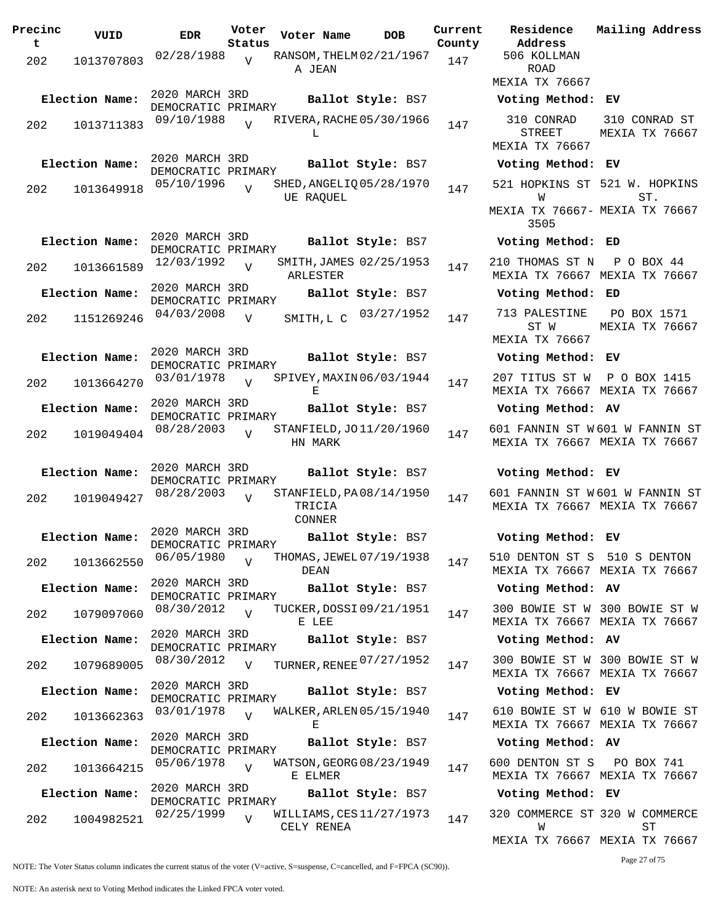| Precinc<br>t | VUID           | <b>EDR</b>                           | Voter<br>Status | Voter Name                                  | <b>DOB</b>        | Current<br>County | Residence<br>Address                                                 | Mailing Address                 |
|--------------|----------------|--------------------------------------|-----------------|---------------------------------------------|-------------------|-------------------|----------------------------------------------------------------------|---------------------------------|
| 202          | 1013707803     | 02/28/1988                           | $\overline{U}$  | RANSOM, THELM 02/21/1967<br>A JEAN          |                   | 147               | 506 KOLLMAN<br><b>ROAD</b><br>MEXIA TX 76667                         |                                 |
|              | Election Name: | 2020 MARCH 3RD                       |                 |                                             | Ballot Style: BS7 |                   | Voting Method: EV                                                    |                                 |
| 202          | 1013711383     | DEMOCRATIC PRIMARY<br>09/10/1988     | $\overline{v}$  | RIVERA, RACHE 05/30/1966<br>L               |                   | 147               | 310 CONRAD<br>STREET                                                 | 310 CONRAD ST<br>MEXIA TX 76667 |
|              |                | 2020 MARCH 3RD                       |                 |                                             |                   |                   | MEXIA TX 76667                                                       |                                 |
|              | Election Name: | DEMOCRATIC PRIMARY                   |                 |                                             | Ballot Style: BS7 |                   | Voting Method: EV                                                    |                                 |
| 202          | 1013649918     | 05/10/1996                           | $\overline{U}$  | SHED, ANGELIQ 05/28/1970<br>UE RAQUEL       |                   | 147               | 521 HOPKINS ST 521 W. HOPKINS<br>W<br>MEXIA TX 76667- MEXIA TX 76667 | ST.                             |
|              | Election Name: | 2020 MARCH 3RD                       |                 |                                             | Ballot Style: BS7 |                   | 3505<br>Voting Method: ED                                            |                                 |
|              |                | DEMOCRATIC PRIMARY<br>12/03/1992     |                 | SMITH, JAMES 02/25/1953                     |                   |                   | 210 THOMAS ST N                                                      | $P$ O BOX 44                    |
| 202          | 1013661589     | 2020 MARCH 3RD                       | $\overline{V}$  | ARLESTER                                    |                   | 147               | MEXIA TX 76667 MEXIA TX 76667                                        |                                 |
|              | Election Name: | DEMOCRATIC PRIMARY                   |                 |                                             | Ballot Style: BS7 |                   | Voting Method: ED                                                    |                                 |
| 202          | 1151269246     | 04/03/2008                           | V               | SMITH, L C                                  | 03/27/1952        | 147               | 713 PALESTINE<br>ST W                                                | PO BOX 1571<br>MEXIA TX 76667   |
|              |                | 2020 MARCH 3RD                       |                 |                                             |                   |                   | MEXIA TX 76667                                                       |                                 |
|              | Election Name: | DEMOCRATIC PRIMARY                   |                 |                                             | Ballot Style: BS7 |                   | Voting Method: EV                                                    |                                 |
| 202          | 1013664270     | 03/01/1978                           | $\overline{V}$  | SPIVEY, MAXIN 06/03/1944<br>Е               |                   | 147               | 207 TITUS ST W<br>MEXIA TX 76667 MEXIA TX 76667                      | P O BOX 1415                    |
|              | Election Name: | 2020 MARCH 3RD<br>DEMOCRATIC PRIMARY |                 |                                             | Ballot Style: BS7 |                   | Voting Method: AV                                                    |                                 |
| 202          | 1019049404     | 08/28/2003                           |                 | STANFIELD, JO 11/20/1960<br>HN MARK         |                   | 147               | 601 FANNIN ST W601 W FANNIN ST<br>MEXIA TX 76667 MEXIA TX 76667      |                                 |
|              | Election Name: | 2020 MARCH 3RD<br>DEMOCRATIC PRIMARY |                 |                                             | Ballot Style: BS7 |                   | Voting Method: EV                                                    |                                 |
| 202          | 1019049427     | 08/28/2003                           | $\overline{U}$  | STANFIELD, PA08/14/1950<br>TRICIA<br>CONNER |                   | 147               | 601 FANNIN ST W601 W FANNIN ST<br>MEXIA TX 76667 MEXIA TX 76667      |                                 |
|              | Election Name: | 2020 MARCH 3RD<br>DEMOCRATIC PRIMARY |                 |                                             | Ballot Style: BS7 |                   | Voting Method: EV                                                    |                                 |
| 202          | 1013662550     | 06/05/1980                           | $\overline{V}$  | THOMAS, JEWEL 07/19/1938<br>DEAN            |                   | 147               | 510 DENTON ST S 510 S DENTON<br>MEXIA TX 76667 MEXIA TX 76667        |                                 |
|              | Election Name: | 2020 MARCH 3RD                       |                 |                                             | Ballot Style: BS7 |                   | Voting Method: AV                                                    |                                 |
| 202          | 1079097060     | DEMOCRATIC PRIMARY<br>08/30/2012     | $\overline{V}$  | TUCKER, DOSSI 09/21/1951<br>E LEE           |                   | 147               | 300 BOWIE ST W 300 BOWIE ST W<br>MEXIA TX 76667 MEXIA TX 76667       |                                 |
|              | Election Name: | 2020 MARCH 3RD                       |                 |                                             | Ballot Style: BS7 |                   | Voting Method: AV                                                    |                                 |
| 202          | 1079689005     | DEMOCRATIC PRIMARY<br>08/30/2012     | $\overline{V}$  | TURNER, RENEE 07/27/1952                    |                   | 147               | 300 BOWIE ST W 300 BOWIE ST W                                        |                                 |
|              | Election Name: | 2020 MARCH 3RD                       |                 |                                             | Ballot Style: BS7 |                   | MEXIA TX 76667 MEXIA TX 76667<br>Voting Method: EV                   |                                 |
|              |                | DEMOCRATIC PRIMARY                   |                 |                                             |                   |                   |                                                                      |                                 |
| 202          | 1013662363     | 03/01/1978                           | $\overline{V}$  | WALKER, ARLEN 05/15/1940<br>Е               |                   | 147               | 610 BOWIE ST W 610 W BOWIE ST<br>MEXIA TX 76667 MEXIA TX 76667       |                                 |
|              | Election Name: | 2020 MARCH 3RD<br>DEMOCRATIC PRIMARY |                 |                                             | Ballot Style: BS7 |                   | Voting Method: AV                                                    |                                 |
| 202          | 1013664215     | 05/06/1978                           | $\overline{V}$  | WATSON, GEORG 08/23/1949<br>E ELMER         |                   | 147               | 600 DENTON ST S<br>MEXIA TX 76667 MEXIA TX 76667                     | PO BOX 741                      |
|              | Election Name: | 2020 MARCH 3RD<br>DEMOCRATIC PRIMARY |                 |                                             | Ballot Style: BS7 |                   | Voting Method: EV                                                    |                                 |
| 202          | 1004982521     | 02/25/1999                           | $\overline{V}$  | WILLIAMS, CES 11/27/1973<br>CELY RENEA      |                   | 147               | 320 COMMERCE ST 320 W COMMERCE<br>W                                  | SТ                              |

**Voter Name DOB Residence Address Current Mailing Address County** 506 KOLLMAN ROAD MEXIA TX 76667 **Election Name: Ballot Style:** BS7 **Voting Method: EV** 310 CONRAD STREET MEXIA TX 76667 310 CONRAD ST MEXIA TX 76667 **Election Name: Ballot Style:** BS7 **Voting Method: EV** 521 HOPKINS ST 521 W. HOPKINS W MEXIA TX 76667- MEXIA TX 76667 3505 ST. **Election Name: Ballot Style:** BS7 **Voting Method: ED** 210 THOMAS ST N P O BOX 44 MEXIA TX 76667 MEXIA TX 76667 **Election Name: Ballot Style:** BS7 **Voting Method: ED** ST W MEXIA TX 76667 PO BOX 1571 MEXIA TX 76667 **Election Name: Ballot Style:** BS7 **Voting Method: EV** 207 TITUS ST W P O BOX 1415 MEXIA TX 76667 MEXIA TX 76667 **Election Name: Ballot Style:** BS7 **Voting Method: AV** 601 FANNIN ST W 601 W FANNIN ST MEXIA TX 76667 MEXIA TX 76667 **Election Name: Ballot Style:** BS7 **Voting Method: EV** 601 FANNIN ST W 601 W FANNIN ST MEXIA TX 76667 MEXIA TX 76667 **Election Name: Ballot Style:** BS7 **Voting Method: EV** 510 DENTON ST S 510 S DENTON MEXIA TX 76667 MEXIA TX 76667 **Election Name: Ballot Style:** BS7 **Voting Method: AV** 300 BOWIE ST W 300 BOWIE ST W MEXIA TX 76667 MEXIA TX 76667 **Election Name: Ballot Style:** BS7 **Voting Method: AV** MEXIA TX 76667 MEXIA TX 76667 **Election Name: Ballot Style:** BS7 **Voting Method: EV** 610 BOWIE ST W 610 W BOWIE ST MEXIA TX 76667 MEXIA TX 76667 **Election Name: Ballot Style:** BS7 **Voting Method: AV** 600 DENTON ST S PO BOX 741 MEXIA TX 76667 MEXIA TX 76667 **Election Name: Ballot Style:** BS7 **Voting Method: EV** 320 COMMERCE ST 320 W COMMERCE W ST

MEXIA TX 76667 MEXIA TX 76667

Page 27 of 75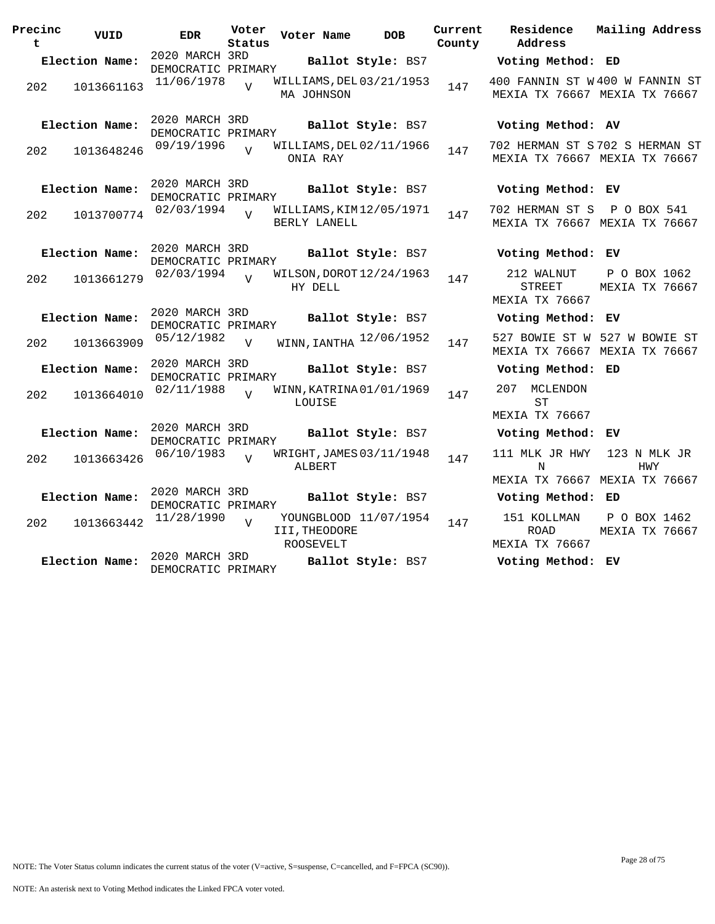| Precinc<br>t | VUID           | <b>EDR</b>                           | Voter<br>Status | Voter Name                              | <b>DOB</b>            | Current<br>County | Residence<br>Address                                         | Mailing Address                |
|--------------|----------------|--------------------------------------|-----------------|-----------------------------------------|-----------------------|-------------------|--------------------------------------------------------------|--------------------------------|
|              | Election Name: | 2020 MARCH 3RD<br>DEMOCRATIC PRIMARY |                 |                                         | Ballot Style: BS7     |                   | Voting Method: ED                                            |                                |
| 202          | 1013661163     | 11/06/1978                           | $\overline{17}$ | WILLIAMS, DEL 03/21/1953<br>MA JOHNSON  |                       | 147               | 400 FANNIN ST W400 W FANNIN ST                               | MEXIA TX 76667 MEXIA TX 76667  |
|              | Election Name: | 2020 MARCH 3RD<br>DEMOCRATIC PRIMARY |                 |                                         | Ballot Style: BS7     |                   | Voting Method: AV                                            |                                |
| 202          | 1013648246     | 09/19/1996                           | $\overline{v}$  | WILLIAMS, DEL 02/11/1966<br>ONIA RAY    |                       | 147               | 702 HERMAN ST S702 S HERMAN ST                               | MEXIA TX 76667 MEXIA TX 76667  |
|              | Election Name: | 2020 MARCH 3RD<br>DEMOCRATIC PRIMARY |                 |                                         | Ballot Style: BS7     |                   | Voting Method: EV                                            |                                |
| 202          | 1013700774     | 02/03/1994                           | $\overline{U}$  | WILLIAMS, KIM12/05/1971<br>BERLY LANELL |                       | 147               | 702 HERMAN ST S P O BOX 541<br>MEXIA TX 76667 MEXIA TX 76667 |                                |
|              | Election Name: | 2020 MARCH 3RD<br>DEMOCRATIC PRIMARY |                 |                                         | Ballot Style: BS7     |                   | Voting Method: EV                                            |                                |
| 202          | 1013661279     | 02/03/1994                           |                 | WILSON, DOROT 12/24/1963<br>HY DELL     |                       | 147               | 212 WALNUT<br><b>STREET</b><br>MEXIA TX 76667                | P O BOX 1062<br>MEXIA TX 76667 |
|              | Election Name: | 2020 MARCH 3RD<br>DEMOCRATIC PRIMARY |                 |                                         | Ballot Style: BS7     |                   | Voting Method: EV                                            |                                |
| 202          | 1013663909     | 05/12/1982                           | $\overline{v}$  | WINN, IANTHA 12/06/1952                 |                       | 147               | MEXIA TX 76667 MEXIA TX 76667                                | 527 BOWIE ST W 527 W BOWIE ST  |
|              | Election Name: | 2020 MARCH 3RD<br>DEMOCRATIC PRIMARY |                 |                                         | Ballot Style: BS7     |                   | Voting Method: ED                                            |                                |
| 202          | 1013664010     | 02/11/1988                           | $\overline{17}$ | WINN, KATRINA 01/01/1969<br>LOUISE      |                       | 147               | 207 MCLENDON<br><b>ST</b>                                    |                                |
|              | Election Name: | 2020 MARCH 3RD                       |                 |                                         | Ballot Style: BS7     |                   | MEXIA TX 76667<br>Voting Method: EV                          |                                |
|              |                | DEMOCRATIC PRIMARY<br>06/10/1983     |                 | WRIGHT, JAMES 03/11/1948                |                       |                   | 111 MLK JR HWY                                               | 123 N MLK JR                   |
| 202          | 1013663426     |                                      | $\overline{V}$  | ALBERT                                  |                       | 147               | N<br>MEXIA TX 76667 MEXIA TX 76667                           | HWY                            |
|              | Election Name: | 2020 MARCH 3RD<br>DEMOCRATIC PRIMARY |                 |                                         | Ballot Style: BS7     |                   | Voting Method: ED                                            |                                |
| 202          | 1013663442     | 11/28/1990                           | $\overline{17}$ | III, THEODORE<br>ROOSEVELT              | YOUNGBLOOD 11/07/1954 | 147               | 151 KOLLMAN<br><b>ROAD</b><br>MEXIA TX 76667                 | P O BOX 1462<br>MEXIA TX 76667 |
|              | Election Name: | 2020 MARCH 3RD<br>DEMOCRATIC PRIMARY |                 |                                         | Ballot Style: BS7     |                   | Voting Method: EV                                            |                                |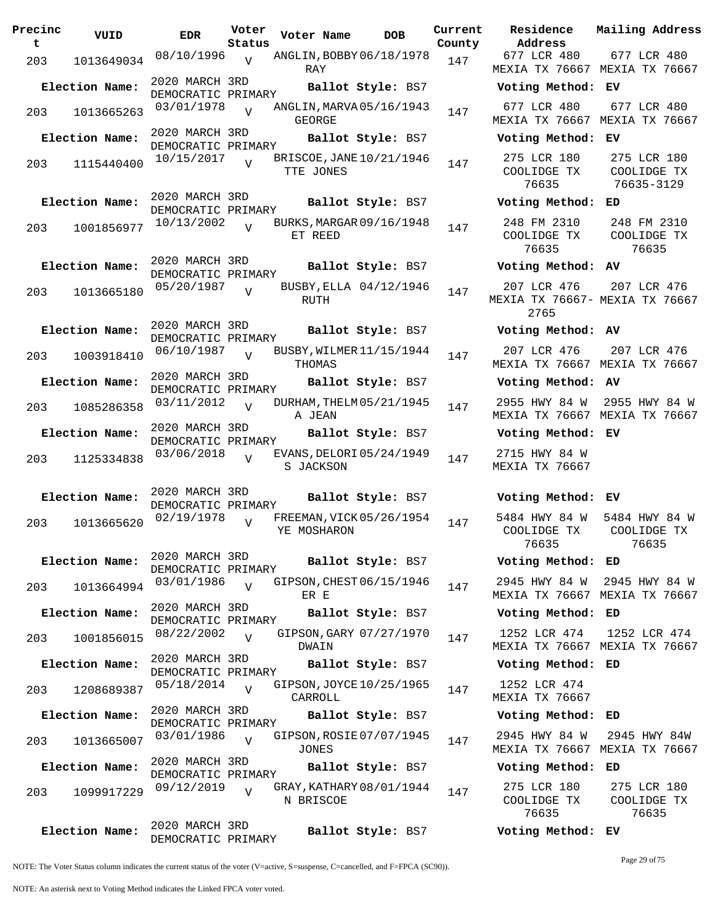| Precinc<br>t | VUID           | <b>EDR</b>                           | Voter<br>Status | Voter Name                               | <b>DOB</b>        | Current<br>County | Residence<br>Address                       | Mail                         |
|--------------|----------------|--------------------------------------|-----------------|------------------------------------------|-------------------|-------------------|--------------------------------------------|------------------------------|
| 203          | 1013649034     | 08/10/1996                           | $\overline{V}$  | ANGLIN, BOBBY 06/18/1978<br>RAY          |                   | 147               | 677 LCR 480<br>MEXIA TX 76667 MEX          | 6 <sup>7</sup>               |
|              | Election Name: | 2020 MARCH 3RD<br>DEMOCRATIC PRIMARY |                 |                                          | Ballot Style: BS7 |                   | Voting Method:                             | ЕV                           |
| 203          | 1013665263     | 03/01/1978                           |                 | ANGLIN, MARVA 05/16/1943<br>GEORGE       |                   | 147               | 677 LCR 480<br>MEXIA TX 76667              | 6 <sup>7</sup><br>MEX        |
|              | Election Name: | 2020 MARCH 3RD<br>DEMOCRATIC PRIMARY |                 |                                          | Ballot Style: BS7 |                   | Voting Method:                             | EV                           |
| 203          | 1115440400     | 10/15/2017                           | $\overline{U}$  | BRISCOE, JANE 10/21/1946<br>TTE JONES    |                   | 147               | 275 LCR 180<br>COOLIDGE TX<br>76635        | $2^{\frac{1}{2}}$<br>C(<br>7 |
|              | Election Name: | 2020 MARCH 3RD<br>DEMOCRATIC PRIMARY |                 |                                          | Ballot Style: BS7 |                   | Voting Method:                             | ED                           |
| 203          | 1001856977     | 10/13/2002                           | $\overline{V}$  | BURKS, MARGAR 09/16/1948<br>ET REED      |                   | 147               | 248 FM 2310<br>COOLIDGE TX<br>76635        | 24<br>C(                     |
|              | Election Name: | 2020 MARCH 3RD<br>DEMOCRATIC PRIMARY |                 |                                          | Ballot Style: BS7 |                   | Voting Method: AV                          |                              |
| 203          | 1013665180     | 05/20/1987                           | $\overline{U}$  | BUSBY, ELLA 04/12/1946<br>RUTH           |                   | 147               | 207 LCR 476<br>MEXIA TX 76667- MEX<br>2765 | 2 <sub>0</sub>               |
|              | Election Name: | 2020 MARCH 3RD<br>DEMOCRATIC PRIMARY |                 |                                          | Ballot Style: BS7 |                   | Voting Method: AV                          |                              |
| 203          | 1003918410     | 06/10/1987                           | $\overline{V}$  | BUSBY, WILMER 11/15/1944<br>THOMAS       |                   | 147               | 207 LCR 476<br>MEXIA TX 76667 MEX          | 2 <sub>0</sub>               |
|              | Election Name: | 2020 MARCH 3RD<br>DEMOCRATIC PRIMARY |                 |                                          | Ballot Style: BS7 |                   | Voting Method:                             | <b>AV</b>                    |
| 203          | 1085286358     | 03/11/2012                           | $\overline{U}$  | DURHAM, THELM 05/21/1945<br>A JEAN       |                   | 147               | 2955 HWY 84 W<br>MEXIA TX 76667            | 295<br>MEX                   |
|              | Election Name: | 2020 MARCH 3RD<br>DEMOCRATIC PRIMARY |                 |                                          | Ballot Style: BS7 |                   | Voting Method:                             | ЕV                           |
| 203          | 1125334838     | 03/06/2018                           | $\overline{V}$  | EVANS, DELORI 05/24/1949<br>S JACKSON    |                   | 147               | 2715 HWY 84 W<br>MEXIA TX 76667            |                              |
|              | Election Name: | 2020 MARCH 3RD<br>DEMOCRATIC PRIMARY |                 |                                          | Ballot Style: BS7 |                   | Voting Method:                             | ЕV                           |
| 203          | 1013665620     | 02/19/1978                           | $\overline{U}$  | FREEMAN, VICK 05/26/1954<br>YE MOSHARON  |                   | 147               | 5484 HWY 84 W<br>COOLIDGE TX<br>76635      | 548<br>C(                    |
|              | Election Name: | 2020 MARCH 3RD<br>DEMOCRATIC PRIMARY |                 |                                          | Ballot Style: BS7 |                   | Voting Method: ED                          |                              |
| 203          | 1013664994     | 03/01/1986                           | $\overline{U}$  | GIPSON, CHEST 06/15/1946<br>ER E         |                   | 147               | 2945 HWY 84 W<br>MEXIA TX 76667 MEX        | 294                          |
|              | Election Name: | 2020 MARCH 3RD<br>DEMOCRATIC PRIMARY |                 |                                          | Ballot Style: BS7 |                   | Voting Method:                             | ED                           |
| 203          | 1001856015     | 08/22/2002                           | $\overline{U}$  | GIPSON, GARY 07/27/1970<br>DWAIN         |                   | 147               | 1252 LCR 474<br>MEXIA TX 76667 MEX         | 12                           |
|              | Election Name: | 2020 MARCH 3RD<br>DEMOCRATIC PRIMARY |                 |                                          | Ballot Style: BS7 |                   | Voting Method:                             | ED                           |
| 203          | 1208689387     | 05/18/2014                           | $\overline{V}$  | GIPSON, JOYCE 10/25/1965<br>CARROLL      |                   | 147               | 1252 LCR 474<br>MEXIA TX 76667             |                              |
|              | Election Name: | 2020 MARCH 3RD<br>DEMOCRATIC PRIMARY |                 |                                          | Ballot Style: BS7 |                   | Voting Method:                             | ED                           |
| 203          | 1013665007     | 03/01/1986                           | $\overline{V}$  | GIPSON, ROSIE 07/07/1945<br><b>JONES</b> |                   | 147               | 2945 HWY 84 W<br>MEXIA TX 76667 MEX        | 29                           |
|              | Election Name: | 2020 MARCH 3RD<br>DEMOCRATIC PRIMARY |                 |                                          | Ballot Style: BS7 |                   | Voting Method:                             | ED                           |
| 203          | 1099917229     | 09/12/2019                           | $\overline{U}$  | GRAY, KATHARY 08/01/1944<br>N BRISCOE    |                   | 147               | 275 LCR 180<br>COOLIDGE TX<br>76635        | $2^{\frac{1}{2}}$<br>C(      |
|              | Election Name: | 2020 MARCH 3RD<br>DEMOCRATIC PRIMARY |                 |                                          | Ballot Style: BS7 |                   | Voting Method: EV                          |                              |

**Voter Name DOB Residence Address Current Mailing Address** 677 LCR 480 MEXIA TX 76667 MEXIA TX 76667 677 LCR 480 **Election Name: Ballot Style:** BS7 **Voting Method: EV** 677 LCR 480 MEXIA TX 76667 MEXIA TX 76667 677 LCR 480 **Election Name: Ballot Style:** BS7 **Voting Method: EV** 275 LCR 180 COOLIDGE TX 76635 275 LCR 180 COOLIDGE TX 76635-3129 **Election Name: Ballot Style:** BS7 **Voting Method: ED** 248 FM 2310 COOLIDGE TX 76635 248 FM 2310 COOLIDGE TX 76635 **Election Name: Ballot Style:** BS7 **Voting Method: AV** 207 LCR 476 MEXIA TX 76667- MEXIA TX 76667 2765 207 LCR 476 **Election Name: Ballot Style:** BS7 **Voting Method: AV** 207 LCR 476 MEXIA TX 76667 MEXIA TX 76667 207 LCR 476 **Election Name: Ballot Style:** BS7 **Voting Method: AV** 2955 HWY 84 W 2955 HWY 84 W MEXIA TX 76667 MEXIA TX 76667 **Election Name: Ballot Style:** BS7 **Voting Method: EV** 2715 HWY 84 W MEXIA TX 76667 **Election Name: Ballot Style:** BS7 **Voting Method: EV** 5484 HWY 84 W COOLIDGE TX 76635 5484 HWY 84 W COOLIDGE TX 76635 **Election Name: Ballot Style:** BS7 **Voting Method: ED** 2945 HWY 84 W 2945 HWY 84 W MEXIA TX 76667 MEXIA TX 76667 **Election Name: Ballot Style:** BS7 **Voting Method: ED** 1252 LCR 474 MEXIA TX 76667 MEXIA TX 76667 1252 LCR 474 **Election Name: Ballot Style:** BS7 **Voting Method: ED** 1252 LCR 474 MEXIA TX 76667 **Election Name: Ballot Style:** BS7 **Voting Method: ED** 2945 HWY 84 W MEXIA TX 76667 MEXIA TX 76667 2945 HWY 84W **Election Name: Ballot Style:** BS7 **Voting Method: ED** 275 LCR 180 COOLIDGE TX 275 LCR 180 COOLIDGE TX

NOTE: The Voter Status column indicates the current status of the voter (V=active, S=suspense, C=cancelled, and F=FPCA (SC90)).

Page 29 of 75

76635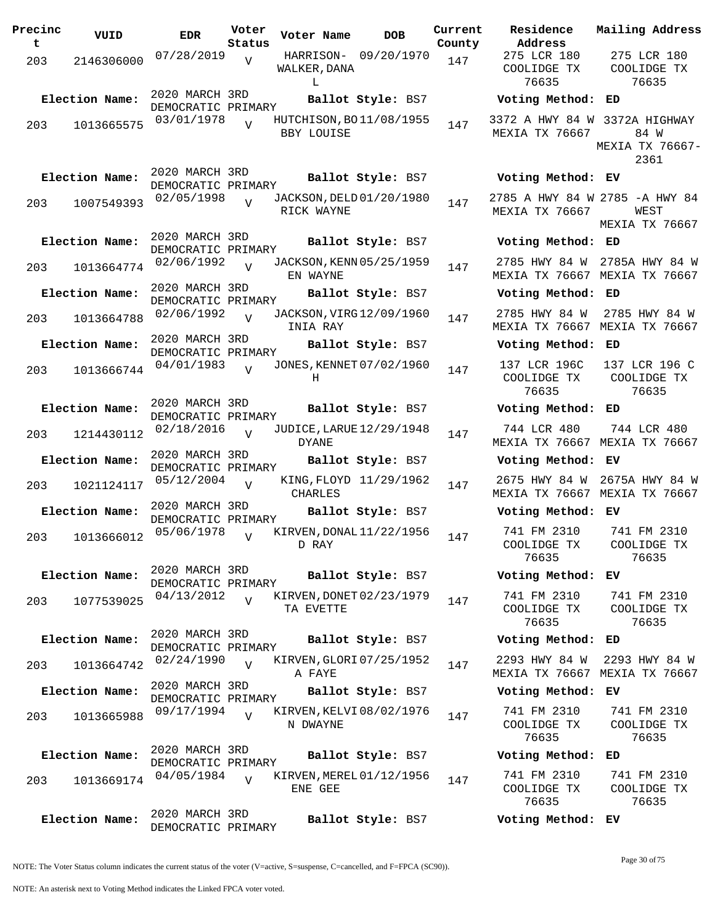| Precinc<br>t | VUID           | <b>EDR</b>                           | Voter<br>Status | Voter Name                               | <b>DOB</b>             | Curre<br>Count |
|--------------|----------------|--------------------------------------|-----------------|------------------------------------------|------------------------|----------------|
| 203          | 2146306000     | 07/28/2019                           | $\overline{V}$  | WALKER, DANA<br>L                        | HARRISON- 09/20/1970   | 147            |
|              | Election Name: | 2020 MARCH 3RD                       |                 |                                          | Ballot Style: BS7      |                |
| 203          | 1013665575     | DEMOCRATIC PRIMARY<br>03/01/1978     |                 | HUTCHISON, BO11/08/1955<br>BBY LOUISE    |                        | 147            |
|              | Election Name: | 2020 MARCH 3RD<br>DEMOCRATIC PRIMARY |                 |                                          | Ballot Style: BS7      |                |
| 203          | 1007549393     | 02/05/1998                           | $\overline{V}$  | JACKSON, DELD 01/20/1980<br>RICK WAYNE   |                        | 147            |
|              | Election Name: | 2020 MARCH 3RD<br>DEMOCRATIC PRIMARY |                 |                                          | Ballot Style: BS7      |                |
| 203          | 1013664774     | 02/06/1992                           | $\overline{V}$  | JACKSON, KENN 05/25/1959<br>EN WAYNE     |                        | 147            |
|              | Election Name: | 2020 MARCH 3RD<br>DEMOCRATIC PRIMARY |                 |                                          | Ballot Style: BS7      |                |
| 203          | 1013664788     | 02/06/1992                           | $\overline{V}$  | JACKSON, VIRG 12/09/1960<br>INIA RAY     |                        | 147            |
|              | Election Name: | 2020 MARCH 3RD<br>DEMOCRATIC PRIMARY |                 |                                          | Ballot Style: BS7      |                |
| 203          | 1013666744     | 04/01/1983                           | $\overline{U}$  | JONES, KENNET 07/02/1960<br>Н            |                        | 147            |
|              | Election Name: | 2020 MARCH 3RD<br>DEMOCRATIC PRIMARY |                 |                                          | Ballot Style: BS7      |                |
| 203          | 1214430112     | 02/18/2016                           | V               | JUDICE, LARUE 12/29/1948<br><b>DYANE</b> |                        | 147            |
|              | Election Name: | 2020 MARCH 3RD<br>DEMOCRATIC PRIMARY |                 |                                          | Ballot Style: BS7      |                |
| 203          | 1021124117     | 05/12/2004                           | $\overline{V}$  | <b>CHARLES</b>                           | KING, FLOYD 11/29/1962 | 147            |
|              | Election Name: | 2020 MARCH 3RD<br>DEMOCRATIC PRIMARY |                 |                                          | Ballot Style: BS7      |                |
| 203          | 1013666012     | 05/06/1978                           | $\overline{V}$  | KIRVEN, DONAL 11/22/1956<br>D RAY        |                        | 147            |
|              | Election Name: | 2020 MARCH 3RD<br>DEMOCRATIC PRIMARY |                 |                                          | Ballot Style: BS7      |                |
| 203          | 1077539025     | 04/13/2012                           | $\overline{V}$  | KIRVEN, DONET 02/23/1979<br>TA EVETTE    |                        | 147            |
|              | Election Name: | 2020 MARCH 3RD<br>DEMOCRATIC PRIMARY |                 |                                          | Ballot Style: BS7      |                |
| 203          | 1013664742     | 02/24/1990                           | $\overline{V}$  | KIRVEN, GLORI 07/25/1952<br>A FAYE       |                        | 147            |
|              | Election Name: | 2020 MARCH 3RD<br>DEMOCRATIC PRIMARY |                 |                                          | Ballot Style: BS7      |                |
| 203          | 1013665988     | 09/17/1994                           | $\overline{V}$  | KIRVEN, KELVI 08/02/1976<br>N DWAYNE     |                        | 147            |
|              | Election Name: | 2020 MARCH 3RD<br>DEMOCRATIC PRIMARY |                 |                                          | Ballot Style: BS7      |                |
| 203          | 1013669174     | 04/05/1984                           | $\overline{U}$  | KIRVEN, MEREL 01/12/1956<br>ENE GEE      |                        | 147            |
|              | Election Name: | 2020 MARCH 3RD<br>DEMOCRATIC PRIMARY |                 |                                          | Ballot Style: BS7      |                |

**Voter Name DOB Residence Address Current Mailing Address County** 275 LCR 180 COOLIDGE TX 76635 275 LCR 180 COOLIDGE TX 76635 **Election Name: Ballot Style:** BS7 **Voting Method: ED** 3372 A HWY 84 W 3372A HIGHWAY MEXIA TX 76667 84 W MEXIA TX 76667- 2361 **Election Name: Ballot Style:** BS7 **Voting Method: EV** 2785 A HWY 84 W 2785 -A HWY 84 MEXIA TX 76667 WEST MEXIA TX 76667 **Election Name: Ballot Style:** BS7 **Voting Method: ED** 2785 HWY 84 W 2785A HWY 84 W MEXIA TX 76667 MEXIA TX 76667 **Election Name: Ballot Style:** BS7 **Voting Method: ED** 2785 HWY 84 W 2785 HWY 84 W MEXIA TX 76667 MEXIA TX 76667 **Election Name: Ballot Style:** BS7 **Voting Method: ED** 137 LCR 196C COOLIDGE TX 76635 137 LCR 196 C COOLIDGE TX 76635 **Election Name: Ballot Style:** BS7 **Voting Method: ED** 744 LCR 480 MEXIA TX 76667 MEXIA TX 76667 744 LCR 480 **Election Name: Ballot Style:** BS7 **Voting Method: EV** 2675 HWY 84 W 2675A HWY 84 W MEXIA TX 76667 MEXIA TX 76667 **Election Name: Ballot Style:** BS7 **Voting Method: EV** 741 FM 2310 COOLIDGE TX 76635 741 FM 2310 COOLIDGE TX 76635 **Election Name: Ballot Style:** BS7 **Voting Method: EV** 741 FM 2310 COOLIDGE TX 76635 741 FM 2310 COOLIDGE TX 76635 **Election Name: Ballot Style:** BS7 **Voting Method: ED** 2293 HWY 84 W MEXIA TX 76667 MEXIA TX 76667 2293 HWY 84 W **Election Name: Ballot Style:** BS7 **Voting Method: EV** 741 FM 2310 COOLIDGE TX 76635 741 FM 2310 COOLIDGE TX 76635 **Election Name: Ballot Style:** BS7 **Voting Method: ED** 741 FM 2310 COOLIDGE TX 76635 741 FM 2310 COOLIDGE TX 76635 **Election Name: Ballot Style:** BS7 **Voting Method: EV**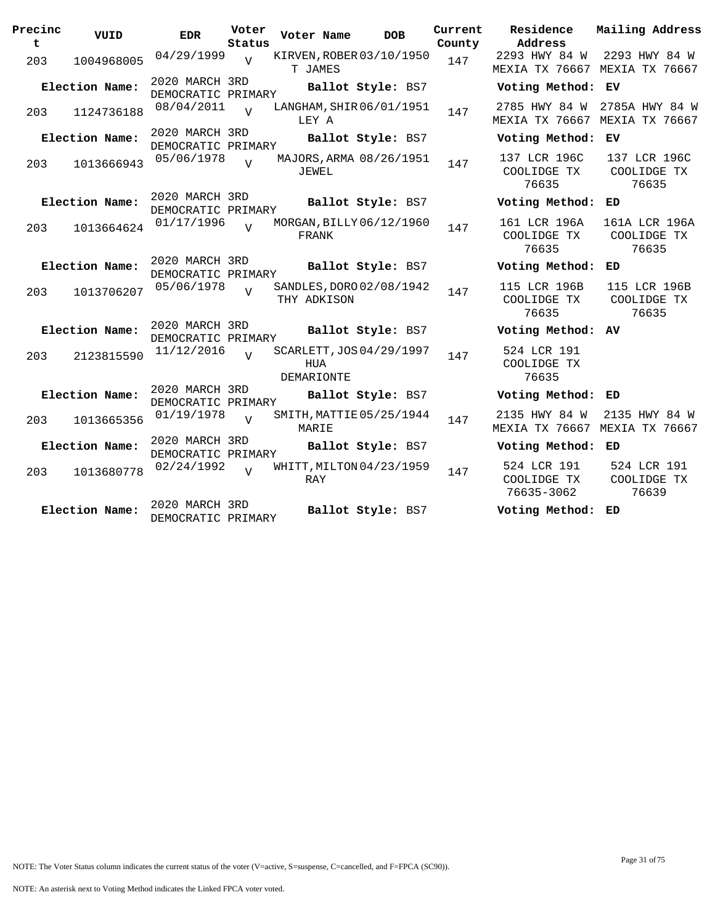| Precinc<br>t | VUID           | <b>EDR</b>                           | Voter<br>Status | Voter Name                                    | <b>DOB</b>        | Current<br>County | Residence<br>Address                           | Mailing Address                       |
|--------------|----------------|--------------------------------------|-----------------|-----------------------------------------------|-------------------|-------------------|------------------------------------------------|---------------------------------------|
| 203          | 1004968005     | 04/29/1999                           | $\overline{v}$  | KIRVEN, ROBER 03/10/1950<br>T JAMES           |                   | 147               | 2293 HWY 84 W<br>MEXIA TX 76667 MEXIA TX 76667 | 2293 HWY 84 W                         |
|              | Election Name: | 2020 MARCH 3RD<br>DEMOCRATIC PRIMARY |                 |                                               | Ballot Style: BS7 |                   | Voting Method: EV                              |                                       |
| 203          | 1124736188     | 08/04/2011                           | $\overline{U}$  | LANGHAM, SHIR 06/01/1951<br>LEY A             |                   | 147               | 2785 HWY 84 W<br>MEXIA TX 76667 MEXIA TX 76667 | 2785A HWY 84 W                        |
|              | Election Name: | 2020 MARCH 3RD<br>DEMOCRATIC PRIMARY |                 |                                               | Ballot Style: BS7 |                   | Voting Method: EV                              |                                       |
| 203          | 1013666943     | 05/06/1978                           | $\overline{z}$  | MAJORS, ARMA 08/26/1951<br>JEWEL              |                   | 147               | 137 LCR 196C<br>COOLIDGE TX<br>76635           | 137 LCR 196C<br>COOLIDGE TX<br>76635  |
|              | Election Name: | 2020 MARCH 3RD<br>DEMOCRATIC PRIMARY |                 |                                               | Ballot Style: BS7 |                   | Voting Method: ED                              |                                       |
| 203          | 1013664624     | 01/17/1996                           | $\overline{z}$  | MORGAN, BILLY 06/12/1960<br>FRANK             |                   | 147               | 161 LCR 196A<br>COOLIDGE TX<br>76635           | 161A LCR 196A<br>COOLIDGE TX<br>76635 |
|              | Election Name: | 2020 MARCH 3RD<br>DEMOCRATIC PRIMARY |                 |                                               | Ballot Style: BS7 |                   | Voting Method: ED                              |                                       |
| 203          | 1013706207     | 05/06/1978                           | $\overline{U}$  | SANDLES, DORO 02/08/1942<br>THY ADKISON       |                   | 147               | 115 LCR 196B<br>COOLIDGE TX<br>76635           | 115 LCR 196B<br>COOLIDGE TX<br>76635  |
|              | Election Name: | 2020 MARCH 3RD<br>DEMOCRATIC PRIMARY |                 |                                               | Ballot Style: BS7 |                   | Voting Method: AV                              |                                       |
| 203          | 2123815590     | 11/12/2016                           | $\overline{z}$  | SCARLETT, JOS 04/29/1997<br>HUA<br>DEMARIONTE |                   | 147               | 524 LCR 191<br>COOLIDGE TX<br>76635            |                                       |
|              | Election Name: | 2020 MARCH 3RD<br>DEMOCRATIC PRIMARY |                 |                                               | Ballot Style: BS7 |                   | Voting Method: ED                              |                                       |
| 203          | 1013665356     | 01/19/1978                           | $\overline{v}$  | SMITH, MATTIE 05/25/1944<br>MARIE             |                   | 147               | 2135 HWY 84 W<br>MEXIA TX 76667                | 2135 HWY 84 W<br>MEXIA TX 76667       |
|              | Election Name: | 2020 MARCH 3RD<br>DEMOCRATIC PRIMARY |                 |                                               | Ballot Style: BS7 |                   | Voting Method: ED                              |                                       |
| 203          | 1013680778     | 02/24/1992                           | $\overline{U}$  | WHITT, MILTON 04/23/1959<br>RAY               |                   | 147               | 524 LCR 191<br>COOLIDGE TX<br>76635-3062       | 524 LCR 191<br>COOLIDGE TX<br>76639   |
|              | Election Name: | 2020 MARCH 3RD<br>DEMOCRATIC PRIMARY |                 |                                               | Ballot Style: BS7 |                   | Voting Method: ED                              |                                       |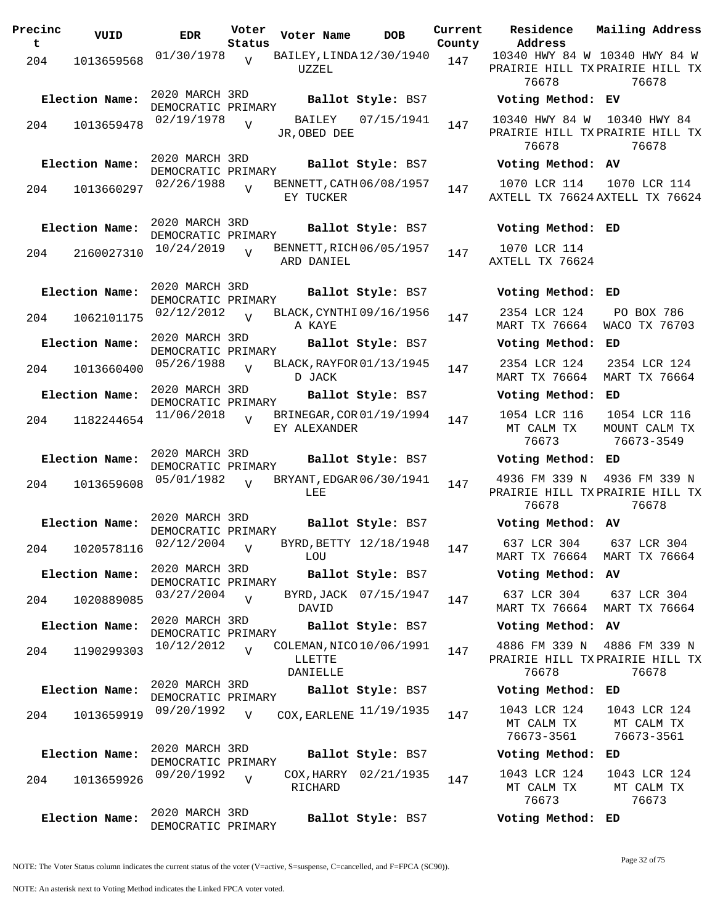| Precinc<br>t | VUID                      | <b>EDR</b>                           | Voter<br>Status | Voter Name                                     | <b>DOB</b>             | Current<br>County | Residence<br>Address                     |
|--------------|---------------------------|--------------------------------------|-----------------|------------------------------------------------|------------------------|-------------------|------------------------------------------|
| 204          | 1013659568                | 01/30/1978                           | V               | BAILEY, LINDA 12/30/1940<br>UZZEL              |                        | 147               | 10340 HWY 84<br>PRAIRIE HILL T<br>76678  |
|              | Election Name:            | 2020 MARCH 3RD<br>DEMOCRATIC PRIMARY |                 |                                                | Ballot Style: BS7      |                   | Voting Metho                             |
| 204          | 1013659478                | 02/19/1978                           | $\overline{V}$  | JR, OBED DEE                                   | BAILEY 07/15/1941      | 147               | 10340 HWY 84<br>PRAIRIE HILL T<br>76678  |
|              | Election Name:            | 2020 MARCH 3RD<br>DEMOCRATIC PRIMARY |                 |                                                | Ballot Style: BS7      |                   | Voting Metho                             |
| 204          | 1013660297                | 02/26/1988                           | $\overline{V}$  | BENNETT, CATH 06/08/1957<br>EY TUCKER          |                        | 147               | 1070 LCR 114<br>AXTELL TX 7662           |
|              | Election Name:            | 2020 MARCH 3RD<br>DEMOCRATIC PRIMARY |                 |                                                | Ballot Style: BS7      |                   | Voting Metho                             |
| 204          | 2160027310                | 10/24/2019                           |                 | BENNETT, RICH 06/05/1957<br>ARD DANIEL         |                        | 147               | 1070 LCR 114<br>AXTELL TX 7662           |
|              | Election Name:            | 2020 MARCH 3RD<br>DEMOCRATIC PRIMARY |                 |                                                | Ballot Style: BS7      |                   | Voting Metho                             |
| 204          | 1062101175                | 02/12/2012                           | $\overline{V}$  | BLACK, CYNTHI 09/16/1956<br>A KAYE             |                        | 147               | 2354 LCR 124<br>MART TX 76664            |
|              | Election Name:            | 2020 MARCH 3RD<br>DEMOCRATIC PRIMARY |                 |                                                | Ballot Style: BS7      |                   | Voting Metho                             |
| 204          | 1013660400                | 05/26/1988                           | V               | BLACK, RAYFOR 01/13/1945<br>D JACK             |                        | 147               | 2354 LCR 124<br>MART TX 76664            |
|              | Election Name:            | 2020 MARCH 3RD<br>DEMOCRATIC PRIMARY |                 |                                                | Ballot Style: BS7      |                   | Voting Metho                             |
| 204          | 1182244654                | 11/06/2018                           |                 | BRINEGAR, COR 01/19/1994<br>EY ALEXANDER       |                        | 147               | 1054 LCR 116<br>MT CALM TX<br>76673      |
|              | Election Name:            | 2020 MARCH 3RD<br>DEMOCRATIC PRIMARY |                 |                                                | Ballot Style: BS7      |                   | Voting Metho                             |
| 204          | 1013659608                | 05/01/1982                           | $\overline{V}$  | BRYANT, EDGAR 06/30/1941<br>LEE                |                        | 147               | 4936 FM 339 I<br>PRAIRIE HILL 7<br>76678 |
|              | Election Name:            | 2020 MARCH 3RD<br>DEMOCRATIC PRIMARY |                 |                                                | Ballot Style: BS7      |                   | Voting Metho                             |
|              | 204 1020578116 02/12/2004 |                                      | V               | LOU                                            | BYRD, BETTY 12/18/1948 | 147               | 637 LCR 304<br>MART TX 76664             |
|              | Election Name:            | 2020 MARCH 3RD<br>DEMOCRATIC PRIMARY |                 |                                                | Ballot Style: BS7      |                   | Voting Metho                             |
| 204          | 1020889085                | $03/27/2004$ V                       |                 | DAVID                                          | BYRD, JACK 07/15/1947  | 147               | 637 LCR 304<br>MART TX 76664             |
|              | Election Name:            | 2020 MARCH 3RD<br>DEMOCRATIC PRIMARY |                 |                                                | Ballot Style: BS7      |                   | Voting Metho                             |
| 204          | 1190299303                | 10/12/2012                           | $\overline{v}$  | COLEMAN, NICO 10/06/1991<br>LLETTE<br>DANIELLE |                        | 147               | 4886 FM 339 I<br>PRAIRIE HILL T<br>76678 |
|              | Election Name:            | 2020 MARCH 3RD<br>DEMOCRATIC PRIMARY |                 |                                                | Ballot Style: BS7      |                   | Voting Metho                             |
| 204          | 1013659919                | 09/20/1992                           | $\overline{V}$  | COX, EARLENE 11/19/1935                        |                        | 147               | 1043 LCR 124<br>MT CALM TX<br>76673-3561 |
|              | Election Name:            | 2020 MARCH 3RD<br>DEMOCRATIC PRIMARY |                 |                                                | Ballot Style: BS7      |                   | Voting Metho                             |
| 204          | 1013659926                | 09/20/1992                           | $\overline{V}$  | RICHARD                                        | COX, HARRY 02/21/1935  | 147               | 1043 LCR 124<br>MT CALM TX<br>76673      |
|              | Election Name:            | 2020 MARCH 3RD<br>DEMOCRATIC PRIMARY |                 |                                                | Ballot Style: BS7      |                   | Voting Metho                             |

**Voter Name DOB Residence Address Current Mailing Address** 10340 HWY 84 W 10340 HWY 84 W PRAIRIE HILL TX PRAIRIE HILL TX 76678 76678 **Election Name: Ballot Style:** BS7 **Voting Method: EV** 10340 HWY 84 W PRAIRIE HILL TX PRAIRIE HILL TX 76678 10340 HWY 84 76678 **Election Name: Ballot Style:** BS7 **Voting Method: AV** 1070 LCR 114 AXTELL TX 76624 AXTELL TX 76624 1070 LCR 114 **Election Name: Ballot Style:** BS7 **Voting Method: ED** 1070 LCR 114 AXTELL TX 76624 **Election Name: Ballot Style:** BS7 **Voting Method: ED** 2354 LCR 124 MART TX 76664 WACO TX 76703 PO BOX 786 **Election Name: Ballot Style:** BS7 **Voting Method: ED** 2354 LCR 124 MART TX 76664 MART TX 76664 2354 LCR 124 **Election Name: Ballot Style:** BS7 **Voting Method: ED** 1054 LCR 116 MT CALM TX 76673 1054 LCR 116 MOUNT CALM TX 76673-3549 **Election Name: Ballot Style:** BS7 **Voting Method: ED** 4936 FM 339 N 4936 FM 339 N PRAIRIE HILL TX PRAIRIE HILL TX 76678 76678 **Election Name: Ballot Style:** BS7 **Voting Method: AV** 637 LCR 304 MART TX 76664 MART TX 76664 637 LCR 304 **Election Name: Ballot Style:** BS7 **Voting Method: AV** 637 LCR 304 MART TX 76664 MART TX 76664 637 LCR 304 **Election Name: Ballot Style:** BS7 **Voting Method: AV** 4886 FM 339 N 4886 FM 339 N PRAIRIE HILL TX PRAIRIE HILL TX 76678 76678 **Election Name: Ballot Style:** BS7 **Voting Method: ED** MT CALM TX 76673-3561 1043 LCR 124 MT CALM TX 76673-3561 **Election Name: Ballot Style:** BS7 **Voting Method: ED**

| 1043 LCR 124 | 1043 LCR 124 |
|--------------|--------------|
| MT CALM TX   | MT CALM TX   |
| 76673        | 76673        |
| .            |              |

**Election Name: Ballot Style:** BS7 **Voting Method: ED**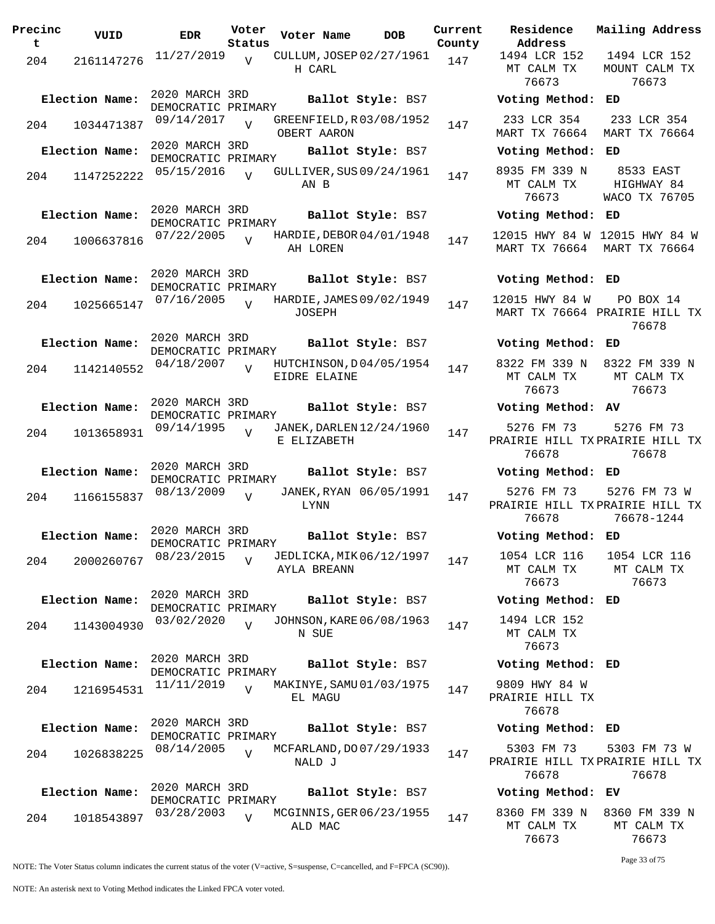| Precinc<br>t | VUID           | EDR                                                | Voter<br>Status | Voter Name   | DOB                                           | Current<br>County |
|--------------|----------------|----------------------------------------------------|-----------------|--------------|-----------------------------------------------|-------------------|
| 204          | 2161147276     | 11/27/2019                                         | $\overline{V}$  | H CARL       | CULLUM, JOSEP 02/27/1961                      | 147               |
|              | Election Name: | 2020 MARCH 3RD<br>DEMOCRATIC PRIMARY<br>09/14/2017 |                 |              | Ballot Style: BS7<br>GREENFIELD, R03/08/1952  |                   |
| 204          | 1034471387     | 2020 MARCH 3RD                                     | $\overline{U}$  | OBERT AARON  |                                               | 147               |
|              | Election Name: | DEMOCRATIC PRIMARY<br>05/15/2016                   |                 |              | Ballot Style: BS7<br>GULLIVER, SUS 09/24/1961 |                   |
| 204          | 1147252222     |                                                    | $\overline{V}$  | AN B         |                                               | 147               |
|              | Election Name: | 2020 MARCH 3RD<br>DEMOCRATIC PRIMARY               |                 |              | Ballot Style: BS7                             |                   |
| 204          | 1006637816     | 07/22/2005                                         | $\overline{U}$  | AH LOREN     | HARDIE, DEBOR 04/01/1948                      | 147               |
|              | Election Name: | 2020 MARCH 3RD<br>DEMOCRATIC PRIMARY               |                 |              | Ballot Style: BS7                             |                   |
| 204          | 1025665147     | 07/16/2005                                         | $\overline{U}$  | JOSEPH       | HARDIE, JAMES 09/02/1949                      | 147               |
|              | Election Name: | 2020 MARCH 3RD                                     |                 |              | Ballot Style: BS7                             |                   |
| 204          | 1142140552     | DEMOCRATIC PRIMARY<br>04/18/2007                   | $\overline{U}$  | EIDRE ELAINE | HUTCHINSON, D04/05/1954                       | 147               |
|              | Election Name: | 2020 MARCH 3RD<br>DEMOCRATIC PRIMARY               |                 |              | Ballot Style: BS7                             |                   |
| 204          | 1013658931     | 09/14/1995                                         | $\overline{V}$  | E ELIZABETH  | JANEK, DARLEN 12/24/1960                      | 147               |
|              | Election Name: | 2020 MARCH 3RD<br>DEMOCRATIC PRIMARY               |                 |              | Ballot Style: BS7                             |                   |
| 204          | 1166155837     | 08/13/2009                                         | V               | LYNN         | JANEK, RYAN 06/05/1991                        | 147               |
|              | Election Name: | 2020 MARCH 3RD<br>DEMOCRATIC PRIMARY               |                 |              | Ballot Style: BS7                             |                   |
| 204          | 2000260767     | 08/23/2015                                         | $\overline{V}$  | AYLA BREANN  | JEDLICKA, MIK 06/12/1997                      | 147               |
|              | Election Name: | 2020 MARCH 3RD<br>DEMOCRATIC PRIMARY               |                 |              | Ballot Style: BS7                             |                   |
| 204          | 1143004930     | 03/02/2020                                         | $\overline{U}$  | N SUE        | JOHNSON, KARE 06/08/1963                      | 147               |
|              | Election Name: | 2020 MARCH 3RD<br>DEMOCRATIC PRIMARY               |                 |              | Ballot Style: BS7                             |                   |
| 204          | 1216954531     | 11/11/2019                                         | $\overline{V}$  | EL MAGU      | MAKINYE, SAMU 01/03/1975                      | 147               |
|              | Election Name: | 2020 MARCH 3RD<br>DEMOCRATIC PRIMARY               |                 |              | Ballot Style: BS7                             |                   |
| 204          | 1026838225     | 08/14/2005                                         | $\overline{U}$  | NALD J       | MCFARLAND, DO 07/29/1933                      | 147               |
|              | Election Name: | 2020 MARCH 3RD<br>DEMOCRATIC PRIMARY               |                 |              | Ballot Style: BS7                             |                   |
| 204          | 1018543897     | 03/28/2003                                         | $\overline{V}$  | ALD MAC      | MCGINNIS, GER 06/23/1955                      | 147               |

**Voter Name DOB Residence Address Current Mailing Address** 1494 LCR 152 MT CALM TX 76673 1494 LCR 152 MOUNT CALM TX 76673 **Election Name: Ballot Style:** BS7 **Voting Method: ED** 233 LCR 354 MART TX 76664 MART TX 76664 233 LCR 354 **Election Name: Ballot Style:** BS7 **Voting Method: ED** 8935 FM 339 N MT CALM TX 76673 8533 EAST HIGHWAY 84 WACO TX 76705 **Election Name: Ballot Style:** BS7 **Voting Method: ED** 12015 HWY 84 W 12015 HWY 84 W MART TX 76664 MART TX 76664 **Election Name: Ballot Style:** BS7 **Voting Method: ED** 12015 HWY 84 W MART TX 76664 PRAIRIE HILL TX PO BOX 14 76678 **Election Name: Ballot Style:** BS7 **Voting Method: ED** 8322 FM 339 N 8322 FM 339 N MT CALM TX 76673 MT CALM TX 76673 **Election Name: Ballot Style:** BS7 **Voting Method: AV** 5276 FM 73 PRAIRIE HILL TX PRAIRIE HILL TX 76678 5276 FM 73 76678 **Election Name: Ballot Style:** BS7 **Voting Method: ED** 5276 FM 73 PRAIRIE HILL TX PRAIRIE HILL TX 76678 5276 FM 73 W 76678-1244 **Election Name: Ballot Style:** BS7 **Voting Method: ED** 1054 LCR 116 MT CALM TX 76673 1054 LCR 116 MT CALM TX 76673 **Election Name: Ballot Style:** BS7 **Voting Method: ED** 1494 LCR 152 MT CALM TX 76673 **Election Name: Ballot Style:** BS7 **Voting Method: ED** 9809 HWY 84 W PRAIRIE HILL TX 76678

5303 FM 73 PRAIRIE HILL TX PRAIRIE HILL TX 76678 5303 FM 73 W 76678

## **Election Name: Ballot Style:** BS7 **Voting Method: EV**

**Election Name: Ballot Style:** BS7 **Voting Method: ED**

| 8360 FM 339 N 8360 FM 339 N |            |
|-----------------------------|------------|
| MT CAIM TX                  | MT CALM TX |
| 76673                       | 76673      |

Page 33 of 75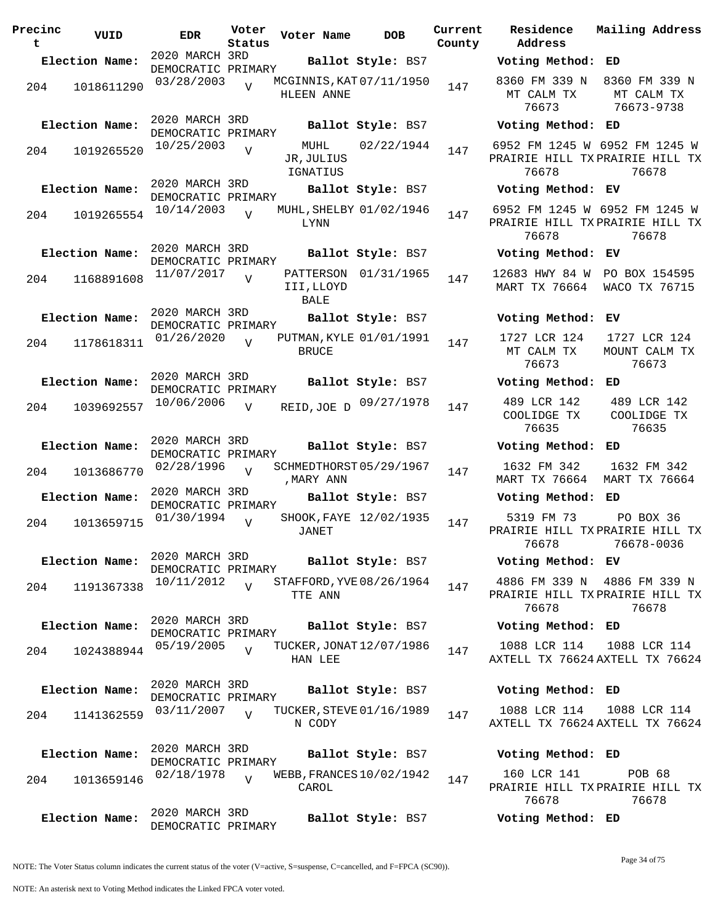| Precinc<br>t | VUID           | <b>EDR</b>                           | Voter<br>Status | Voter Name                     | <b>DOB</b>                                     | Current<br>County | Residence<br>Address                  |
|--------------|----------------|--------------------------------------|-----------------|--------------------------------|------------------------------------------------|-------------------|---------------------------------------|
|              | Election Name: |                                      |                 |                                | DEMOCRATIC PRIMARY<br><b>Ballot Style:</b> BS7 |                   | Voting Metho                          |
|              | 204 1018611290 | 03/28/2003                           | $\overline{V}$  | HLEEN ANNE                     | MCGINNIS, KAT 07/11/1950                       | 147               | 8360 FM 339<br>MT CALM TX<br>76673    |
|              | Election Name: | 2020 MARCH 3RD<br>DEMOCRATIC PRIMARY |                 |                                | Ballot Style: BS7                              |                   | Voting Metho                          |
| 204          | 1019265520     | 10/25/2003                           | $\overline{V}$  | MUHL<br>JR, JULIUS<br>IGNATIUS | 02/22/1944                                     | 147               | 6952 FM 1245<br>PRAIRIE HILL<br>76678 |
|              | Election Name: | 2020 MARCH 3RD<br>DEMOCRATIC PRIMARY |                 |                                | Ballot Style: BS7                              |                   | Voting Metho                          |
|              | 204 1019265554 | 10/14/2003                           | $\overline{V}$  | LYNN                           | MUHL, SHELBY 01/02/1946                        | 147               | 6952 FM 1245<br>PRAIRIE HILL<br>76678 |
|              | Election Name: | 2020 MARCH 3RD<br>DEMOCRATIC PRIMARY |                 |                                | Ballot Style: BS7                              |                   | Voting Metho                          |
| 204          | 1168891608     | 11/07/2017                           | $\overline{V}$  | III, LLOYD<br>BALE             | PATTERSON 01/31/1965                           | 147               | 12683 HWY 84<br><b>MART TX 7666</b>   |
|              | Election Name: | 2020 MARCH 3RD<br>DEMOCRATIC PRIMARY |                 |                                | Ballot Style: BS7                              |                   | Voting Metho                          |
| 204          | 1178618311     | 01/26/2020                           | $\overline{V}$  | <b>BRUCE</b>                   | PUTMAN, KYLE 01/01/1991                        | 147               | 1727 LCR 124<br>MT CALM TX<br>76673   |
|              | Election Name: | 2020 MARCH 3RD<br>DEMOCRATIC PRIMARY |                 |                                | Ballot Style: BS7                              |                   | Voting Metho                          |
| 204          | 1039692557     | 10/06/2006                           | $\overline{V}$  |                                | REID, JOE D 09/27/1978                         | 147               | 489 LCR 142<br>COOLIDGE TX<br>76635   |
|              | Election Name: | 2020 MARCH 3RD<br>DEMOCRATIC PRIMARY |                 |                                | Ballot Style: BS7                              |                   | Voting Metho                          |
| 204          | 1013686770     | 02/28/1996                           | $\overline{V}$  | , MARY ANN                     | SCHMEDTHORST 05/29/1967                        | 147               | 1632 FM 342<br>MART TX 7666           |
|              | Election Name: | 2020 MARCH 3RD<br>DEMOCRATIC PRIMARY |                 |                                | Ballot Style: BS7                              |                   | Voting Metho                          |
| 204          | 1013659715     | 01/30/1994                           | $\overline{V}$  | JANET                          | SHOOK, FAYE 12/02/1935                         | 147               | 5319 FM 73<br>PRAIRIE HILL<br>76678   |
|              | Election Name: | 2020 MARCH 3RD<br>DEMOCRATIC PRIMARY |                 |                                | Ballot Style: BS7                              |                   | Voting Metho                          |
| 204          | 1191367338     | 10/11/2012                           | $\overline{V}$  | TTE ANN                        | STAFFORD, YVE 08/26/1964                       | 147               | 4886 FM 339<br>PRAIRIE HILL<br>76678  |
|              | Election Name: | 2020 MARCH 3RD<br>DEMOCRATIC PRIMARY |                 |                                | Ballot Style: BS7                              |                   | Voting Metho                          |
| 204          | 1024388944     | 05/19/2005                           | $\overline{U}$  | HAN LEE                        | TUCKER, JONAT 12/07/1986                       | 147               | 1088 LCR 114<br>AXTELL TX 766         |
|              | Election Name: | 2020 MARCH 3RD<br>DEMOCRATIC PRIMARY |                 |                                | Ballot Style: BS7                              |                   | Voting Metho                          |
| 204          | 1141362559     | 03/11/2007                           | $\overline{U}$  | N CODY                         | TUCKER, STEVE 01/16/1989                       | 147               | 1088 LCR 114<br>AXTELL TX 766         |
|              | Election Name: | 2020 MARCH 3RD<br>DEMOCRATIC PRIMARY |                 |                                | Ballot Style: BS7                              |                   | Voting Metho                          |
| 204          | 1013659146     | 02/18/1978                           | $\overline{U}$  | CAROL                          | WEBB, FRANCES 10/02/1942                       | 147               | 160 LCR 141<br>PRAIRIE HILL<br>76678  |
|              | Election Name: | 2020 MARCH 3RD<br>DEMOCRATIC PRIMARY |                 |                                | Ballot Style: BS7                              |                   | Voting Metho                          |

**Voter Name DOB Residence Address Current Mailing Address Election Name: Ballot Style:** BS7 **Voting Method: ED** 8360 FM 339 N 8360 FM 339 N MT CALM TX 76673 MT CALM TX 76673-9738 **Election Name: Ballot Style:** BS7 **Voting Method: ED** 6952 FM 1245 W 6952 FM 1245 W PRAIRIE HILL TX PRAIRIE HILL TX 76678 76678 **Election Name: Ballot Style:** BS7 **Voting Method: EV** 6952 FM 1245 W 6952 FM 1245 W PRAIRIE HILL TX PRAIRIE HILL TX 76678 76678 **Election Name: Ballot Style:** BS7 **Voting Method: EV** 12683 HWY 84 W PO BOX 154595 MART TX 76664 WACO TX 76715 **Election Name: Ballot Style:** BS7 **Voting Method: EV** 1727 LCR 124 MT CALM TX 76673 1727 LCR 124 MOUNT CALM TX 76673 **Election Name: Ballot Style:** BS7 **Voting Method: ED** COOLIDGE TX 76635 489 LCR 142 COOLIDGE TX 76635 **Election Name: Ballot Style:** BS7 **Voting Method: ED** 1632 FM 342 MART TX 76664 MART TX 76664 1632 FM 342 **Election Name: Ballot Style:** BS7 **Voting Method: ED** 5319 FM 73 PRAIRIE HILL TX PRAIRIE HILL TX 76678 PO BOX 36 76678-0036 **Election Name: Ballot Style:** BS7 **Voting Method: EV** 4886 FM 339 N 4886 FM 339 N PRAIRIE HILL TX PRAIRIE HILL TX 76678 76678 **Election Name: Ballot Style:** BS7 **Voting Method: ED** 1088 LCR 114 AXTELL TX 76624 AXTELL TX 76624 1088 LCR 114 **Election Name: Ballot Style:** BS7 **Voting Method: ED** 1088 LCR 114 AXTELL TX 76624 AXTELL TX 76624 1088 LCR 114 **Election Name: Ballot Style:** BS7 **Voting Method: ED** 160 LCR 141 PRAIRIE HILL TX PRAIRIE HILL TX POB 68

**Election Name: Ballot Style:** BS7 **Voting Method: ED**

NOTE: The Voter Status column indicates the current status of the voter (V=active, S=suspense, C=cancelled, and F=FPCA (SC90)).

Page 34 of 75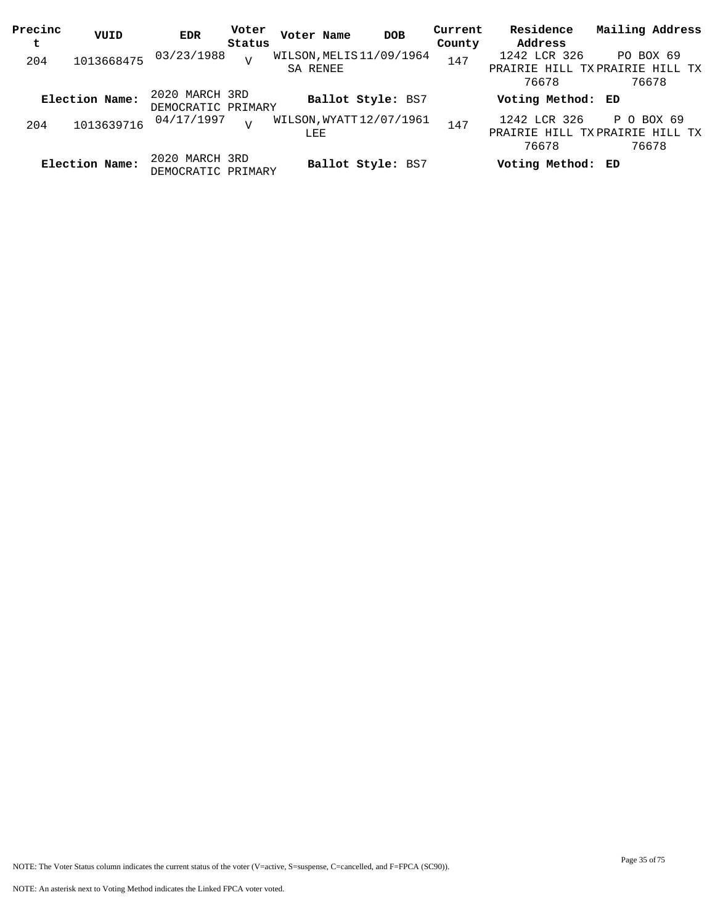| Precinc<br>t | VUID           | EDR                                  | Voter<br>Status | Voter Name                           | <b>DOB</b>        | Current<br>County | Residence<br>Address  | Mailing Address                                       |
|--------------|----------------|--------------------------------------|-----------------|--------------------------------------|-------------------|-------------------|-----------------------|-------------------------------------------------------|
| 204          | 1013668475     | 03/23/1988                           | $\overline{V}$  | WILSON, MELIS 11/09/1964<br>SA RENEE |                   | 147               | 1242 LCR 326<br>76678 | PO BOX 69<br>PRAIRIE HILL TXPRAIRIE HILL TX<br>76678  |
|              | Election Name: | 2020 MARCH 3RD<br>DEMOCRATIC PRIMARY |                 |                                      | Ballot Style: BS7 |                   | Voting Method: ED     |                                                       |
| 204          | 1013639716     | 04/17/1997                           | T               | WILSON, WYATT 12/07/1961<br>LEE      |                   | 147               | 1242 LCR 326<br>76678 | P O BOX 69<br>PRAIRIE HILL TXPRAIRIE HILL TX<br>76678 |
|              | Election Name: | 2020 MARCH 3RD<br>DEMOCRATIC PRIMARY |                 |                                      | Ballot Style: BS7 |                   | Voting Method: ED     |                                                       |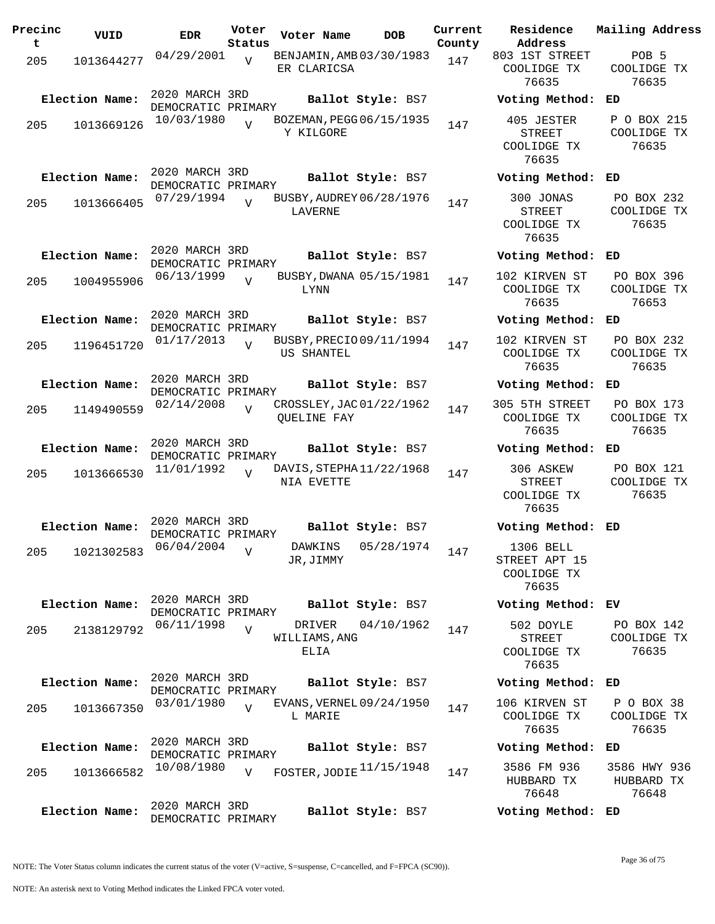| Precinc<br>$\mathbf t$ | VUID           | <b>EDR</b>                           | Voter<br>Status                 | Voter Name                                     | <b>DOB</b>         | Current<br>County                           | Residence<br>Address                                | Mailing Address                          |
|------------------------|----------------|--------------------------------------|---------------------------------|------------------------------------------------|--------------------|---------------------------------------------|-----------------------------------------------------|------------------------------------------|
| 205                    | 1013644277     | 04/29/2001                           | $\overline{v}$                  | BENJAMIN, AMB 03/30/1983<br>ER CLARICSA        |                    | 147                                         | 803 1ST STREET<br>COOLIDGE TX<br>76635              | POB <sub>5</sub><br>COOLIDGE TX<br>76635 |
|                        | Election Name: | 2020 MARCH 3RD<br>DEMOCRATIC PRIMARY |                                 |                                                | Ballot Style: BS7  |                                             | Voting Method:                                      | ED                                       |
| 205                    | 1013669126     | 10/03/1980                           | $\overline{U}$                  | BOZEMAN, PEGG 06/15/1935<br>Y KILGORE          |                    | 147                                         | 405 JESTER<br><b>STREET</b><br>COOLIDGE TX<br>76635 | P O BOX 215<br>COOLIDGE TX<br>76635      |
|                        | Election Name: | 2020 MARCH 3RD<br>DEMOCRATIC PRIMARY |                                 |                                                | Ballot Style: BS7  |                                             | Voting Method:                                      | ED                                       |
| 205                    | 1013666405     | 07/29/1994                           |                                 | BUSBY, AUDREY 06/28/1976<br>LAVERNE            |                    | 147                                         | 300 JONAS<br><b>STREET</b><br>COOLIDGE TX<br>76635  | PO BOX 232<br>COOLIDGE TX<br>76635       |
|                        | Election Name: | 2020 MARCH 3RD<br>DEMOCRATIC PRIMARY |                                 |                                                | Ballot Style: BS7  |                                             | Voting Method:                                      | ED                                       |
| 205                    | 1004955906     | 06/13/1999                           | $\overline{U}$                  | BUSBY, DWANA 05/15/1981<br>LYNN                |                    | 147                                         | 102 KIRVEN ST<br>COOLIDGE TX<br>76635               | PO BOX 396<br>COOLIDGE TX<br>76653       |
|                        | Election Name: | 2020 MARCH 3RD<br>DEMOCRATIC PRIMARY |                                 |                                                | Ballot Style: BS7  |                                             | Voting Method:                                      | ED                                       |
| 205                    | 1196451720     | 01/17/2013                           | $\overline{U}$                  | BUSBY, PRECIO 09/11/1994<br>US SHANTEL         |                    | 147                                         | 102 KIRVEN ST<br>COOLIDGE TX<br>76635               | PO BOX 232<br>COOLIDGE TX<br>76635       |
|                        | Election Name: | 2020 MARCH 3RD<br>DEMOCRATIC PRIMARY |                                 |                                                | Ballot Style: BS7  |                                             | Voting Method:                                      | ED                                       |
| 205                    | 1149490559     | 02/14/2008                           | $\overline{V}$                  | CROSSLEY, JAC 01/22/1962<br><b>OUELINE FAY</b> |                    | 147                                         | 305 5TH STREET<br>COOLIDGE TX<br>76635              | PO BOX 173<br>COOLIDGE TX<br>76635       |
|                        | Election Name: | 2020 MARCH 3RD<br>DEMOCRATIC PRIMARY |                                 |                                                | Ballot Style: BS7  |                                             | Voting Method:                                      | ED                                       |
| 205                    | 1013666530     | 11/01/1992                           | $\overline{U}$                  | DAVIS, STEPHA 11/22/1968<br>NIA EVETTE         |                    | 147                                         | 306 ASKEW<br><b>STREET</b><br>COOLIDGE TX<br>76635  | PO BOX 121<br>COOLIDGE TX<br>76635       |
|                        | Election Name: | 2020 MARCH 3RD<br>DEMOCRATIC PRIMARY |                                 |                                                | Ballot Style: BS7  |                                             | Voting Method: ED                                   |                                          |
| 205                    | 1021302583     | $06/04/2004$ $V$                     |                                 | JR,JIMMY                                       | DAWKINS 05/28/1974 | 147                                         | 1306 BELL<br>STREET APT 15<br>COOLIDGE TX<br>76635  |                                          |
|                        | Election Name: | 2020 MARCH 3RD<br>DEMOCRATIC PRIMARY |                                 |                                                | Ballot Style: BS7  |                                             | Voting Method: EV                                   |                                          |
| 205                    | 2138129792     | 06/11/1998<br>$\overline{V}$         | DRIVER<br>WILLIAMS, ANG<br>ELIA | 04/10/1962                                     | 147                | 502 DOYLE<br>STREET<br>COOLIDGE TX<br>76635 | PO BOX 142<br>COOLIDGE TX<br>76635                  |                                          |
| Election Name:         |                | 2020 MARCH 3RD<br>DEMOCRATIC PRIMARY |                                 |                                                | Ballot Style: BS7  |                                             | Voting Method:                                      | ED                                       |
| 205                    | 1013667350     | 03/01/1980                           | $\overline{U}$                  | EVANS, VERNEL 09/24/1950<br>L MARIE            |                    | 147                                         | 106 KIRVEN ST<br>COOLIDGE TX<br>76635               | P O BOX 38<br>COOLIDGE TX<br>76635       |
| Election Name:         |                | 2020 MARCH 3RD<br>DEMOCRATIC PRIMARY |                                 |                                                | Ballot Style: BS7  |                                             | Voting Method:                                      | ED                                       |
| 205                    | 1013666582     | 10/08/1980                           | $\overline{V}$                  | FOSTER, JODIE <sup>11/15/1948</sup>            |                    | 147                                         | 3586 FM 936<br>HUBBARD TX<br>76648                  | 3586 HWY 936<br>HUBBARD TX<br>76648      |
| Election Name:         |                | 2020 MARCH 3RD<br>DEMOCRATIC PRIMARY |                                 |                                                | Ballot Style: BS7  |                                             | Voting Method: ED                                   |                                          |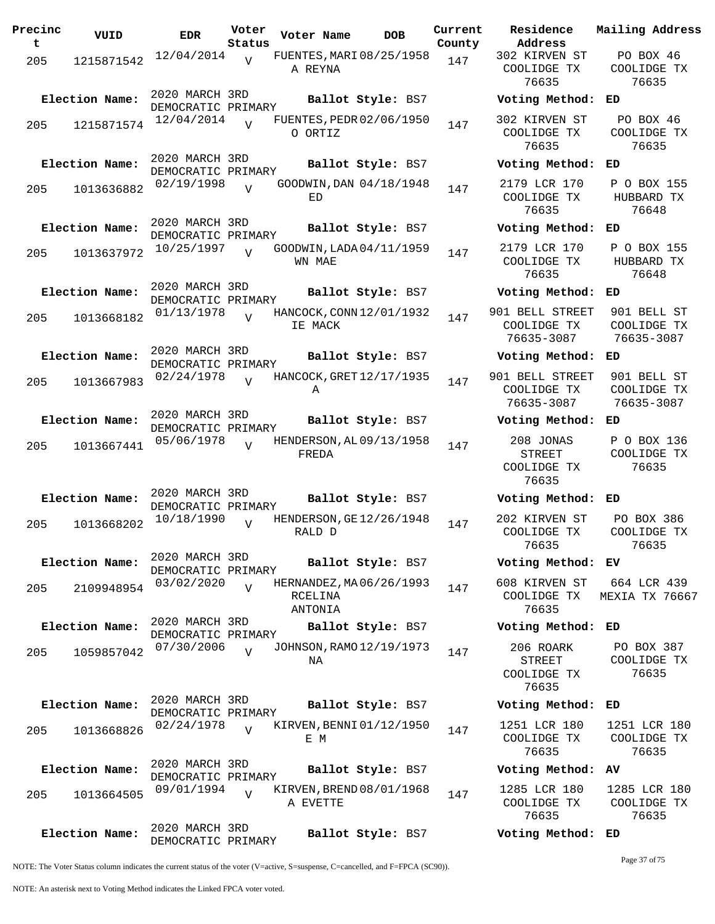| Precinc<br>t. | VUID           | <b>EDR</b>                           | Voter<br>Status | Voter Name                                     | <b>DOB</b>        | Current<br>County | Residence<br>Address                       |
|---------------|----------------|--------------------------------------|-----------------|------------------------------------------------|-------------------|-------------------|--------------------------------------------|
| 205           | 1215871542     | 12/04/2014                           | V               | FUENTES, MARI 08/25/1958<br>A REYNA            |                   | 147               | 302 KIRVEN<br>COOLIDGE T<br>76635          |
|               | Election Name: | 2020 MARCH 3RD<br>DEMOCRATIC PRIMARY |                 |                                                | Ballot Style: BS7 |                   | Voting Meth                                |
| 205           | 1215871574     | 12/04/2014                           | $\overline{U}$  | FUENTES, PEDR 02/06/1950<br>O ORTIZ            |                   | 147               | 302 KIRVEN<br>COOLIDGE T<br>76635          |
|               | Election Name: | 2020 MARCH 3RD<br>DEMOCRATIC PRIMARY |                 |                                                | Ballot Style: BS7 |                   | Voting Meth                                |
| 205           | 1013636882     | 02/19/1998                           | $\overline{V}$  | GOODWIN, DAN 04/18/1948<br>ED                  |                   | 147               | 2179 LCR 17<br>COOLIDGE T<br>76635         |
|               | Election Name: | 2020 MARCH 3RD                       |                 |                                                | Ballot Style: BS7 |                   | Voting Meth                                |
| 205           | 1013637972     | DEMOCRATIC PRIMARY<br>10/25/1997     | $\overline{V}$  | GOODWIN, LADA 04/11/1959<br>WN MAE             |                   | 147               | 2179 LCR 17<br>COOLIDGE T<br>76635         |
|               | Election Name: | 2020 MARCH 3RD<br>DEMOCRATIC PRIMARY |                 |                                                | Ballot Style: BS7 |                   | Voting Meth                                |
| 205           | 1013668182     | 01/13/1978                           | $\overline{U}$  | HANCOCK, CONN 12/01/1932<br>IE MACK            |                   | 147               | 901 BELL STR<br>COOLIDGE T<br>76635-3087   |
|               | Election Name: | 2020 MARCH 3RD<br>DEMOCRATIC PRIMARY |                 |                                                | Ballot Style: BS7 |                   | Voting Meth                                |
| 205           | 1013667983     | 02/24/1978                           | $\overline{U}$  | HANCOCK, GRET 12/17/1935<br>Α                  |                   | 147               | 901 BELL STR<br>COOLIDGE T<br>76635-3087   |
|               | Election Name: | 2020 MARCH 3RD                       |                 |                                                | Ballot Style: BS7 |                   | Voting Meth                                |
| 205           | 1013667441     | DEMOCRATIC PRIMARY<br>05/06/1978     | $\overline{U}$  | HENDERSON, AL 09/13/1958<br>FREDA              |                   | 147               | 208 JONAS<br>STREET<br>COOLIDGE T<br>76635 |
|               | Election Name: | 2020 MARCH 3RD<br>DEMOCRATIC PRIMARY |                 |                                                | Ballot Style: BS7 |                   | Voting Meth                                |
| 205           | 1013668202     | 10/18/1990                           | $\overline{V}$  | HENDERSON, GE 12/26/1948<br>RALD D             |                   | 147               | 202 KIRVEN<br>COOLIDGE T<br>76635          |
|               | Election Name: | 2020 MARCH 3RD<br>DEMOCRATIC PRIMARY |                 |                                                | Ballot Style: BS7 |                   | Voting Meth                                |
| 205           | 2109948954     | 03/02/2020                           | $\overline{V}$  | HERNANDEZ, MA 06/26/1993<br>RCELINA<br>ANTONIA |                   | 147               | 608 KIRVEN<br>COOLIDGE T<br>76635          |
|               | Election Name: | 2020 MARCH 3RD<br>DEMOCRATIC PRIMARY |                 |                                                | Ballot Style: BS7 |                   | Voting Meth                                |
| 205           | 1059857042     | 07/30/2006                           | $\overline{V}$  | JOHNSON, RAMO 12/19/1973<br>NA                 |                   | 147               | 206 ROARK<br>STREET<br>COOLIDGE T<br>76635 |
|               | Election Name: | 2020 MARCH 3RD<br>DEMOCRATIC PRIMARY |                 |                                                | Ballot Style: BS7 |                   | Voting Meth                                |
| 205           | 1013668826     | 02/24/1978                           | $\overline{U}$  | KIRVEN, BENNI 01/12/1950<br>E M                |                   | 147               | 1251 LCR 18<br>COOLIDGE T<br>76635         |
|               | Election Name: | 2020 MARCH 3RD<br>DEMOCRATIC PRIMARY |                 |                                                | Ballot Style: BS7 |                   | Voting Meth                                |
| 205           | 1013664505     | 09/01/1994                           | $\overline{V}$  | KIRVEN, BREND 08/01/1968<br>A EVETTE           |                   | 147               | 1285 LCR 18<br>COOLIDGE T<br>76635         |
|               | Election Name: | 2020 MARCH 3RD<br>DEMOCRATIC PRIMARY |                 |                                                | Ballot Style: BS7 |                   | Voting Meth                                |

302 KIRVEN ST COOLIDGE TX 76635 PO BOX 46 COOLIDGE TX 76635 **Election Name: Ballot Style:** BS7 **Voting Method: ED** 302 KIRVEN ST COOLIDGE TX 76635 PO BOX 46 COOLIDGE TX 76635 **Election Name: Ballot Style:** BS7 **Voting Method: ED** 2179 LCR 170 COOLIDGE TX 76635 P O BOX 155 HUBBARD TX 76648 **Election Name: Ballot Style:** BS7 **Voting Method: ED** 2179 LCR 170 COOLIDGE TX 76635 P O BOX 155 HUBBARD TX 76648 **Election Name: Ballot Style:** BS7 **Voting Method: ED** 901 BELL STREET COOLIDGE TX 76635-3087 901 BELL ST COOLIDGE TX 76635-3087 **Election Name: Ballot Style:** BS7 **Voting Method: ED** 901 BELL STREET COOLIDGE TX 76635-3087 901 BELL ST COOLIDGE TX 76635-3087 **Election Name: Ballot Style:** BS7 **Voting Method: ED** 208 JONAS STREET COOLIDGE TX 76635 P O BOX 136 COOLIDGE TX 76635 **Election Name: Ballot Style:** BS7 **Voting Method: ED** 202 KIRVEN ST COOLIDGE TX 76635 PO BOX 386 COOLIDGE TX 76635 **Election Name: Ballot Style:** BS7 **Voting Method: EV** 608 KIRVEN ST COOLIDGE TX 76635 664 LCR 439 MEXIA TX 76667 **Election Name: Ballot Style:** BS7 **Voting Method: ED** 206 ROARK STREET COOLIDGE TX 76635 PO BOX 387 COOLIDGE TX 76635 **Election Name: Ballot Style:** BS7 **Voting Method: ED** 1251 LCR 180 COOLIDGE TX 76635 1251 LCR 180 COOLIDGE TX 76635 **Election Name: Ballot Style:** BS7 **Voting Method: AV** 1285 LCR 180 COOLIDGE TX 76635 1285 LCR 180 COOLIDGE TX 76635 **Election Name: Ballot Style:** BS7 **Voting Method: ED**

**Current Mailing Address**

NOTE: The Voter Status column indicates the current status of the voter (V=active, S=suspense, C=cancelled, and F=FPCA (SC90)).

Page 37 of 75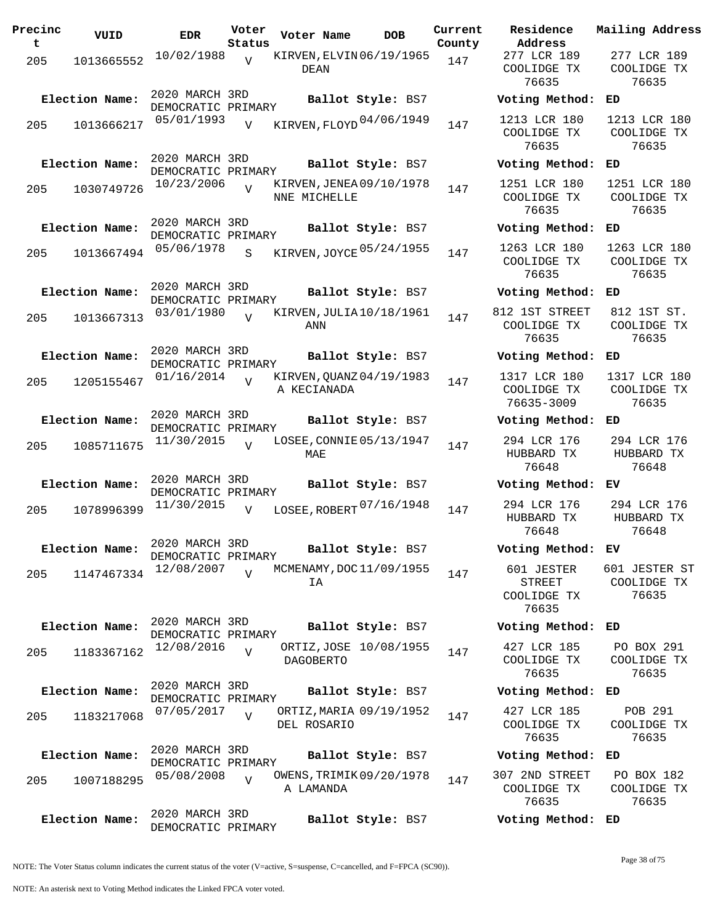| Precinc<br>t. | VUID           | <b>EDR</b>                           | Voter<br>Status | Voter Name                               | <b>DOB</b>        | Current<br>County | Residence<br>Address                         |
|---------------|----------------|--------------------------------------|-----------------|------------------------------------------|-------------------|-------------------|----------------------------------------------|
| 205           | 1013665552     | 10/02/1988                           | V               | KIRVEN, ELVIN 06/19/1965<br>DEAN         |                   | 147               | 277 LCR 189<br>COOLIDGE TX<br>76635          |
|               | Election Name: | 2020 MARCH 3RD<br>DEMOCRATIC PRIMARY |                 |                                          | Ballot Style: BS7 |                   | Voting Metho                                 |
| 205           | 1013666217     | 05/01/1993                           | $\overline{V}$  | KIRVEN, FLOYD 04/06/1949                 |                   | 147               | 1213 LCR 180<br>COOLIDGE TX<br>76635         |
|               | Election Name: | 2020 MARCH 3RD<br>DEMOCRATIC PRIMARY |                 |                                          | Ballot Style: BS7 |                   | Voting Metho                                 |
| 205           | 1030749726     | 10/23/2006                           | $\overline{V}$  | KIRVEN, JENEA 09/10/1978<br>NNE MICHELLE |                   | 147               | 1251 LCR 180<br>COOLIDGE TX<br>76635         |
|               | Election Name: | 2020 MARCH 3RD<br>DEMOCRATIC PRIMARY |                 |                                          |                   | Ballot Style: BS7 | Voting Metho                                 |
|               | 205 1013667494 | 05/06/1978                           | S               | KIRVEN, JOYCE 05/24/1955                 |                   | 147               | 1263 LCR 180<br>COOLIDGE TX<br>76635         |
|               | Election Name: | 2020 MARCH 3RD<br>DEMOCRATIC PRIMARY |                 |                                          | Ballot Style: BS7 |                   | Voting Metho                                 |
| 205           | 1013667313     | 03/01/1980                           | $\overline{U}$  | KIRVEN, JULIA 10/18/1961<br>ANN          |                   | 147               | 812 1ST STREE<br>COOLIDGE TX<br>76635        |
|               | Election Name: | 2020 MARCH 3RD<br>DEMOCRATIC PRIMARY |                 |                                          | Ballot Style: BS7 |                   | Voting Metho                                 |
|               | 205 1205155467 | 01/16/2014                           | V               | KIRVEN, QUANZ 04/19/1983<br>A KECIANADA  |                   | 147               | 1317 LCR 180<br>COOLIDGE TX<br>76635-3009    |
|               | Election Name: | 2020 MARCH 3RD<br>DEMOCRATIC PRIMARY |                 |                                          | Ballot Style: BS7 |                   | Voting Metho                                 |
| 205           | 1085711675     | 11/30/2015                           | $\overline{V}$  | LOSEE, CONNIE 05/13/1947<br>MAE          |                   | 147               | 294 LCR 176<br>HUBBARD TX<br>76648           |
|               | Election Name: | 2020 MARCH 3RD<br>DEMOCRATIC PRIMARY |                 |                                          |                   | Ballot Style: BS7 | Voting Metho                                 |
| 205           | 1078996399     | 11/30/2015                           | V               | LOSEE, ROBERT $07/16/1948$               |                   | 147               | 294 LCR 176<br>HUBBARD TX<br>76648           |
|               | Election Name: | 2020 MARCH 3RD<br>DEMOCRATIC PRIMARY |                 |                                          | Ballot Style: BS7 |                   | Voting Metho                                 |
| 205           | 1147467334     | 12/08/2007                           | $\overline{V}$  | MCMENAMY, DOC 11/09/1955<br>ΙA           |                   | 147               | 601 JESTER<br>STREET<br>COOLIDGE TX<br>76635 |
|               | Election Name: | 2020 MARCH 3RD<br>DEMOCRATIC PRIMARY |                 |                                          | Ballot Style: BS7 |                   | Voting Metho                                 |
| 205           | 1183367162     | 12/08/2016                           | $\overline{V}$  | ORTIZ, JOSE 10/08/1955<br>DAGOBERTO      |                   | 147               | 427 LCR 185<br>COOLIDGE TX<br>76635          |
|               | Election Name: | 2020 MARCH 3RD<br>DEMOCRATIC PRIMARY |                 |                                          | Ballot Style: BS7 |                   | Voting Metho                                 |
| 205           | 1183217068     | 07/05/2017                           | $\overline{v}$  | ORTIZ, MARIA 09/19/1952<br>DEL ROSARIO   |                   | 147               | 427 LCR 185<br>COOLIDGE TX<br>76635          |
|               | Election Name: | 2020 MARCH 3RD<br>DEMOCRATIC PRIMARY |                 |                                          | Ballot Style: BS7 |                   | Voting Metho                                 |
| 205           | 1007188295     | 05/08/2008                           | $\overline{V}$  | OWENS, TRIMIK 09/20/1978<br>A LAMANDA    |                   | 147               | 307 2ND STREE<br>COOLIDGE TX<br>76635        |
|               | Election Name: | 2020 MARCH 3RD<br>DEMOCRATIC PRIMARY |                 |                                          | Ballot Style: BS7 |                   | Voting Metho                                 |

**Voter Name DOB Residence Address Current Mailing Address** 277 LCR 189 COOLIDGE TX 76635 277 LCR 189 COOLIDGE TX 76635 **Election Name: Ballot Style:** BS7 **Voting Method: ED** COOLIDGE TX 76635 1213 LCR 180 COOLIDGE TX 76635 **Election Name: Ballot Style:** BS7 **Voting Method: ED** 1251 LCR 180 COOLIDGE TX 76635 1251 LCR 180 COOLIDGE TX 76635 **Election Name: Ballot Style:** BS7 **Voting Method: ED** COOLIDGE TX 76635 1263 LCR 180 COOLIDGE TX 76635 **Election Name: Ballot Style:** BS7 **Voting Method: ED** 812 1ST STREET COOLIDGE TX 76635 812 1ST ST. COOLIDGE TX 76635 **Election Name: Ballot Style:** BS7 **Voting Method: ED** 1317 LCR 180 COOLIDGE TX 76635-3009 1317 LCR 180 COOLIDGE TX 76635 **Election Name: Ballot Style:** BS7 **Voting Method: ED** 294 LCR 176 HUBBARD TX 76648 294 LCR 176 HUBBARD TX 76648 **Election Name: Ballot Style:** BS7 **Voting Method: EV** HUBBARD TX 76648 294 LCR 176 HUBBARD TX 76648 **Election Name: Ballot Style:** BS7 **Voting Method: EV** 601 JESTER STREET COOLIDGE TX 76635 601 JESTER ST COOLIDGE TX 76635 **Election Name: Ballot Style:** BS7 **Voting Method: ED** 427 LCR 185 COOLIDGE TX 76635 PO BOX 291 COOLIDGE TX 76635 **Election Name: Ballot Style:** BS7 **Voting Method: ED** 427 LCR 185 COOLIDGE TX 76635 POB 291 COOLIDGE TX 76635 **Election Name: Ballot Style:** BS7 **Voting Method: ED** 307 2ND STREET COOLIDGE TX 76635 PO BOX 182 COOLIDGE TX 76635 **Election Name: Ballot Style:** BS7 **Voting Method: ED**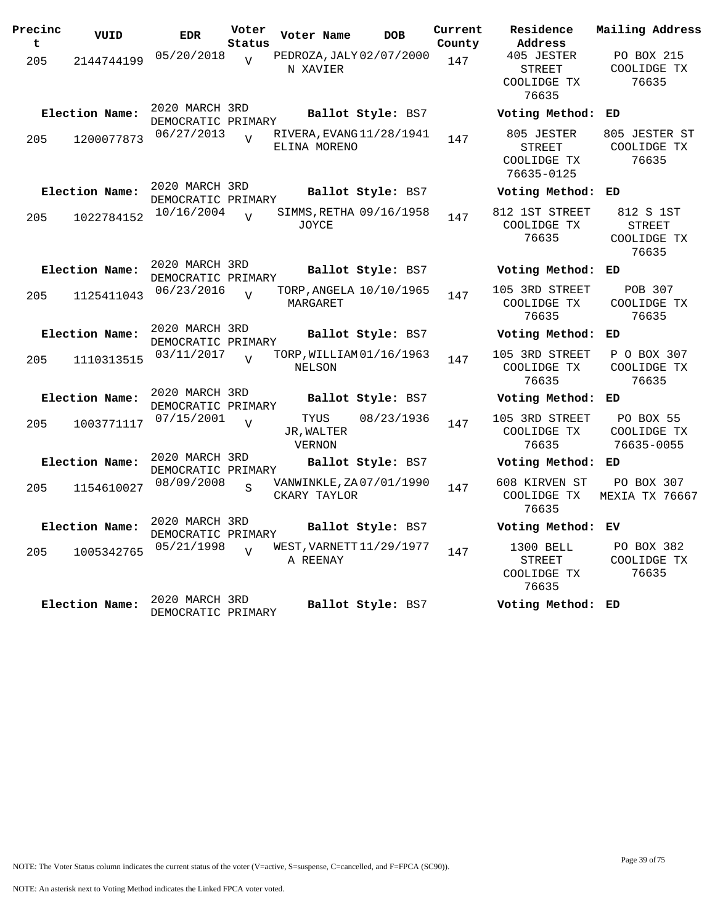| Precinc<br>t | VUID           | <b>EDR</b>                           | Voter<br>Status | Voter Name                               | <b>DOB</b>        | Current<br>County | Residence<br>Address                                | Mailing Address                                    |
|--------------|----------------|--------------------------------------|-----------------|------------------------------------------|-------------------|-------------------|-----------------------------------------------------|----------------------------------------------------|
| 205          | 2144744199     | 05/20/2018                           | $\overline{U}$  | PEDROZA, JALY 02/07/2000<br>N XAVIER     |                   | 147               | 405 JESTER<br><b>STREET</b><br>COOLIDGE TX<br>76635 | PO BOX 215<br>COOLIDGE TX<br>76635                 |
|              | Election Name: | 2020 MARCH 3RD<br>DEMOCRATIC PRIMARY |                 |                                          | Ballot Style: BS7 |                   | Voting Method: ED                                   |                                                    |
| 205          | 1200077873     | 06/27/2013                           | $\overline{U}$  | RIVERA, EVANG 11/28/1941<br>ELINA MORENO |                   | 147               | 805 JESTER<br>STREET<br>COOLIDGE TX<br>76635-0125   | 805 JESTER ST<br>COOLIDGE TX<br>76635              |
|              | Election Name: | 2020 MARCH 3RD<br>DEMOCRATIC PRIMARY |                 |                                          | Ballot Style: BS7 |                   | Voting Method: ED                                   |                                                    |
| 205          | 1022784152     | 10/16/2004                           | $\overline{U}$  | SIMMS, RETHA 09/16/1958<br>JOYCE         |                   | 147               | 812 1ST STREET<br>COOLIDGE TX<br>76635              | 812 S 1ST<br><b>STREET</b><br>COOLIDGE TX<br>76635 |
|              | Election Name: | 2020 MARCH 3RD<br>DEMOCRATIC PRIMARY |                 |                                          | Ballot Style: BS7 |                   | Voting Method: ED                                   |                                                    |
| 205          | 1125411043     | 06/23/2016                           | $\overline{U}$  | TORP, ANGELA 10/10/1965<br>MARGARET      |                   | 147               | 105 3RD STREET<br>COOLIDGE TX<br>76635              | POB 307<br>COOLIDGE TX<br>76635                    |
|              | Election Name: | 2020 MARCH 3RD<br>DEMOCRATIC PRIMARY |                 |                                          | Ballot Style: BS7 |                   | Voting Method:                                      | ED                                                 |
| 205          | 1110313515     | 03/11/2017                           | $\overline{17}$ | TORP, WILLIAM 01/16/1963<br>NELSON       |                   | 147               | 105 3RD STREET<br>COOLIDGE TX<br>76635              | P O BOX 307<br>COOLIDGE TX<br>76635                |
|              | Election Name: | 2020 MARCH 3RD<br>DEMOCRATIC PRIMARY |                 |                                          | Ballot Style: BS7 |                   | Voting Method: ED                                   |                                                    |
| 205          | 1003771117     | 07/15/2001                           | $\overline{U}$  | TYUS<br>JR, WALTER<br>VERNON             | 08/23/1936        | 147               | 105 3RD STREET<br>COOLIDGE TX<br>76635              | PO BOX 55<br>COOLIDGE TX<br>76635-0055             |
|              | Election Name: | 2020 MARCH 3RD<br>DEMOCRATIC PRIMARY |                 |                                          | Ballot Style: BS7 |                   | Voting Method: ED                                   |                                                    |
| 205          | 1154610027     | 08/09/2008                           |                 | VANWINKLE, ZA 07/01/1990<br>CKARY TAYLOR |                   | 147               | 608 KIRVEN ST<br>COOLIDGE TX<br>76635               | PO BOX 307<br>MEXIA TX 76667                       |
|              | Election Name: | 2020 MARCH 3RD<br>DEMOCRATIC PRIMARY |                 |                                          | Ballot Style: BS7 |                   | Voting Method: EV                                   |                                                    |
| 205          | 1005342765     | 05/21/1998                           | $\overline{U}$  | WEST, VARNETT 11/29/1977<br>A REENAY     |                   | 147               | 1300 BELL<br><b>STREET</b><br>COOLIDGE TX<br>76635  | PO BOX 382<br>COOLIDGE TX<br>76635                 |
|              | Election Name: | 2020 MARCH 3RD<br>DEMOCRATIC PRIMARY |                 |                                          | Ballot Style: BS7 |                   | Voting Method: ED                                   |                                                    |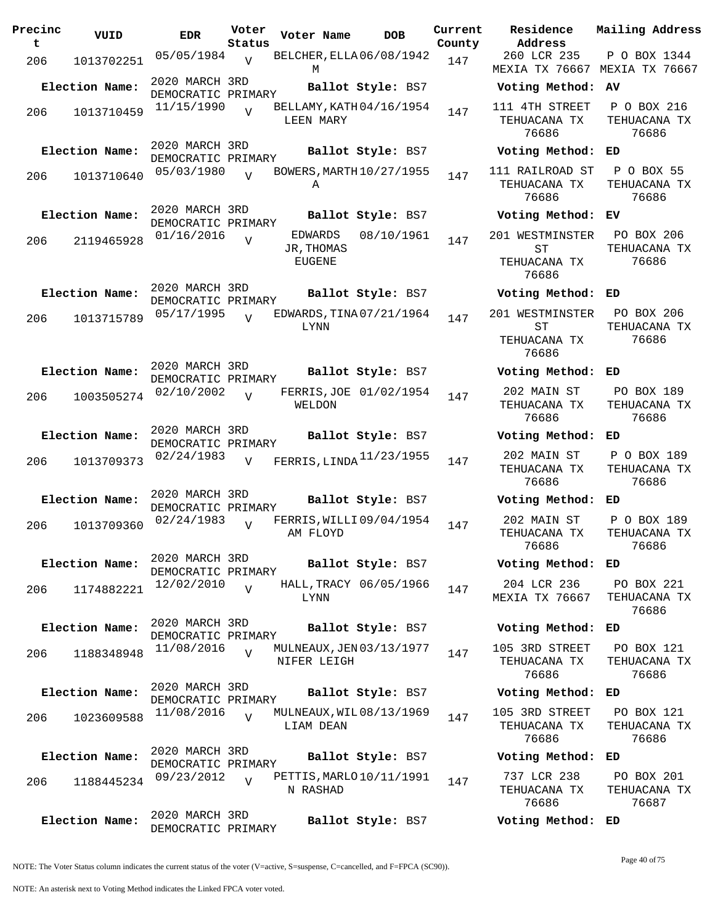| Precinc<br>t | VUID           | <b>EDR</b>                           | Voter<br>Status | Voter Name                              | <b>DOB</b>             | Current<br>County | Residence<br>Address                         |
|--------------|----------------|--------------------------------------|-----------------|-----------------------------------------|------------------------|-------------------|----------------------------------------------|
| 206          | 1013702251     | 05/05/1984                           | $\overline{V}$  | BELCHER, ELLA 06/08/1942<br>М           |                        | 147               | 260 LCR 235<br><b>MEXIA TX 7666</b>          |
|              | Election Name: | 2020 MARCH 3RD<br>DEMOCRATIC PRIMARY |                 |                                         | Ballot Style: BS7      |                   | Voting Metho                                 |
| 206          | 1013710459     | 11/15/1990                           | $\overline{V}$  | BELLAMY, KATH 04/16/1954<br>LEEN MARY   |                        | 147               | 111 4TH STREI<br>TEHUACANA TI<br>76686       |
|              | Election Name: | 2020 MARCH 3RD<br>DEMOCRATIC PRIMARY |                 |                                         | Ballot Style: BS7      |                   | Voting Metho                                 |
| 206          | 1013710640     | 05/03/1980                           | $\overline{v}$  | BOWERS, MARTH 10/27/1955<br>Α           |                        | 147               | 111 RAILROAD<br>TEHUACANA TI<br>76686        |
|              | Election Name: | 2020 MARCH 3RD<br>DEMOCRATIC PRIMARY |                 |                                         | Ballot Style: BS7      |                   | Voting Metho                                 |
| 206          | 2119465928     | 01/16/2016                           | $\overline{U}$  | EDWARDS<br>JR, THOMAS<br>EUGENE         | 08/10/1961             | 147               | 201 WESTMINST<br>SТ<br>TEHUACANA TI<br>76686 |
|              | Election Name: | 2020 MARCH 3RD                       |                 |                                         | Ballot Style: BS7      |                   | Voting Metho                                 |
| 206          | 1013715789     | DEMOCRATIC PRIMARY<br>05/17/1995     | $\overline{V}$  | EDWARDS, TINA 07/21/1964                |                        | 147               | 201 WESTMINST                                |
|              |                |                                      |                 | LYNN                                    |                        |                   | ST<br>TEHUACANA TI<br>76686                  |
|              | Election Name: | 2020 MARCH 3RD<br>DEMOCRATIC PRIMARY |                 |                                         | Ballot Style: BS7      |                   | Voting Metho                                 |
| 206          | 1003505274     | 02/10/2002                           | $\overline{V}$  | WELDON                                  | FERRIS, JOE 01/02/1954 | 147               | 202 MAIN ST<br>TEHUACANA TI<br>76686         |
|              | Election Name: | 2020 MARCH 3RD<br>DEMOCRATIC PRIMARY |                 |                                         | Ballot Style: BS7      |                   | Voting Metho                                 |
| 206          | 1013709373     | 02/24/1983                           | $\overline{V}$  | FERRIS, LINDA 11/23/1955                |                        | 147               | 202 MAIN ST<br>TEHUACANA TI<br>76686         |
|              | Election Name: | 2020 MARCH 3RD<br>DEMOCRATIC PRIMARY |                 |                                         | Ballot Style: BS7      |                   | Voting Metho                                 |
| 206          | 1013709360     | 02/24/1983                           | $\overline{V}$  | FERRIS, WILLI 09/04/1954<br>AM FLOYD    |                        | 147               | 202 MAIN ST<br>TEHUACANA TI<br>76686         |
|              | Election Name: | 2020 MARCH 3RD<br>DEMOCRATIC PRIMARY |                 |                                         | Ballot Style: BS7      |                   | Voting Metho                                 |
| 206          | 1174882221     | 12/02/2010                           | $\overline{V}$  | LYNN                                    | HALL, TRACY 06/05/1966 | 147               | 204 LCR 236<br><b>MEXIA TX 7666</b>          |
|              | Election Name: | 2020 MARCH 3RD<br>DEMOCRATIC PRIMARY |                 |                                         | Ballot Style: BS7      |                   | Voting Metho                                 |
| 206          | 1188348948     | 11/08/2016                           | $\overline{V}$  | MULNEAUX, JEN 03/13/1977<br>NIFER LEIGH |                        | 147               | 105 3RD STREI<br>TEHUACANA TI<br>76686       |
|              | Election Name: | 2020 MARCH 3RD<br>DEMOCRATIC PRIMARY |                 |                                         | Ballot Style: BS7      |                   | Voting Metho                                 |
| 206          | 1023609588     | 11/08/2016                           | $\overline{V}$  | MULNEAUX, WIL 08/13/1969<br>LIAM DEAN   |                        | 147               | 105 3RD STREI<br>TEHUACANA TI<br>76686       |
|              | Election Name: | 2020 MARCH 3RD<br>DEMOCRATIC PRIMARY |                 |                                         | Ballot Style: BS7      |                   | Voting Metho                                 |
| 206          | 1188445234     | 09/23/2012                           | $\overline{U}$  | PETTIS, MARLO $10/11/1991$<br>N RASHAD  |                        | 147               | 737 LCR 238<br>TEHUACANA TI<br>76686         |
|              | Election Name: | 2020 MARCH 3RD<br>DEMOCRATIC PRIMARY |                 |                                         | Ballot Style: BS7      |                   | Voting Metho                                 |

**Voter Name DOB Residence Address Current Mailing Address** 260 LCR 235 MEXIA TX 76667 MEXIA TX 76667 P O BOX 1344 **Election Name: Ballot Style:** BS7 **Voting Method: AV** 111 4TH STREET TEHUACANA TX 76686 P O BOX 216 TEHUACANA TX 76686 **Election Name: Ballot Style:** BS7 **Voting Method: ED** 111 RAILROAD ST TEHUACANA TX 76686 P O BOX 55 TEHUACANA TX 76686 **Election Name: Ballot Style:** BS7 **Voting Method: EV** 201 WESTMINSTER ST TEHUACANA TX 76686 PO BOX 206 TEHUACANA TX 76686 **Election Name: Ballot Style:** BS7 **Voting Method: ED** 201 WESTMINSTER ST TEHUACANA TX 76686 PO BOX 206 TEHUACANA TX 76686 **Election Name: Ballot Style:** BS7 **Voting Method: ED** 202 MAIN ST TEHUACANA TX 76686 PO BOX 189 TEHUACANA TX 76686 **Election Name: Ballot Style:** BS7 **Voting Method: ED** TEHUACANA TX 76686 P O BOX 189 TEHUACANA TX 76686 **Election Name: Ballot Style:** BS7 **Voting Method: ED** 202 MAIN ST TEHUACANA TX 76686 P O BOX 189 TEHUACANA TX 76686 **Election Name: Ballot Style:** BS7 **Voting Method: ED** 204 LCR 236 MEXIA TX 76667 PO BOX 221 TEHUACANA TX 76686 **Election Name: Ballot Style:** BS7 **Voting Method: ED** 105 3RD STREET TEHUACANA TX 76686 PO BOX 121 TEHUACANA TX 76686 **Election Name: Ballot Style:** BS7 **Voting Method: ED** 105 3RD STREET TEHUACANA TX 76686 PO BOX 121 TEHUACANA TX 76686 **Election Name: Ballot Style:** BS7 **Voting Method: ED** 737 LCR 238 TEHUACANA TX PO BOX 201 TEHUACANA TX

NOTE: The Voter Status column indicates the current status of the voter (V=active, S=suspense, C=cancelled, and F=FPCA (SC90)).

76687

**Election Name: Ballot Style:** BS7 **Voting Method: ED**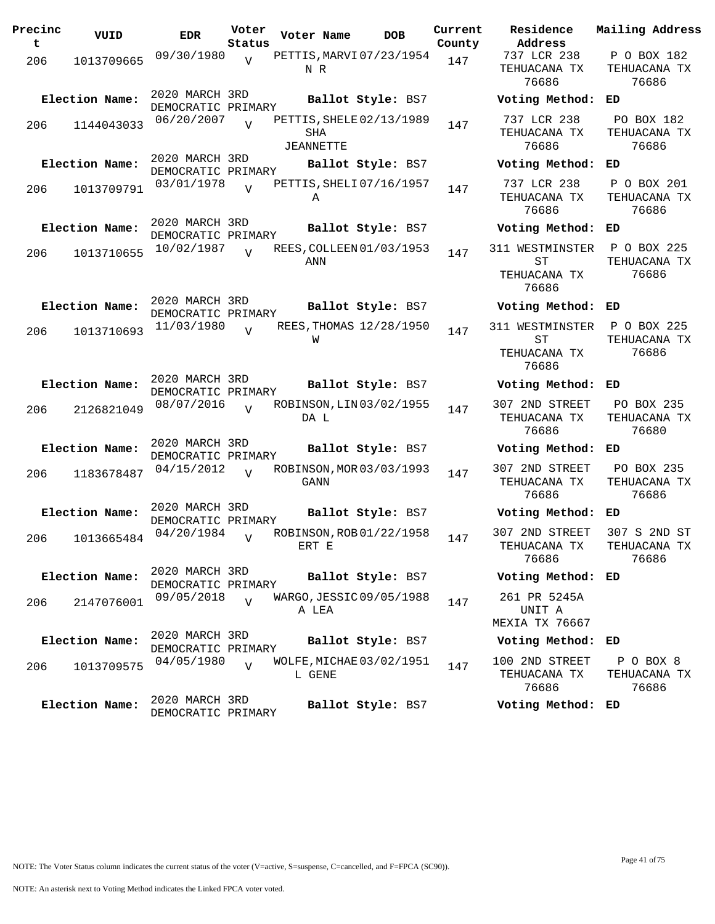| Precinc<br>t | VUID           | <b>EDR</b>                           | Voter<br>Status | Voter Name                                   | <b>DOB</b> | Current<br>County | Residence<br>Address                           | Mail               |
|--------------|----------------|--------------------------------------|-----------------|----------------------------------------------|------------|-------------------|------------------------------------------------|--------------------|
| 206          | 1013709665     | 09/30/1980                           | V               | PETTIS, MARVI 07/23/1954<br>N R              |            | 147               | 737 LCR 238<br>TEHUACANA TX<br>76686           | Ρ<br>TЕ            |
|              | Election Name: | 2020 MARCH 3RD<br>DEMOCRATIC PRIMARY |                 | Ballot Style: BS7                            |            |                   | Voting Method:                                 | ED                 |
| 206          | 1144043033     | 06/20/2007                           |                 | PETTIS, SHELE 02/13/1989<br>SHA<br>JEANNETTE |            | 147               | 737 LCR 238<br>TEHUACANA TX<br>76686           | $\mathbf P$<br>TЕ  |
|              | Election Name: | 2020 MARCH 3RD<br>DEMOCRATIC PRIMARY |                 | Ballot Style: BS7                            |            |                   | Voting Method:                                 | ED                 |
| 206          | 1013709791     | 03/01/1978                           | $\overline{U}$  | PETTIS, SHELI 07/16/1957<br>Α                |            | 147               | 737 LCR 238<br>TEHUACANA TX<br>76686           | $\mathbf{P}$<br>TЕ |
|              | Election Name: | 2020 MARCH 3RD<br>DEMOCRATIC PRIMARY |                 | Ballot Style: BS7                            |            |                   | Voting Method:                                 | ED                 |
| 206          | 1013710655     | 10/02/1987                           | $\overline{U}$  | REES, COLLEEN 01/03/1953<br>ANN              |            | 147               | 311 WESTMINSTER<br>ST<br>TEHUACANA TX<br>76686 | P<br>TЕ            |
|              | Election Name: | 2020 MARCH 3RD<br>DEMOCRATIC PRIMARY |                 | Ballot Style: BS7                            |            |                   | Voting Method:                                 | ED                 |
| 206          | 1013710693     | 11/03/1980                           | $\overline{U}$  | REES, THOMAS 12/28/1950<br>W                 |            | 147               | 311 WESTMINSTER<br>ST<br>TEHUACANA TX<br>76686 | P<br>TЕ            |
|              | Election Name: | 2020 MARCH 3RD<br>DEMOCRATIC PRIMARY |                 | Ballot Style: BS7                            |            |                   | Voting Method:                                 | ED                 |
| 206          | 2126821049     | 08/07/2016                           | $\overline{V}$  | ROBINSON, LIN 03/02/1955<br>DA L             |            | 147               | 307 2ND STREET<br>TEHUACANA TX<br>76686        | $\mathbf P$<br>TE  |
|              | Election Name: | 2020 MARCH 3RD<br>DEMOCRATIC PRIMARY |                 | Ballot Style: BS7                            |            |                   | Voting Method:                                 | ED                 |
| 206          | 1183678487     | 04/15/2012                           | $\overline{U}$  | ROBINSON, MOR 03/03/1993<br>GANN             |            | 147               | 307 2ND STREET<br>TEHUACANA TX<br>76686        | $\mathbf P$<br>TE  |
|              | Election Name: | 2020 MARCH 3RD<br>DEMOCRATIC PRIMARY |                 | Ballot Style: BS7                            |            |                   | Voting Method:                                 | ED                 |
| 206          | 1013665484     | 04/20/1984                           | $\overline{U}$  | ROBINSON, ROB 01/22/1958<br>ERT E            |            | 147               | 307 2ND STREET<br>TEHUACANA TX<br>76686        | 30<br>TE           |
|              | Election Name: | 2020 MARCH 3RD<br>DEMOCRATIC PRIMARY |                 | Ballot Style: BS7                            |            |                   | Voting Method: ED                              |                    |
| 206          | 2147076001     | 09/05/2018                           | $\overline{U}$  | WARGO, JESSIC 09/05/1988<br>A LEA            |            | 147               | 261 PR 5245A<br>UNIT A<br>MEXIA TX 76667       |                    |
|              | Election Name: | 2020 MARCH 3RD<br>DEMOCRATIC PRIMARY |                 | Ballot Style: BS7                            |            |                   | Voting Method:                                 | ED                 |
| 206          | 1013709575     | 04/05/1980                           | $\overline{U}$  | WOLFE, MICHAE 03/02/1951<br>L GENE           |            | 147               | 100 2ND STREET<br>TEHUACANA TX<br>76686        | I<br>TE            |
|              | Election Name: | 2020 MARCH 3RD<br>DEMOCRATIC PRIMARY |                 | Ballot Style: BS7                            |            |                   | Voting Method: ED                              |                    |

**Voter Name DOB Residence Address Current Mailing Address** 737 LCR 238 TEHUACANA TX 76686 P O BOX 182 TEHUACANA TX 76686 **Election Name: Ballot Style:** BS7 **Voting Method: ED** 737 LCR 238 TEHUACANA TX 76686 PO BOX 182 TEHUACANA TX 76686 **Election Name: Ballot Style:** BS7 **Voting Method: ED** 737 LCR 238 TEHUACANA TX 76686 P O BOX 201 TEHUACANA TX 76686 **Election Name: Ballot Style:** BS7 **Voting Method: ED** 311 WESTMINSTER ST TEHUACANA TX 76686 P O BOX 225 TEHUACANA TX 76686 **Election Name: Ballot Style:** BS7 **Voting Method: ED** 311 WESTMINSTER ST TEHUACANA TX 76686 P O BOX 225 TEHUACANA TX 76686 **Election Name: Ballot Style:** BS7 **Voting Method: ED** 307 2ND STREET TEHUACANA TX 76686 PO BOX 235 TEHUACANA TX 76680 **Election Name: Ballot Style:** BS7 **Voting Method: ED** 307 2ND STREET TEHUACANA TX 76686 PO BOX 235 TEHUACANA TX 76686 **Election Name: Ballot Style:** BS7 **Voting Method: ED** 307 2ND STREET TEHUACANA TX 76686 307 S 2ND ST TEHUACANA TX 76686 **Election Name: Ballot Style:** BS7 **Voting Method: ED** 261 PR 5245A UNIT A MEXIA TX 76667 **Election Name: Ballot Style:** BS7 **Voting Method: ED** 100 2ND STREET TEHUACANA TX 76686 P O BOX 8 TEHUACANA TX 76686

NOTE: An asterisk next to Voting Method indicates the Linked FPCA voter voted.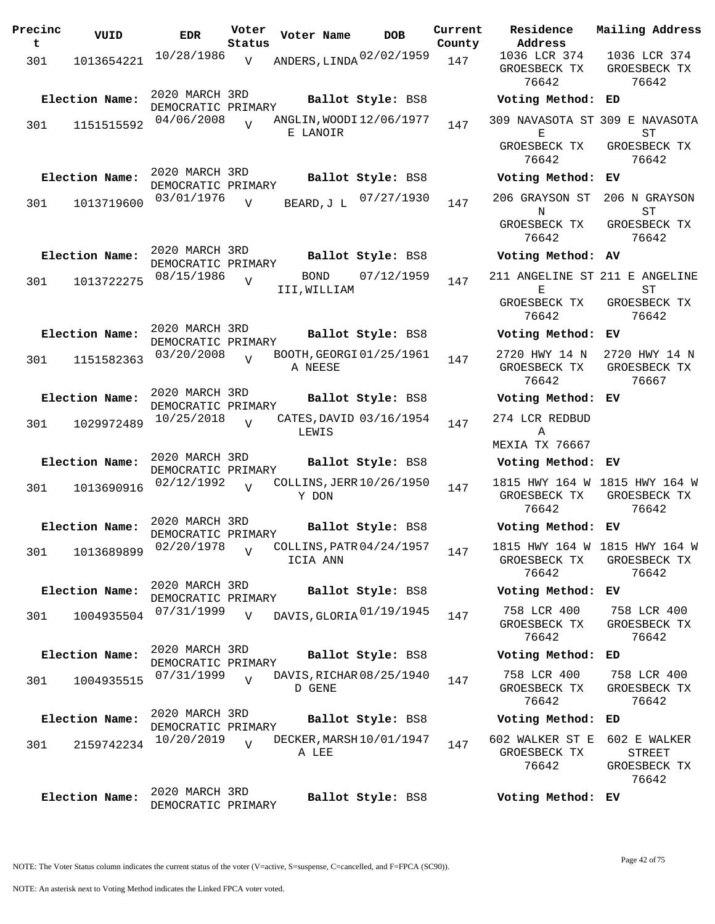| Precinc<br>t | VUID           | <b>EDR</b>                           | Voter<br>Status | Voter Name   | <b>DOB</b>                           | Current<br>County | Residence<br>Address                                   | Mailing Address                                 |
|--------------|----------------|--------------------------------------|-----------------|--------------|--------------------------------------|-------------------|--------------------------------------------------------|-------------------------------------------------|
| 301          | 1013654221     | 10/28/1986                           | $\overline{V}$  |              | ANDERS, LINDA 02/02/1959             | 147               | 1036 LCR 374<br>GROESBECK TX<br>76642                  | 1036 LCR 374<br>GROESBECK TX<br>76642           |
|              | Election Name: | 2020 MARCH 3RD<br>DEMOCRATIC PRIMARY |                 |              | Ballot Style: BS8                    |                   | Voting Method: ED                                      |                                                 |
| 301          | 1151515592     | 04/06/2008                           | $\overline{V}$  | E LANOIR     | ANGLIN, WOODI 12/06/1977             | 147               | 309 NAVASOTA ST 309 E NAVASOTA<br>Е                    | ST                                              |
|              |                |                                      |                 |              |                                      |                   | GROESBECK TX<br>76642                                  | GROESBECK TX<br>76642                           |
|              | Election Name: | 2020 MARCH 3RD<br>DEMOCRATIC PRIMARY |                 |              | Ballot Style: BS8                    |                   | Voting Method: EV                                      |                                                 |
| 301          | 1013719600     | 03/01/1976                           | $\overline{V}$  | BEARD, J L   | 07/27/1930                           | 147               | 206 GRAYSON ST<br>N                                    | 206 N GRAYSON<br>ST                             |
|              |                |                                      |                 |              |                                      |                   | GROESBECK TX<br>76642                                  | GROESBECK TX<br>76642                           |
|              | Election Name: | 2020 MARCH 3RD<br>DEMOCRATIC PRIMARY |                 |              | Ballot Style: BS8                    |                   | Voting Method: AV                                      |                                                 |
| 301          | 1013722275     | 08/15/1986                           | $\overline{U}$  | BOND         | 07/12/1959                           | 147               | 211 ANGELINE ST 211 E ANGELINE                         |                                                 |
|              |                |                                      |                 | III, WILLIAM |                                      |                   | Ε<br>GROESBECK TX<br>76642                             | ST<br>GROESBECK TX<br>76642                     |
|              | Election Name: | 2020 MARCH 3RD                       |                 |              | Ballot Style: BS8                    |                   | Voting Method: EV                                      |                                                 |
| 301          | 1151582363     | DEMOCRATIC PRIMARY<br>03/20/2008     |                 | A NEESE      | BOOTH, GEORGI 01/25/1961             | 147               | 2720 HWY 14 N<br>GROESBECK TX<br>76642                 | 2720 HWY 14 N<br>GROESBECK TX<br>76667          |
|              | Election Name: | 2020 MARCH 3RD                       |                 |              | Ballot Style: BS8                    |                   | Voting Method:                                         | ЕV                                              |
| 301          | 1029972489     | DEMOCRATIC PRIMARY<br>10/25/2018     | $\overline{U}$  |              | CATES, DAVID 03/16/1954              | 147               | 274 LCR REDBUD                                         |                                                 |
|              |                |                                      |                 | LEWIS        |                                      |                   | Α<br>MEXIA TX 76667                                    |                                                 |
|              | Election Name: | 2020 MARCH 3RD<br>DEMOCRATIC PRIMARY |                 |              | Ballot Style: BS8                    |                   | Voting Method: EV                                      |                                                 |
| 301          | 1013690916     | 02/12/1992                           | $\overline{U}$  | Y DON        | COLLINS, JERR 10/26/1950             | 147               | 1815 HWY 164 W 1815 HWY 164 W<br>GROESBECK TX<br>76642 | GROESBECK TX<br>76642                           |
|              | Election Name: | 2020 MARCH 3RD<br>DEMOCRATIC PRIMARY |                 |              | Ballot Style: BS8                    |                   | Voting Method: EV                                      |                                                 |
| 301          | 1013689899     | 02/20/1978                           | $\overline{V}$  | ICIA ANN     | COLLINS, PATR 04/24/1957             | 147               | 1815 HWY 164 W 1815 HWY 164 W<br>GROESBECK TX<br>76642 | GROESBECK TX<br>76642                           |
|              | Election Name: | 2020 MARCH 3RD<br>DEMOCRATIC PRIMARY |                 |              | Ballot Style: BS8                    |                   | Voting Method: EV                                      |                                                 |
| 301          | 1004935504     | 07/31/1999                           | $\overline{V}$  |              | DAVIS, GLORIA <sup>01/19</sup> /1945 | 147               | 758 LCR 400<br>GROESBECK TX<br>76642                   | 758 LCR 400<br>GROESBECK TX<br>76642            |
|              | Election Name: | 2020 MARCH 3RD<br>DEMOCRATIC PRIMARY |                 |              | Ballot Style: BS8                    |                   | Voting Method: ED                                      |                                                 |
| 301          | 1004935515     | 07/31/1999                           | $\overline{V}$  | D GENE       | DAVIS, RICHAR 08/25/1940             | 147               | 758 LCR 400<br>GROESBECK TX<br>76642                   | 758 LCR 400<br>GROESBECK TX<br>76642            |
|              | Election Name: | 2020 MARCH 3RD<br>DEMOCRATIC PRIMARY |                 |              | Ballot Style: BS8                    |                   | Voting Method: ED                                      |                                                 |
| 301          | 2159742234     | 10/20/2019                           | $\overline{V}$  | A LEE        | DECKER, MARSH $10/01/1947$           | 147               | 602 WALKER ST E<br>GROESBECK TX<br>76642               | 602 E WALKER<br>STREET<br>GROESBECK TX<br>76642 |
|              | Election Name: | 2020 MARCH 3RD<br>DEMOCRATIC PRIMARY |                 |              | Ballot Style: BS8                    |                   | Voting Method: EV                                      |                                                 |

NOTE: An asterisk next to Voting Method indicates the Linked FPCA voter voted.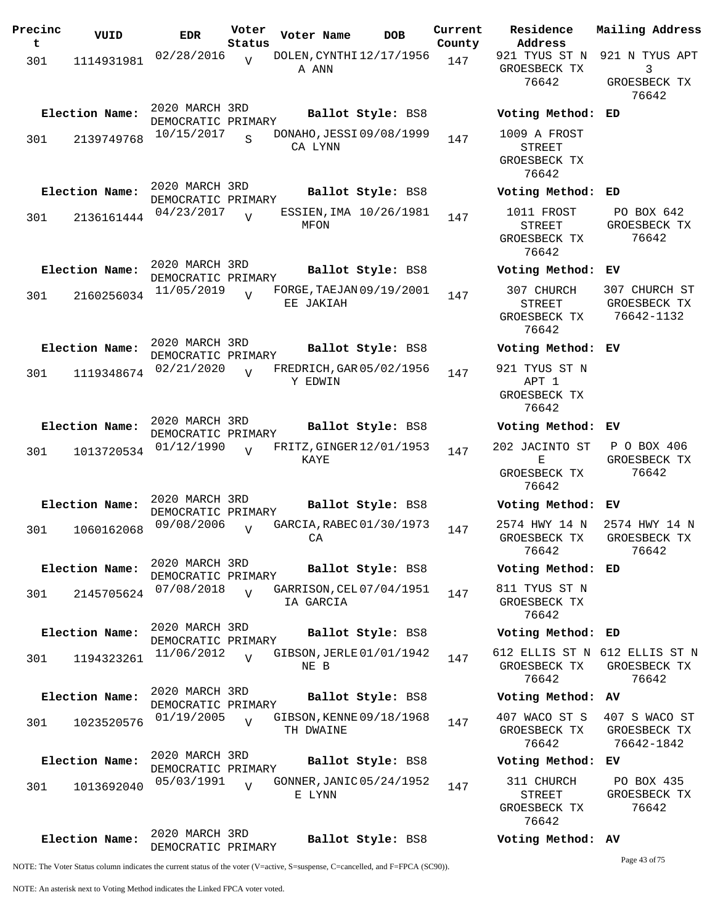| Precinc<br>t | VUID           | <b>EDR</b>                           | Voter<br>Status         | Voter Name                            | <b>DOB</b>        | Current<br>County | Residence<br>Address                                 | Mai:                       |
|--------------|----------------|--------------------------------------|-------------------------|---------------------------------------|-------------------|-------------------|------------------------------------------------------|----------------------------|
| 301          | 1114931981     | 02/28/2016                           | $\overline{U}$          | DOLEN, CYNTHI 12/17/1956<br>A ANN     |                   | 147               | 921 TYUS ST N<br>GROESBECK TX<br>76642               | 921<br>GR                  |
|              | Election Name: | 2020 MARCH 3RD<br>DEMOCRATIC PRIMARY |                         |                                       | Ballot Style: BS8 |                   | Voting Method: ED                                    |                            |
| 301          | 2139749768     | 10/15/2017                           | $\overline{\mathbf{S}}$ | DONAHO, JESSI 09/08/1999<br>CA LYNN   |                   | 147               | 1009 A FROST<br>STREET<br>GROESBECK TX<br>76642      |                            |
|              | Election Name: | 2020 MARCH 3RD<br>DEMOCRATIC PRIMARY |                         |                                       | Ballot Style: BS8 |                   | Voting Method:                                       | ED                         |
| 301          | 2136161444     | 04/23/2017                           | $\overline{V}$          | ESSIEN, IMA 10/26/1981<br>MFON        |                   | 147               | 1011 FROST<br><b>STREET</b><br>GROESBECK TX<br>76642 | Ρ<br>GR                    |
|              | Election Name: | 2020 MARCH 3RD<br>DEMOCRATIC PRIMARY |                         |                                       | Ballot Style: BS8 |                   | Voting Method:                                       | ЕV                         |
| 301          | 2160256034     | 11/05/2019                           |                         | FORGE, TAEJAN 09/19/2001<br>EE JAKIAH |                   | 147               | 307 CHURCH<br><b>STREET</b><br>GROESBECK TX<br>76642 | 30 <sup>7</sup><br>GR<br>7 |
|              | Election Name: | 2020 MARCH 3RD<br>DEMOCRATIC PRIMARY |                         |                                       | Ballot Style: BS8 |                   | Voting Method:                                       | EV                         |
| 301          | 1119348674     | 02/21/2020                           | $\overline{U}$          | FREDRICH, GAR 05/02/1956<br>Y EDWIN   |                   | 147               | 921 TYUS ST N<br>APT 1<br>GROESBECK TX<br>76642      |                            |
|              | Election Name: | 2020 MARCH 3RD<br>DEMOCRATIC PRIMARY |                         |                                       | Ballot Style: BS8 |                   | Voting Method:                                       | ЕV                         |
| 301          | 1013720534     | 01/12/1990                           | $\overline{V}$          | FRITZ, GINGER 12/01/1953<br>KAYE      |                   | 147               | 202 JACINTO ST<br>Е<br>GROESBECK TX<br>76642         | Ρ<br>GR                    |
|              | Election Name: | 2020 MARCH 3RD<br>DEMOCRATIC PRIMARY |                         |                                       | Ballot Style: BS8 |                   | Voting Method:                                       | ЕV                         |
| 301          | 1060162068     | 09/08/2006                           | $\overline{U}$          | GARCIA, RABEC 01/30/1973<br>CA        |                   | 147               | 2574 HWY 14 N<br>GROESBECK TX<br>76642               | 25'<br>GR                  |
|              | Election Name: | 2020 MARCH 3RD<br>DEMOCRATIC PRIMARY |                         |                                       | Ballot Style: BS8 |                   | Voting Method: ED                                    |                            |
| 301          | 2145705624     | 07/08/2018                           | $\overline{z}$          | GARRISON, CEL 07/04/1951<br>IA GARCIA |                   | 147               | 811 TYUS ST N<br>GROESBECK TX<br>76642               |                            |
|              | Election Name: | 2020 MARCH 3RD<br>DEMOCRATIC PRIMARY |                         |                                       | Ballot Style: BS8 |                   | Voting Method: ED                                    |                            |
| 301          | 1194323261     | 11/06/2012                           | $\overline{U}$          | GIBSON, JERLE 01/01/1942<br>NE B      |                   | 147               | 612 ELLIS ST N 612<br>GROESBECK TX<br>76642          | GR                         |
|              | Election Name: | 2020 MARCH 3RD<br>DEMOCRATIC PRIMARY |                         |                                       | Ballot Style: BS8 |                   | Voting Method: AV                                    |                            |
| 301          | 1023520576     | 01/19/2005                           |                         | GIBSON, KENNE 09/18/1968<br>TH DWAINE |                   | 147               | 407 WACO ST S<br>GROESBECK TX<br>76642               | 40<br>GR<br>7              |
|              | Election Name: | 2020 MARCH 3RD<br>DEMOCRATIC PRIMARY |                         |                                       | Ballot Style: BS8 |                   | Voting Method:                                       | ЕV                         |
| 301          | 1013692040     | 05/03/1991                           | $\overline{U}$          | GONNER, JANIC 05/24/1952<br>E LYNN    |                   | 147               | 311 CHURCH<br>STREET<br>GROESBECK TX<br>76642        | $\mathbf P$<br>GR          |
|              | Election Name: | 2020 MARCH 3RD<br>DEMOCRATIC PRIMARY |                         |                                       | Ballot Style: BS8 |                   | Voting Method: AV                                    |                            |

**Voter Name DOB Residence Address Current Mailing Address** 921 TYUS ST N 921 N TYUS APT GROESBECK TX 76642 3 GROESBECK TX 76642 **Election Name: Ballot Style:** BS8 **Voting Method: ED** 1009 A FROST STREET GROESBECK TX 76642 **Election Name: Ballot Style:** BS8 **Voting Method: ED** 1011 FROST STREET GROESBECK TX 76642 PO BOX 642 GROESBECK TX 76642 **Election Name: Ballot Style:** BS8 **Voting Method: EV** 307 CHURCH STREET GROESBECK TX 76642 307 CHURCH ST GROESBECK TX 76642-1132 **Election Name: Ballot Style:** BS8 **Voting Method: EV** 921 TYUS ST N APT 1 GROESBECK TX 76642 **Election Name: Ballot Style:** BS8 **Voting Method: EV** 202 JACINTO ST  $E$ GROESBECK TX 76642 P O BOX 406 GROESBECK TX 76642 **Election Name: Ballot Style:** BS8 **Voting Method: EV** 2574 HWY 14 N GROESBECK TX 76642 2574 HWY 14 N GROESBECK TX 76642 **Election Name: Ballot Style:** BS8 **Voting Method: ED** 811 TYUS ST N GROESBECK TX 76642 **Election Name: Ballot Style:** BS8 **Voting Method: ED** 612 ELLIS ST N 612 ELLIS ST N GROESBECK TX 76642 GROESBECK TX 76642 **Election Name: Ballot Style:** BS8 **Voting Method: AV** 407 WACO ST S GROESBECK TX 76642 407 S WACO ST GROESBECK TX 76642-1842 **Election Name: Ballot Style:** BS8 **Voting Method: EV** 311 CHURCH STREET PO BOX 435 GROESBECK TX

76642

Page 43 of 75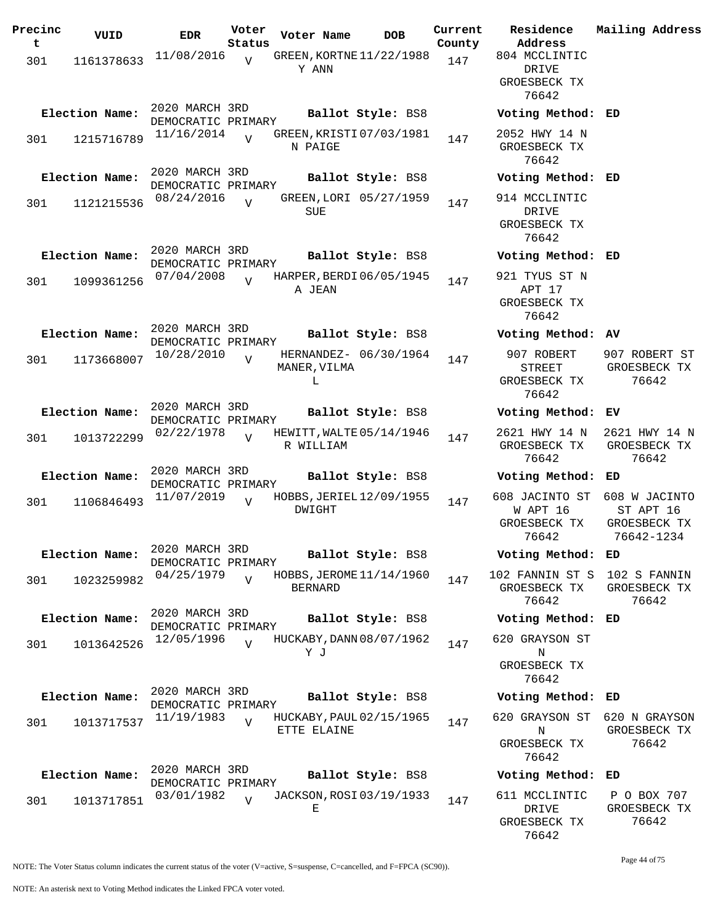| Precinc<br>t. | VUID           | EDR                                  | Voter<br>Status | Voter Name        | DOB                      | Current<br>County |
|---------------|----------------|--------------------------------------|-----------------|-------------------|--------------------------|-------------------|
| 301           | 1161378633     | 11/08/2016                           | V               | Y ANN             | GREEN, KORTNE 11/22/1988 | 147               |
|               | Election Name: | 2020 MARCH 3RD<br>DEMOCRATIC PRIMARY |                 |                   | Ballot Style: BS8        |                   |
| 301           | 1215716789     | 11/16/2014                           | $\overline{V}$  | N PAIGE           | GREEN, KRISTI 07/03/1981 | 147               |
|               | Election Name: | 2020 MARCH 3RD<br>DEMOCRATIC PRIMARY |                 |                   | Ballot Style: BS8        |                   |
| 301           | 1121215536     | 08/24/2016                           | $\overline{I}$  | <b>SUE</b>        | GREEN, LORI 05/27/1959   | 147               |
|               | Election Name: | 2020 MARCH 3RD<br>DEMOCRATIC PRIMARY |                 |                   | Ballot Style: BS8        |                   |
| 301           | 1099361256     | 07/04/2008                           | $\overline{U}$  | A JEAN            | HARPER, BERDI 06/05/1945 | 147               |
|               | Election Name: | 2020 MARCH 3RD<br>DEMOCRATIC PRIMARY |                 |                   | Ballot Style: BS8        |                   |
| 301           | 1173668007     | 10/28/2010                           | ٦T              | MANER, VILMA<br>L | HERNANDEZ- 06/30/1964    | 147               |
|               | Election Name: | 2020 MARCH 3RD<br>DEMOCRATIC PRIMARY |                 |                   | Ballot Style: BS8        |                   |
| 301           | 1013722299     | 02/22/1978                           | $\overline{U}$  | R WILLIAM         | HEWITT, WALTE 05/14/1946 | 147               |
|               | Election Name: | 2020 MARCH 3RD<br>DEMOCRATIC PRIMARY |                 |                   | Ballot Style: BS8        |                   |
| 301           | 1106846493     | 11/07/2019                           | $\overline{V}$  | DWIGHT            | HOBBS, JERIEL 12/09/1955 | 147               |
|               | Election Name: | 2020 MARCH 3RD<br>DEMOCRATIC PRIMARY |                 |                   | Ballot Style: BS8        |                   |
| 301           | 1023259982     | 04/25/1979                           | $\overline{V}$  | BERNARD           | HOBBS, JEROME 11/14/1960 | 147               |
|               | Election Name: | 2020 MARCH 3RD<br>DEMOCRATIC PRIMARY |                 |                   | Ballot Style: BS8        |                   |
| 301           | 1013642526     | 12/05/1996                           | $\overline{V}$  | Y J               | HUCKABY, DANN 08/07/1962 | 147               |
|               | Election Name: | 2020 MARCH 3RD<br>DEMOCRATIC PRIMARY |                 |                   | Ballot Style: BS8        |                   |
| 301           | 1013717537     | 11/19/1983                           | $\overline{U}$  | ETTE ELAINE       | HUCKABY, PAUL 02/15/1965 | 147               |
|               | Election Name: | 2020 MARCH 3RD<br>DEMOCRATIC PRIMARY |                 |                   | Ballot Style: BS8        |                   |
| 301           | 1013717851     | 03/01/1982                           | $\overline{z}$  | Е                 | JACKSON, ROSI 03/19/1933 | 147               |

**Voter Name DOB Residence Address Current Mailing Address** 804 MCCLINTIC DRIVE GROESBECK TX 76642 **Election Name: Ballot Style:** BS8 **Voting Method: ED** 2052 HWY 14 N GROESBECK TX 76642 **Election Name: Ballot Style:** BS8 **Voting Method: ED** 914 MCCLINTIC DRIVE GROESBECK TX 76642 **Election Name: Ballot Style:** BS8 **Voting Method: ED** 921 TYUS ST N APT 17 GROESBECK TX 76642 **Election Name: Ballot Style:** BS8 **Voting Method: AV** 907 ROBERT STREET GROESBECK TX 76642 907 ROBERT ST GROESBECK TX 76642 **Election Name: Ballot Style:** BS8 **Voting Method: EV** 2621 HWY 14 N GROESBECK TX 76642 2621 HWY 14 N GROESBECK TX 76642 **Election Name: Ballot Style:** BS8 **Voting Method: ED** 608 JACINTO ST 608 W JACINTO W APT 16 GROESBECK TX 76642 ST APT 16 GROESBECK TX 76642-1234 **Election Name: Ballot Style:** BS8 **Voting Method: ED** 102 FANNIN ST S 102 S FANNIN GROESBECK TX 76642 GROESBECK TX 76642 **Election Name: Ballot Style:** BS8 **Voting Method: ED** 620 GRAYSON ST N GROESBECK TX 76642 **Election Name: Ballot Style:** BS8 **Voting Method: ED** 620 GRAYSON ST 620 N GRAYSON N GROESBECK TX 76642 GROESBECK TX 76642 **Election Name: Ballot Style:** BS8 **Voting Method: ED** 611 MCCLINTIC P O BOX 707

NOTE: The Voter Status column indicates the current status of the voter (V=active, S=suspense, C=cancelled, and F=FPCA (SC90)).

Page 44 of 75

GROESBECK TX 76642

DRIVE GROESBECK TX 76642

NOTE: An asterisk next to Voting Method indicates the Linked FPCA voter voted.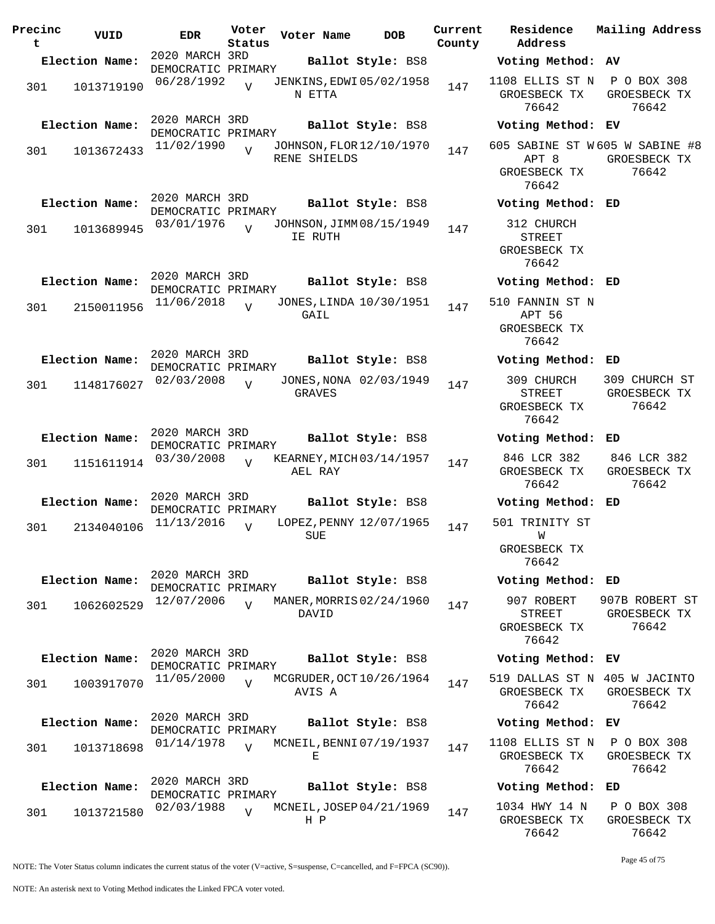| Precinc<br>t | VUID           | <b>EDR</b>                           | Voter<br>Status | Voter Name                                | <b>DOB</b>             | Current<br>County | Residence<br>Address                                 |
|--------------|----------------|--------------------------------------|-----------------|-------------------------------------------|------------------------|-------------------|------------------------------------------------------|
|              | Election Name: | 2020 MARCH 3RD<br>DEMOCRATIC PRIMARY |                 |                                           | Ballot Style: BS8      |                   | Voting Method                                        |
| 301          | 1013719190     | 06/28/1992                           | $\overline{V}$  | <b>JENKINS, EDWI 05/02/1958</b><br>N ETTA |                        | 147               | 1108 ELLIS ST N<br>GROESBECK TX<br>76642             |
|              | Election Name: | 2020 MARCH 3RD<br>DEMOCRATIC PRIMARY |                 |                                           | Ballot Style: BS8      |                   | Voting Method                                        |
| 301          | 1013672433     | 11/02/1990                           | $\overline{V}$  | JOHNSON, FLOR 12/10/1970<br>RENE SHIELDS  |                        | 147               | 605 SABINE ST W<br>APT 8<br>GROESBECK TX<br>76642    |
|              | Election Name: | 2020 MARCH 3RD                       |                 |                                           | Ballot Style: BS8      |                   | Voting Method                                        |
| 301          | 1013689945     | DEMOCRATIC PRIMARY<br>03/01/1976     | $\overline{U}$  | JOHNSON, JIMM 08/15/1949<br>IE RUTH       |                        | 147               | 312 CHURCH<br><b>STREET</b><br>GROESBECK TX<br>76642 |
|              | Election Name: | 2020 MARCH 3RD<br>DEMOCRATIC PRIMARY |                 |                                           | Ballot Style: BS8      |                   | Voting Method                                        |
| 301          | 2150011956     | 11/06/2018                           | $\overline{z}$  | JONES, LINDA 10/30/1951<br>GAIL           |                        | 147               | 510 FANNIN ST I<br>APT 56<br>GROESBECK TX<br>76642   |
|              | Election Name: | 2020 MARCH 3RD<br>DEMOCRATIC PRIMARY |                 |                                           | Ballot Style: BS8      |                   | Voting Method                                        |
| 301          | 1148176027     | 02/03/2008                           | $\overline{U}$  | <b>GRAVES</b>                             | JONES, NONA 02/03/1949 | 147               | 309 CHURCH<br><b>STREET</b><br>GROESBECK TX<br>76642 |
|              | Election Name: | 2020 MARCH 3RD                       |                 |                                           | Ballot Style: BS8      |                   | Voting Method                                        |
| 301          | 1151611914     | DEMOCRATIC PRIMARY<br>03/30/2008     | $\overline{U}$  | KEARNEY, MICH 03/14/1957<br>AEL RAY       |                        | 147               | 846 LCR 382<br>GROESBECK TX<br>76642                 |
|              | Election Name: | 2020 MARCH 3RD<br>DEMOCRATIC PRIMARY |                 |                                           | Ballot Style: BS8      |                   | Voting Method                                        |
| 301          | 2134040106     | 11/13/2016                           | $\overline{U}$  | LOPEZ, PENNY 12/07/1965<br>SUE            |                        | 147               | 501 TRINITY ST<br>W<br>GROESBECK TX<br>76642         |
|              | Election Name: | 2020 MARCH 3RD                       |                 |                                           | Ballot Style: BS8      |                   | Voting Method                                        |
| 301          | 1062602529     | DEMOCRATIC PRIMARY<br>12/07/2006     | $\overline{V}$  | MANER, MORRIS 02/24/1960<br>DAVID         |                        | 147               | 907 ROBERT<br>STREET<br>GROESBECK TX<br>76642        |
|              | Election Name: | 2020 MARCH 3RD<br>DEMOCRATIC PRIMARY |                 |                                           | Ballot Style: BS8      |                   | Voting Method                                        |
| 301          | 1003917070     | 11/05/2000                           | $\overline{U}$  | MCGRUDER, OCT 10/26/1964<br>AVIS A        |                        | 147               | 519 DALLAS ST M<br>GROESBECK TX<br>76642             |
|              | Election Name: | 2020 MARCH 3RD<br>DEMOCRATIC PRIMARY |                 |                                           | Ballot Style: BS8      |                   | Voting Method                                        |
| 301          | 1013718698     | 01/14/1978                           | $\overline{U}$  | MCNEIL, BENNI 07/19/1937<br>Е             |                        | 147               | 1108 ELLIS ST N<br>GROESBECK TX<br>76642             |
|              | Election Name: | 2020 MARCH 3RD<br>DEMOCRATIC PRIMARY |                 |                                           | Ballot Style: BS8      |                   | Voting Method                                        |
| 301          | 1013721580     | 02/03/1988                           | $\overline{U}$  | MCNEIL, JOSEP 04/21/1969<br>H P           |                        | 147               | 1034 HWY 14 N<br>GROESBECK TX                        |

**Voter Name DOB Residence Address Current Mailing Address Election Name: Ballot Style:** BS8 **Voting Method: AV** 1108 ELLIS ST N P O BOX 308 GROESBECK TX 76642 GROESBECK TX 76642 **Election Name: Ballot Style:** BS8 **Voting Method: EV** 605 SABINE ST W 605 W SABINE #8 APT 8 GROESBECK TX GROESBECK TX 76642 76642 **Election Name: Ballot Style:** BS8 **Voting Method: ED** 312 CHURCH STREET GROESBECK TX 76642 **Election Name: Ballot Style:** BS8 **Voting Method: ED** 0 FANNIN ST N APT 56 GROESBECK TX 76642 **Election Name: Ballot Style:** BS8 **Voting Method: ED** 309 CHURCH STREET GROESBECK TX 76642 309 CHURCH ST GROESBECK TX 76642 **Election Name: Ballot Style:** BS8 **Voting Method: ED** 846 LCR 382 GROESBECK TX 76642 846 LCR 382 GROESBECK TX 76642 **Election Name: Ballot Style:** BS8 **Voting Method: ED** 1 TRINITY ST W GROESBECK TX 76642 **Election Name: Ballot Style:** BS8 **Voting Method: ED** 907 ROBERT STREET GROESBECK TX 76642 907B ROBERT ST GROESBECK TX 76642 **Election Name: Ballot Style:** BS8 **Voting Method: EV** 519 DALLAS ST N 405 W JACINTO GROESBECK TX 76642 GROESBECK TX 76642 **Election Name: Ballot Style:** BS8 **Voting Method: EV** 1108 ELLIS ST N P O BOX 308 GROESBECK TX 76642 GROESBECK TX 76642 **Election Name: Ballot Style:** BS8 **Voting Method: ED**

NOTE: The Voter Status column indicates the current status of the voter (V=active, S=suspense, C=cancelled, and F=FPCA (SC90)).

Page 45 of 75

P O BOX 308 GROESBECK TX 76642

76642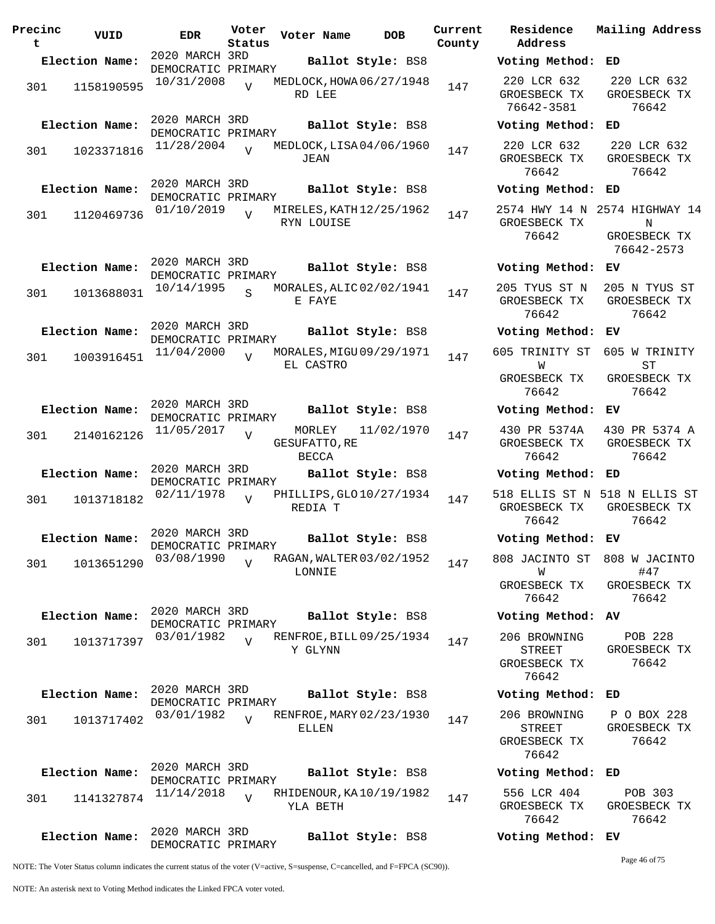| Precinc<br>t | VUID           | <b>EDR</b>                           | Voter<br>Status | Voter Name              | <b>DOB</b>                 | Current<br>County |
|--------------|----------------|--------------------------------------|-----------------|-------------------------|----------------------------|-------------------|
|              | Election Name: | 2020 MARCH 3RD                       |                 |                         | Ballot Style: BS8          |                   |
| 301          | 1158190595     | DEMOCRATIC PRIMARY<br>10/31/2008     | $\overline{V}$  | RD LEE                  | MEDLOCK, HOWA 06/27/1948   | 147               |
|              | Election Name: | 2020 MARCH 3RD<br>DEMOCRATIC PRIMARY |                 |                         | Ballot Style: BS8          |                   |
| 301          | 1023371816     | 11/28/2004                           | $\overline{V}$  | JEAN                    | MEDLOCK, LISA 04/06/1960   | 147               |
|              | Election Name: | 2020 MARCH 3RD<br>DEMOCRATIC PRIMARY |                 |                         | Ballot Style: BS8          |                   |
| 301          | 1120469736     | 01/10/2019                           | $\overline{V}$  | RYN LOUISE              | MIRELES, KATH $12/25/1962$ | 147               |
|              | Election Name: | 2020 MARCH 3RD<br>DEMOCRATIC PRIMARY |                 |                         | Ballot Style: BS8          |                   |
| 301          | 1013688031     | 10/14/1995                           | $\mathbf{S}$    | E FAYE                  | MORALES, ALIC 02/02/1941   | 147               |
|              | Election Name: | 2020 MARCH 3RD<br>DEMOCRATIC PRIMARY |                 |                         | Ballot Style: BS8          |                   |
| 301          | 1003916451     | 11/04/2000                           | ٦T              | EL CASTRO               | MORALES, MIGU 09/29/1971   | 147               |
|              | Election Name: | 2020 MARCH 3RD<br>DEMOCRATIC PRIMARY |                 |                         | Ballot Style: BS8          |                   |
| 301          | 2140162126     | 11/05/2017                           | V               | MORLEY<br>GESUFATTO, RE | 11/02/1970                 | 147               |
|              | Election Name: | 2020 MARCH 3RD<br>DEMOCRATIC PRIMARY |                 | <b>BECCA</b>            | Ballot Style: BS8          |                   |
| 301          | 1013718182     | 02/11/1978                           | V               | REDIA T                 | PHILLIPS, GLO 10/27/1934   | 147               |
|              | Election Name: | 2020 MARCH 3RD<br>DEMOCRATIC PRIMARY |                 |                         | Ballot Style: BS8          |                   |
| 301          | 1013651290     | 03/08/1990                           | $\overline{V}$  | LONNIE                  | RAGAN, WALTER 03/02/1952   | 147               |
|              | Election Name: | 2020 MARCH 3RD<br>DEMOCRATIC PRIMARY |                 |                         | Ballot Style: BS8          |                   |
| 301          | 1013717397     | 03/01/1982                           | $\overline{U}$  | Y GLYNN                 | RENFROE, BILL 09/25/1934   | 147               |
|              | Election Name: | 2020 MARCH 3RD<br>DEMOCRATIC PRIMARY |                 |                         | Ballot Style: BS8          |                   |
| 301          | 1013717402     | 03/01/1982                           | $\overline{z}$  | ELLEN                   | RENFROE, MARY 02/23/1930   | 147               |
|              | Election Name: | 2020 MARCH 3RD                       |                 |                         | Ballot Style: BS8          |                   |
| 301          | 1141327874     | DEMOCRATIC PRIMARY<br>11/14/2018     | V               | YLA BETH                | RHIDENOUR, KA 10/19/1982   | 147               |
|              | Election Name: | 2020 MARCH 3RD<br>DEMOCRATIC PRIMARY |                 |                         | Ballot Style: BS8          |                   |

**Voter Name DOB Residence Address Current Mailing Address Election Name: Ballot Style:** BS8 **Voting Method: ED** 220 LCR 632 GROESBECK TX 76642-3581 220 LCR 632 GROESBECK TX 76642 **Election Name: Ballot Style:** BS8 **Voting Method: ED** 220 LCR 632 GROESBECK TX 76642 220 LCR 632 GROESBECK TX 76642 **Election Name: Ballot Style:** BS8 **Voting Method: ED** 2574 HWY 14 N 2574 HIGHWAY 14 GROESBECK TX 76642 N GROESBECK TX 76642-2573 **Election Name: Ballot Style:** BS8 **Voting Method: EV** 205 TYUS ST N GROESBECK TX 76642 205 N TYUS ST GROESBECK TX 76642 **Election Name: Ballot Style:** BS8 **Voting Method: EV** 605 TRINITY ST 605 W TRINITY W GROESBECK TX 76642 ST GROESBECK TX 76642 **Election Name: Ballot Style:** BS8 **Voting Method: EV** 430 PR 5374A GROESBECK TX 76642 430 PR 5374 A GROESBECK TX 76642 **Election Name: Ballot Style:** BS8 **Voting Method: ED** 518 ELLIS ST N 518 N ELLIS ST GROESBECK TX 76642 GROESBECK TX 76642 **Election Name: Ballot Style:** BS8 **Voting Method: EV** 808 JACINTO ST 808 W JACINTO W GROESBECK TX 76642 #47 GROESBECK TX 76642 **Election Name: Ballot Style:** BS8 **Voting Method: AV** 206 BROWNING STREET GROESBECK TX 76642 POB 228 GROESBECK TX 76642 **Election Name: Ballot Style:** BS8 **Voting Method: ED** 206 BROWNING STREET GROESBECK TX 76642 P O BOX 228 GROESBECK TX 76642 **Election Name: Ballot Style:** BS8 **Voting Method: ED** 556 LCR 404 GROESBECK TX 76642 POB 303 GROESBECK TX 76642 **Election Name: Ballot Style:** BS8 **Voting Method: EV** Page 46 of 75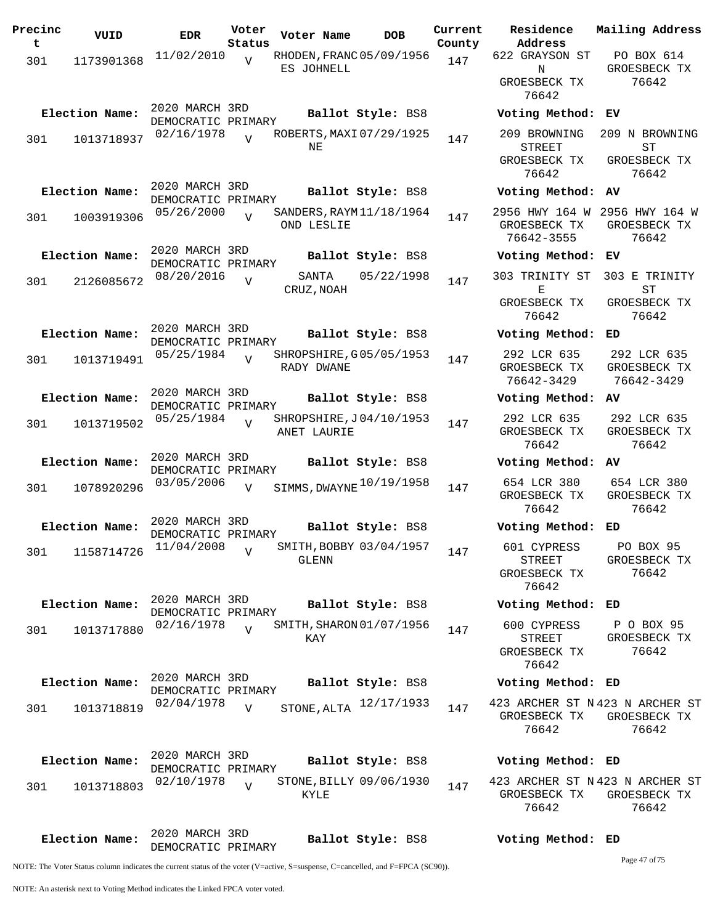| Precinc<br>t | VUID           | <b>EDR</b>                           | Voter<br>Status | Voter Name          | <b>DOB</b>               | Current<br>County | Residence<br>Address                                     | Mailing Address                                          |
|--------------|----------------|--------------------------------------|-----------------|---------------------|--------------------------|-------------------|----------------------------------------------------------|----------------------------------------------------------|
| 301          | 1173901368     | 11/02/2010                           | $\overline{V}$  | ES JOHNELL          | RHODEN, FRANC 05/09/1956 | 147               | 622 GRAYSON ST<br>N                                      | PO BOX 614<br>GROESBECK TX                               |
|              |                |                                      |                 |                     |                          |                   | GROESBECK TX<br>76642                                    | 76642                                                    |
|              | Election Name: | 2020 MARCH 3RD<br>DEMOCRATIC PRIMARY |                 |                     | Ballot Style: BS8        |                   | Voting Method: EV                                        |                                                          |
| 301          | 1013718937     | 02/16/1978                           | $\overline{17}$ | NE                  | ROBERTS, MAXI 07/29/1925 | 147               | 209 BROWNING<br><b>STREET</b><br>GROESBECK TX<br>76642   | 209 N BROWNING<br>ST<br>GROESBECK TX<br>76642            |
|              | Election Name: | 2020 MARCH 3RD                       |                 |                     | Ballot Style: BS8        |                   | Voting Method: AV                                        |                                                          |
| 301          | 1003919306     | DEMOCRATIC PRIMARY<br>05/26/2000     | $\overline{v}$  | OND LESLIE          | SANDERS, RAYM 11/18/1964 | 147               | GROESBECK TX<br>76642-3555                               | 2956 HWY 164 W 2956 HWY 164 W<br>GROESBECK TX<br>76642   |
|              | Election Name: | 2020 MARCH 3RD                       |                 |                     | Ballot Style: BS8        |                   | Voting Method: EV                                        |                                                          |
|              |                | DEMOCRATIC PRIMARY                   |                 |                     |                          |                   | 303 TRINITY ST                                           | 303 E TRINITY                                            |
| 301          | 2126085672     | 08/20/2016                           | $\overline{U}$  | SANTA<br>CRUZ, NOAH | 05/22/1998               | 147               | Е<br>GROESBECK TX<br>76642                               | ST<br>GROESBECK TX<br>76642                              |
|              | Election Name: | 2020 MARCH 3RD<br>DEMOCRATIC PRIMARY |                 |                     | Ballot Style: BS8        |                   | Voting Method:                                           | ED.                                                      |
| 301          | 1013719491     | 05/25/1984                           | $\overline{U}$  | RADY DWANE          | SHROPSHIRE, G05/05/1953  | 147               | 292 LCR 635<br>GROESBECK TX<br>76642-3429                | 292 LCR 635<br>GROESBECK TX<br>76642-3429                |
|              | Election Name: | 2020 MARCH 3RD<br>DEMOCRATIC PRIMARY |                 |                     | Ballot Style: BS8        |                   | Voting Method: AV                                        |                                                          |
| 301          | 1013719502     | 05/25/1984                           | $\overline{V}$  | ANET LAURIE         | SHROPSHIRE, J04/10/1953  | 147               | 292 LCR 635<br>GROESBECK TX<br>76642                     | 292 LCR 635<br>GROESBECK TX<br>76642                     |
|              | Election Name: | 2020 MARCH 3RD<br>DEMOCRATIC PRIMARY |                 |                     | Ballot Style: BS8        |                   | Voting Method: AV                                        |                                                          |
| 301          | 1078920296     | 03/05/2006                           | V               |                     | SIMMS, DWAYNE 10/19/1958 | 147               | 654 LCR 380<br>GROESBECK TX<br>76642                     | 654 LCR 380<br>GROESBECK TX<br>76642                     |
|              | Election Name: | 2020 MARCH 3RD<br>DEMOCRATIC PRIMARY |                 |                     | Ballot Style: BS8        |                   | Voting Method:                                           | ED                                                       |
| 301          | 1158714726     | $11/04/2008$ $V$                     |                 | GLENN               | SMITH, BOBBY 03/04/1957  | 147               | 601 CYPRESS PO BOX 95<br>STREET<br>GROESBECK TX<br>76642 | GROESBECK TX<br>76642                                    |
|              | Election Name: | 2020 MARCH 3RD                       |                 |                     | Ballot Style: BS8        |                   | Voting Method: ED                                        |                                                          |
| 301          | 1013717880     | DEMOCRATIC PRIMARY<br>02/16/1978     | $\overline{V}$  | KAY                 | SMITH, SHARON 01/07/1956 | 147               | STREET<br>GROESBECK TX<br>76642                          | 600 CYPRESS P O BOX 95<br>GROESBECK TX<br>76642          |
|              | Election Name: | 2020 MARCH 3RD                       |                 |                     | Ballot Style: BS8        |                   | Voting Method: ED                                        |                                                          |
| 301          | 1013718819     | DEMOCRATIC PRIMARY<br>02/04/1978     | V               |                     | STONE, ALTA 12/17/1933   | 147               | GROESBECK TX<br>76642                                    | 423 ARCHER ST N 423 N ARCHER ST<br>GROESBECK TX<br>76642 |
|              | Election Name: | 2020 MARCH 3RD                       |                 |                     | Ballot Style: BS8        |                   | Voting Method: ED                                        |                                                          |
| 301          | 1013718803     | DEMOCRATIC PRIMARY<br>02/10/1978     | $\overline{U}$  | KYLE                | STONE, BILLY 09/06/1930  | 147               | GROESBECK TX                                             | 423 ARCHER ST N 423 N ARCHER ST<br>GROESBECK TX          |
|              | Election Name: | 2020 MARCH 3RD<br>DEMOCRATIC PRIMARY |                 |                     | Ballot Style: BS8        |                   | 76642<br>Voting Method: ED                               | 76642                                                    |

Page 47 of 75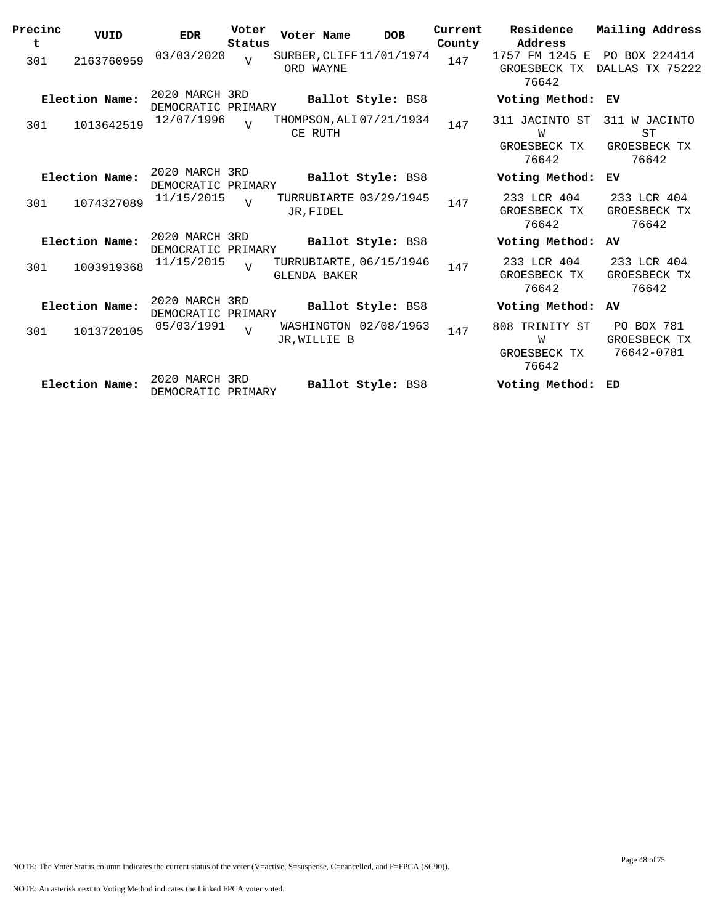| Precinc<br>t | VUID           | <b>EDR</b>                           | Voter<br>Status | Voter Name          | <b>DOB</b>               | Current<br>County | Residence<br>Address                         | Mailing Address                              |
|--------------|----------------|--------------------------------------|-----------------|---------------------|--------------------------|-------------------|----------------------------------------------|----------------------------------------------|
| 301          | 2163760959     | 03/03/2020                           | $\overline{U}$  | ORD WAYNE           | SURBER, CLIFF 11/01/1974 | 147               | 1757 FM 1245 E<br>GROESBECK TX<br>76642      | PO BOX 224414<br>DALLAS TX 75222             |
|              | Election Name: | 2020 MARCH 3RD<br>DEMOCRATIC PRIMARY |                 |                     | Ballot Style: BS8        |                   | Voting Method: EV                            |                                              |
| 301          | 1013642519     | 12/07/1996                           | $\overline{U}$  | CE RUTH             | THOMPSON, ALI 07/21/1934 | 147               | 311 JACINTO ST<br>W<br>GROESBECK TX<br>76642 | 311 W JACINTO<br>ST<br>GROESBECK TX<br>76642 |
|              | Election Name: | 2020 MARCH 3RD<br>DEMOCRATIC PRIMARY |                 |                     | Ballot Style: BS8        |                   | Voting Method:                               | ЕV                                           |
| 301          | 1074327089     | 11/15/2015                           | $\overline{V}$  | JR, FIDEL           | TURRUBIARTE 03/29/1945   | 147               | 233 LCR 404<br>GROESBECK TX<br>76642         | 233 LCR 404<br>GROESBECK TX<br>76642         |
|              | Election Name: | 2020 MARCH 3RD<br>DEMOCRATIC PRIMARY |                 |                     | Ballot Style: BS8        |                   | Voting Method: AV                            |                                              |
| 301          | 1003919368     | 11/15/2015                           | $\overline{z}$  | <b>GLENDA BAKER</b> | TURRUBIARTE, 06/15/1946  | 147               | 233 LCR 404<br>GROESBECK TX<br>76642         | 233 LCR 404<br>GROESBECK TX<br>76642         |
|              | Election Name: | 2020 MARCH 3RD<br>DEMOCRATIC PRIMARY |                 |                     | Ballot Style: BS8        |                   | Voting Method:                               | AV                                           |
| 301          | 1013720105     | 05/03/1991                           | $\overline{U}$  | JR.WILLIE B         | WASHINGTON 02/08/1963    | 147               | 808 TRINITY ST<br>W<br>GROESBECK TX<br>76642 | PO BOX 781<br>GROESBECK TX<br>76642-0781     |
|              | Election Name: | 2020 MARCH 3RD<br>DEMOCRATIC PRIMARY |                 |                     | <b>Ballot Style: BS8</b> |                   | Voting Method:                               | ED                                           |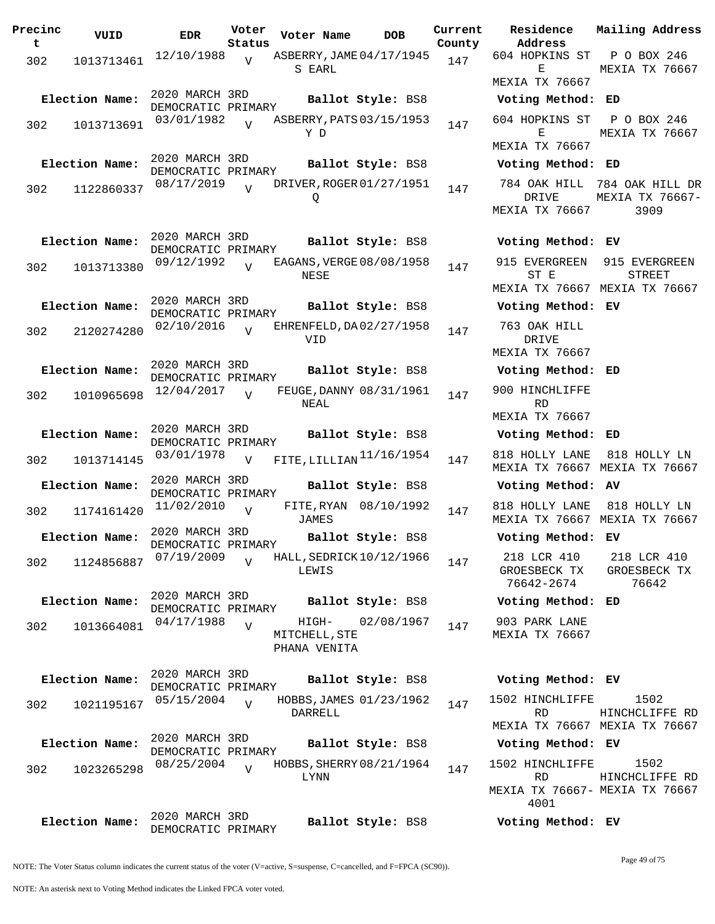| Precinc<br>t | VUID           | <b>EDR</b>                           | Voter<br>Status | Voter Name                             | <b>DOB</b>              | Current<br>County | Residence<br>Address                                          | Mailing Addres                                       |
|--------------|----------------|--------------------------------------|-----------------|----------------------------------------|-------------------------|-------------------|---------------------------------------------------------------|------------------------------------------------------|
| 302          | 1013713461     | 12/10/1988                           | $\overline{V}$  | ASBERRY, JAME 04/17/1945<br>S EARL     |                         | 147               | 604 HOPKINS ST<br>Е<br>MEXIA TX 76667                         | P O BOX 246<br>MEXIA TX 7666                         |
|              | Election Name: | 2020 MARCH 3RD                       |                 |                                        | Ballot Style: BS8       |                   | Voting Method: ED                                             |                                                      |
| 302          | 1013713691     | DEMOCRATIC PRIMARY<br>03/01/1982     | $\overline{v}$  | ASBERRY, PATS 03/15/1953<br>Y D        |                         | 147               | 604 HOPKINS ST<br>Е<br>MEXIA TX 76667                         | P O BOX 246<br>MEXIA TX 7666                         |
|              | Election Name: | 2020 MARCH 3RD                       |                 |                                        | Ballot Style: BS8       |                   | Voting Method: ED                                             |                                                      |
| 302          | 1122860337     | DEMOCRATIC PRIMARY<br>08/17/2019     | $\overline{V}$  | DRIVER, ROGER 01/27/1951<br>Q          |                         | 147               | DRIVE<br>MEXIA TX 76667                                       | 784 OAK HILL 784 OAK HILL I<br>MEXIA TX 7666<br>3909 |
|              | Election Name: | 2020 MARCH 3RD<br>DEMOCRATIC PRIMARY |                 |                                        | Ballot Style: BS8       |                   | Voting Method: EV                                             |                                                      |
| 302          | 1013713380     | 09/12/1992                           | $\overline{V}$  | EAGANS, VERGE 08/08/1958<br>NESE       |                         | 147               | 915 EVERGREEN<br>ST E<br>MEXIA TX 76667 MEXIA TX 7666         | 915 EVERGREEI<br><b>STREET</b>                       |
|              | Election Name: | 2020 MARCH 3RD<br>DEMOCRATIC PRIMARY |                 |                                        | Ballot Style: BS8       |                   | Voting Method: EV                                             |                                                      |
| 302          | 2120274280     | 02/10/2016                           | $\overline{v}$  | EHRENFELD, DA02/27/1958<br>VID         |                         | 147               | 763 OAK HILL<br>DRIVE<br>MEXIA TX 76667                       |                                                      |
|              | Election Name: | 2020 MARCH 3RD<br>DEMOCRATIC PRIMARY |                 |                                        | Ballot Style: BS8       |                   | Voting Method: ED                                             |                                                      |
| 302          | 1010965698     | 12/04/2017                           | $\overline{U}$  | NEAL                                   | FEUGE, DANNY 08/31/1961 | 147               | 900 HINCHLIFFE<br><b>RD</b><br>MEXIA TX 76667                 |                                                      |
|              | Election Name: | 2020 MARCH 3RD                       |                 |                                        | Ballot Style: BS8       |                   | Voting Method: ED                                             |                                                      |
| 302          | 1013714145     | DEMOCRATIC PRIMARY<br>03/01/1978     | $\overline{V}$  | FITE, LILLIAN <sup>11/16</sup> /1954   |                         | 147               | 818 HOLLY LANE<br>MEXIA TX 76667 MEXIA TX 7666                | 818 HOLLY LN                                         |
|              | Election Name: | 2020 MARCH 3RD<br>DEMOCRATIC PRIMARY |                 |                                        | Ballot Style: BS8       |                   | Voting Method: AV                                             |                                                      |
| 302          | 1174161420     | 11/02/2010                           | $\overline{V}$  | JAMES                                  | FITE, RYAN 08/10/1992   | 147               | 818 HOLLY LANE<br>MEXIA TX 76667 MEXIA TX 7666                | 818 HOLLY LN                                         |
|              | Election Name: | 2020 MARCH 3RD<br>DEMOCRATIC PRIMARY |                 |                                        | Ballot Style: BS8       |                   | Voting Method: EV                                             |                                                      |
| 302          | 1124856887     | 07/19/2009                           | $\overline{V}$  | HALL, SEDRICK 10/12/1966<br>LEWIS      |                         | 147               | 218 LCR 410<br>GROESBECK TX<br>76642-2674                     | 218 LCR 410<br>GROESBECK TX<br>76642                 |
|              | Election Name: | 2020 MARCH 3RD<br>DEMOCRATIC PRIMARY |                 |                                        | Ballot Style: BS8       |                   | Voting Method: ED                                             |                                                      |
| 302          | 1013664081     | 04/17/1988                           | $\overline{V}$  | HIGH-<br>MITCHELL, STE<br>PHANA VENITA | 02/08/1967              | 147               | 903 PARK LANE<br>MEXIA TX 76667                               |                                                      |
|              | Election Name: | 2020 MARCH 3RD<br>DEMOCRATIC PRIMARY |                 |                                        | Ballot Style: BS8       |                   | Voting Method: EV                                             |                                                      |
| 302          | 1021195167     | 05/15/2004                           | $\overline{V}$  | DARRELL                                | HOBBS, JAMES 01/23/1962 | 147               | 1502 HINCHLIFFE<br><b>RD</b><br>MEXIA TX 76667 MEXIA TX 7666  | 1502<br>HINCHCLIFFE R                                |
|              | Election Name: | 2020 MARCH 3RD                       |                 |                                        | Ballot Style: BS8       |                   | Voting Method: EV                                             |                                                      |
| 302          | 1023265298     | DEMOCRATIC PRIMARY<br>08/25/2004     | $\overline{U}$  | HOBBS, SHERRY 08/21/1964<br>LYNN       |                         | 147               | 1502 HINCHLIFFE<br><b>RD</b><br>MEXIA TX 76667- MEXIA TX 7666 | 1502<br>HINCHCLIFFE R                                |
|              | Election Name: | 2020 MARCH 3RD<br>DEMOCRATIC PRIMARY |                 |                                        | Ballot Style: BS8       |                   | 4001<br>Voting Method: EV                                     |                                                      |

E MEXIA TX 76667 MEXIA TX 76667 **Election Name: Ballot Style:** BS8 **Voting Method: ED** 604 HOPKINS ST E MEXIA TX 76667 P O BOX 246 MEXIA TX 76667 **Election Name: Ballot Style:** BS8 **Voting Method: ED** 784 OAK HILL 784 OAK HILL DR DRIVE MEXIA TX 76667 MEXIA TX 76667- 3909 **Election Name: Ballot Style:** BS8 **Voting Method: EV** 915 EVERGREEN 915 EVERGREEN ST E MEXIA TX 76667 MEXIA TX 76667 STREET **Election Name: Ballot Style:** BS8 **Voting Method: EV** 763 OAK HILL DRIVE MEXIA TX 76667 **Election Name: Ballot Style:** BS8 **Voting Method: ED** 900 HINCHLIFFE RD MEXIA TX 76667 **Election Name: Ballot Style:** BS8 **Voting Method: ED** MEXIA TX 76667 MEXIA TX 76667 **Election Name: Ballot Style:** BS8 **Voting Method: AV** 818 HOLLY LANE 818 HOLLY LN MEXIA TX 76667 MEXIA TX 76667 **Election Name: Ballot Style:** BS8 **Voting Method: EV** 218 LCR 410 GROESBECK TX 76642-2674 218 LCR 410 GROESBECK TX 76642 **Election Name: Ballot Style:** BS8 **Voting Method: ED** 903 PARK LANE MEXIA TX 76667 **Election Name: Ballot Style:** BS8 **Voting Method: EV** 1502 HINCHLIFFE RD MEXIA TX 76667 MEXIA TX 76667 1502 HINCHCLIFFE RD **Election Name: Ballot Style:** BS8 **Voting Method: EV** 1502 HINCHLIFFE RD MEXIA TX 76667- MEXIA TX 76667 4001 1502 HINCHCLIFFE RD

**Current Mailing Address**

NOTE: The Voter Status column indicates the current status of the voter (V=active, S=suspense, C=cancelled, and F=FPCA (SC90)).

Page 49 of 75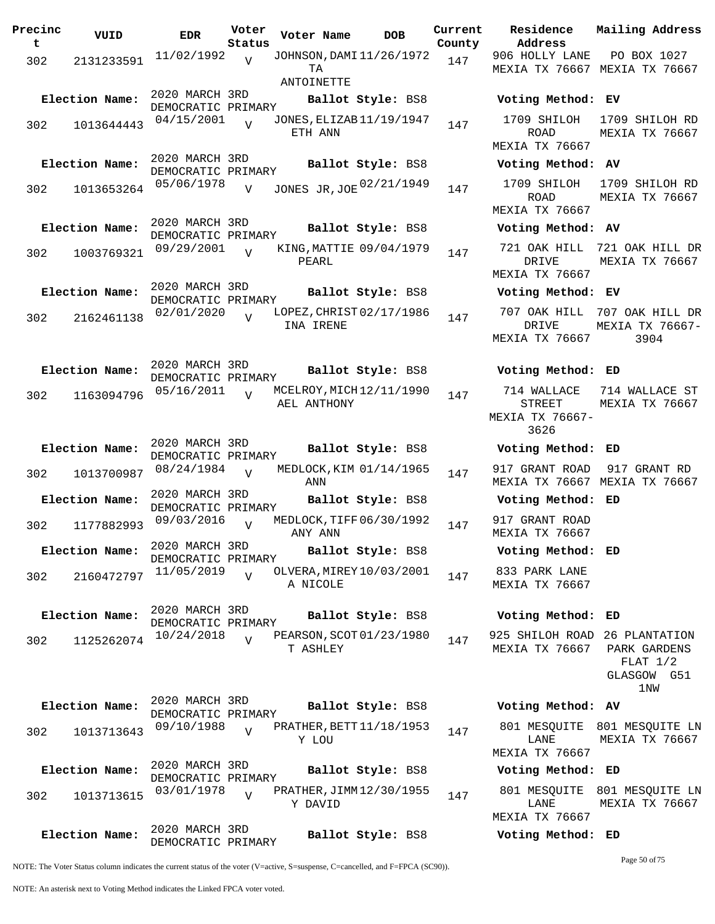| Precinc<br>t | VUID           | <b>EDR</b>                           | Voter<br>Status | Voter Name                                   | <b>DOB</b>        | Current<br>County | Residence<br>Address                           |
|--------------|----------------|--------------------------------------|-----------------|----------------------------------------------|-------------------|-------------------|------------------------------------------------|
| 302          | 2131233591     | 11/02/1992                           | V               | JOHNSON, DAMI 11/26/1972<br>TA<br>ANTOINETTE |                   | 147               | 906 HOLLY LAN<br>MEXIA TX 7666                 |
|              | Election Name: | 2020 MARCH 3RD                       |                 |                                              | Ballot Style: BS8 |                   | Voting Metho                                   |
| 302          | 1013644443     | DEMOCRATIC PRIMARY<br>04/15/2001     | $\overline{v}$  | JONES, ELIZAB 11/19/1947<br>ETH ANN          |                   | 147               | 1709 SHILOH<br><b>ROAD</b>                     |
|              | Election Name: | 2020 MARCH 3RD<br>DEMOCRATIC PRIMARY |                 |                                              | Ballot Style: BS8 |                   | MEXIA TX 7666<br>Voting Metho                  |
| 302          | 1013653264     | 05/06/1978                           | $\overline{V}$  | JONES JR, JOE 02/21/1949                     |                   | 147               | 1709 SHILOH<br>ROAD<br>MEXIA TX 7666           |
|              | Election Name: | 2020 MARCH 3RD<br>DEMOCRATIC PRIMARY |                 |                                              | Ballot Style: BS8 |                   | Voting Metho                                   |
| 302          | 1003769321     | 09/29/2001                           | $\overline{V}$  | KING, MATTIE 09/04/1979<br>PEARL             |                   | 147               | 721 OAK HILL<br><b>DRIVE</b>                   |
|              | Election Name: | 2020 MARCH 3RD<br>DEMOCRATIC PRIMARY |                 |                                              | Ballot Style: BS8 |                   | MEXIA TX 7666<br>Voting Metho                  |
| 302          | 2162461138     | 02/01/2020                           | $\overline{z}$  | LOPEZ, CHRIST 02/17/1986<br>INA IRENE        |                   | 147               | 707 OAK HILL<br>DRIVE<br>MEXIA TX 7666         |
|              | Election Name: | 2020 MARCH 3RD<br>DEMOCRATIC PRIMARY |                 |                                              | Ballot Style: BS8 |                   | Voting Metho                                   |
| 302          | 1163094796     | 05/16/2011                           | $\overline{V}$  | MCELROY, MICH 12/11/1990<br>AEL ANTHONY      |                   | 147               | 714 WALLACE<br>STREET<br>MEXIA TX 7666<br>3626 |
|              | Election Name: | 2020 MARCH 3RD<br>DEMOCRATIC PRIMARY |                 |                                              | Ballot Style: BS8 |                   | Voting Metho                                   |
| 302          | 1013700987     | 08/24/1984                           | $\overline{v}$  | MEDLOCK, KIM 01/14/1965<br>ANN               |                   | 147               | 917 GRANT ROA<br>MEXIA TX 7666                 |
|              | Election Name: | 2020 MARCH 3RD<br>DEMOCRATIC PRIMARY |                 |                                              | Ballot Style: BS8 |                   | Voting Metho                                   |
| 302          | 1177882993     | 09/03/2016                           | V               | MEDLOCK, TIFF 06/30/1992<br>ANY ANN          |                   | 147               | 917 GRANT ROA<br>MEXIA TX 7666                 |
|              | Election Name: | 2020 MARCH 3RD<br>DEMOCRATIC PRIMARY |                 |                                              | Ballot Style: BS8 |                   | Voting Metho                                   |
| 302          | 2160472797     | 11/05/2019                           | $\overline{U}$  | OLVERA, MIREY 10/03/2001<br>A NICOLE         |                   | 147               | 833 PARK LAN<br>MEXIA TX 7666                  |
|              | Election Name: | 2020 MARCH 3RD<br>DEMOCRATIC PRIMARY |                 |                                              | Ballot Style: BS8 |                   | Voting Metho                                   |
| 302          | 1125262074     | 10/24/2018                           | $\overline{V}$  | PEARSON, SCOT 01/23/1980<br>T ASHLEY         |                   | 147               | 925 SHILOH RO.<br>MEXIA TX 7666                |
|              | Election Name: | 2020 MARCH 3RD                       |                 |                                              | Ballot Style: BS8 |                   | Voting Metho                                   |
| 302          | 1013713643     | DEMOCRATIC PRIMARY<br>09/10/1988     | $\overline{V}$  | PRATHER, BETT $11/18/1953$                   |                   | 147               | 801 MESQUITE                                   |
|              |                |                                      |                 | Y LOU                                        |                   |                   | LANE<br>MEXIA TX 7666                          |
|              | Election Name: | 2020 MARCH 3RD<br>DEMOCRATIC PRIMARY |                 |                                              | Ballot Style: BS8 |                   | Voting Metho                                   |
| 302          | 1013713615     | 03/01/1978                           | $\overline{V}$  | PRATHER, JIMM 12/30/1955<br>Y DAVID          |                   | 147               | 801 MESQUITE<br>LANE<br>MEXIA TX 7666          |
|              | Election Name: | 2020 MARCH 3RD<br>DEMOCRATIC PRIMARY |                 |                                              | Ballot Style: BS8 |                   | Voting Metho                                   |

**Election Name: Ballot Style:** BS8 **Voting Method: EV** 1709 SHILOH 1709 SHILOH RD ROAD MEXIA TX 76667 MEXIA TX 76667 **Election Name: Ballot Style:** BS8 **Voting Method: AV** ROAD MEXIA TX 76667 1709 SHILOH RD MEXIA TX 76667 **Election Name: Ballot Style:** BS8 **Voting Method: AV** 721 OAK HILL 721 OAK HILL DR DRIVE MEXIA TX 76667 MEXIA TX 76667 **Election Name: Ballot Style:** BS8 **Voting Method: EV** 707 OAK HILL 707 OAK HILL DR DRIVE MEXIA TX 76667 MEXIA TX 76667- 3904 **Election Name: Ballot Style:** BS8 **Voting Method: ED** 714 WALLACE 714 WALLACE ST STREET MEXIA TX 76667- 3626 MEXIA TX 76667 **Election Name: Ballot Style:** BS8 **Voting Method: ED** 917 GRANT ROAD 917 GRANT RD MEXIA TX 76667 MEXIA TX 76667 **Election Name: Ballot Style:** BS8 **Voting Method: ED** 917 GRANT ROAD MEXIA TX 76667 **Election Name: Ballot Style:** BS8 **Voting Method: ED** 833 PARK LANE MEXIA TX 76667 **Election Name: Ballot Style:** BS8 **Voting Method: ED** 925 SHILOH ROAD 26 PLANTATION MEXIA TX 76667 PARK GARDENS FLAT 1/2 GLASGOW G51 1NW **Election Name: Ballot Style:** BS8 **Voting Method: AV**

906 HOLLY LANE

MEXIA TX 76667 MEXIA TX 76667

**Current Mailing Address**

PO BOX 1027

801 MESQUITE 801 MESQUITE LN LANE MEXIA TX 76667 MEXIA TX 76667

**Election Name: Ballot Style:** BS8 **Voting Method: ED** 801 MESQUITE 801 MESQUITE LN LANE MEXIA TX 76667 MEXIA TX 76667

**Election Name: Ballot Style:** BS8 **Voting Method: ED**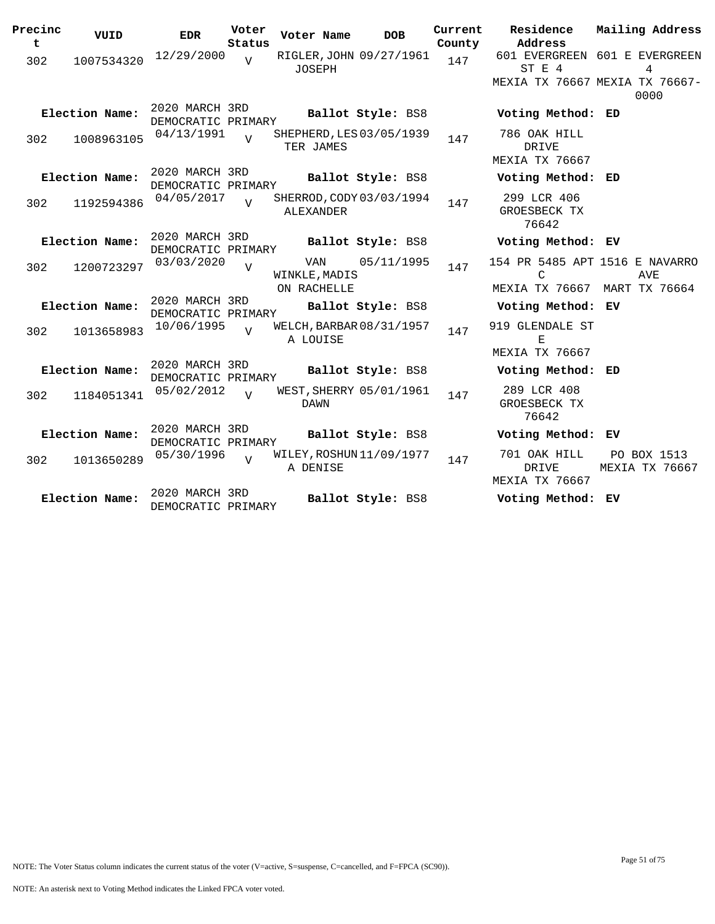| Precinc<br>$\mathbf t$ | VUID           | <b>EDR</b>                           | Voter<br>Status | Voter Name                          | <b>DOB</b>               | Current<br>County | Residence<br>Address                                                | Mailing Address               |
|------------------------|----------------|--------------------------------------|-----------------|-------------------------------------|--------------------------|-------------------|---------------------------------------------------------------------|-------------------------------|
| 302                    | 1007534320     | 12/29/2000                           | $\overline{U}$  | JOSEPH                              | RIGLER, JOHN 09/27/1961  | 147               | 601 EVERGREEN 601 E EVERGREEN<br>ST E 4                             | 4                             |
|                        |                |                                      |                 |                                     |                          |                   | MEXIA TX 76667 MEXIA TX 76667-                                      | 0000                          |
|                        | Election Name: | 2020 MARCH 3RD<br>DEMOCRATIC PRIMARY |                 |                                     | Ballot Style: BS8        |                   | Voting Method: ED                                                   |                               |
| 302                    | 1008963105     | 04/13/1991                           | $\overline{U}$  | TER JAMES                           | SHEPHERD, LES 03/05/1939 | 147               | 786 OAK HILL<br>DRIVE<br><b>MEXIA TX 76667</b>                      |                               |
|                        | Election Name: | 2020 MARCH 3RD<br>DEMOCRATIC PRIMARY |                 |                                     | Ballot Style: BS8        |                   | Voting Method: ED                                                   |                               |
| 302                    | 1192594386     | 04/05/2017                           | $\overline{U}$  | ALEXANDER                           | SHERROD, CODY 03/03/1994 | 147               | 299 LCR 406<br>GROESBECK TX<br>76642                                |                               |
|                        | Election Name: | 2020 MARCH 3RD<br>DEMOCRATIC PRIMARY |                 |                                     | Ballot Style: BS8        |                   | Voting Method: EV                                                   |                               |
| 302                    | 1200723297     | 03/03/2020                           | $\overline{v}$  | VAN<br>WINKLE, MADIS<br>ON RACHELLE | 05/11/1995               | 147               | 154 PR 5485 APT 1516 E NAVARRO<br>C<br>MEXIA TX 76667 MART TX 76664 | AVE                           |
|                        | Election Name: | 2020 MARCH 3RD<br>DEMOCRATIC PRIMARY |                 |                                     | Ballot Style: BS8        |                   | Voting Method: EV                                                   |                               |
| 302                    | 1013658983     | 10/06/1995                           | $\overline{V}$  | A LOUISE                            | WELCH, BARBAR 08/31/1957 | 147               | 919 GLENDALE ST<br>Е<br><b>MEXIA TX 76667</b>                       |                               |
|                        | Election Name: | 2020 MARCH 3RD<br>DEMOCRATIC PRIMARY |                 |                                     | Ballot Style: BS8        |                   | Voting Method: ED                                                   |                               |
| 302                    | 1184051341     | 05/02/2012                           | $\overline{U}$  | DAWN                                | WEST, SHERRY 05/01/1961  | 147               | 289 LCR 408<br>GROESBECK TX<br>76642                                |                               |
|                        | Election Name: | 2020 MARCH 3RD<br>DEMOCRATIC PRIMARY |                 |                                     | Ballot Style: BS8        |                   | Voting Method: EV                                                   |                               |
| 302                    | 1013650289     | 05/30/1996                           | $\overline{U}$  | A DENISE                            | WILEY, ROSHUN 11/09/1977 | 147               | 701 OAK HILL<br>DRIVE<br>MEXIA TX 76667                             | PO BOX 1513<br>MEXIA TX 76667 |
|                        | Election Name: | 2020 MARCH 3RD<br>DEMOCRATIC PRIMARY |                 |                                     | Ballot Style: BS8        |                   | Voting Method: EV                                                   |                               |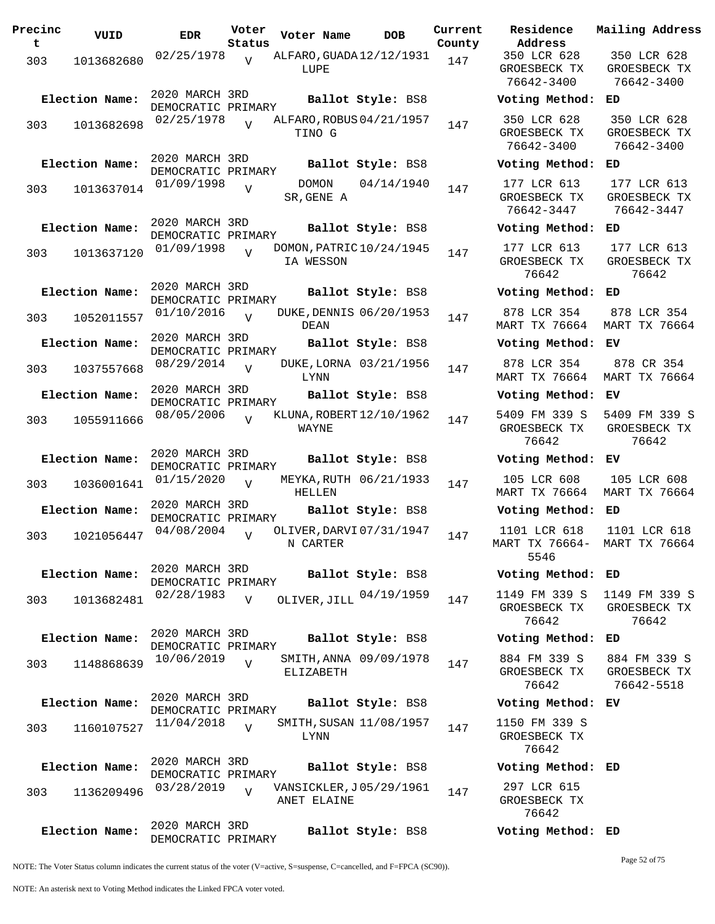| Precinc<br>t | VUID           | <b>EDR</b>                           | Voter<br>Status | Voter Name  |       | <b>DOB</b>               | Current<br>County | Residence<br>Address                      |
|--------------|----------------|--------------------------------------|-----------------|-------------|-------|--------------------------|-------------------|-------------------------------------------|
| 303          | 1013682680     | 02/25/1978                           | $\overline{V}$  | LUPE        |       | ALFARO, GUADA 12/12/1931 | 147               | 350 LCR 628<br>GROESBECK TX<br>76642-3400 |
|              | Election Name: | 2020 MARCH 3RD<br>DEMOCRATIC PRIMARY |                 |             |       | Ballot Style: BS8        |                   | Voting Method                             |
| 303          | 1013682698     | 02/25/1978                           | $\overline{17}$ | TINO G      |       | ALFARO, ROBUS 04/21/1957 | 147               | 350 LCR 628<br>GROESBECK TX<br>76642-3400 |
|              | Election Name: | 2020 MARCH 3RD<br>DEMOCRATIC PRIMARY |                 |             |       | Ballot Style: BS8        |                   | Voting Method                             |
| 303          | 1013637014     | 01/09/1998                           | $\overline{V}$  | SR, GENE A  | DOMON | 04/14/1940               | 147               | 177 LCR 613<br>GROESBECK TX<br>76642-3447 |
|              | Election Name: | 2020 MARCH 3RD<br>DEMOCRATIC PRIMARY |                 |             |       | Ballot Style: BS8        |                   | Voting Method                             |
| 303          | 1013637120     | 01/09/1998                           | $\overline{U}$  | IA WESSON   |       | DOMON, PATRIC 10/24/1945 | 147               | 177 LCR 613<br>GROESBECK TX<br>76642      |
|              | Election Name: | 2020 MARCH 3RD<br>DEMOCRATIC PRIMARY |                 |             |       | Ballot Style: BS8        |                   | Voting Method                             |
| 303          | 1052011557     | 01/10/2016                           | $\overline{U}$  | DEAN        |       | DUKE, DENNIS 06/20/1953  | 147               | 878 LCR 354<br><b>MART TX 76664</b>       |
|              | Election Name: | 2020 MARCH 3RD<br>DEMOCRATIC PRIMARY |                 |             |       | Ballot Style: BS8        |                   | Voting Method                             |
| 303          | 1037557668     | 08/29/2014                           | $\overline{U}$  | LYNN        |       | DUKE, LORNA 03/21/1956   | 147               | 878 LCR 354<br><b>MART TX 76664</b>       |
|              | Election Name: | 2020 MARCH 3RD<br>DEMOCRATIC PRIMARY |                 |             |       | Ballot Style: BS8        |                   | Voting Method                             |
| 303          | 1055911666     | 08/05/2006                           |                 | WAYNE       |       | KLUNA, ROBERT 12/10/1962 | 147               | 5409 FM 339 S<br>GROESBECK TX<br>76642    |
|              | Election Name: | 2020 MARCH 3RD<br>DEMOCRATIC PRIMARY |                 |             |       | Ballot Style: BS8        |                   | Voting Method                             |
| 303          | 1036001641     | 01/15/2020                           | $\overline{U}$  | HELLEN      |       | MEYKA, RUTH 06/21/1933   | 147               | 105 LCR 608<br><b>MART TX 76664</b>       |
|              | Election Name: | 2020 MARCH 3RD<br>DEMOCRATIC PRIMARY |                 |             |       | Ballot Style: BS8        |                   | Voting Method                             |
| 303          | 1021056447     | 04/08/2004                           | $\overline{V}$  | N CARTER    |       | OLIVER, DARVI 07/31/1947 | 147               | 1101 LCR 618<br>MART TX 76664-<br>5546    |
|              | Election Name: | 2020 MARCH 3RD<br>DEMOCRATIC PRIMARY |                 |             |       | Ballot Style: BS8        |                   | Voting Method                             |
| 303          | 1013682481     | 02/28/1983                           | V               |             |       | OLIVER, JILL 04/19/1959  | 147               | 1149 FM 339 S<br>GROESBECK TX<br>76642    |
|              | Election Name: | 2020 MARCH 3RD                       |                 |             |       | Ballot Style: BS8        |                   | Voting Method                             |
| 303          | 1148868639     | DEMOCRATIC PRIMARY<br>10/06/2019     | $\overline{U}$  | ELIZABETH   |       | SMITH, ANNA 09/09/1978   | 147               | 884 FM 339 S<br>GROESBECK TX<br>76642     |
|              | Election Name: | 2020 MARCH 3RD<br>DEMOCRATIC PRIMARY |                 |             |       | Ballot Style: BS8        |                   | Voting Method                             |
| 303          | 1160107527     | 11/04/2018                           | $\overline{V}$  | LYNN        |       | SMITH, SUSAN 11/08/1957  | 147               | 1150 FM 339 S<br>GROESBECK TX<br>76642    |
|              | Election Name: | 2020 MARCH 3RD<br>DEMOCRATIC PRIMARY |                 |             |       | Ballot Style: BS8        |                   | Voting Method                             |
| 303          | 1136209496     | 03/28/2019                           | $\overline{U}$  | ANET ELAINE |       | VANSICKLER, J05/29/1961  | 147               | 297 LCR 615<br>GROESBECK TX<br>76642      |
|              | Election Name: | 2020 MARCH 3RD<br>DEMOCRATIC PRIMARY |                 |             |       | Ballot Style: BS8        |                   | Voting Method                             |

**Voter Name DOB Residence Address Current Mailing Address** 350 LCR 628 GROESBECK TX 76642-3400 350 LCR 628 GROESBECK TX 76642-3400 **Election Name: Ballot Style:** BS8 **Voting Method: ED** 350 LCR 628 GROESBECK TX 76642-3400 350 LCR 628 GROESBECK TX 76642-3400 **Election Name: Ballot Style:** BS8 **Voting Method: ED** 177 LCR 613 GROESBECK TX 76642-3447 177 LCR 613 GROESBECK TX 76642-3447 **Election Name: Ballot Style:** BS8 **Voting Method: ED** 177 LCR 613 GROESBECK TX 76642 177 LCR 613 GROESBECK TX 76642 **Election Name: Ballot Style:** BS8 **Voting Method: ED** 878 LCR 354 MART TX 76664 MART TX 76664 878 LCR 354 **Election Name: Ballot Style:** BS8 **Voting Method: EV** 878 LCR 354 MART TX 76664 878 CR 354 MART TX 76664 **Election Name: Ballot Style:** BS8 **Voting Method: EV** 5409 FM 339 S GROESBECK TX 76642 5409 FM 339 S GROESBECK TX 76642 **Election Name: Ballot Style:** BS8 **Voting Method: EV** 105 LCR 608 MART TX 76664 105 LCR 608 MART TX 76664 **Election Name: Ballot Style:** BS8 **Voting Method: ED** 1101 LCR 618 MART TX 76664- MART TX 76664 5546 1101 LCR 618 **Election Name: Ballot Style:** BS8 **Voting Method: ED** GROESBECK TX 76642 1149 FM 339 S GROESBECK TX 76642 **Election Name: Ballot Style:** BS8 **Voting Method: ED** 884 FM 339 S GROESBECK TX 76642 884 FM 339 S GROESBECK TX 76642-5518 **Election Name: Ballot Style:** BS8 **Voting Method: EV** 1150 FM 339 S GROESBECK TX 76642 **Election Name: Ballot Style:** BS8 **Voting Method: ED** 297 LCR 615 GROESBECK TX

NOTE: The Voter Status column indicates the current status of the voter (V=active, S=suspense, C=cancelled, and F=FPCA (SC90)).

**Election Name: Ballot Style:** BS8 **Voting Method: ED**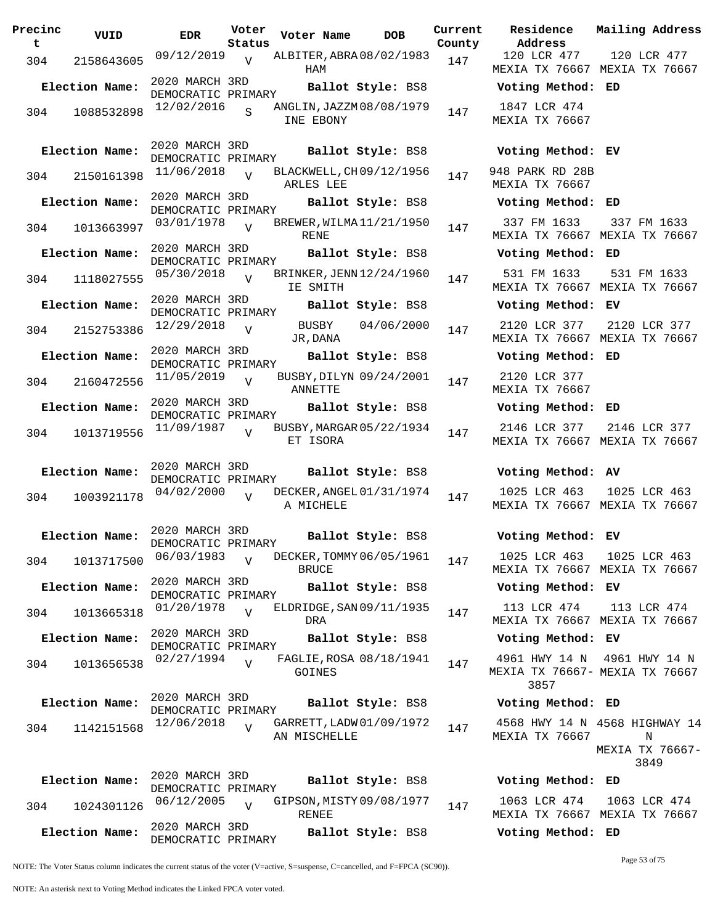| Precinc<br>t | VUID           | <b>EDR</b>                           | Voter<br>Status | Voter Name                                | <b>DOB</b>        | Current<br>County | Residence<br>Address                         | Mai:           |
|--------------|----------------|--------------------------------------|-----------------|-------------------------------------------|-------------------|-------------------|----------------------------------------------|----------------|
| 304          | 2158643605     | 09/12/2019                           | $\overline{V}$  | ALBITER, ABRA 08/02/1983<br>HAM           |                   | 147               | 120 LCR 477<br>MEXIA TX 76667 MEX            | 1:             |
|              | Election Name: | 2020 MARCH 3RD<br>DEMOCRATIC PRIMARY |                 |                                           | Ballot Style: BS8 |                   | Voting Method: ED                            |                |
| 304          | 1088532898     | 12/02/2016                           | S.              | ANGLIN, JAZZM08/08/1979<br>INE EBONY      |                   | 147               | 1847 LCR 474<br>MEXIA TX 76667               |                |
|              | Election Name: | 2020 MARCH 3RD<br>DEMOCRATIC PRIMARY |                 |                                           | Ballot Style: BS8 |                   | Voting Method: EV                            |                |
| 304          | 2150161398     | 11/06/2018                           | $\overline{U}$  | BLACKWELL, CH09/12/1956<br>ARLES LEE      |                   | 147               | 948 PARK RD 28B<br>MEXIA TX 76667            |                |
|              | Election Name: | 2020 MARCH 3RD<br>DEMOCRATIC PRIMARY |                 |                                           | Ballot Style: BS8 |                   | Voting Method: ED                            |                |
| 304          | 1013663997     | 03/01/1978                           | $\overline{U}$  | BREWER, WILMA 11/21/1950<br><b>RENE</b>   |                   | 147               | 337 FM 1633<br>MEXIA TX 76667 MEX            | 3:             |
|              | Election Name: | 2020 MARCH 3RD<br>DEMOCRATIC PRIMARY |                 |                                           | Ballot Style: BS8 |                   | Voting Method: ED                            |                |
| 304          | 1118027555     | 05/30/2018                           | $\overline{U}$  | BRINKER, JENN 12/24/1960<br>IE SMITH      |                   | 147               | 531 FM 1633<br>MEXIA TX 76667 MEX            | 5 <sup>2</sup> |
|              | Election Name: | 2020 MARCH 3RD<br>DEMOCRATIC PRIMARY |                 |                                           | Ballot Style: BS8 |                   | Voting Method: EV                            |                |
| 304          | 2152753386     | 12/29/2018                           | $\overline{V}$  | BUSBY<br>JR, DANA                         | 04/06/2000        | 147               | 2120 LCR 377<br>MEXIA TX 76667 MEX           | 21             |
|              | Election Name: | 2020 MARCH 3RD<br>DEMOCRATIC PRIMARY |                 |                                           | Ballot Style: BS8 |                   | Voting Method: ED                            |                |
| 304          | 2160472556     | 11/05/2019                           | $\overline{V}$  | BUSBY, DILYN 09/24/2001<br><b>ANNETTE</b> |                   | 147               | 2120 LCR 377<br>MEXIA TX 76667               |                |
|              | Election Name: | 2020 MARCH 3RD<br>DEMOCRATIC PRIMARY |                 |                                           | Ballot Style: BS8 |                   | Voting Method: ED                            |                |
| 304          | 1013719556     | 11/09/1987                           | $\overline{U}$  | BUSBY, MARGAR 05/22/1934<br>ET ISORA      |                   | 147               | 2146 LCR 377<br>MEXIA TX 76667 MEX           | 21             |
|              | Election Name: | 2020 MARCH 3RD<br>DEMOCRATIC PRIMARY |                 |                                           | Ballot Style: BS8 |                   | Voting Method: AV                            |                |
| 304          | 1003921178     | 04/02/2000                           |                 | DECKER, ANGEL 01/31/1974<br>A MICHELE     |                   | 147               | 1025 LCR 463<br>MEXIA TX 76667 MEX           | 10             |
|              | Election Name: | 2020 MARCH 3RD<br>DEMOCRATIC PRIMARY |                 |                                           | Ballot Style: BS8 |                   | Voting Method: EV                            |                |
| 304          | 1013717500     | 06/03/1983                           | $\overline{U}$  | DECKER, TOMMY 06/05/1961<br><b>BRUCE</b>  |                   | 147               | 1025 LCR 463<br>MEXIA TX 76667 MEX           | 10             |
|              | Election Name: | 2020 MARCH 3RD<br>DEMOCRATIC PRIMARY |                 |                                           | Ballot Style: BS8 |                   | Voting Method: EV                            |                |
| 304          | 1013665318     | 01/20/1978                           | $\overline{U}$  | ELDRIDGE, SAN 09/11/1935<br>DRA           |                   | 147               | 113 LCR 474<br>MEXIA TX 76667 MEX            | 1:             |
|              | Election Name: | 2020 MARCH 3RD<br>DEMOCRATIC PRIMARY |                 |                                           | Ballot Style: BS8 |                   | Voting Method: EV                            |                |
| 304          | 1013656538     | 02/27/1994                           | $\overline{U}$  | FAGLIE, ROSA 08/18/1941<br>GOINES         |                   | 147               | 4961 HWY 14 N<br>MEXIA TX 76667- MEX<br>3857 | 49(            |
|              | Election Name: | 2020 MARCH 3RD<br>DEMOCRATIC PRIMARY |                 |                                           | Ballot Style: BS8 |                   | Voting Method: ED                            |                |
| 304          | 1142151568     | 12/06/2018                           | $\overline{V}$  | GARRETT, LADW 01/09/1972<br>AN MISCHELLE  |                   | 147               | 4568 HWY 14 N 4568<br>MEXIA TX 76667         | MEX.           |
|              | Election Name: | 2020 MARCH 3RD<br>DEMOCRATIC PRIMARY |                 |                                           | Ballot Style: BS8 |                   | Voting Method: ED                            |                |
| 304          | 1024301126     | 06/12/2005                           | $\overline{U}$  | GIPSON, MISTY 09/08/1977<br>RENEE         |                   | 147               | 1063 LCR 474<br>MEXIA TX 76667 MEX           | 10             |
|              | Election Name: | 2020 MARCH 3RD                       |                 |                                           | Ballot Style: BS8 |                   | Voting Method: ED                            |                |

120 LCR 477 MEXIA TX 76667 MEXIA TX 76667 120 LCR 477 **Election Name: Ballot Style:** BS8 **Voting Method: ED** 1847 LCR 474 MEXIA TX 76667 **Election Name: Ballot Style:** BS8 **Voting Method: EV** 948 PARK RD 28B MEXIA TX 76667 **Election Name: Ballot Style:** BS8 **Voting Method: ED** 337 FM 1633 MEXIA TX 76667 MEXIA TX 76667 337 FM 1633 **Election Name: Ballot Style:** BS8 **Voting Method: ED** 531 FM 1633 MEXIA TX 76667 MEXIA TX 76667 531 FM 1633 **Election Name: Ballot Style:** BS8 **Voting Method: EV** 2120 LCR 377 2120 LCR 377 MEXIA TX 76667 MEXIA TX 76667 **Election Name: Ballot Style:** BS8 **Voting Method: ED** 2120 LCR 377 MEXIA TX 76667 **Election Name: Ballot Style:** BS8 **Voting Method: ED** 2146 LCR 377 MEXIA TX 76667 MEXIA TX 76667 2146 LCR 377 **Election Name: Ballot Style:** BS8 **Voting Method: AV** 1025 LCR 463 MEXIA TX 76667 MEXIA TX 76667 1025 LCR 463 **Election Name: Ballot Style:** BS8 **Voting Method: EV** 1025 LCR 463 MEXIA TX 76667 MEXIA TX 76667 1025 LCR 463 **Election Name: Ballot Style:** BS8 **Voting Method: EV** 113 LCR 474 MEXIA TX 76667 MEXIA TX 76667 113 LCR 474 **Election Name: Ballot Style:** BS8 **Voting Method: EV** 4961 HWY 14 N 4961 HWY 14 N MEXIA TX 76667- MEXIA TX 76667 3857 **Election Name: Ballot Style:** BS8 **Voting Method: ED** 4568 HWY 14 N 4568 HIGHWAY 14 MEXIA TX 76667 N MEXIA TX 76667- 3849

**Current Mailing Address**

**Election Name: Ballot Style:** BS8 **Voting Method: ED** 1063 LCR 474 MEXIA TX 76667 MEXIA TX 76667 1063 LCR 474

NOTE: The Voter Status column indicates the current status of the voter (V=active, S=suspense, C=cancelled, and F=FPCA (SC90)).

DEMOCRATIC PRIMARY

NOTE: An asterisk next to Voting Method indicates the Linked FPCA voter voted.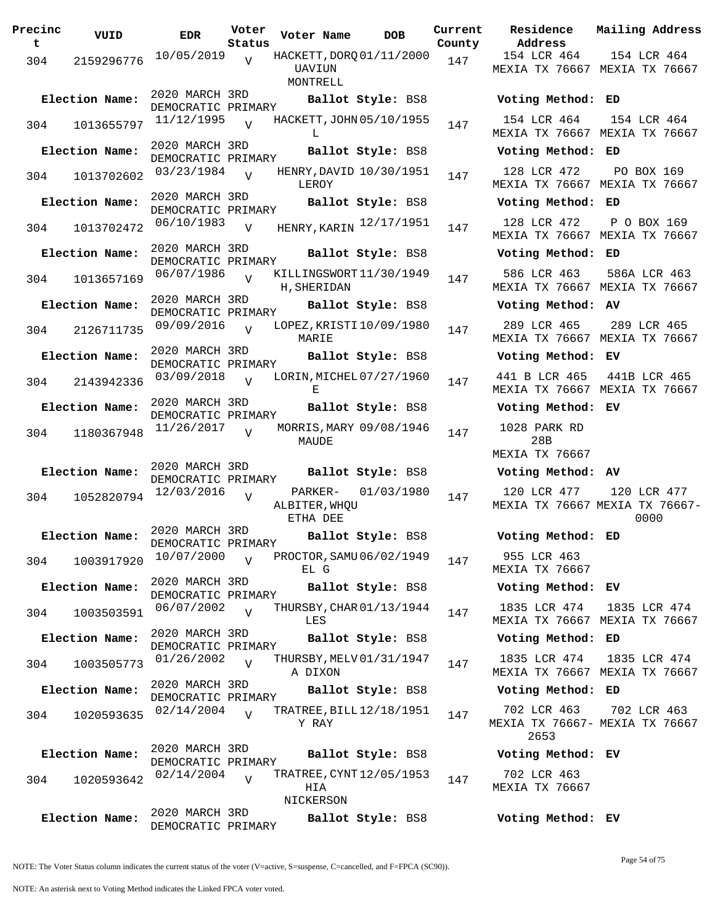| Precinc<br>t. | VUID           | <b>EDR</b>                           | Voter<br>Status | Voter Name                                     | <b>DOB</b>         | Current<br>County | Residence<br>Address                 |
|---------------|----------------|--------------------------------------|-----------------|------------------------------------------------|--------------------|-------------------|--------------------------------------|
|               | 304 2159296776 | 10/05/2019                           | V               | HACKETT, DORQ 01/11/2000<br>UAVIUN<br>MONTRELL |                    | 147               | 154 LCR 464<br><b>MEXIA TX 7666</b>  |
|               | Election Name: | 2020 MARCH 3RD<br>DEMOCRATIC PRIMARY |                 |                                                | Ballot Style: BS8  |                   | Voting Metho                         |
| 304           | 1013655797     | $11/12/1995$ V                       |                 | HACKETT, JOHN 05/10/1955<br>L                  |                    | 147               | 154 LCR 464<br><b>MEXIA TX 7666</b>  |
|               | Election Name: | 2020 MARCH 3RD<br>DEMOCRATIC PRIMARY |                 |                                                | Ballot Style: BS8  |                   | Voting Metho                         |
| 304           | 1013702602     | $03/23/1984$ V                       |                 | HENRY, DAVID 10/30/1951<br>LEROY               |                    | 147               | 128 LCR 472<br><b>MEXIA TX 7666</b>  |
|               | Election Name: | 2020 MARCH 3RD<br>DEMOCRATIC PRIMARY |                 |                                                | Ballot Style: BS8  |                   | Voting Metho                         |
|               | 304 1013702472 | 06/10/1983                           | V               | HENRY, KARIN 12/17/1951                        |                    | 147               | 128 LCR 472<br>MEXIA TX 7666         |
|               | Election Name: | 2020 MARCH 3RD<br>DEMOCRATIC PRIMARY |                 |                                                | Ballot Style: BS8  |                   | Voting Metho                         |
| 304           | 1013657169     | $06/07/1986$ V                       |                 | KILLINGSWORT11/30/1949<br>H, SHERIDAN          |                    | 147               | 586 LCR 463<br><b>MEXIA TX 7666</b>  |
|               | Election Name: | 2020 MARCH 3RD<br>DEMOCRATIC PRIMARY |                 |                                                | Ballot Style: BS8  |                   | Voting Metho                         |
| 304           | 2126711735     | $09/09/2016$ V                       |                 | LOPEZ, KRISTI 10/09/1980<br>MARIE              |                    | 147               | 289 LCR 465<br><b>MEXIA TX 7666</b>  |
|               | Election Name: | 2020 MARCH 3RD<br>DEMOCRATIC PRIMARY |                 |                                                | Ballot Style: BS8  |                   | Voting Metho                         |
|               | 304 2143942336 | 03/09/2018                           | V               | LORIN, MICHEL 07/27/1960<br>Е                  |                    | 147               | 441 B LCR 46<br>MEXIA TX 7666        |
|               | Election Name: | 2020 MARCH 3RD<br>DEMOCRATIC PRIMARY |                 |                                                | Ballot Style: BS8  |                   | Voting Metho                         |
| 304           | 1180367948     | 11/26/2017                           | $\overline{v}$  | MORRIS, MARY 09/08/1946<br>MAUDE               |                    | 147               | 1028 PARK RI<br>28B                  |
|               | Election Name: | 2020 MARCH 3RD                       |                 |                                                | Ballot Style: BS8  |                   | MEXIA TX 7666<br>Voting Metho        |
|               |                | DEMOCRATIC PRIMARY<br>12/03/2016     |                 |                                                | PARKER- 01/03/1980 |                   | 120 LCR 477                          |
| 304           | 1052820794     |                                      | $\overline{V}$  | ALBITER, WHQU<br>ETHA DEE                      |                    | 147               | MEXIA TX 7666                        |
|               | Election Name: | 2020 MARCH 3RD<br>DEMOCRATIC PRIMARY |                 |                                                | Ballot Style: BS8  |                   | Voting Metho                         |
| 304           | 1003917920     | 10/07/2000                           | $\overline{V}$  | PROCTOR, SAMU 06/02/1949<br>EL G               |                    | 147               | 955 LCR 463<br><b>MEXIA TX 7666</b>  |
|               | Election Name: | 2020 MARCH 3RD<br>DEMOCRATIC PRIMARY |                 |                                                | Ballot Style: BS8  |                   | Voting Metho                         |
| 304           | 1003503591     | 06/07/2002                           | $\overline{U}$  | THURSBY, CHAR 01/13/1944<br>LES                |                    | 147               | 1835 LCR 474<br>MEXIA TX 7666        |
|               | Election Name: | 2020 MARCH 3RD<br>DEMOCRATIC PRIMARY |                 |                                                | Ballot Style: BS8  |                   | Voting Metho                         |
| 304           | 1003505773     | 01/26/2002                           | $\overline{U}$  | THURSBY, MELV 01/31/1947<br>A DIXON            |                    | 147               | 1835 LCR 474<br>MEXIA TX 7666        |
|               | Election Name: | 2020 MARCH 3RD<br>DEMOCRATIC PRIMARY |                 |                                                | Ballot Style: BS8  |                   | Voting Metho                         |
| 304           | 1020593635     | 02/14/2004                           | $\overline{U}$  | TRATREE, BILL $12/18/1951$<br>Y RAY            |                    | 147               | 702 LCR 463<br>MEXIA TX 7666<br>2653 |
|               | Election Name: | 2020 MARCH 3RD<br>DEMOCRATIC PRIMARY |                 |                                                | Ballot Style: BS8  |                   | Voting Metho                         |
| 304           | 1020593642     | 02/14/2004                           | $\overline{U}$  | TRATREE, CYNT 12/05/1953<br>HIA<br>NICKERSON   |                    | 147               | 702 LCR 463<br><b>MEXIA TX 7666</b>  |
|               | Election Name: | 2020 MARCH 3RD                       |                 |                                                | Ballot Style: BS8  |                   | Voting Metho                         |
|               |                | DEMOCRATIC PRIMARY                   |                 |                                                |                    |                   |                                      |

**Voter Name DOB Residence Address Current Mailing Address County** 154 LCR 464 MEXIA TX 76667 MEXIA TX 76667 154 LCR 464 **Election Name: Ballot Style:** BS8 **Voting Method: ED** 154 LCR 464 MEXIA TX 76667 MEXIA TX 76667 154 LCR 464 **Election Name: Ballot Style:** BS8 **Voting Method: ED** 128 LCR 472 MEXIA TX 76667 MEXIA TX 76667 PO BOX 169 **Election Name: Ballot Style:** BS8 **Voting Method: ED** MEXIA TX 76667 MEXIA TX 76667 P O BOX 169 **Election Name: Ballot Style:** BS8 **Voting Method: ED** 586 LCR 463 MEXIA TX 76667 MEXIA TX 76667 586A LCR 463 **Election Name: Ballot Style:** BS8 **Voting Method: AV** 289 LCR 465 MEXIA TX 76667 MEXIA TX 76667 289 LCR 465 **Election Name: Ballot Style:** BS8 **Voting Method: EV** 441 B LCR 465 MEXIA TX 76667 MEXIA TX 76667 441B LCR 465 **Election Name: Ballot Style:** BS8 **Voting Method: EV** 1028 PARK RD 28B MEXIA TX 76667 **Election Name: Ballot Style:** BS8 **Voting Method: AV** 120 LCR 477 MEXIA TX 76667 MEXIA TX 76667- 120 LCR 477 0000 **Election Name: Ballot Style:** BS8 **Voting Method: ED** 955 LCR 463 MEXIA TX 76667 **Election Name: Ballot Style:** BS8 **Voting Method: EV** 1835 LCR 474 MEXIA TX 76667 MEXIA TX 76667 1835 LCR 474 **Election Name: Ballot Style:** BS8 **Voting Method: ED** 1835 LCR 474 MEXIA TX 76667 MEXIA TX 76667 1835 LCR 474 **Election Name: Ballot Style:** BS8 **Voting Method: ED** 702 LCR 463 MEXIA TX 76667- MEXIA TX 76667 2653 702 LCR 463 **Election Name: Ballot Style:** BS8 **Voting Method: EV** 702 LCR 463 MEXIA TX 76667

NOTE: The Voter Status column indicates the current status of the voter (V=active, S=suspense, C=cancelled, and F=FPCA (SC90)).

Page 54 of 75

**Election Name: Ballot Style:** BS8 **Voting Method: EV**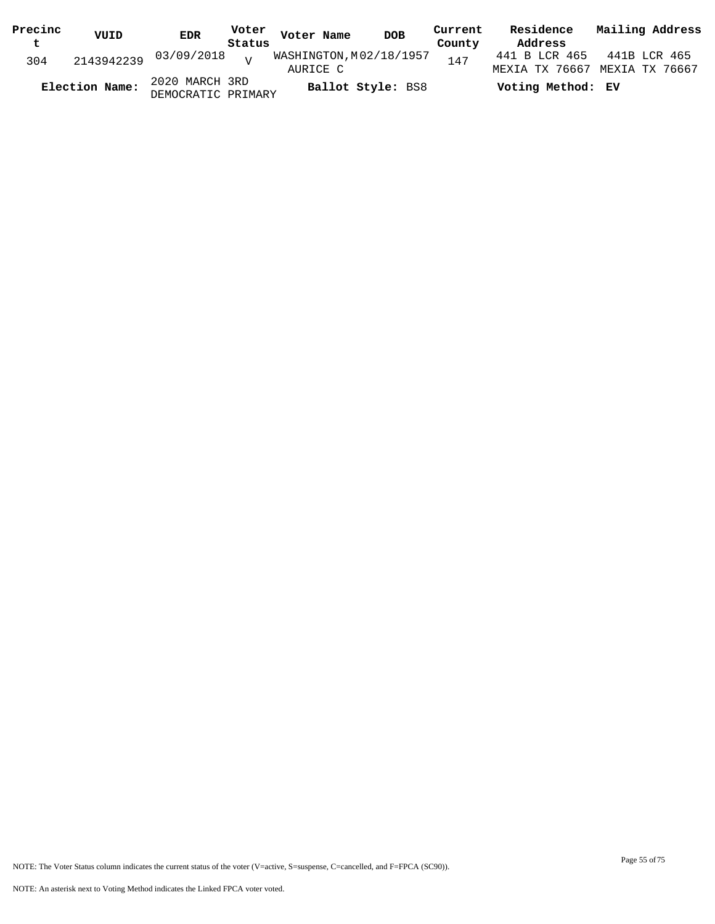| Precinc<br>$\mathbf t$ | VUID           | <b>EDR</b>                         | Status | Voter Voter Name        | <b>DOB</b>        | Current<br>County | Residence<br>Address          | Mailing Address |
|------------------------|----------------|------------------------------------|--------|-------------------------|-------------------|-------------------|-------------------------------|-----------------|
|                        |                |                                    |        | WASHINGTON, M02/18/1957 |                   |                   | 441 B LCR 465 441B LCR 465    |                 |
| 304                    |                | 2143942239 03/09/2018 <sub>V</sub> |        | AURICE C                |                   | 147               | MEXIA TX 76667 MEXIA TX 76667 |                 |
|                        | Election Name: | 2020 MARCH 3RD                     |        |                         | Ballot Style: BS8 |                   | Voting Method: EV             |                 |
|                        |                | DEMOCRATIC PRIMARY                 |        |                         |                   |                   |                               |                 |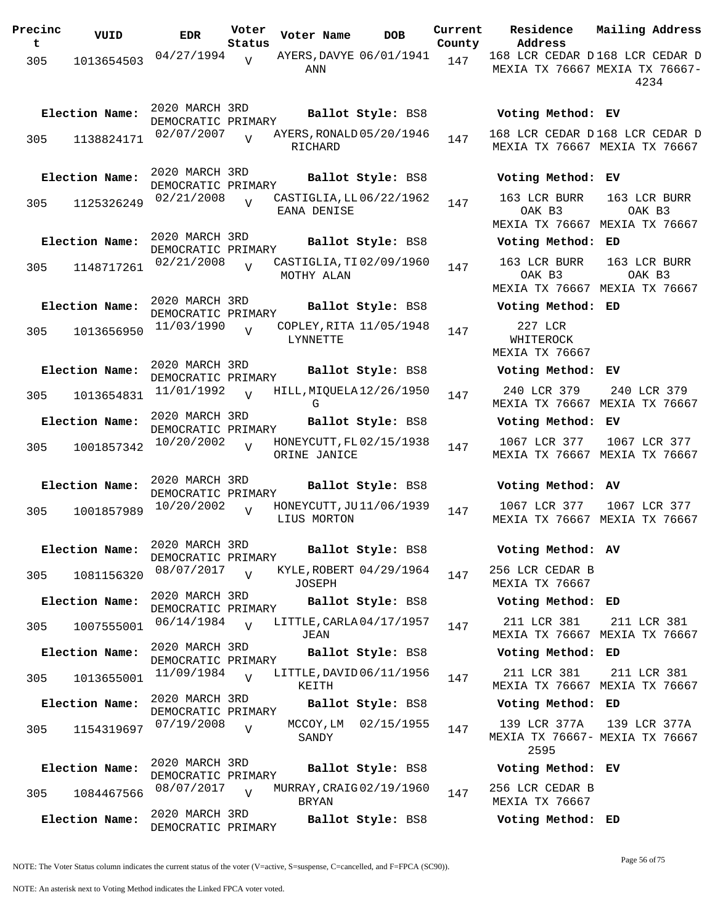| Precinc<br>t | VUID           | <b>EDR</b>                           | Voter<br>Status | Voter Name                               | <b>DOB</b>        | Current<br>County | Residence<br>Address                                    | Mailing Address                               |
|--------------|----------------|--------------------------------------|-----------------|------------------------------------------|-------------------|-------------------|---------------------------------------------------------|-----------------------------------------------|
| 305          | 1013654503     | 04/27/1994                           | $\overline{v}$  | AYERS, DAVYE 06/01/1941<br>ANN           |                   | 147               | 168 LCR CEDAR D168 LCR CEDAR D                          | MEXIA TX 76667 MEXIA TX 76667-<br>4234        |
|              | Election Name: | 2020 MARCH 3RD<br>DEMOCRATIC PRIMARY |                 |                                          | Ballot Style: BS8 |                   | Voting Method: EV                                       |                                               |
| 305          | 1138824171     | 02/07/2007                           |                 | AYERS, RONALD 05/20/1946<br>RICHARD      |                   | 147               | 168 LCR CEDAR D168 LCR CEDAR D                          | MEXIA TX 76667 MEXIA TX 76667                 |
|              | Election Name: | 2020 MARCH 3RD<br>DEMOCRATIC PRIMARY |                 |                                          | Ballot Style: BS8 |                   | Voting Method: EV                                       |                                               |
| 305          | 1125326249     | 02/21/2008                           | $\overline{U}$  | CASTIGLIA, LL 06/22/1962<br>EANA DENISE  |                   | 147               | 163 LCR BURR<br>OAK B3<br>MEXIA TX 76667 MEXIA TX 76667 | 163 LCR BURR<br>OAK B3                        |
|              | Election Name: | 2020 MARCH 3RD                       |                 |                                          | Ballot Style: BS8 |                   | Voting Method: ED                                       |                                               |
| 305          | 1148717261     | DEMOCRATIC PRIMARY<br>02/21/2008     | $\overline{U}$  | CASTIGLIA, TI 02/09/1960<br>MOTHY ALAN   |                   | 147               | 163 LCR BURR<br>OAK B3                                  | 163 LCR BURR<br>OAK B3                        |
|              | Election Name: | 2020 MARCH 3RD                       |                 |                                          | Ballot Style: BS8 |                   | MEXIA TX 76667 MEXIA TX 76667<br>Voting Method: ED      |                                               |
| 305          | 1013656950     | DEMOCRATIC PRIMARY<br>11/03/1990     | $\overline{v}$  | COPLEY, RITA 11/05/1948<br>LYNNETTE      |                   | 147               | 227 LCR<br>WHITEROCK<br>MEXIA TX 76667                  |                                               |
|              | Election Name: | 2020 MARCH 3RD<br>DEMOCRATIC PRIMARY |                 |                                          | Ballot Style: BS8 |                   | Voting Method: EV                                       |                                               |
| 305          | 1013654831     | 11/01/1992                           | $\overline{v}$  | HILL, MIQUELA 12/26/1950<br>G            |                   | 147               | 240 LCR 379<br>MEXIA TX 76667 MEXIA TX 76667            | 240 LCR 379                                   |
|              | Election Name: | 2020 MARCH 3RD<br>DEMOCRATIC PRIMARY |                 |                                          | Ballot Style: BS8 |                   | Voting Method: EV                                       |                                               |
| 305          | 1001857342     | 10/20/2002                           |                 | HONEYCUTT, FL 02/15/1938<br>ORINE JANICE |                   | 147               | 1067 LCR 377<br>MEXIA TX 76667 MEXIA TX 76667           | 1067 LCR 377                                  |
|              | Election Name: | 2020 MARCH 3RD                       |                 |                                          | Ballot Style: BS8 |                   | Voting Method: AV                                       |                                               |
| 305          | 1001857989     | DEMOCRATIC PRIMARY<br>10/20/2002     | $\overline{U}$  | HONEYCUTT, JU11/06/1939<br>LIUS MORTON   |                   | 147               | 1067 LCR 377                                            | 1067 LCR 377<br>MEXIA TX 76667 MEXIA TX 76667 |
|              | Election Name: | 2020 MARCH 3RD                       |                 |                                          | Ballot Style: BS8 |                   | Voting Method: AV                                       |                                               |
| 305          | 1081156320     | DEMOCRATIC PRIMARY<br>08/07/2017     | $\overline{v}$  | KYLE, ROBERT 04/29/1964<br>JOSEPH        |                   | 147               | 256 LCR CEDAR B<br>MEXIA TX 76667                       |                                               |
|              | Election Name: | 2020 MARCH 3RD<br>DEMOCRATIC PRIMARY |                 |                                          | Ballot Style: BS8 |                   | Voting Method: ED                                       |                                               |
| 305          | 1007555001     | 06/14/1984                           | $\overline{V}$  | LITTLE, CARLA 04/17/1957<br>JEAN         |                   | 147               | 211 LCR 381                                             | 211 LCR 381<br>MEXIA TX 76667 MEXIA TX 76667  |
|              | Election Name: | 2020 MARCH 3RD<br>DEMOCRATIC PRIMARY |                 |                                          | Ballot Style: BS8 |                   | Voting Method: ED                                       |                                               |
| 305          | 1013655001     | 11/09/1984                           | $\overline{V}$  | LITTLE, DAVID 06/11/1956<br>KEITH        |                   | 147               | 211 LCR 381                                             | 211 LCR 381<br>MEXIA TX 76667 MEXIA TX 76667  |
|              | Election Name: | 2020 MARCH 3RD                       |                 |                                          | Ballot Style: BS8 |                   | Voting Method: ED                                       |                                               |
| 305          | 1154319697     | DEMOCRATIC PRIMARY<br>07/19/2008     | $\overline{V}$  | MCCOY, LM<br>SANDY                       | 02/15/1955        | 147               | 139 LCR 377A<br>MEXIA TX 76667- MEXIA TX 76667<br>2595  | 139 LCR 377A                                  |
|              | Election Name: | 2020 MARCH 3RD<br>DEMOCRATIC PRIMARY |                 |                                          | Ballot Style: BS8 |                   | Voting Method: EV                                       |                                               |
| 305          | 1084467566     | 08/07/2017                           | $\overline{V}$  | MURRAY, CRAIG 02/19/1960<br><b>BRYAN</b> |                   | 147               | 256 LCR CEDAR B<br>MEXIA TX 76667                       |                                               |
|              | Election Name: | 2020 MARCH 3RD<br>DEMOCRATIC PRIMARY |                 |                                          | Ballot Style: BS8 |                   | Voting Method: ED                                       |                                               |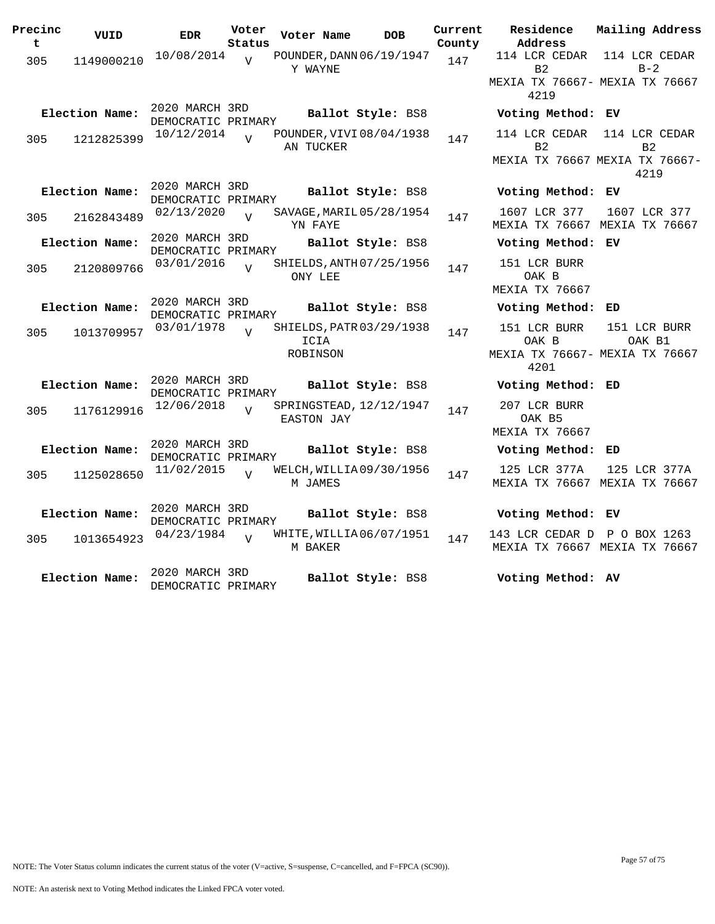| Precinc<br>t | VUID           | <b>EDR</b>                           | Voter<br>Status | Voter Name       | <b>DOB</b>               | Current<br>County | Residence<br>Address                                            | Mailing Address                               |
|--------------|----------------|--------------------------------------|-----------------|------------------|--------------------------|-------------------|-----------------------------------------------------------------|-----------------------------------------------|
| 305          | 1149000210     | 10/08/2014                           | $\overline{V}$  | Y WAYNE          | POUNDER, DANN 06/19/1947 | 147               | 114 LCR CEDAR<br>B <sub>2</sub>                                 | 114 LCR CEDAR<br>$B - 2$                      |
|              |                |                                      |                 |                  |                          |                   | MEXIA TX 76667- MEXIA TX 76667<br>4219                          |                                               |
|              | Election Name: | 2020 MARCH 3RD<br>DEMOCRATIC PRIMARY |                 |                  | Ballot Style: BS8        |                   | Voting Method: EV                                               |                                               |
| 305          | 1212825399     | 10/12/2014                           | $\overline{U}$  | AN TUCKER        | POUNDER, VIVI 08/04/1938 | 147               | 114 LCR CEDAR<br>B <sub>2</sub>                                 | 114 LCR CEDAR<br>B <sub>2</sub>               |
|              |                |                                      |                 |                  |                          |                   |                                                                 | MEXIA TX 76667 MEXIA TX 76667-<br>4219        |
|              | Election Name: | 2020 MARCH 3RD<br>DEMOCRATIC PRIMARY |                 |                  | Ballot Style: BS8        |                   | Voting Method: EV                                               |                                               |
| 305          | 2162843489     | 02/13/2020                           | $\overline{U}$  | YN FAYE          | SAVAGE, MARIL 05/28/1954 | 147               | 1607 LCR 377                                                    | 1607 LCR 377<br>MEXIA TX 76667 MEXIA TX 76667 |
|              | Election Name: | 2020 MARCH 3RD<br>DEMOCRATIC PRIMARY |                 |                  | Ballot Style: BS8        |                   | Voting Method: EV                                               |                                               |
| 305          | 2120809766     | 03/01/2016                           | $\overline{U}$  | ONY LEE          | SHIELDS, ANTH 07/25/1956 | 147               | 151 LCR BURR<br>OAK B<br>MEXIA TX 76667                         |                                               |
|              | Election Name: | 2020 MARCH 3RD<br>DEMOCRATIC PRIMARY |                 |                  | Ballot Style: BS8        |                   | Voting Method: ED                                               |                                               |
| 305          | 1013709957     | 03/01/1978                           | $\overline{U}$  | ICIA<br>ROBINSON | SHIELDS, PATR 03/29/1938 | 147               | 151 LCR BURR<br>OAK B<br>MEXIA TX 76667- MEXIA TX 76667<br>4201 | 151 LCR BURR<br>OAK B1                        |
|              | Election Name: | 2020 MARCH 3RD<br>DEMOCRATIC PRIMARY |                 |                  | Ballot Style: BS8        |                   | Voting Method: ED                                               |                                               |
| 305          | 1176129916     | 12/06/2018                           | $\overline{U}$  | EASTON JAY       | SPRINGSTEAD, 12/12/1947  | 147               | 207 LCR BURR<br>OAK B5<br>MEXIA TX 76667                        |                                               |
|              | Election Name: | 2020 MARCH 3RD<br>DEMOCRATIC PRIMARY |                 |                  | Ballot Style: BS8        |                   | Voting Method: ED                                               |                                               |
| 305          | 1125028650     | 11/02/2015                           | $\overline{U}$  | M JAMES          | WELCH, WILLIA09/30/1956  | 147               | 125 LCR 377A                                                    | 125 LCR 377A<br>MEXIA TX 76667 MEXIA TX 76667 |
|              | Election Name: | 2020 MARCH 3RD<br>DEMOCRATIC PRIMARY |                 |                  | Ballot Style: BS8        |                   | Voting Method: EV                                               |                                               |
| 305          | 1013654923     | 04/23/1984                           | $\overline{U}$  | M BAKER          | WHITE, WILLIA06/07/1951  | 147               | 143 LCR CEDAR D P O BOX 1263                                    | MEXIA TX 76667 MEXIA TX 76667                 |
|              | Election Name: | 2020 MARCH 3RD<br>DEMOCRATIC PRIMARY |                 |                  | Ballot Style: BS8        |                   | Voting Method: AV                                               |                                               |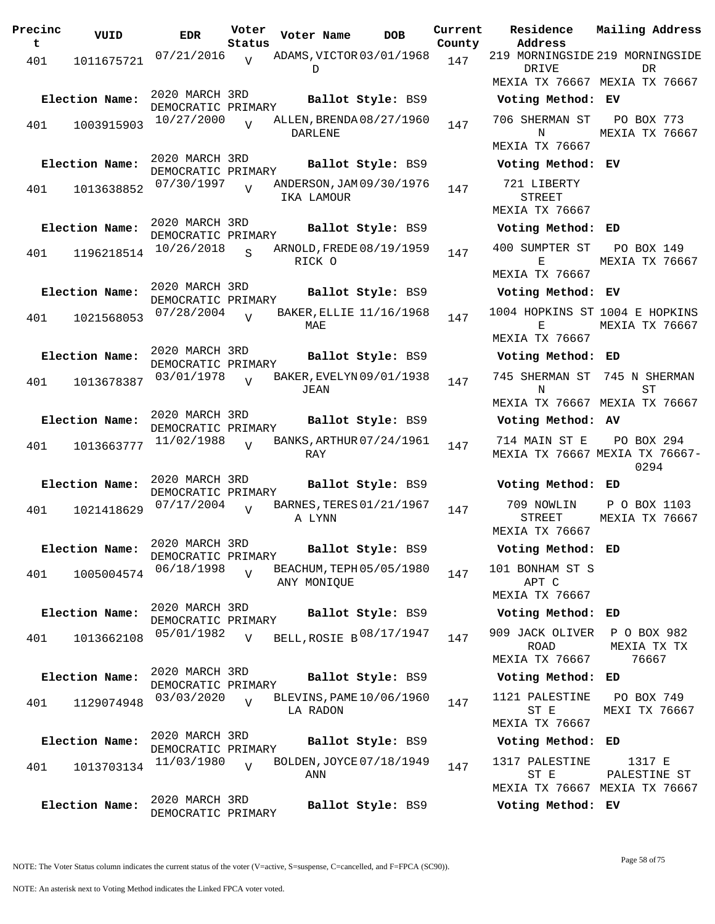| Precinc<br>t | VUID           | <b>EDR</b>                           | Voter<br>Status | Voter Name               | <b>DOB</b>        | Current<br>County | Residence<br>Address          | Mailing Addre |
|--------------|----------------|--------------------------------------|-----------------|--------------------------|-------------------|-------------------|-------------------------------|---------------|
| 401          | 1011675721     | 07/21/2016                           | $\overline{V}$  | ADAMS, VICTOR 03/01/1968 |                   | 147               | 219 MORNINGSIDE 219 MORNINGSI |               |
|              |                |                                      |                 | D                        |                   |                   | DRIVE                         | DR.           |
|              |                |                                      |                 |                          |                   |                   | MEXIA TX 76667 MEXIA TX 7666  |               |
|              | Election Name: | 2020 MARCH 3RD<br>DEMOCRATIC PRIMARY |                 |                          | Ballot Style: BS9 |                   | Voting Method: EV             |               |
| 401          | 1003915903     | 10/27/2000                           | $\overline{v}$  | ALLEN, BRENDA08/27/1960  |                   | 147               | 706 SHERMAN ST                | PO BOX 773    |
|              |                |                                      |                 | DARLENE                  |                   |                   | N                             | MEXIA TX 7666 |
|              |                |                                      |                 |                          |                   |                   | MEXIA TX 76667                |               |
|              | Election Name: | 2020 MARCH 3RD<br>DEMOCRATIC PRIMARY |                 |                          | Ballot Style: BS9 |                   | Voting Method: EV             |               |
| 401          | 1013638852     | 07/30/1997                           | $\overline{U}$  | ANDERSON, JAM 09/30/1976 |                   | 147               | 721 LIBERTY                   |               |
|              |                |                                      |                 | IKA LAMOUR               |                   |                   | <b>STREET</b>                 |               |
|              |                |                                      |                 |                          |                   |                   | MEXIA TX 76667                |               |
|              | Election Name: | 2020 MARCH 3RD<br>DEMOCRATIC PRIMARY |                 |                          | Ballot Style: BS9 |                   | Voting Method: ED             |               |
| 401          | 1196218514     | 10/26/2018                           | $\overline{S}$  | ARNOLD, FREDE 08/19/1959 |                   | 147               | 400 SUMPTER ST                | PO BOX 149    |
|              |                |                                      |                 | RICK O                   |                   |                   | Е                             | MEXIA TX 7666 |
|              |                |                                      |                 |                          |                   |                   | MEXIA TX 76667                |               |
|              | Election Name: | 2020 MARCH 3RD<br>DEMOCRATIC PRIMARY |                 |                          | Ballot Style: BS9 |                   | Voting Method: EV             |               |
|              |                | 07/28/2004                           | $\overline{U}$  | BAKER, ELLIE 11/16/1968  |                   | 147               | 1004 HOPKINS ST 1004 E HOPKIN |               |
| 401          | 1021568053     |                                      |                 | MAE                      |                   |                   | Е                             | MEXIA TX 7666 |
|              |                |                                      |                 |                          |                   |                   | <b>MEXIA TX 76667</b>         |               |
|              | Election Name: | 2020 MARCH 3RD<br>DEMOCRATIC PRIMARY |                 |                          | Ballot Style: BS9 |                   | Voting Method: ED             |               |
|              |                | 03/01/1978                           | $\overline{U}$  | BAKER, EVELYN 09/01/1938 |                   |                   | 745 SHERMAN ST                | 745 N SHERMA  |
| 401          | 1013678387     |                                      |                 | JEAN                     |                   | 147               | N                             | ST            |
|              |                |                                      |                 |                          |                   |                   | MEXIA TX 76667 MEXIA TX 7666  |               |
|              | Election Name: | 2020 MARCH 3RD                       |                 |                          | Ballot Style: BS9 |                   | Voting Method: AV             |               |
|              |                | DEMOCRATIC PRIMARY<br>11/02/1988     | $\overline{V}$  | BANKS, ARTHUR 07/24/1961 |                   |                   | 714 MAIN ST E                 | PO BOX 294    |
| 401          | 1013663777     |                                      |                 | RAY                      |                   | 147               | MEXIA TX 76667 MEXIA TX 7666  |               |
|              |                |                                      |                 |                          |                   |                   |                               | 0294          |
|              | Election Name: | 2020 MARCH 3RD<br>DEMOCRATIC PRIMARY |                 |                          | Ballot Style: BS9 |                   | Voting Method: ED             |               |
|              |                | 07/17/2004                           |                 | BARNES, TERES 01/21/1967 |                   |                   | 709 NOWLIN                    | P O BOX 1103  |
| 401          | 1021418629     |                                      | $\overline{V}$  | A LYNN                   |                   | 147               | STREET                        | MEXIA TX 7666 |
|              |                |                                      |                 |                          |                   |                   | MEXIA TX 76667                |               |
|              | Election Name: | 2020 MARCH 3RD                       |                 |                          | Ballot Style: BS9 |                   | Voting Method: ED             |               |
|              |                | DEMOCRATIC PRIMARY<br>06/18/1998     |                 | BEACHUM, TEPH 05/05/1980 |                   |                   | 101 BONHAM ST S               |               |
| 401          | 1005004574     |                                      | V               | ANY MONIOUE              |                   | 147               | APT C                         |               |
|              |                |                                      |                 |                          |                   |                   | MEXIA TX 76667                |               |
|              | Election Name: | 2020 MARCH 3RD                       |                 |                          | Ballot Style: BS9 |                   | Voting Method: ED             |               |
|              |                | DEMOCRATIC PRIMARY<br>05/01/1982     |                 | BELL, ROSIE B 08/17/1947 |                   |                   | 909 JACK OLIVER               | P O BOX 982   |
| 401          | 1013662108     |                                      | $\overline{V}$  |                          |                   | 147               | ROAD                          | MEXIA TX TX   |
|              |                |                                      |                 |                          |                   |                   | MEXIA TX 76667                | 76667         |
|              | Election Name: | 2020 MARCH 3RD                       |                 |                          | Ballot Style: BS9 |                   | Voting Method: ED             |               |
|              |                | DEMOCRATIC PRIMARY<br>03/03/2020     |                 | BLEVINS, PAME 10/06/1960 |                   |                   | 1121 PALESTINE                | PO BOX 749    |
| 401          | 1129074948     |                                      | $\overline{V}$  | LA RADON                 |                   | 147               | ST E                          | MEXI TX 7666  |
|              |                |                                      |                 |                          |                   |                   | MEXIA TX 76667                |               |
|              | Election Name: | 2020 MARCH 3RD                       |                 |                          | Ballot Style: BS9 |                   | Voting Method: ED             |               |
|              |                | DEMOCRATIC PRIMARY<br>11/03/1980     |                 | BOLDEN, JOYCE 07/18/1949 |                   |                   | 1317 PALESTINE                | 1317 E        |
| 401          | 1013703134     |                                      | V               | ANN                      |                   | 147               | ST E                          | PALESTINE ST  |
|              |                |                                      |                 |                          |                   |                   | MEXIA TX 76667 MEXIA TX 7666  |               |
|              | Election Name: | 2020 MARCH 3RD                       |                 |                          | Ballot Style: BS9 |                   | Voting Method: EV             |               |
|              |                | DEMOCRATIC PRIMARY                   |                 |                          |                   |                   |                               |               |

**Voter Name DOB Residence Address Current Mailing Address Lty** 219 MORNINGSIDE 219 MORNINGSIDE DRIVE MEXIA TX 76667 MEXIA TX 76667 **DR Election Name: Ballot Style:** BS9 **Voting Method: EV** 706 SHERMAN ST N MEXIA TX 76667 PO BOX 773 MEXIA TX 76667 **Election Name: Ballot Style:** BS9 **Voting Method: EV** 721 LIBERTY STREET MEXIA TX 76667 **Election Name: Ballot Style:** BS9 **Voting Method: ED** 400 SUMPTER ST  $E$ MEXIA TX 76667 PO BOX 149 MEXIA TX 76667 **Election Name: Ballot Style:** BS9 **Voting Method: EV** 1004 HOPKINS ST 1004 E HOPKINS  $E$ MEXIA TX 76667 MEXIA TX 76667 **Election Name: Ballot Style:** BS9 **Voting Method: ED** 745 SHERMAN ST 745 N SHERMAN N MEXIA TX 76667 MEXIA TX 76667 ST **Election Name: Ballot Style:** BS9 **Voting Method: AV** 714 MAIN ST E MEXIA TX 76667 MEXIA TX 76667- PO BOX 294 0294 **Election Name: Ballot Style:** BS9 **Voting Method: ED** 709 NOWLIN STREET MEXIA TX 76667 P O BOX 1103 MEXIA TX 76667 **Election Name: Ballot Style:** BS9 **Voting Method: ED** 101 BONHAM ST S APT C MEXIA TX 76667 **Election Name: Ballot Style:** BS9 **Voting Method: ED** ROAD MEXIA TX 76667 MEXIA TX TX 76667 **Election Name: Ballot Style:** BS9 **Voting Method: ED** 1121 PALESTINE ST E MEXIA TX 76667 PO BOX 749 MEXI TX 76667 **Election Name: Ballot Style:** BS9 **Voting Method: ED** 1317 PALESTINE ST E MEXIA TX 76667 MEXIA TX 76667 1317 E PALESTINE ST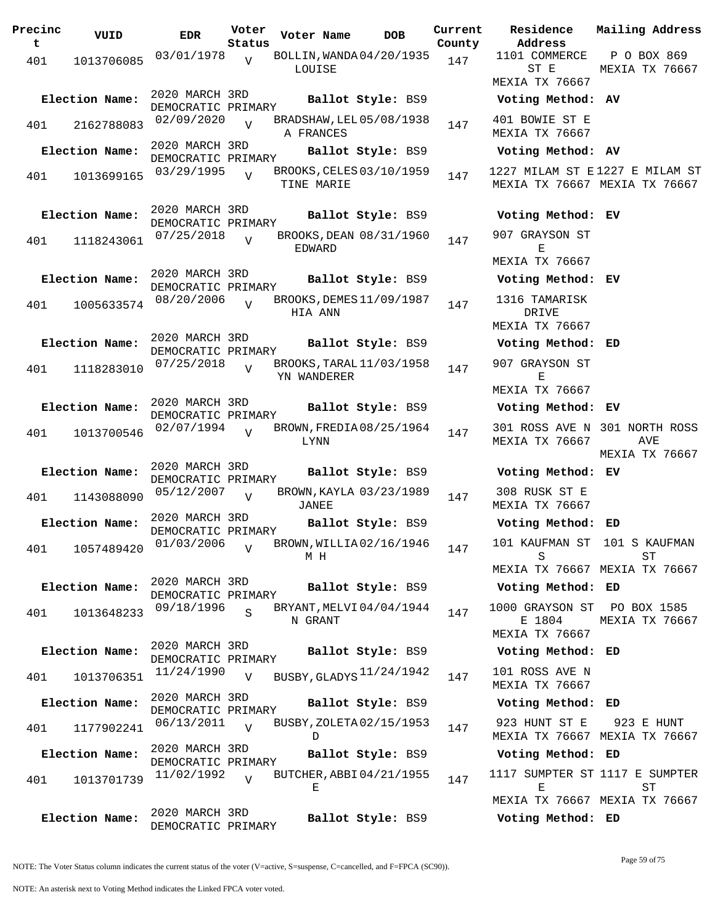**Precinc t VUID EDR Voter Status Voter Name bob Current Residence** 401 1013706085 03/01/1978 LOUISE  $\overline{v}$ BOLLIN, WANDA 04/20/1935 147 2020 MARCH 3RD DEMOCRATIC PRIMARY<br>02/09/2020 TT **Election Name: Ballot Style:** BS9 **Voting Method: AV** 401 2162788083 02/09/2020 V BRADSHAW, LEL 05/08/1938 147 A FRANCES  $V$ 2020 MARCH 3RD DEMOCRATIC PRIMARY **Election Name: Ballot Style:** BS9 **Voting Method: AV** 401 1013699165 03/29/1995 V BROOKS, CELES 03/10/1959 147 TINE MARIE  $\overline{V}$ 2020 MARCH 3RD DEMOCRATIC PRIMARY **Election Name: Ballot Style:** BS9 **Voting Method: EV** 401 1118243061 07/25/2018 EDWARD  $\overline{V}$ BROOKS, DEAN 08/31/1960 147 2020 MARCH 3RD DEMOCRATIC PRIMARY **Election Name: Ballot Style:** BS9 **Voting Method: EV** 401 1005633574 08/20/2006 HIA ANN  $\overline{V}$ BROOKS, DEMES 11/09/1987 147 2020 MARCH 3RD DEMOCRATIC PRIMARY **Election Name: Ballot Style:** BS9 **Voting Method: ED** 401 1118283010  $07/25/2018$  BROOKS, TARAL 11/03/1958 147 YN WANDERER  $\overline{V}$ 2020 MARCH 3RD DEMOCRATIC PRIMARY **Election Name: Ballot Style:** BS9 **Voting Method: EV** 401 1013700546 02/07/1994 V BROWN, FREDIA 08/25/1964 147 LYNN  $\overline{V}$ 2020 MARCH 3RD DEMOCRATIC PRIMARY **Election Name: Ballot Style:** BS9 **Voting Method: EV** 401 1143088090 05/12/2007 JANEE  $\overline{V}$ BROWN, KAYLA 03/23/1989 147 2020 MARCH 3RD DEMOCRATIC PRIMARY **Election Name: Ballot Style:** BS9 **Voting Method: ED** 401 1057489420 01/03/2006 M H  $\overline{V}$ BROWN, WILLIA 02/16/1946 147 2020 MARCH 3RD DEMOCRATIC PRIMARY **Election Name: Ballot Style:** BS9 **Voting Method: ED** 401 1013648233 <sup>09/18/1996</sup> S BRYANT, MELVI 04/04/1944 147 N GRANT S 2020 MARCH 3RD DEMOCRATIC PRIMARY **Election Name: Ballot Style:** BS9 **Voting Method: ED**  $101$   $1013706351$   $11/24/1990$  v BUSBY, GLADYS  $11/24/1942$   $147$   $101$  ROSS AVE N  $\overline{U}$ 2020 MARCH 3RD DEMOCRATIC PRIMARY **Election Name: Ballot Style:** BS9 **Voting Method: ED** 401 1177902241 06/13/2011 V BUSBY, ZOLETA 02/15/1953 147  $\mathbf{D}$  $\overline{v}$ 2020 MARCH 3RD DEMOCRATIC PRIMARY **Election Name: Ballot Style:** BS9 **Voting Method: ED** 401 1013701739 11/02/1992 V BUTCHER, ABBI 04/21/1955 147 E  $V$ 2020 MARCH 3RD DEMOCRATIC PRIMARY **Election Name: Ballot Style:** BS9 **Voting Method: ED**

**Address Current Mailing Address County** 1101 COMMERCE ST E MEXIA TX 76667 P O BOX 869 MEXIA TX 76667 401 BOWIE ST E MEXIA TX 76667 1227 MILAM ST E 1227 E MILAM ST MEXIA TX 76667 MEXIA TX 76667 907 GRAYSON ST E MEXIA TX 76667 1316 TAMARISK DRIVE MEXIA TX 76667 907 GRAYSON ST E MEXIA TX 76667 301 ROSS AVE N 301 NORTH ROSS MEXIA TX 76667 AVE MEXIA TX 76667 308 RUSK ST E MEXIA TX 76667 101 KAUFMAN ST 101 S KAUFMAN S MEXIA TX 76667 MEXIA TX 76667 ST 1000 GRAYSON ST E 1804 MEXIA TX 76667 PO BOX 1585 MEXIA TX 76667 MEXIA TX 76667 923 HUNT ST E MEXIA TX 76667 MEXIA TX 76667 923 E HUNT 1117 SUMPTER ST 1117 E SUMPTER E MEXIA TX 76667 MEXIA TX 76667 ST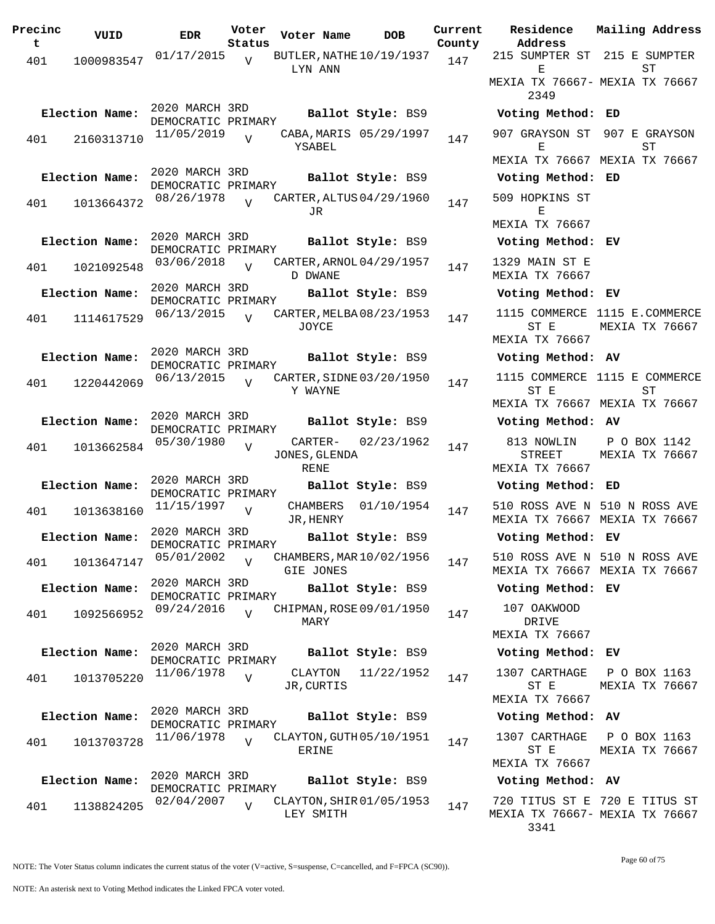| Precinc<br>t | VUID           | <b>EDR</b>                           | Voter<br>Status | Voter Name                            | DOB                    | Current<br>County |
|--------------|----------------|--------------------------------------|-----------------|---------------------------------------|------------------------|-------------------|
| 401          | 1000983547     | 01/17/2015                           | $\overline{V}$  | BUTLER, NATHE $10/19/1937$<br>LYN ANN |                        | 147               |
|              | Election Name: | 2020 MARCH 3RD<br>DEMOCRATIC PRIMARY |                 |                                       | Ballot Style: BS9      |                   |
| 401          | 2160313710     | 11/05/2019                           | $\overline{U}$  | YSABEL                                | CABA, MARIS 05/29/1997 | 147               |
|              | Election Name: | 2020 MARCH 3RD<br>DEMOCRATIC PRIMARY |                 |                                       | Ballot Style: BS9      |                   |
| 401          | 1013664372     | 08/26/1978                           | ٦T              | CARTER, ALTUS 04/29/1960<br>JR.       |                        | 147               |
|              | Election Name: | 2020 MARCH 3RD<br>DEMOCRATIC PRIMARY |                 |                                       | Ballot Style: BS9      |                   |
| 401          | 1021092548     | 03/06/2018                           | $\overline{U}$  | CARTER, ARNOL 04/29/1957<br>D DWANE   |                        | 147               |
|              | Election Name: | 2020 MARCH 3RD<br>DEMOCRATIC PRIMARY |                 |                                       | Ballot Style: BS9      |                   |
| 401          | 1114617529     | 06/13/2015                           | $\overline{V}$  | CARTER, MELBA 08/23/1953<br>JOYCE     |                        | 147               |
|              | Election Name: | 2020 MARCH 3RD<br>DEMOCRATIC PRIMARY |                 |                                       | Ballot Style: BS9      |                   |
| 401          | 1220442069     | 06/13/2015                           | $\overline{U}$  | CARTER, SIDNE 03/20/1950<br>Y WAYNE   |                        | 147               |
|              | Election Name: | 2020 MARCH 3RD<br>DEMOCRATIC PRIMARY |                 |                                       | Ballot Style: BS9      |                   |
| 401          | 1013662584     | 05/30/1980                           | V               | CARTER-<br>JONES, GLENDA<br>RENE      | 02/23/1962             | 147               |
|              | Election Name: | 2020 MARCH 3RD<br>DEMOCRATIC PRIMARY |                 |                                       | Ballot Style: BS9      |                   |
| 401          | 1013638160     | 11/15/1997                           | V               | CHAMBERS<br>JR, HENRY                 | 01/10/1954             | 147               |
|              | Election Name: | 2020 MARCH 3RD<br>DEMOCRATIC PRIMARY |                 |                                       | Ballot Style: BS9      |                   |
| 401          | 1013647147     | 05/01/2002                           | V               | CHAMBERS, MAR 10/02/1956<br>GIE JONES |                        | 147               |
|              | Election Name: | 2020 MARCH 3RD<br>DEMOCRATIC PRIMARY |                 |                                       | Ballot Style: BS9      |                   |
| 401          | 1092566952     | 09/24/2016                           | $\overline{U}$  | CHIPMAN, ROSE 09/01/1950<br>MARY      |                        | 147               |
|              | Election Name: | 2020 MARCH 3RD<br>DEMOCRATIC PRIMARY |                 |                                       | Ballot Style: BS9      |                   |
| 401          | 1013705220     | 11/06/1978                           | V               | CLAYTON<br>JR, CURTIS                 | 11/22/1952             | 147               |
|              | Election Name: | 2020 MARCH 3RD<br>DEMOCRATIC PRIMARY |                 |                                       | Ballot Style: BS9      |                   |
| 401          | 1013703728     | 11/06/1978                           | $\overline{V}$  | CLAYTON, GUTH 05/10/1951<br>ERINE     |                        | 147               |
|              | Election Name: | 2020 MARCH 3RD<br>DEMOCRATIC PRIMARY |                 |                                       | Ballot Style: BS9      |                   |
| 401          | 1138824205     | 02/04/2007                           | $\overline{V}$  | CLAYTON, SHIR 01/05/1953<br>LEY SMITH |                        | 147               |

**Voter Name DOB Residence Address Current Mailing Address** 215 SUMPTER ST 215 E SUMPTER E MEXIA TX 76667- MEXIA TX 76667 2349  $ST$ **Election Name: Ballot Style:** BS9 **Voting Method: ED** 907 GRAYSON ST 907 E GRAYSON E MEXIA TX 76667 MEXIA TX 76667 ST **Election Name: Ballot Style:** BS9 **Voting Method: ED** 509 HOPKINS ST E MEXIA TX 76667 **Election Name: Ballot Style:** BS9 **Voting Method: EV** 1329 MAIN ST E MEXIA TX 76667 **Election Name: Ballot Style:** BS9 **Voting Method: EV** 1115 COMMERCE 1115 E.COMMERCE ST E MEXIA TX 76667 MEXIA TX 76667 **Election Name: Ballot Style:** BS9 **Voting Method: AV** 1115 COMMERCE 1115 E COMMERCE ST E MEXIA TX 76667 MEXIA TX 76667 ST **Election Name: Ballot Style:** BS9 **Voting Method: AV** 813 NOWLIN STREET MEXIA TX 76667 P O BOX 1142 MEXIA TX 76667 **Election Name: Ballot Style:** BS9 **Voting Method: ED** 510 ROSS AVE N 510 N ROSS AVE MEXIA TX 76667 MEXIA TX 76667 **Election Name: Ballot Style:** BS9 **Voting Method: EV** 510 ROSS AVE N 510 N ROSS AVE MEXIA TX 76667 MEXIA TX 76667 **Election Name: Ballot Style:** BS9 **Voting Method: EV** 107 OAKWOOD DRIVE MEXIA TX 76667 **Election Name: Ballot Style:** BS9 **Voting Method: EV** 1307 CARTHAGE ST E MEXIA TX 76667 P O BOX 1163 MEXIA TX 76667 **Election Name: Ballot Style:** BS9 **Voting Method: AV** 1307 CARTHAGE ST E MEXIA TX 76667 P O BOX 1163 MEXIA TX 76667

## **Election Name: Ballot Style:** BS9 **Voting Method: AV**

720 TITUS ST E 720 E TITUS ST MEXIA TX 76667- MEXIA TX 76667 3341

NOTE: The Voter Status column indicates the current status of the voter (V=active, S=suspense, C=cancelled, and F=FPCA (SC90)).

Page 60 of 75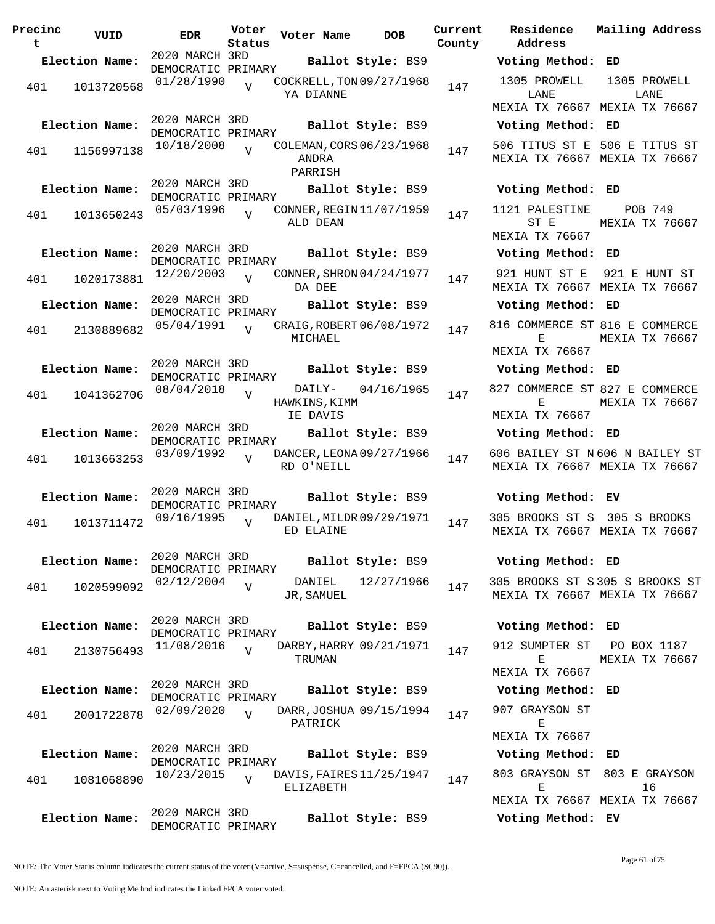| Precinc<br>t | VUID           | <b>EDR</b>                           | Voter<br>Status | Voter Name                                   | <b>DOB</b>        | Current<br>County | Residence<br>Address                       | Mai:      |
|--------------|----------------|--------------------------------------|-----------------|----------------------------------------------|-------------------|-------------------|--------------------------------------------|-----------|
|              | Election Name: | 2020 MARCH 3RD                       |                 |                                              | Ballot Style: BS9 |                   | Voting Method: ED                          |           |
| 401          | 1013720568     | DEMOCRATIC PRIMARY<br>01/28/1990     | $\overline{V}$  | COCKRELL, TON 09/27/1968<br>YA DIANNE        |                   | 147               | 1305 PROWELL<br>LANE                       | 13        |
|              |                | 2020 MARCH 3RD                       |                 |                                              |                   |                   | MEXIA TX 76667 MEX                         |           |
|              | Election Name: | DEMOCRATIC PRIMARY                   |                 |                                              | Ballot Style: BS9 |                   | Voting Method: ED                          |           |
| 401          | 1156997138     | 10/18/2008                           | $\overline{V}$  | COLEMAN, CORS 06/23/1968<br>ANDRA<br>PARRISH |                   | 147               | 506 TITUS ST E 506<br>MEXIA TX 76667 MEX   |           |
|              | Election Name: | 2020 MARCH 3RD<br>DEMOCRATIC PRIMARY |                 |                                              | Ballot Style: BS9 |                   | Voting Method: ED                          |           |
| 401          | 1013650243     | 05/03/1996                           | $\overline{V}$  | CONNER, REGIN 11/07/1959<br>ALD DEAN         |                   | 147               | 1121 PALESTINE<br>ST E<br>MEXIA TX 76667   | MEX       |
|              | Election Name: | 2020 MARCH 3RD<br>DEMOCRATIC PRIMARY |                 |                                              | Ballot Style: BS9 |                   | Voting Method: ED                          |           |
| 401          | 1020173881     | 12/20/2003                           | $\overline{17}$ | CONNER, SHRON 04/24/1977<br>DA DEE           |                   | 147               | 921 HUNT ST E<br>MEXIA TX 76667 MEX        | 92.       |
|              | Election Name: | 2020 MARCH 3RD<br>DEMOCRATIC PRIMARY |                 |                                              | Ballot Style: BS9 |                   | Voting Method: ED                          |           |
| 401          | 2130889682     | 05/04/1991                           |                 | CRAIG, ROBERT 06/08/1972<br>MICHAEL          |                   | 147               | 816 COMMERCE ST 816<br>Е<br>MEXIA TX 76667 | MEX       |
|              | Election Name: | 2020 MARCH 3RD                       |                 |                                              | Ballot Style: BS9 |                   | Voting Method: ED                          |           |
| 401          | 1041362706     | DEMOCRATIC PRIMARY<br>08/04/2018     | $\overline{V}$  | DAILY-<br>HAWKINS, KIMM                      | 04/16/1965        | 147               | 827 COMMERCE ST 827<br>Е                   | MEX       |
|              |                |                                      |                 | IE DAVIS                                     |                   |                   | MEXIA TX 76667                             |           |
|              | Election Name: | 2020 MARCH 3RD<br>DEMOCRATIC PRIMARY |                 |                                              | Ballot Style: BS9 |                   | Voting Method: ED                          |           |
| 401          | 1013663253     | 03/09/1992                           | $\overline{U}$  | DANCER, LEONA 09/27/1966<br>RD O'NEILL       |                   | 147               | 606 BAILEY ST N606<br>MEXIA TX 76667 MEX   |           |
|              | Election Name: | 2020 MARCH 3RD<br>DEMOCRATIC PRIMARY |                 |                                              | Ballot Style: BS9 |                   | Voting Method: EV                          |           |
| 401          | 1013711472     | 09/16/1995                           | $\overline{V}$  | DANIEL, MILDR 09/29/1971<br>ED ELAINE        |                   | 147               | 305 BROOKS ST S 30<br>MEXIA TX 76667 MEX   |           |
|              | Election Name: | 2020 MARCH 3RD<br>DEMOCRATIC PRIMARY |                 |                                              | Ballot Style: BS9 |                   | Voting Method: ED                          |           |
| 401          | 1020599092     | 02/12/2004                           | $\overline{V}$  | DANIEL<br>JR, SAMUEL                         | 12/27/1966        | 147               | 305 BROOKS ST S305<br>MEXIA TX 76667 MEX   |           |
|              | Election Name: | 2020 MARCH 3RD<br>DEMOCRATIC PRIMARY |                 |                                              | Ballot Style: BS9 |                   | Voting Method: ED                          |           |
| 401          | 2130756493     | 11/08/2016                           | $\overline{V}$  | DARBY, HARRY 09/21/1971<br>TRUMAN            |                   | 147               | 912 SUMPTER ST<br>Е                        | P(<br>MEX |
|              |                | 2020 MARCH 3RD                       |                 |                                              |                   |                   | MEXIA TX 76667                             |           |
|              | Election Name: | DEMOCRATIC PRIMARY                   |                 |                                              | Ballot Style: BS9 |                   | Voting Method: ED                          |           |
| 401          | 2001722878     | 02/09/2020                           | $\overline{U}$  | DARR, JOSHUA 09/15/1994<br>PATRICK           |                   | 147               | 907 GRAYSON ST<br>Е                        |           |
|              | Election Name: | 2020 MARCH 3RD                       |                 |                                              | Ballot Style: BS9 |                   | MEXIA TX 76667<br>Voting Method: ED        |           |
| 401          | 1081068890     | DEMOCRATIC PRIMARY<br>10/23/2015     | $\overline{U}$  | DAVIS, FAIRES 11/25/1947                     |                   | 147               | 803 GRAYSON ST 803                         |           |
|              |                |                                      |                 | ELIZABETH                                    |                   |                   | Е<br>MEXIA TX 76667 MEX                    |           |
|              | Election Name: | 2020 MARCH 3RD<br>DEMOCRATIC PRIMARY |                 |                                              | Ballot Style: BS9 |                   | Voting Method: EV                          |           |

**Voter Name DOB Residence Address Current Mailing Address Election Name: Ballot Style:** BS9 **Voting Method: ED** 1305 PROWELL LANE MEXIA TX 76667 MEXIA TX 76667 1305 PROWELL LANE **Election Name: Ballot Style:** BS9 **Voting Method: ED** 506 TITUS ST E 506 E TITUS ST MEXIA TX 76667 MEXIA TX 76667 **Election Name: Ballot Style:** BS9 **Voting Method: ED** 1121 PALESTINE ST E MEXIA TX 76667 POB 749 MEXIA TX 76667 **Election Name: Ballot Style:** BS9 **Voting Method: ED** 921 HUNT ST E 921 E HUNT ST MEXIA TX 76667 MEXIA TX 76667 **Election Name: Ballot Style:** BS9 **Voting Method: ED** 816 COMMERCE ST 816 E COMMERCE  $E$ MEXIA TX 76667 MEXIA TX 76667 **Election Name: Ballot Style:** BS9 **Voting Method: ED** 827 COMMERCE ST 827 E COMMERCE E MEXIA TX 76667 MEXIA TX 76667 **Election Name: Ballot Style:** BS9 **Voting Method: ED** 606 BAILEY ST N 606 N BAILEY ST MEXIA TX 76667 MEXIA TX 76667 **Election Name: Ballot Style:** BS9 **Voting Method: EV** 305 BROOKS ST S 305 S BROOKS MEXIA TX 76667 MEXIA TX 76667 **Election Name: Ballot Style:** BS9 **Voting Method: ED** 305 BROOKS ST S 305 S BROOKS ST MEXIA TX 76667 MEXIA TX 76667 **Election Name: Ballot Style:** BS9 **Voting Method: ED** 912 SUMPTER ST PO BOX 1187 E MEXIA TX 76667 MEXIA TX 76667 **Election Name: Ballot Style:** BS9 **Voting Method: ED** 907 GRAYSON ST E MEXIA TX 76667 **Election Name: Ballot Style:** BS9 **Voting Method: ED** 803 GRAYSON ST 803 E GRAYSON  $E$ MEXIA TX 76667 MEXIA TX 76667 16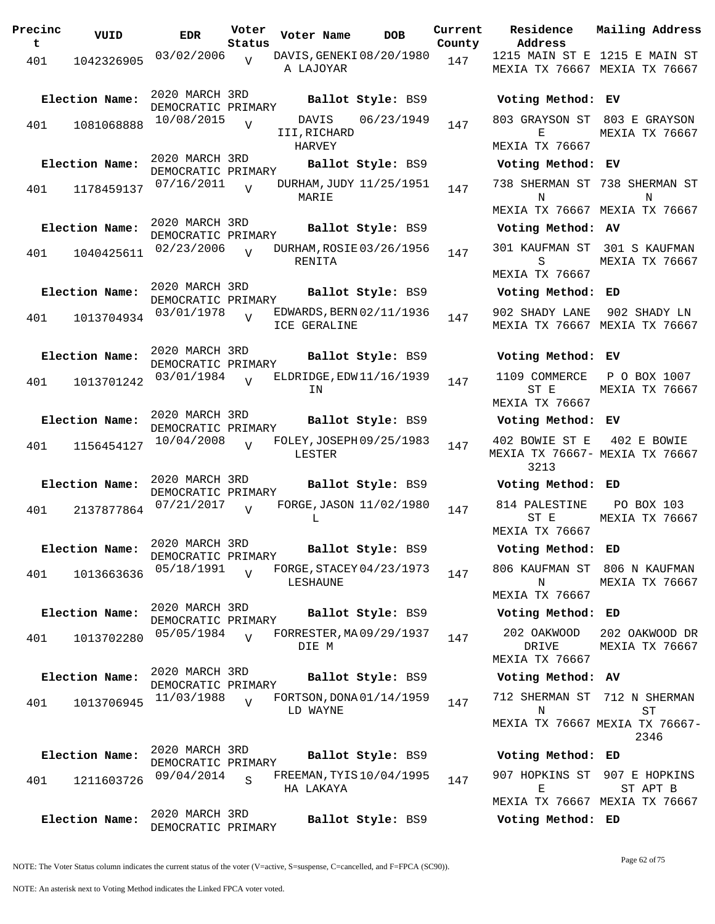| Precinc<br>t | VUID           | <b>EDR</b>                           | Voter<br>Status | Voter Name                               | <b>DOB</b>        | Current<br>County | Residence<br>Address                          | Mai.               |
|--------------|----------------|--------------------------------------|-----------------|------------------------------------------|-------------------|-------------------|-----------------------------------------------|--------------------|
| 401          | 1042326905     | 03/02/2006                           | $\overline{V}$  | DAVIS, GENEKI 08/20/1980<br>A LAJOYAR    |                   | 147               | 1215 MAIN ST E 121<br>MEXIA TX 76667 MEX      |                    |
|              | Election Name: | 2020 MARCH 3RD<br>DEMOCRATIC PRIMARY |                 |                                          | Ballot Style: BS9 |                   | Voting Method: EV                             |                    |
| 401          | 1081068888     | 10/08/2015                           | $\overline{V}$  | DAVIS<br>III, RICHARD<br>HARVEY          | 06/23/1949        | 147               | 803 GRAYSON ST<br>Е<br>MEXIA TX 76667         | 80.<br>MEX         |
|              | Election Name: | 2020 MARCH 3RD                       |                 |                                          | Ballot Style: BS9 |                   | Voting Method: EV                             |                    |
| 401          | 1178459137     | DEMOCRATIC PRIMARY<br>07/16/2011     | $\overline{U}$  | DURHAM, JUDY 11/25/1951<br>MARIE         |                   | 147               | 738 SHERMAN ST 738<br>Ν                       |                    |
|              | Election Name: | 2020 MARCH 3RD<br>DEMOCRATIC PRIMARY |                 |                                          | Ballot Style: BS9 |                   | MEXIA TX 76667 MEX<br>Voting Method: AV       |                    |
| 401          | 1040425611     | 02/23/2006                           |                 | DURHAM, ROSIE 03/26/1956<br>RENITA       |                   | 147               | 301 KAUFMAN ST<br>S<br>MEXIA TX 76667         | 30.<br>MEX         |
|              | Election Name: | 2020 MARCH 3RD<br>DEMOCRATIC PRIMARY |                 |                                          | Ballot Style: BS9 |                   | Voting Method: ED                             |                    |
| 401          | 1013704934     | 03/01/1978                           | $\overline{z}$  | EDWARDS, BERN 02/11/1936<br>ICE GERALINE |                   | 147               | 902 SHADY LANE<br>MEXIA TX 76667 MEX          | 90                 |
|              | Election Name: | 2020 MARCH 3RD<br>DEMOCRATIC PRIMARY |                 |                                          | Ballot Style: BS9 |                   | Voting Method: EV                             |                    |
| 401          | 1013701242     | 03/01/1984                           | $\overline{U}$  | ELDRIDGE, EDW 11/16/1939<br>ΙN           |                   | 147               | 1109 COMMERCE<br>ST E                         | Ρ<br>MEX           |
|              | Election Name: | 2020 MARCH 3RD<br>DEMOCRATIC PRIMARY |                 |                                          | Ballot Style: BS9 |                   | MEXIA TX 76667<br>Voting Method: EV           |                    |
| 401          | 1156454127     | 10/04/2008                           | $\overline{Y}$  | FOLEY, JOSEPH 09/25/1983<br>LESTER       |                   | 147               | 402 BOWIE ST E<br>MEXIA TX 76667- MEX<br>3213 | 4(                 |
|              | Election Name: | 2020 MARCH 3RD<br>DEMOCRATIC PRIMARY |                 |                                          | Ballot Style: BS9 |                   | Voting Method: ED                             |                    |
| 401          | 2137877864     | 07/21/2017                           | $\overline{U}$  | FORGE, JASON 11/02/1980<br>L             |                   | 147               | 814 PALESTINE<br>ST E<br>MEXIA TX 76667       | $\mathbf P$<br>MEX |
|              | Election Name: | 2020 MARCH 3RD<br>DEMOCRATIC PRIMARY |                 |                                          | Ballot Style: BS9 |                   | Voting Method: ED                             |                    |
| 401          | 1013663636     | 05/18/1991                           |                 | FORGE, STACEY 04/23/1973<br>LESHAUNE     |                   | 147               | 806 KAUFMAN ST 806<br>Ν<br>MEXIA TX 76667     | MEX                |
|              | Election Name: | 2020 MARCH 3RD                       |                 |                                          | Ballot Style: BS9 |                   | Voting Method: ED                             |                    |
| 401          | 1013702280     | DEMOCRATIC PRIMARY<br>05/05/1984     | $\overline{U}$  | FORRESTER, MA09/29/1937<br>DIE M         |                   | 147               | 202 OAKWOOD<br>DRIVE                          | 202<br>MEX         |
|              | Election Name: | 2020 MARCH 3RD                       |                 |                                          | Ballot Style: BS9 |                   | MEXIA TX 76667<br>Voting Method: AV           |                    |
| 401          | 1013706945     | DEMOCRATIC PRIMARY<br>11/03/1988     | $\overline{17}$ | FORTSON, DONA 01/14/1959                 |                   | 147               | 712 SHERMAN ST 712                            |                    |
|              |                |                                      |                 | LD WAYNE                                 |                   |                   | N<br>MEXIA TX 76667 MEXI                      |                    |
|              | Election Name: | 2020 MARCH 3RD<br>DEMOCRATIC PRIMARY |                 |                                          | Ballot Style: BS9 |                   | Voting Method: ED                             |                    |
| 401          | 1211603726     | 09/04/2014                           | S               | FREEMAN, TYIS 10/04/1995<br>HA LAKAYA    |                   | 147               | 907 HOPKINS ST 90<br>Е                        |                    |
|              | Election Name: | 2020 MARCH 3RD                       |                 |                                          | Ballot Style: BS9 |                   | MEXIA TX 76667 MEX<br>Voting Method: ED       |                    |

**Voter Name DOB Residence Address Current Mailing Address** nty 1215 MAIN ST E 1215 E MAIN ST MEXIA TX 76667 MEXIA TX 76667 **Election Name: Ballot Style:** BS9 **Voting Method: EV** 803 GRAYSON ST 803 E GRAYSON E MEXIA TX 76667 MEXIA TX 76667 **Election Name: Ballot Style:** BS9 **Voting Method: EV** 738 SHERMAN ST 738 SHERMAN ST N MEXIA TX 76667 MEXIA TX 76667 N **Election Name: Ballot Style:** BS9 **Voting Method: AV** 301 KAUFMAN ST 301 S KAUFMAN S MEXIA TX 76667 MEXIA TX 76667 **Election Name: Ballot Style:** BS9 **Voting Method: ED** 902 SHADY LANE 902 SHADY LN MEXIA TX 76667 MEXIA TX 76667 **Election Name: Ballot Style:** BS9 **Voting Method: EV** 1109 COMMERCE ST E MEXIA TX 76667 P O BOX 1007 MEXIA TX 76667 **Election Name: Ballot Style:** BS9 **Voting Method: EV** 402 BOWIE ST E MEXIA TX 76667- MEXIA TX 76667 3213 402 E BOWIE **Election Name: Ballot Style:** BS9 **Voting Method: ED** 814 PALESTINE ST E MEXIA TX 76667 PO BOX 103 MEXIA TX 76667 **Election Name: Ballot Style:** BS9 **Voting Method: ED** 806 KAUFMAN ST 806 N KAUFMAN N MEXIA TX 76667 MEXIA TX 76667 **Election Name: Ballot Style:** BS9 **Voting Method: ED** 202 OAKWOOD DRIVE MEXIA TX 76667 202 OAKWOOD DR MEXIA TX 76667 **Election Name: Ballot Style:** BS9 **Voting Method: AV** 712 SHERMAN ST 712 N SHERMAN N MEXIA TX 76667 MEXIA TX 76667- ST 2346 **Election Name: Ballot Style:** BS9 **Voting Method: ED** 907 HOPKINS ST 907 E HOPKINS E MEXIA TX 76667 MEXIA TX 76667 ST APT B

NOTE: The Voter Status column indicates the current status of the voter (V=active, S=suspense, C=cancelled, and F=FPCA (SC90)).

DEMOCRATIC PRIMARY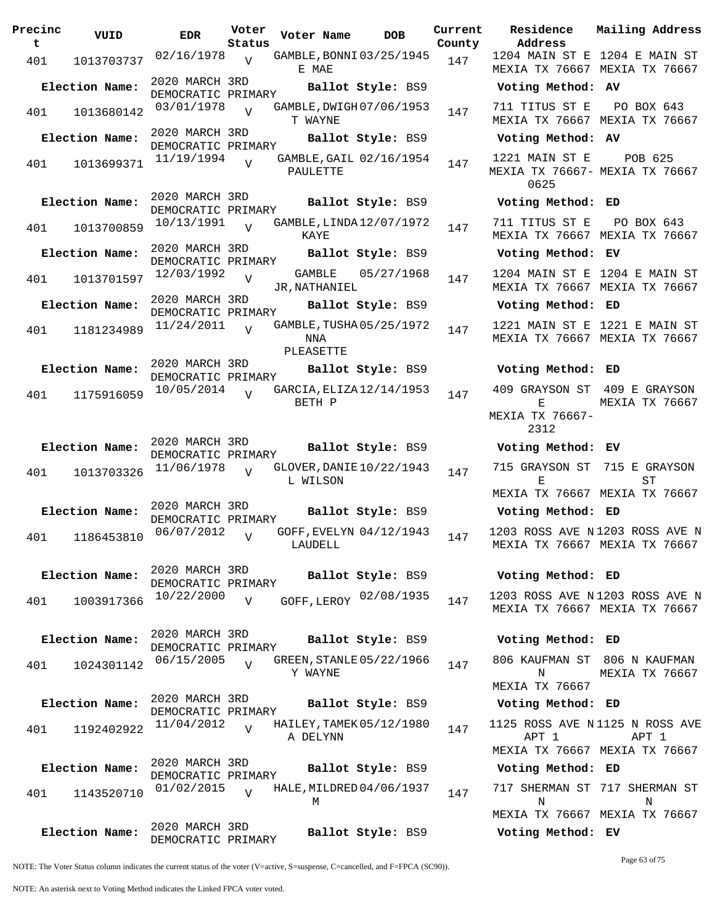| Precinc<br>t. | VUID           | <b>EDR</b>                           | Voter<br>Status | Voter Name              | <b>DOB</b>               | Current<br>County | <b>Residence</b><br>Address                | Mailing Address                                                 |
|---------------|----------------|--------------------------------------|-----------------|-------------------------|--------------------------|-------------------|--------------------------------------------|-----------------------------------------------------------------|
| 401           | 1013703737     | 02/16/1978                           | $\overline{v}$  | E MAE                   | GAMBLE, BONNI 03/25/1945 | 147               |                                            | 1204 MAIN ST E 1204 E MAIN ST<br>MEXIA TX 76667 MEXIA TX 76667  |
|               | Election Name: | 2020 MARCH 3RD<br>DEMOCRATIC PRIMARY |                 |                         | Ballot Style: BS9        |                   | Voting Method: AV                          |                                                                 |
| 401           | 1013680142     | 03/01/1978                           | $\overline{v}$  | T WAYNE                 | GAMBLE, DWIGH 07/06/1953 | 147               | 711 TITUS ST E                             | PO BOX 643<br>MEXIA TX 76667 MEXIA TX 76667                     |
|               | Election Name: | 2020 MARCH 3RD<br>DEMOCRATIC PRIMARY |                 |                         | Ballot Style: BS9        |                   | Voting Method: AV                          |                                                                 |
| 401           | 1013699371     | 11/19/1994                           | $\overline{U}$  | <b>PAULETTE</b>         | GAMBLE, GAIL 02/16/1954  | 147               | 1221 MAIN ST E<br>0625                     | POB 625<br>MEXIA TX 76667- MEXIA TX 76667                       |
|               | Election Name: | 2020 MARCH 3RD<br>DEMOCRATIC PRIMARY |                 |                         | Ballot Style: BS9        |                   | Voting Method: ED                          |                                                                 |
| 401           | 1013700859     | 10/13/1991                           | $\overline{V}$  | KAYE                    | GAMBLE, LINDA 12/07/1972 | 147               | 711 TITUS ST E                             | PO BOX 643<br>MEXIA TX 76667 MEXIA TX 76667                     |
|               | Election Name: | 2020 MARCH 3RD<br>DEMOCRATIC PRIMARY |                 |                         | Ballot Style: BS9        |                   | Voting Method: EV                          |                                                                 |
| 401           | 1013701597     | 12/03/1992                           | $\overline{Y}$  | GAMBLE<br>JR, NATHANIEL | 05/27/1968               | 147               |                                            | 1204 MAIN ST E 1204 E MAIN ST<br>MEXIA TX 76667 MEXIA TX 76667  |
|               | Election Name: | 2020 MARCH 3RD<br>DEMOCRATIC PRIMARY |                 |                         | Ballot Style: BS9        |                   | Voting Method: ED                          |                                                                 |
| 401           | 1181234989     | 11/24/2011                           | $\overline{U}$  | NNA<br>PLEASETTE        | GAMBLE, TUSHA 05/25/1972 | 147               |                                            | 1221 MAIN ST E 1221 E MAIN ST<br>MEXIA TX 76667 MEXIA TX 76667  |
|               | Election Name: | 2020 MARCH 3RD<br>DEMOCRATIC PRIMARY |                 |                         | Ballot Style: BS9        |                   | Voting Method: ED                          |                                                                 |
| 401           | 1175916059     | 10/05/2014                           | $\overline{z}$  | BETH P                  | GARCIA, ELIZA 12/14/1953 | 147               | Е<br>MEXIA TX 76667-                       | 409 GRAYSON ST 409 E GRAYSON<br>MEXIA TX 76667                  |
|               | Election Name: | 2020 MARCH 3RD                       |                 |                         | Ballot Style: BS9        |                   | 2312<br>Voting Method: EV                  |                                                                 |
|               |                | DEMOCRATIC PRIMARY<br>11/06/1978     |                 |                         | GLOVER, DANIE 10/22/1943 |                   | 715 GRAYSON ST                             | 715 E GRAYSON                                                   |
| 401           | 1013703326     |                                      | $\overline{U}$  | L WILSON                |                          | 147               | Е                                          | ST<br>MEXIA TX 76667 MEXIA TX 76667                             |
|               | Election Name: | 2020 MARCH 3RD<br>DEMOCRATIC PRIMARY |                 |                         | Ballot Style: BS9        |                   | Voting Method: ED                          |                                                                 |
| 401           | 1186453810     | 06/07/2012                           | $\overline{V}$  | LAUDELL                 | GOFF, EVELYN 04/12/1943  | 147               |                                            | 1203 ROSS AVE N1203 ROSS AVE N<br>MEXIA TX 76667 MEXIA TX 76667 |
|               | Election Name: | 2020 MARCH 3RD                       |                 |                         | Ballot Style: BS9        |                   | Voting Method: ED                          |                                                                 |
| 401           | 1003917366     | DEMOCRATIC PRIMARY<br>10/22/2000     | V               |                         | GOFF, LEROY 02/08/1935   | 147               |                                            | 1203 ROSS AVE N1203 ROSS AVE N<br>MEXIA TX 76667 MEXIA TX 76667 |
|               | Election Name: | 2020 MARCH 3RD<br>DEMOCRATIC PRIMARY |                 |                         | Ballot Style: BS9        |                   | Voting Method: ED                          |                                                                 |
| 401           | 1024301142     | 06/15/2005                           | $\overline{V}$  | Y WAYNE                 | GREEN, STANLE 05/22/1966 | 147               | N                                          | 806 KAUFMAN ST 806 N KAUFMAN<br>MEXIA TX 76667                  |
|               | Election Name: | 2020 MARCH 3RD<br>DEMOCRATIC PRIMARY |                 |                         | Ballot Style: BS9        |                   | <b>MEXIA TX 76667</b><br>Voting Method: ED |                                                                 |
| 401           | 1192402922     | 11/04/2012                           | $\overline{U}$  | A DELYNN                | HAILEY, TAMEK 05/12/1980 | 147               | APT 1                                      | 1125 ROSS AVE N1125 N ROSS AVE<br>APT 1                         |
|               | Election Name: | 2020 MARCH 3RD                       |                 |                         | Ballot Style: BS9        |                   | Voting Method: ED                          | MEXIA TX 76667 MEXIA TX 76667                                   |
|               |                | DEMOCRATIC PRIMARY                   |                 |                         |                          |                   |                                            | 717 SHERMAN ST 717 SHERMAN ST                                   |
| 401           | 1143520710     | 01/02/2015                           | $\overline{U}$  | М                       | HALE, MILDRED 04/06/1937 | 147               | N                                          | N<br>MEXIA TX 76667 MEXIA TX 76667                              |
|               | Election Name: | 2020 MARCH 3RD<br>DEMOCRATIC PRIMARY |                 |                         | Ballot Style: BS9        |                   | Voting Method: EV                          |                                                                 |

NOTE: The Voter Status column indicates the current status of the voter (V=active, S=suspense, C=cancelled, and F=FPCA (SC90)).

Page 63 of 75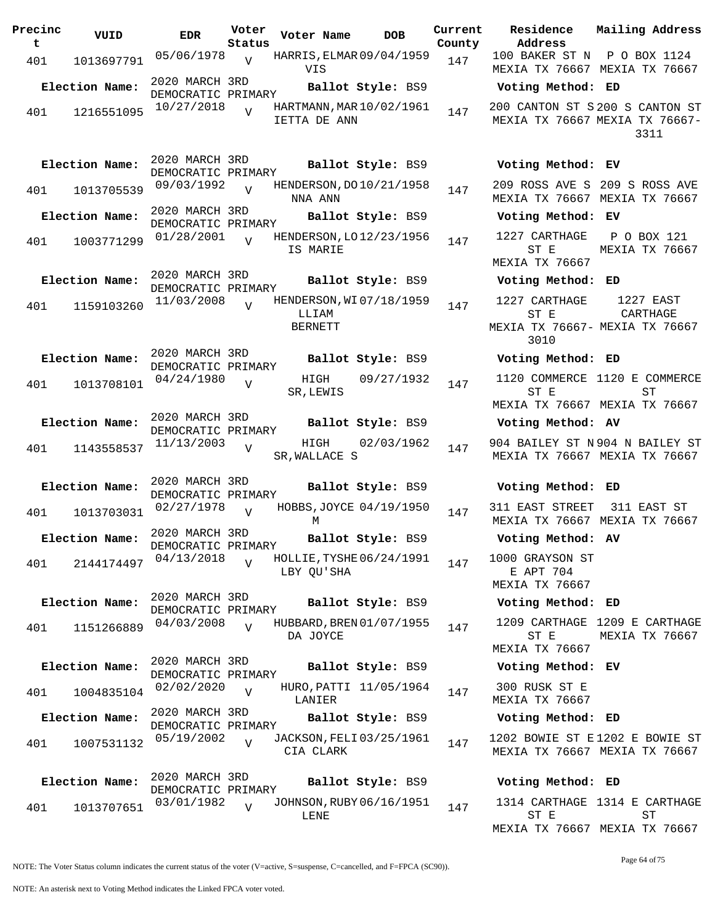| Precinc<br>t | VUID           | EDR                                  | Voter<br>Status | Voter Name              | DOB                      | Current<br>County |
|--------------|----------------|--------------------------------------|-----------------|-------------------------|--------------------------|-------------------|
| 401          | 1013697791     | 05/06/1978                           | $\overline{V}$  | VIS                     | HARRIS, ELMAR 09/04/1959 | 147               |
|              | Election Name: | 2020 MARCH 3RD<br>DEMOCRATIC PRIMARY |                 |                         | Ballot Style: BS9        |                   |
| 401          | 1216551095     | 10/27/2018                           | ٦T              | IETTA DE ANN            | HARTMANN, MAR 10/02/1961 | 147               |
|              | Election Name: | 2020 MARCH 3RD<br>DEMOCRATIC PRIMARY |                 |                         | Ballot Style: BS9        |                   |
| 401          | 1013705539     | 09/03/1992                           | V               | NNA ANN                 | HENDERSON, DO 10/21/1958 | 147               |
|              | Election Name: | 2020 MARCH 3RD<br>DEMOCRATIC PRIMARY |                 |                         | Ballot Style: BS9        |                   |
| 401          | 1003771299     | 01/28/2001                           | V               | IS MARIE                | HENDERSON, LO 12/23/1956 | 147               |
|              | Election Name: | 2020 MARCH 3RD<br>DEMOCRATIC PRIMARY |                 |                         | Ballot Style: BS9        |                   |
| 401          | 1159103260     | 11/03/2008                           | $\overline{U}$  | LLIAM<br><b>BERNETT</b> | HENDERSON, WI07/18/1959  | 147               |
|              | Election Name: | 2020 MARCH 3RD<br>DEMOCRATIC PRIMARY |                 |                         | Ballot Style: BS9        |                   |
| 401          | 1013708101     | 04/24/1980                           | V               | HIGH<br>SR,LEWIS        | 09/27/1932               | 147               |
|              | Election Name: | 2020 MARCH 3RD<br>DEMOCRATIC PRIMARY |                 |                         | Ballot Style: BS9        |                   |
| 401          | 1143558537     | 11/13/2003                           | V               | HIGH<br>SR, WALLACE S   | 02/03/1962               | 147               |
|              | Election Name: | 2020 MARCH 3RD<br>DEMOCRATIC PRIMARY |                 |                         | Ballot Style: BS9        |                   |
| 401          | 1013703031     | 02/27/1978                           | V               | М                       | HOBBS, JOYCE 04/19/1950  | 147               |
|              | Election Name: | 2020 MARCH 3RD<br>DEMOCRATIC PRIMARY |                 |                         | Ballot Style: BS9        |                   |
| 401          | 2144174497     | 04/13/2018                           | $\overline{V}$  | LBY QU'SHA              | HOLLIE, TYSHE 06/24/1991 | 147               |
|              | Election Name: | 2020 MARCH 3RD<br>DEMOCRATIC PRIMARY |                 |                         | Ballot Style: BS9        |                   |
| 401          | 1151266889     | 04/03/2008                           | $\overline{U}$  | DA JOYCE                | HUBBARD, BREN 01/07/1955 | 147               |
|              | Election Name: | 2020 MARCH 3RD<br>DEMOCRATIC PRIMARY |                 |                         | Ballot Style: BS9        |                   |
| 401          | 1004835104     | 02/02/2020                           | V               | LANIER                  | HURO, PATTI 11/05/1964   | 147               |
|              | Election Name: | 2020 MARCH 3RD<br>DEMOCRATIC PRIMARY |                 |                         | Ballot Style: BS9        |                   |
| 401          | 1007531132     | 05/19/2002                           | $\overline{V}$  | CIA CLARK               | JACKSON, FELI 03/25/1961 | 147               |
|              | Election Name: | 2020 MARCH 3RD<br>DEMOCRATIC PRIMARY |                 |                         | Ballot Style: BS9        |                   |
| 401          | 1013707651     | 03/01/1982                           | $\overline{U}$  | LENE                    | JOHNSON, RUBY 06/16/1951 | 147               |

**Voter Name DOB Residence Address Current Mailing Address** 100 BAKER ST N P O BOX 1124 MEXIA TX 76667 MEXIA TX 76667 **Election Name: Ballot Style:** BS9 **Voting Method: ED** 200 CANTON ST S 200 S CANTON ST MEXIA TX 76667 MEXIA TX 76667- 3311 **Election Name: Ballot Style:** BS9 **Voting Method: EV** 209 ROSS AVE S 209 S ROSS AVE MEXIA TX 76667 MEXIA TX 76667 **Election Name: Ballot Style:** BS9 **Voting Method: EV** 1227 CARTHAGE ST E MEXIA TX 76667 P O BOX 121 MEXIA TX 76667 **Election Name: Ballot Style:** BS9 **Voting Method: ED** 1227 CARTHAGE ST E MEXIA TX 76667- MEXIA TX 76667 3010 1227 EAST CARTHAGE **Election Name: Ballot Style:** BS9 **Voting Method: ED** 1120 COMMERCE 1120 E COMMERCE ST E MEXIA TX 76667 MEXIA TX 76667 ST **Election Name: Ballot Style:** BS9 **Voting Method: AV** 904 BAILEY ST N 904 N BAILEY ST MEXIA TX 76667 MEXIA TX 76667 **Election Name: Ballot Style:** BS9 **Voting Method: ED**

311 EAST STREET 311 EAST ST MEXIA TX 76667 MEXIA TX 76667

**Election Name: Ballot Style:** BS9 **Voting Method: AV**

1000 GRAYSON ST E APT 704 MEXIA TX 76667

**Election Name: Ballot Style:** BS9 **Voting Method: ED**

1209 CARTHAGE 1209 E CARTHAGE ST E MEXIA TX 76667 MEXIA TX 76667

**Election Name: Ballot Style:** BS9 **Voting Method: EV**

300 RUSK ST E MEXIA TX 76667

**Election Name: Ballot Style:** BS9 **Voting Method: ED**

1202 BOWIE ST E 1202 E BOWIE ST MEXIA TX 76667 MEXIA TX 76667

## **Election Name: Ballot Style:** BS9 **Voting Method: ED**

1314 CARTHAGE 1314 E CARTHAGE ST E MEXIA TX 76667 MEXIA TX 76667 ST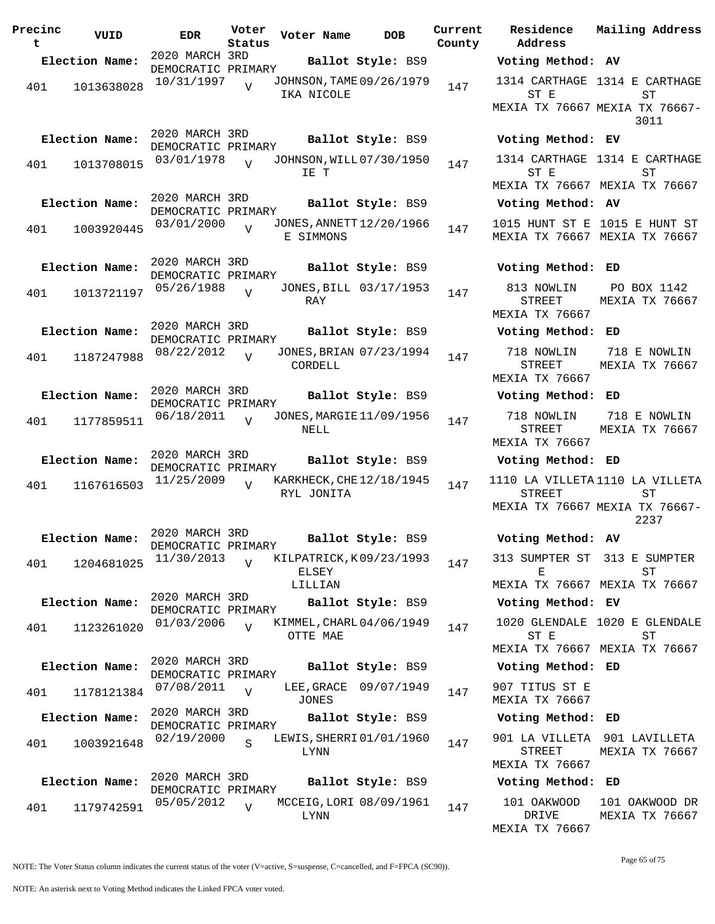| Precinc<br>t | VUID           | <b>EDR</b>                           | Voter<br>Status | Voter Name       | DOB                      | Current<br>County |
|--------------|----------------|--------------------------------------|-----------------|------------------|--------------------------|-------------------|
|              | Election Name: | 2020 MARCH 3RD                       |                 |                  | Ballot Style: BS9        |                   |
| 401          | 1013638028     | DEMOCRATIC PRIMARY<br>10/31/1997     | V               | IKA NICOLE       | JOHNSON, TAME 09/26/1979 | 147               |
|              | Election Name: | 2020 MARCH 3RD<br>DEMOCRATIC PRIMARY |                 |                  | Ballot Style: BS9        |                   |
| 401          | 1013708015     | 03/01/1978                           | $\overline{U}$  | IE T             | JOHNSON, WILL 07/30/1950 | 147               |
|              | Election Name: | 2020 MARCH 3RD<br>DEMOCRATIC PRIMARY |                 |                  | Ballot Style: BS9        |                   |
| 401          | 1003920445     | 03/01/2000                           | $\overline{V}$  | E SIMMONS        | JONES, ANNETT 12/20/1966 | 147               |
|              | Election Name: | 2020 MARCH 3RD<br>DEMOCRATIC PRIMARY |                 |                  | Ballot Style: BS9        |                   |
| 401          | 1013721197     | 05/26/1988                           | ٦T              | RAY              | JONES, BILL 03/17/1953   | 147               |
|              | Election Name: | 2020 MARCH 3RD<br>DEMOCRATIC PRIMARY |                 |                  | Ballot Style: BS9        |                   |
| 401          | 1187247988     | 08/22/2012                           | V               | CORDELL          | JONES, BRIAN 07/23/1994  | 147               |
|              | Election Name: | 2020 MARCH 3RD<br>DEMOCRATIC PRIMARY |                 |                  | Ballot Style: BS9        |                   |
| 401          | 1177859511     | 06/18/2011                           | $\overline{U}$  | NELL             | JONES, MARGIE 11/09/1956 | 147               |
|              | Election Name: | 2020 MARCH 3RD<br>DEMOCRATIC PRIMARY |                 |                  | Ballot Style: BS9        |                   |
| 401          | 1167616503     | 11/25/2009                           | V               | RYL JONITA       | KARKHECK, CHE 12/18/1945 | 147               |
|              | Election Name: | 2020 MARCH 3RD<br>DEMOCRATIC PRIMARY |                 |                  | Ballot Style: BS9        |                   |
| 401          | 1204681025     | 11/30/2013                           | $\overline{V}$  | ELSEY<br>LILLIAN | KILPATRICK, K09/23/1993  | 147               |
|              | Election Name: | 2020 MARCH 3RD<br>DEMOCRATIC PRIMARY |                 |                  | Ballot Style: BS9        |                   |
| 401          | 1123261020     | 01/03/2006                           | $\overline{V}$  | OTTE MAE         | KIMMEL, CHARL 04/06/1949 | 147               |
|              | Election Name: | 2020 MARCH 3RD<br>DEMOCRATIC PRIMARY |                 |                  | Ballot Style: BS9        |                   |
| 401          | 1178121384     | 07/08/2011                           | $\overline{V}$  | JONES            | LEE, GRACE 09/07/1949    | 147               |
|              | Election Name: | 2020 MARCH 3RD<br>DEMOCRATIC PRIMARY |                 |                  | Ballot Style: BS9        |                   |
| 401          | 1003921648     | 02/19/2000                           | $\mathbf S$     | LYNN             | LEWIS, SHERRI 01/01/1960 | 147               |
|              | Election Name: | 2020 MARCH 3RD<br>DEMOCRATIC PRIMARY |                 |                  | Ballot Style: BS9        |                   |
| 401          | 1179742591     | 05/05/2012                           | $\overline{V}$  | LYNN             | MCCEIG, LORI 08/09/1961  | 147               |

**Voter Name DOB Residence Address Current Mailing Address Election Name: Ballot Style:** BS9 **Voting Method: AV** 1314 CARTHAGE 1314 E CARTHAGE ST E MEXIA TX 76667 MEXIA TX 76667- ST 3011 **Election Name: Ballot Style:** BS9 **Voting Method: EV** 1314 CARTHAGE 1314 E CARTHAGE ST E MEXIA TX 76667 MEXIA TX 76667 ST **Election Name: Ballot Style:** BS9 **Voting Method: AV** 1015 HUNT ST E 1015 E HUNT ST MEXIA TX 76667 MEXIA TX 76667 **Election Name: Ballot Style:** BS9 **Voting Method: ED** 813 NOWLIN STREET MEXIA TX 76667 PO BOX 1142 MEXIA TX 76667 **Election Name: Ballot Style:** BS9 **Voting Method: ED** 718 NOWLIN STREET MEXIA TX 76667 718 E NOWLIN MEXIA TX 76667 **Election Name: Ballot Style:** BS9 **Voting Method: ED** 718 NOWLIN STREET MEXIA TX 76667 718 E NOWLIN MEXIA TX 76667 **Election Name: Ballot Style:** BS9 **Voting Method: ED** 1110 LA VILLETA 1110 LA VILLETA STREET MEXIA TX 76667 MEXIA TX 76667- ST 2237 **Election Name: Ballot Style:** BS9 **Voting Method: AV** 313 SUMPTER ST 313 E SUMPTER E MEXIA TX 76667 MEXIA TX 76667 ST **Election Name: Ballot Style:** BS9 **Voting Method: EV** 1020 GLENDALE 1020 E GLENDALE ST E MEXIA TX 76667 MEXIA TX 76667 ST **Election Name: Ballot Style:** BS9 **Voting Method: ED** 907 TITUS ST E MEXIA TX 76667 **Election Name: Ballot Style:** BS9 **Voting Method: ED** 901 LA VILLETA 901 LAVILLETA STREET MEXIA TX 76667 MEXIA TX 76667 **Election Name: Ballot Style:** BS9 **Voting Method: ED** 101 OAKWOOD DRIVE MEXIA TX 76667 101 OAKWOOD DR MEXIA TX 76667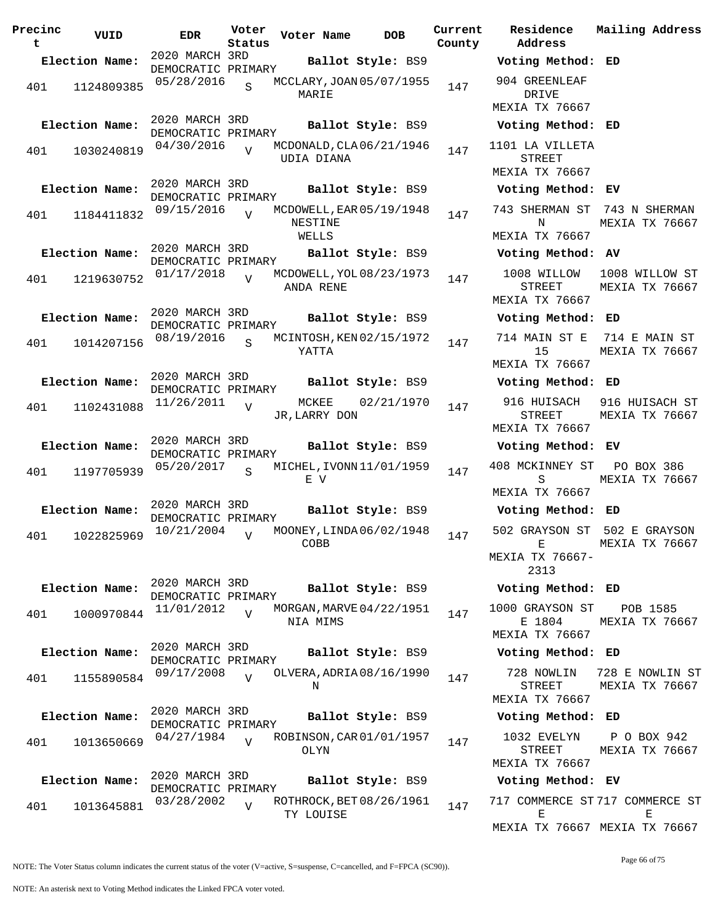| Precinc<br>t | VUID           | <b>EDR</b>                                         | Voter<br>Status | Voter Name             | <b>DOB</b>               | Current<br>County |
|--------------|----------------|----------------------------------------------------|-----------------|------------------------|--------------------------|-------------------|
|              | Election Name: | 2020 MARCH 3RD                                     |                 |                        | Ballot Style: BS9        |                   |
| 401          | 1124809385     | DEMOCRATIC PRIMARY<br>05/28/2016                   | S               | MARIE                  | MCCLARY, JOAN 05/07/1955 | 147               |
|              | Election Name: | 2020 MARCH 3RD<br>DEMOCRATIC PRIMARY<br>04/30/2016 |                 |                        | Ballot Style: BS9        |                   |
| 401          | 1030240819     |                                                    | $\overline{V}$  | UDIA DIANA             | MCDONALD, CLA 06/21/1946 | 147               |
|              | Election Name: | 2020 MARCH 3RD<br>DEMOCRATIC PRIMARY               |                 |                        | Ballot Style: BS9        |                   |
| 401          | 1184411832     | 09/15/2016                                         | $\overline{U}$  | NESTINE<br>WELLS       | MCDOWELL, EAR 05/19/1948 | 147               |
|              | Election Name: | 2020 MARCH 3RD<br>DEMOCRATIC PRIMARY               |                 |                        | Ballot Style: BS9        |                   |
| 401          | 1219630752     | 01/17/2018                                         | $\overline{U}$  | ANDA RENE              | MCDOWELL, YOL 08/23/1973 | 147               |
|              | Election Name: | 2020 MARCH 3RD<br>DEMOCRATIC PRIMARY               |                 |                        | Ballot Style: BS9        |                   |
| 401          | 1014207156     | 08/19/2016                                         | S               | YATTA                  | MCINTOSH, KEN 02/15/1972 | 147               |
|              | Election Name: | 2020 MARCH 3RD<br>DEMOCRATIC PRIMARY               |                 |                        | Ballot Style: BS9        |                   |
| 401          | 1102431088     | 11/26/2011                                         | V               | MCKEE<br>JR, LARRY DON | 02/21/1970               | 147               |
|              | Election Name: | 2020 MARCH 3RD<br>DEMOCRATIC PRIMARY               |                 |                        | Ballot Style: BS9        |                   |
| 401          | 1197705939     | 05/20/2017                                         | S               | E V                    | MICHEL, IVONN 11/01/1959 | 147               |
|              | Election Name: | 2020 MARCH 3RD<br>DEMOCRATIC PRIMARY               |                 |                        | Ballot Style: BS9        |                   |
| 401          | 1022825969     | 10/21/2004                                         | $\overline{V}$  | COBB                   | MOONEY, LINDA06/02/1948  | 147               |
|              | Election Name: | 2020 MARCH 3RD<br>DEMOCRATIC PRIMARY               |                 |                        | Ballot Style: BS9        |                   |
| 401          | 1000970844     | 11/01/2012                                         | $\overline{U}$  | NIA MIMS               | MORGAN, MARVE 04/22/1951 | 147               |
|              | Election Name: | 2020 MARCH 3RD<br>DEMOCRATIC PRIMARY               |                 |                        | Ballot Style: BS9        |                   |
| 401          | 1155890584     | 09/17/2008                                         | $\overline{U}$  | Ν                      | OLVERA, ADRIA 08/16/1990 | 147               |
|              | Election Name: | 2020 MARCH 3RD<br>DEMOCRATIC PRIMARY               |                 |                        | Ballot Style: BS9        |                   |
| 401          | 1013650669     | 04/27/1984                                         | $\overline{U}$  | OLYN                   | ROBINSON, CAR 01/01/1957 | 147               |
|              | Election Name: | 2020 MARCH 3RD<br>DEMOCRATIC PRIMARY               |                 |                        | Ballot Style: BS9        |                   |
| 401          | 1013645881     | 03/28/2002                                         | $\overline{V}$  | TY LOUISE              | ROTHROCK, BET 08/26/1961 | 147               |

**Voter Name DOB Residence Address Current Mailing Address Election Name: Ballot Style:** BS9 **Voting Method: ED** 904 GREENLEAF DRIVE MEXIA TX 76667 **Election Name: Ballot Style:** BS9 **Voting Method: ED** 1101 LA VILLETA STREET MEXIA TX 76667 **Election Name: Ballot Style:** BS9 **Voting Method: EV** 743 SHERMAN ST 743 N SHERMAN N MEXIA TX 76667 MEXIA TX 76667 **Election Name: Ballot Style:** BS9 **Voting Method: AV** 1008 WILLOW STREET MEXIA TX 76667 1008 WILLOW ST MEXIA TX 76667 **Election Name: Ballot Style:** BS9 **Voting Method: ED** 714 MAIN ST E 714 E MAIN ST 15 MEXIA TX 76667 MEXIA TX 76667 **Election Name: Ballot Style:** BS9 **Voting Method: ED** 916 HUISACH 916 HUISACH ST STREET MEXIA TX 76667 MEXIA TX 76667 **Election Name: Ballot Style:** BS9 **Voting Method: EV** 408 MCKINNEY ST PO BOX 386 S MEXIA TX 76667 MEXIA TX 76667 **Election Name: Ballot Style:** BS9 **Voting Method: ED** 502 GRAYSON ST 502 E GRAYSON E MEXIA TX 76667- 2313 MEXIA TX 76667 **Election Name: Ballot Style:** BS9 **Voting Method: ED** 1000 GRAYSON ST E 1804 MEXIA TX 76667 POB 1585 MEXIA TX 76667 **Election Name: Ballot Style:** BS9 **Voting Method: ED** 728 NOWLIN 728 E NOWLIN ST STREET MEXIA TX 76667 MEXIA TX 76667 **Election Name: Ballot Style:** BS9 **Voting Method: ED** 1032 EVELYN STREET MEXIA TX 76667 P O BOX 942 MEXIA TX 76667 **Election Name: Ballot Style:** BS9 **Voting Method: EV** 717 COMMERCE ST 717 COMMERCE ST E MEXIA TX 76667 MEXIA TX 76667 E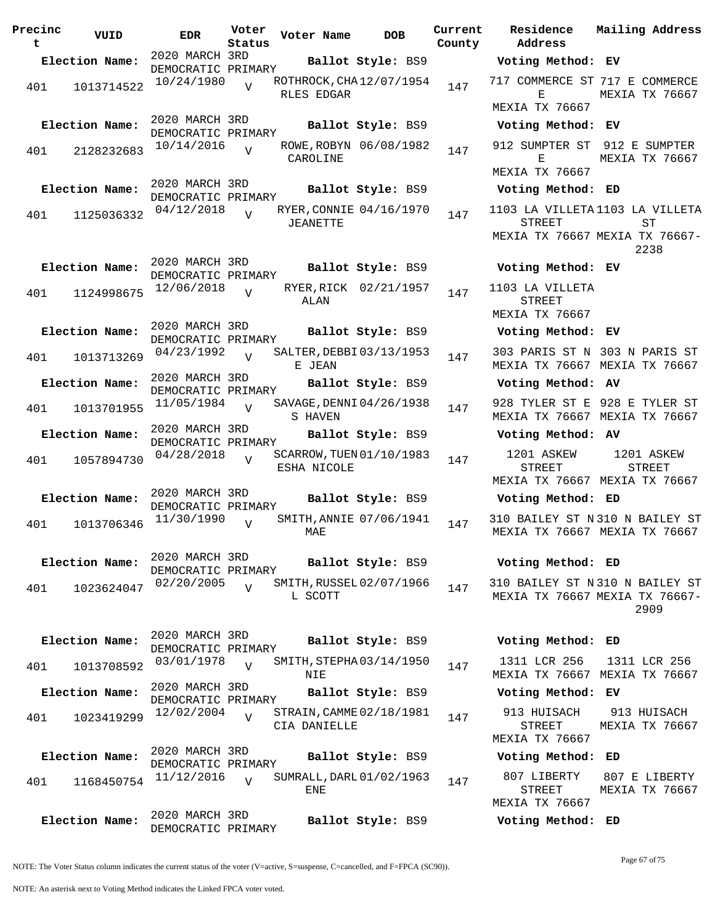| Precinc<br>t | VUID           | <b>EDR</b>                           | Voter<br>Status | Voter Name   | <b>DOB</b>               | Curre<br>Count |
|--------------|----------------|--------------------------------------|-----------------|--------------|--------------------------|----------------|
|              | Election Name: | 2020 MARCH 3RD<br>DEMOCRATIC PRIMARY |                 |              | Ballot Style: BS9        |                |
| 401          | 1013714522     | 10/24/1980                           | $\overline{V}$  | RLES EDGAR   | ROTHROCK, CHA 12/07/1954 | 147            |
|              | Election Name: | 2020 MARCH 3RD<br>DEMOCRATIC PRIMARY |                 |              | Ballot Style: BS9        |                |
| 401          | 2128232683     | 10/14/2016                           | $\overline{V}$  | CAROLINE     | ROWE, ROBYN 06/08/1982   | 147            |
|              | Election Name: | 2020 MARCH 3RD<br>DEMOCRATIC PRIMARY |                 |              | Ballot Style: BS9        |                |
| 401          | 1125036332     | 04/12/2018                           | $\overline{V}$  | JEANETTE     | RYER, CONNIE 04/16/1970  | 147            |
|              | Election Name: | 2020 MARCH 3RD                       |                 |              | Ballot Style: BS9        |                |
| 401          | 1124998675     | DEMOCRATIC PRIMARY<br>12/06/2018     | $\overline{V}$  | ALAN         | RYER, RICK 02/21/1957    | 147            |
|              | Election Name: | 2020 MARCH 3RD<br>DEMOCRATIC PRIMARY |                 |              | Ballot Style: BS9        |                |
| 401          | 1013713269     | 04/23/1992                           | $\overline{V}$  | E JEAN       | SALTER, DEBBI03/13/1953  | 147            |
|              | Election Name: | 2020 MARCH 3RD<br>DEMOCRATIC PRIMARY |                 |              | Ballot Style: BS9        |                |
| 401          | 1013701955     | 11/05/1984                           | $\overline{V}$  | S HAVEN      | SAVAGE, DENNI 04/26/1938 | 147            |
|              | Election Name: | 2020 MARCH 3RD<br>DEMOCRATIC PRIMARY |                 |              | Ballot Style: BS9        |                |
| 401          | 1057894730     | 04/28/2018                           | $\overline{U}$  | ESHA NICOLE  | SCARROW, TUEN 01/10/1983 | 147            |
|              | Election Name: | 2020 MARCH 3RD<br>DEMOCRATIC PRIMARY |                 |              | Ballot Style: BS9        |                |
| 401          | 1013706346     | 11/30/1990                           | $\overline{V}$  | MAE          | SMITH, ANNIE 07/06/1941  | 147            |
|              | Election Name: | 2020 MARCH 3RD<br>DEMOCRATIC PRIMARY |                 |              | Ballot Style: BS9        |                |
| 401          | 1023624047     | 02/20/2005                           | $\overline{V}$  | L SCOTT      | SMITH, RUSSEL 02/07/1966 | 147            |
|              | Election Name: | 2020 MARCH 3RD                       |                 |              | Ballot Style: BS9        |                |
| 401          | 1013708592     | DEMOCRATIC PRIMARY<br>03/01/1978     | $\overline{V}$  | NIE          | SMITH, STEPHA03/14/1950  | 147            |
|              | Election Name: | 2020 MARCH 3RD<br>DEMOCRATIC PRIMARY |                 |              | Ballot Style: BS9        |                |
| 401          | 1023419299     | 12/02/2004                           | $\overline{V}$  | CIA DANIELLE | STRAIN, CAMME 02/18/1981 | 147            |
|              | Election Name: | 2020 MARCH 3RD<br>DEMOCRATIC PRIMARY |                 |              | Ballot Style: BS9        |                |
| 401          | 1168450754     | 11/12/2016                           | $\overline{U}$  | ENE          | SUMRALL, DARL 01/02/1963 | 147            |
|              | Election Name: | 2020 MARCH 3RD<br>DEMOCRATIC PRIMARY |                 |              | Ballot Style: BS9        |                |

**Voter Name DOB Residence Address Current Mailing Address County Election Name: Ballot Style:** BS9 **Voting Method: EV** 717 COMMERCE ST 717 E COMMERCE E MEXIA TX 76667 MEXIA TX 76667 **Election Name: Ballot Style:** BS9 **Voting Method: EV** 912 SUMPTER ST 912 E SUMPTER E MEXIA TX 76667 MEXIA TX 76667 **Election Name: Ballot Style:** BS9 **Voting Method: ED** 1103 LA VILLETA 1103 LA VILLETA STREET MEXIA TX 76667 MEXIA TX 76667-  $ST$ 2238 **Election Name: Ballot Style:** BS9 **Voting Method: EV** 1103 LA VILLETA STREET MEXIA TX 76667 **Election Name: Ballot Style:** BS9 **Voting Method: EV** 303 PARIS ST N 303 N PARIS ST MEXIA TX 76667 MEXIA TX 76667 **Election Name: Ballot Style:** BS9 **Voting Method: AV** 928 TYLER ST E 928 E TYLER ST MEXIA TX 76667 MEXIA TX 76667 **Election Name: Ballot Style:** BS9 **Voting Method: AV** 1201 ASKEW STREET MEXIA TX 76667 MEXIA TX 76667 1201 ASKEW STREET **Election Name: Ballot Style:** BS9 **Voting Method: ED** 310 BAILEY ST N 310 N BAILEY ST MEXIA TX 76667 MEXIA TX 76667 **Election Name: Ballot Style:** BS9 **Voting Method: ED** 310 BAILEY ST N 310 N BAILEY ST MEXIA TX 76667 MEXIA TX 76667- 2909 **Election Name: Ballot Style:** BS9 **Voting Method: ED** 1311 LCR 256 MEXIA TX 76667 MEXIA TX 76667 1311 LCR 256 **Election Name: Ballot Style:** BS9 **Voting Method: EV** 913 HUISACH 913 HUISACH

STREET MEXIA TX 76667 MEXIA TX 76667

807 LIBERTY STREET MEXIA TX 76667 807 E LIBERTY MEXIA TX 76667

**Election Name: Ballot Style:** BS9 **Voting Method: ED**

**Election Name: Ballot Style:** BS9 **Voting Method: ED**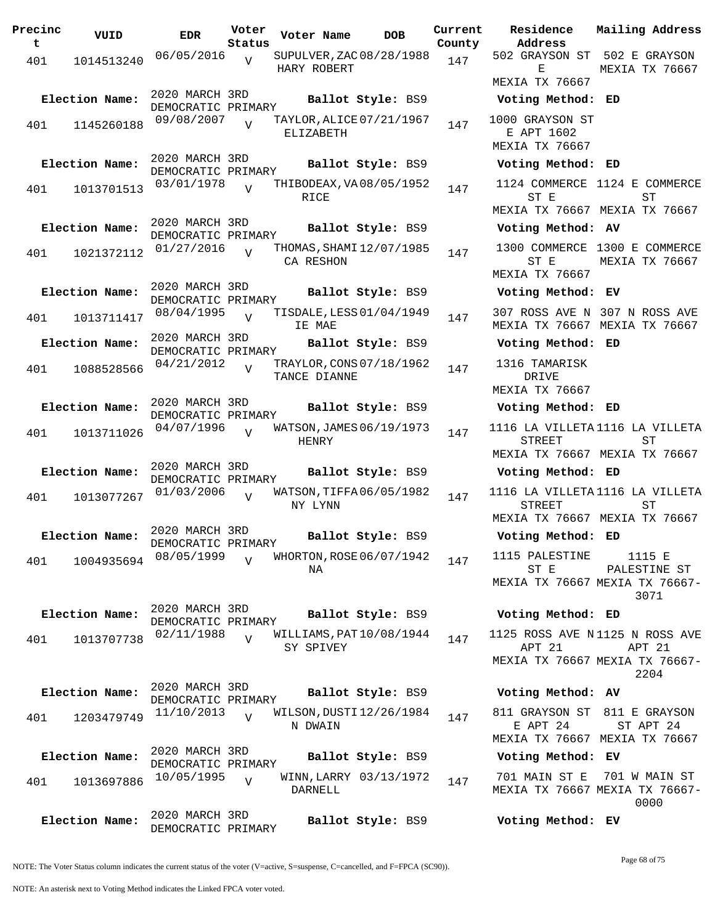| Precinc<br>t | VUID                         | <b>EDR</b>                                         | Voter<br>Status | Voter Name   | DOB                                           | Current<br>County |
|--------------|------------------------------|----------------------------------------------------|-----------------|--------------|-----------------------------------------------|-------------------|
| 401          | 1014513240                   | 06/05/2016                                         | V               | HARY ROBERT  | SUPULVER, ZAC 08/28/1988                      | 147               |
| 401          | Election Name:<br>1145260188 | 2020 MARCH 3RD<br>DEMOCRATIC PRIMARY<br>09/08/2007 | $\overline{U}$  |              | Ballot Style: BS9<br>TAYLOR, ALICE 07/21/1967 | 147               |
|              |                              | 2020 MARCH 3RD                                     |                 | ELIZABETH    |                                               |                   |
|              | Election Name:               | DEMOCRATIC PRIMARY                                 |                 |              | Ballot Style: BS9                             |                   |
| 401          | 1013701513                   | 03/01/1978                                         | ٦T              | RICE         | THIBODEAX, VA 08/05/1952                      | 147               |
|              | Election Name:               | 2020 MARCH 3RD<br>DEMOCRATIC PRIMARY               |                 |              | Ballot Style: BS9                             |                   |
| 401          | 1021372112                   | 01/27/2016                                         | $\overline{V}$  | CA RESHON    | THOMAS, SHAMI 12/07/1985                      | 147               |
|              | Election Name:               | 2020 MARCH 3RD<br>DEMOCRATIC PRIMARY               |                 |              | Ballot Style: BS9                             |                   |
| 401          | 1013711417                   | 08/04/1995                                         | V               | IE MAE       | TISDALE, LESS 01/04/1949                      | 147               |
|              | Election Name:               | 2020 MARCH 3RD<br>DEMOCRATIC PRIMARY               |                 |              | Ballot Style: BS9                             |                   |
| 401          | 1088528566                   | 04/21/2012                                         | $\overline{V}$  | TANCE DIANNE | TRAYLOR, CONS 07/18/1962                      | 147               |
|              | Election Name:               | 2020 MARCH 3RD<br>DEMOCRATIC PRIMARY               |                 |              | Ballot Style: BS9                             |                   |
| 401          | 1013711026                   | 04/07/1996                                         | ٦T              | HENRY        | WATSON, JAMES 06/19/1973                      | 147               |
|              | Election Name:               | 2020 MARCH 3RD<br>DEMOCRATIC PRIMARY               |                 |              | Ballot Style: BS9                             |                   |
| 401          | 1013077267                   | 01/03/2006                                         | V               | NY LYNN      | WATSON, TIFFA06/05/1982                       | 147               |
|              | Election Name:               | 2020 MARCH 3RD                                     |                 |              | Ballot Style: BS9                             |                   |
| 401          | 1004935694                   | DEMOCRATIC PRIMARY<br>08/05/1999                   | V               | NA           | WHORTON, ROSE 06/07/1942                      | 147               |
|              | Election Name:               | 2020 MARCH 3RD<br>DEMOCRATIC PRIMARY               |                 |              | Ballot Style: BS9                             |                   |
| 401          | 1013707738                   | 02/11/1988                                         | $\overline{V}$  | SY SPIVEY    | WILLIAMS, PAT $10/08/1944$                    | 147               |
|              | Election Name:               | 2020 MARCH 3RD<br>DEMOCRATIC PRIMARY               |                 |              | Ballot Style: BS9                             |                   |
| 401          | 1203479749                   | 11/10/2013                                         | $\overline{V}$  | N DWAIN      | WILSON,DUSTI12/26/1984                        | 147               |
|              | Election Name:               | 2020 MARCH 3RD<br>DEMOCRATIC PRIMARY               |                 |              | Ballot Style: BS9                             |                   |
| 401          | 1013697886                   | 10/05/1995                                         | V               | DARNELL      | WINN, LARRY 03/13/1972                        | 147               |
|              | Election Name:               | 2020 MARCH 3RD<br>DEMOCRATIC PRIMARY               |                 |              | Ballot Style: BS9                             |                   |

**Voter Name DOB Residence Address Current Mailing Address** 502 GRAYSON ST 502 E GRAYSON E MEXIA TX 76667 MEXIA TX 76667 **Election Name: Ballot Style:** BS9 **Voting Method: ED** 1000 GRAYSON ST E APT 1602 MEXIA TX 76667 **Election Name: Ballot Style:** BS9 **Voting Method: ED** 1124 COMMERCE 1124 E COMMERCE ST E MEXIA TX 76667 MEXIA TX 76667 ST **Election Name: Ballot Style:** BS9 **Voting Method: AV** 1300 COMMERCE 1300 E COMMERCE ST E MEXIA TX 76667 MEXIA TX 76667 **Election Name: Ballot Style:** BS9 **Voting Method: EV** 307 ROSS AVE N 307 N ROSS AVE MEXIA TX 76667 MEXIA TX 76667 **Election Name: Ballot Style:** BS9 **Voting Method: ED** 1316 TAMARISK DRIVE MEXIA TX 76667 **Election Name: Ballot Style:** BS9 **Voting Method: ED** 1116 LA VILLETA 1116 LA VILLETA STREET MEXIA TX 76667 MEXIA TX 76667 ST **Election Name: Ballot Style:** BS9 **Voting Method: ED** 1116 LA VILLETA 1116 LA VILLETA STREET MEXIA TX 76667 MEXIA TX 76667 ST **Election Name: Ballot Style:** BS9 **Voting Method: ED** 1115 PALESTINE ST E MEXIA TX 76667 MEXIA TX 76667- 1115 E PALESTINE ST 3071 **Election Name: Ballot Style:** BS9 **Voting Method: ED** 1125 ROSS AVE N 1125 N ROSS AVE APT 21 MEXIA TX 76667 MEXIA TX 76667- APT 21 2204 **Election Name: Ballot Style:** BS9 **Voting Method: AV** 811 GRAYSON ST 811 E GRAYSON E APT 24 MEXIA TX 76667 MEXIA TX 76667 ST APT 24 **Election Name: Ballot Style:** BS9 **Voting Method: EV**

701 MAIN ST E 701 W MAIN ST MEXIA TX 76667 MEXIA TX 76667- 0000

**Election Name: Ballot Style:** BS9 **Voting Method: EV**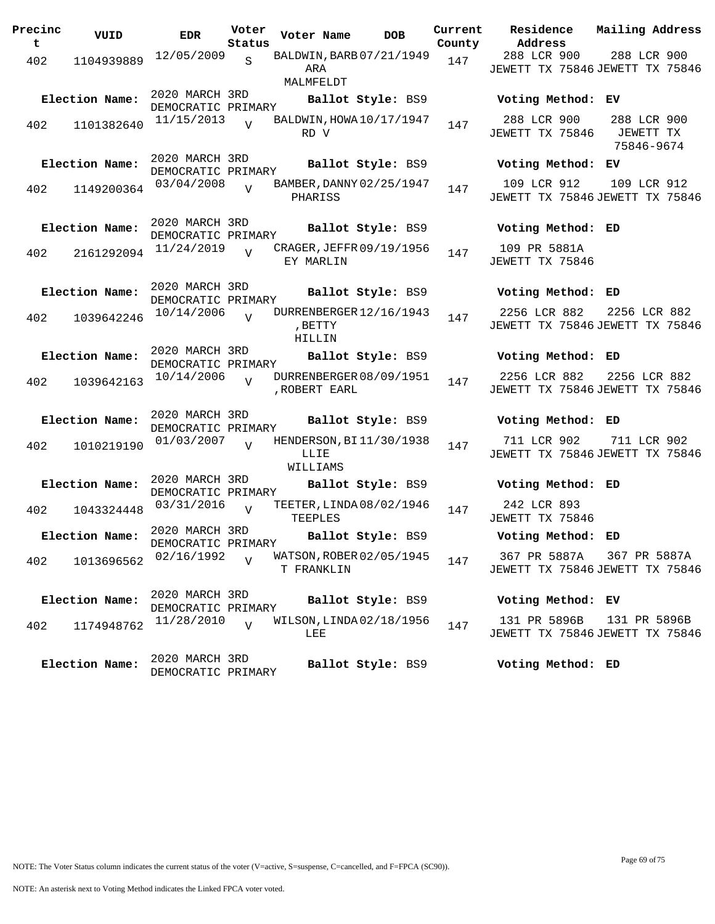| Precinc<br>t | VUID           | <b>EDR</b>                           | Voter<br>Status | Voter Name        | <b>DOB</b>               | Current<br>County | <b>Residence</b><br>Address                     | Mailing Address           |           |  |
|--------------|----------------|--------------------------------------|-----------------|-------------------|--------------------------|-------------------|-------------------------------------------------|---------------------------|-----------|--|
| 402          | 1104939889     | 12/05/2009                           | $\mathbf{s}$    | ARA<br>MALMFELDT  | BALDWIN, BARB 07/21/1949 | 147               | 288 LCR 900<br>JEWETT TX 75846 JEWETT TX 75846  | 288 LCR 900               |           |  |
|              | Election Name: | 2020 MARCH 3RD<br>DEMOCRATIC PRIMARY |                 |                   | Ballot Style: BS9        |                   | Voting Method: EV                               |                           |           |  |
| 402          | 1101382640     | 11/15/2013                           | $\overline{U}$  | RD V              | BALDWIN, HOWA 10/17/1947 | 147               | 288 LCR 900<br>JEWETT TX 75846                  | 288 LCR 900<br>75846-9674 | JEWETT TX |  |
|              | Election Name: | 2020 MARCH 3RD<br>DEMOCRATIC PRIMARY |                 |                   | Ballot Style: BS9        |                   | Voting Method: EV                               |                           |           |  |
| 402          | 1149200364     | 03/04/2008                           |                 | PHARISS           | BAMBER, DANNY 02/25/1947 | 147               | 109 LCR 912<br>JEWETT TX 75846 JEWETT TX 75846  | 109 LCR 912               |           |  |
|              | Election Name: | 2020 MARCH 3RD<br>DEMOCRATIC PRIMARY |                 |                   | Ballot Style: BS9        |                   | Voting Method: ED                               |                           |           |  |
| 402          | 2161292094     | 11/24/2019                           |                 | EY MARLIN         | CRAGER, JEFFR 09/19/1956 | 147               | 109 PR 5881A<br>JEWETT TX 75846                 |                           |           |  |
|              | Election Name: | 2020 MARCH 3RD<br>DEMOCRATIC PRIMARY |                 |                   | Ballot Style: BS9        |                   | Voting Method: ED                               |                           |           |  |
| 402          | 1039642246     | 10/14/2006                           | $\overline{U}$  | , BETTY<br>HILLIN | DURRENBERGER 12/16/1943  | 147               | 2256 LCR 882<br>JEWETT TX 75846 JEWETT TX 75846 | 2256 LCR 882              |           |  |
|              | Election Name: | 2020 MARCH 3RD<br>DEMOCRATIC PRIMARY |                 |                   | Ballot Style: BS9        |                   | Voting Method: ED                               |                           |           |  |
| 402          | 1039642163     | 10/14/2006                           | $\overline{V}$  | , ROBERT EARL     | DURRENBERGER 08/09/1951  | 147               | 2256 LCR 882<br>JEWETT TX 75846 JEWETT TX 75846 | 2256 LCR 882              |           |  |
|              | Election Name: | 2020 MARCH 3RD<br>DEMOCRATIC PRIMARY |                 |                   | Ballot Style: BS9        |                   | Voting Method: ED                               |                           |           |  |
| 402          | 1010219190     | 01/03/2007                           | $\overline{V}$  | LLIE<br>WILLIAMS  | HENDERSON, BI11/30/1938  | 147               | 711 LCR 902<br>JEWETT TX 75846 JEWETT TX 75846  | 711 LCR 902               |           |  |
|              | Election Name: | 2020 MARCH 3RD<br>DEMOCRATIC PRIMARY |                 |                   | Ballot Style: BS9        |                   | Voting Method: ED                               |                           |           |  |
| 402          | 1043324448     | 03/31/2016                           | $\overline{v}$  | TEEPLES           | TEETER, LINDA08/02/1946  | 147               | 242 LCR 893<br>JEWETT TX 75846                  |                           |           |  |
|              | Election Name: | 2020 MARCH 3RD<br>DEMOCRATIC PRIMARY |                 |                   | Ballot Style: BS9        |                   | Voting Method: ED                               |                           |           |  |
| 402          | 1013696562     | 02/16/1992                           |                 | T FRANKLIN        | WATSON, ROBER 02/05/1945 | 147               | 367 PR 5887A<br>JEWETT TX 75846 JEWETT TX 75846 | 367 PR 5887A              |           |  |
|              | Election Name: | 2020 MARCH 3RD<br>DEMOCRATIC PRIMARY |                 |                   | Ballot Style: BS9        |                   | Voting Method: EV                               |                           |           |  |
| 402          | 1174948762     | 11/28/2010                           | $\overline{U}$  | LEE               | WILSON, LINDA 02/18/1956 | 147               | 131 PR 5896B<br>JEWETT TX 75846 JEWETT TX 75846 | 131 PR 5896B              |           |  |
|              | Election Name: | 2020 MARCH 3RD<br>DEMOCRATIC PRIMARY |                 |                   | Ballot Style: BS9        |                   | Voting Method: ED                               |                           |           |  |

NOTE: An asterisk next to Voting Method indicates the Linked FPCA voter voted.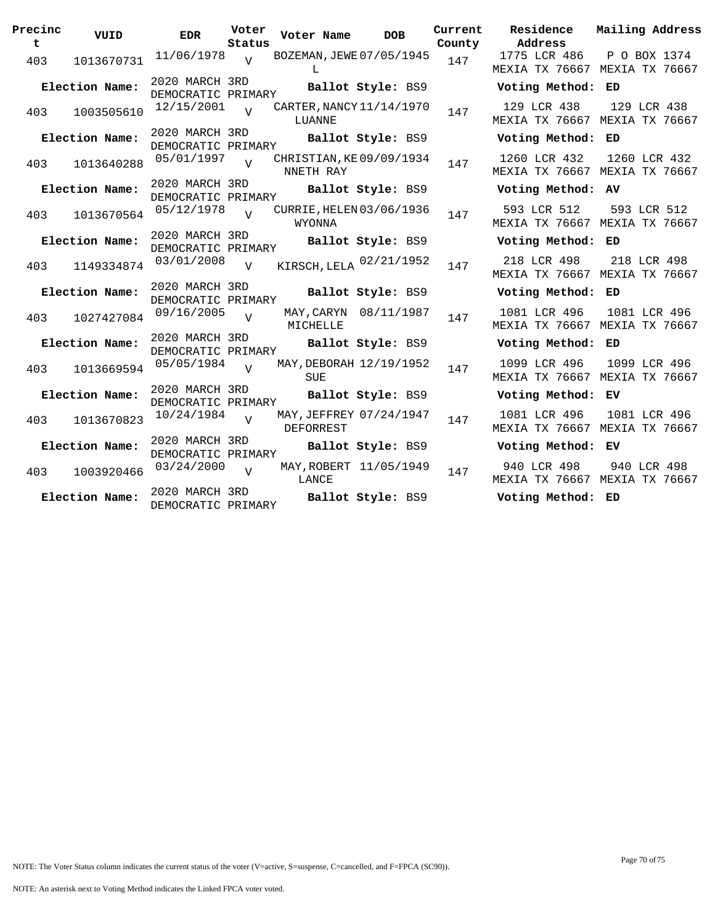| Precinc<br>t | VUID           | <b>EDR</b>                           | Voter<br>Status | Voter Name | <b>DOB</b>               | Current<br>County | Residence<br>Address | Mailing Address                               |
|--------------|----------------|--------------------------------------|-----------------|------------|--------------------------|-------------------|----------------------|-----------------------------------------------|
| 403          | 1013670731     | $11/06/1978$ V                       |                 | L          | BOZEMAN, JEWE 07/05/1945 | 147               | 1775 LCR 486         | P O BOX 1374<br>MEXIA TX 76667 MEXIA TX 76667 |
|              | Election Name: | 2020 MARCH 3RD<br>DEMOCRATIC PRIMARY |                 |            | Ballot Style: BS9        |                   | Voting Method: ED    |                                               |
| 403          | 1003505610     | 12/15/2001                           |                 | LUANNE     | CARTER, NANCY 11/14/1970 | 147               | 129 LCR 438          | 129 LCR 438<br>MEXIA TX 76667 MEXIA TX 76667  |
|              | Election Name: | 2020 MARCH 3RD<br>DEMOCRATIC PRIMARY |                 |            | Ballot Style: BS9        |                   | Voting Method: ED    |                                               |
| 403          | 1013640288     | 05/01/1997                           | $\overline{17}$ | NNETH RAY  | CHRISTIAN, KE09/09/1934  | 147               | 1260 LCR 432         | 1260 LCR 432<br>MEXIA TX 76667 MEXIA TX 76667 |
|              | Election Name: | 2020 MARCH 3RD<br>DEMOCRATIC PRIMARY |                 |            | Ballot Style: BS9        |                   | Voting Method: AV    |                                               |
| 403          | 1013670564     | 05/12/1978                           | $\overline{Y}$  | WYONNA     | CURRIE, HELEN 03/06/1936 | 147               | 593 LCR 512          | 593 LCR 512<br>MEXIA TX 76667 MEXIA TX 76667  |
|              | Election Name: | 2020 MARCH 3RD<br>DEMOCRATIC PRIMARY |                 |            | Ballot Style: BS9        |                   | Voting Method: ED    |                                               |
| 403          | 1149334874     | 03/01/2008                           | $\overline{v}$  |            | KIRSCH, LELA 02/21/1952  | 147               | 218 LCR 498          | 218 LCR 498<br>MEXIA TX 76667 MEXIA TX 76667  |
|              | Election Name: | 2020 MARCH 3RD<br>DEMOCRATIC PRIMARY |                 |            | Ballot Style: BS9        |                   | Voting Method: ED    |                                               |
| 403          | 1027427084     | 09/16/2005                           | $\overline{z}$  | MICHELLE   | MAY, CARYN 08/11/1987    | 147               | 1081 LCR 496         | 1081 LCR 496<br>MEXIA TX 76667 MEXIA TX 76667 |
|              | Election Name: | 2020 MARCH 3RD<br>DEMOCRATIC PRIMARY |                 |            | Ballot Style: BS9        |                   | Voting Method: ED    |                                               |
| 403          | 1013669594     | 05/05/1984                           | $\overline{v}$  | SUE        | MAY, DEBORAH 12/19/1952  | 147               | 1099 LCR 496         | 1099 LCR 496<br>MEXIA TX 76667 MEXIA TX 76667 |
|              | Election Name: | 2020 MARCH 3RD<br>DEMOCRATIC PRIMARY |                 |            | Ballot Style: BS9        |                   | Voting Method: EV    |                                               |
| 403          | 1013670823     | $10/24/1984$ V                       |                 | DEFORREST  | MAY, JEFFREY 07/24/1947  | 147               | 1081 LCR 496         | 1081 LCR 496<br>MEXIA TX 76667 MEXIA TX 76667 |
|              | Election Name: | 2020 MARCH 3RD<br>DEMOCRATIC PRIMARY |                 |            | Ballot Style: BS9        |                   | Voting Method: EV    |                                               |
| 403          | 1003920466     | 03/24/2000                           | $\overline{v}$  | LANCE      | MAY, ROBERT 11/05/1949   | 147               | 940 LCR 498          | 940 LCR 498<br>MEXIA TX 76667 MEXIA TX 76667  |
|              | Election Name: | 2020 MARCH 3RD<br>DEMOCRATIC PRIMARY |                 |            | Ballot Style: BS9        |                   | Voting Method: ED    |                                               |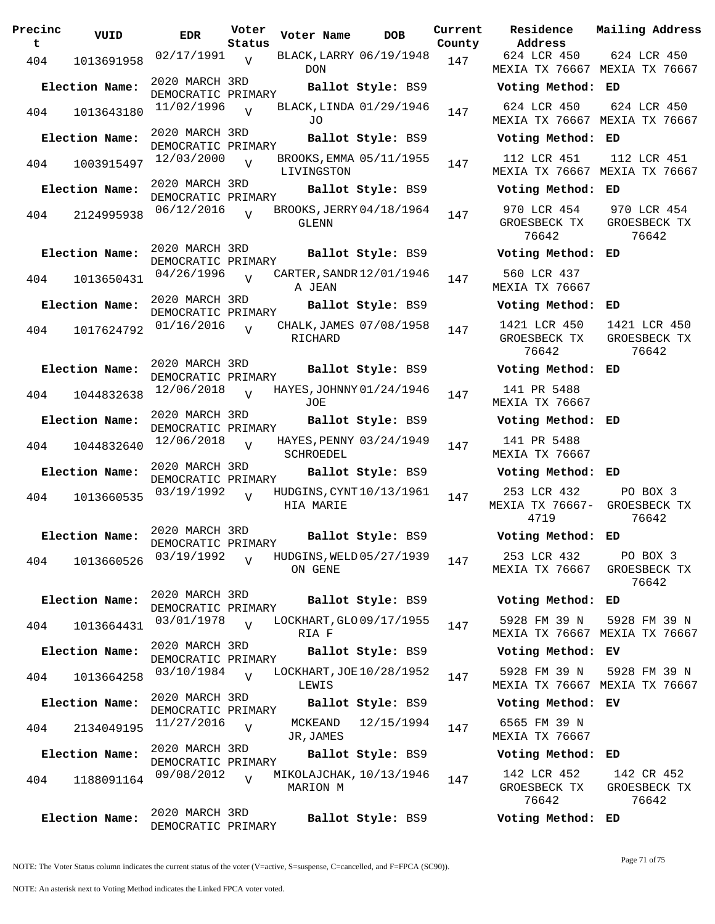| Precinc<br>t | VUID           | <b>EDR</b>                           | Voter<br>Status | Voter Name                            | <b>DOB</b>        | Current<br>County | Residence<br>Address                   | Mail            |
|--------------|----------------|--------------------------------------|-----------------|---------------------------------------|-------------------|-------------------|----------------------------------------|-----------------|
| 404          | 1013691958     | 02/17/1991                           | $\overline{V}$  | BLACK, LARRY 06/19/1948<br><b>DON</b> |                   | 147               | 624 LCR 450<br>MEXIA TX 76667 MEX      | 62              |
|              | Election Name: | 2020 MARCH 3RD<br>DEMOCRATIC PRIMARY |                 |                                       | Ballot Style: BS9 |                   | Voting Method:                         | ED              |
| 404          | 1013643180     | 11/02/1996                           | $\overline{U}$  | BLACK, LINDA 01/29/1946<br>JO         |                   | 147               | 624 LCR 450<br>MEXIA TX 76667          | 62<br>MEX       |
|              | Election Name: | 2020 MARCH 3RD<br>DEMOCRATIC PRIMARY |                 |                                       | Ballot Style: BS9 |                   | Voting Method:                         | ED              |
| 404          | 1003915497     | 12/03/2000                           | $\overline{Y}$  | BROOKS, EMMA 05/11/1955<br>LIVINGSTON |                   | 147               | 112 LCR 451<br>MEXIA TX 76667 MEX      | 11              |
|              | Election Name: | 2020 MARCH 3RD<br>DEMOCRATIC PRIMARY |                 |                                       | Ballot Style: BS9 |                   | Voting Method:                         | ED              |
| 404          | 2124995938     | 06/12/2016                           |                 | BROOKS, JERRY 04/18/1964<br>GLENN     |                   | 147               | 970 LCR 454<br>GROESBECK TX<br>76642   | 97<br>GR        |
|              | Election Name: | 2020 MARCH 3RD<br>DEMOCRATIC PRIMARY |                 |                                       | Ballot Style: BS9 |                   | Voting Method:                         | ED              |
| 404          | 1013650431     | 04/26/1996                           | $\overline{U}$  | CARTER, SANDR 12/01/1946<br>A JEAN    |                   | 147               | 560 LCR 437<br>MEXIA TX 76667          |                 |
|              | Election Name: | 2020 MARCH 3RD<br>DEMOCRATIC PRIMARY |                 |                                       | Ballot Style: BS9 |                   | Voting Method:                         | ED              |
| 404          | 1017624792     | 01/16/2016                           | $\overline{v}$  | CHALK, JAMES 07/08/1958<br>RICHARD    |                   | 147               | 1421 LCR 450<br>GROESBECK TX<br>76642  | 14<br><b>GR</b> |
|              | Election Name: | 2020 MARCH 3RD<br>DEMOCRATIC PRIMARY |                 |                                       | Ballot Style: BS9 |                   | Voting Method:                         | ED              |
| 404          | 1044832638     | 12/06/2018                           | $\overline{U}$  | HAYES, JOHNNY 01/24/1946<br>JOE       |                   | 147               | 141 PR 5488<br>MEXIA TX 76667          |                 |
|              | Election Name: | 2020 MARCH 3RD<br>DEMOCRATIC PRIMARY |                 |                                       | Ballot Style: BS9 |                   | Voting Method:                         | ED              |
| 404          | 1044832640     | 12/06/2018                           | $\overline{U}$  | HAYES, PENNY 03/24/1949<br>SCHROEDEL  |                   | 147               | 141 PR 5488<br>MEXIA TX 76667          |                 |
|              | Election Name: | 2020 MARCH 3RD<br>DEMOCRATIC PRIMARY |                 |                                       | Ballot Style: BS9 |                   | Voting Method:                         | ED              |
| 404          | 1013660535     | 03/19/1992                           | $\overline{U}$  | HUDGINS, CYNT 10/13/1961<br>HIA MARIE |                   | 147               | 253 LCR 432<br>MEXIA TX 76667-<br>4719 | GR              |
|              | Election Name: | 2020 MARCH 3RD<br>DEMOCRATIC PRIMARY |                 |                                       | Ballot Style: BS9 |                   | Voting Method:                         | ED              |
| 404          | 1013660526     | 03/19/1992                           | $\overline{V}$  | HUDGINS, WELD 05/27/1939<br>ON GENE   |                   | 147               | 253 LCR 432<br>MEXIA TX 76667          | GR.             |
|              | Election Name: | 2020 MARCH 3RD<br>DEMOCRATIC PRIMARY |                 |                                       | Ballot Style: BS9 |                   | Voting Method:                         | ED              |
| 404          | 1013664431     | 03/01/1978                           | $\overline{V}$  | LOCKHART, GLO 09/17/1955<br>RIA F     |                   | 147               | 5928 FM 39 N<br>MEXIA TX 76667 MEX     | 59              |
|              | Election Name: | 2020 MARCH 3RD<br>DEMOCRATIC PRIMARY |                 |                                       | Ballot Style: BS9 |                   | Voting Method:                         | EV              |
| 404          | 1013664258     | 03/10/1984                           | $\overline{U}$  | LOCKHART, JOE 10/28/1952<br>LEWIS     |                   | 147               | 5928 FM 39 N<br>MEXIA TX 76667 MEX     | 59              |
|              | Election Name: | 2020 MARCH 3RD<br>DEMOCRATIC PRIMARY |                 |                                       | Ballot Style: BS9 |                   | Voting Method: EV                      |                 |
| 404          | 2134049195     | 11/27/2016                           | $\overline{V}$  | MCKEAND<br>JR, JAMES                  | 12/15/1994        | 147               | 6565 FM 39 N<br>MEXIA TX 76667         |                 |
|              | Election Name: | 2020 MARCH 3RD<br>DEMOCRATIC PRIMARY |                 |                                       | Ballot Style: BS9 |                   | Voting Method:                         | ED              |
| 404          | 1188091164     | 09/08/2012                           | $\overline{V}$  | MIKOLAJCHAK, 10/13/1946<br>MARION M   |                   | 147               | 142 LCR 452<br>GROESBECK TX<br>76642   | 1<br>GR         |
|              | Election Name: | 2020 MARCH 3RD<br>DEMOCRATIC PRIMARY |                 |                                       | Ballot Style: BS9 |                   | Voting Method: ED                      |                 |

**Voter Name DOB Residence Address Current Mailing Address**  $\frac{1}{2}$ 624 LCR 450 MEXIA TX 76667 MEXIA TX 76667 624 LCR 450 **Election Name: Ballot Style:** BS9 **Voting Method: ED** 624 LCR 450 MEXIA TX 76667 MEXIA TX 76667 624 LCR 450 **Election Name: Ballot Style:** BS9 **Voting Method: ED** 112 LCR 451 MEXIA TX 76667 MEXIA TX 76667 112 LCR 451 **Election Name: Ballot Style:** BS9 **Voting Method: ED** 970 LCR 454 GROESBECK TX 76642 970 LCR 454 GROESBECK TX 76642 **Election Name: Ballot Style:** BS9 **Voting Method: ED** 560 LCR 437 MEXIA TX 76667 **Election Name: Ballot Style:** BS9 **Voting Method: ED** 1421 LCR 450 GROESBECK TX 76642 1421 LCR 450 GROESBECK TX 76642 **Election Name: Ballot Style:** BS9 **Voting Method: ED** 141 PR 5488 MEXIA TX 76667 **Election Name: Ballot Style:** BS9 **Voting Method: ED** 141 PR 5488 MEXIA TX 76667 **Election Name: Ballot Style:** BS9 **Voting Method: ED** 253 LCR 432 MEXIA TX 76667- GROESBECK TX 4719 PO BOX 3 76642 **Election Name: Ballot Style:** BS9 **Voting Method: ED** 253 LCR 432 MEXIA TX 76667 GROESBECK TX PO BOX 3 76642 **Election Name: Ballot Style:** BS9 **Voting Method: ED** 5928 FM 39 N MEXIA TX 76667 MEXIA TX 76667 5928 FM 39 N **Election Name: Ballot Style:** BS9 **Voting Method: EV** 5928 FM 39 N MEXIA TX 76667 MEXIA TX 76667 5928 FM 39 N **Election Name: Ballot Style:** BS9 **Voting Method: EV** 6565 FM 39 N MEXIA TX 76667 **Election Name: Ballot Style:** BS9 **Voting Method: ED** 142 LCR 452 GROESBECK TX 142 CR 452 GROESBECK TX

NOTE: The Voter Status column indicates the current status of the voter (V=active, S=suspense, C=cancelled, and F=FPCA (SC90)).

76642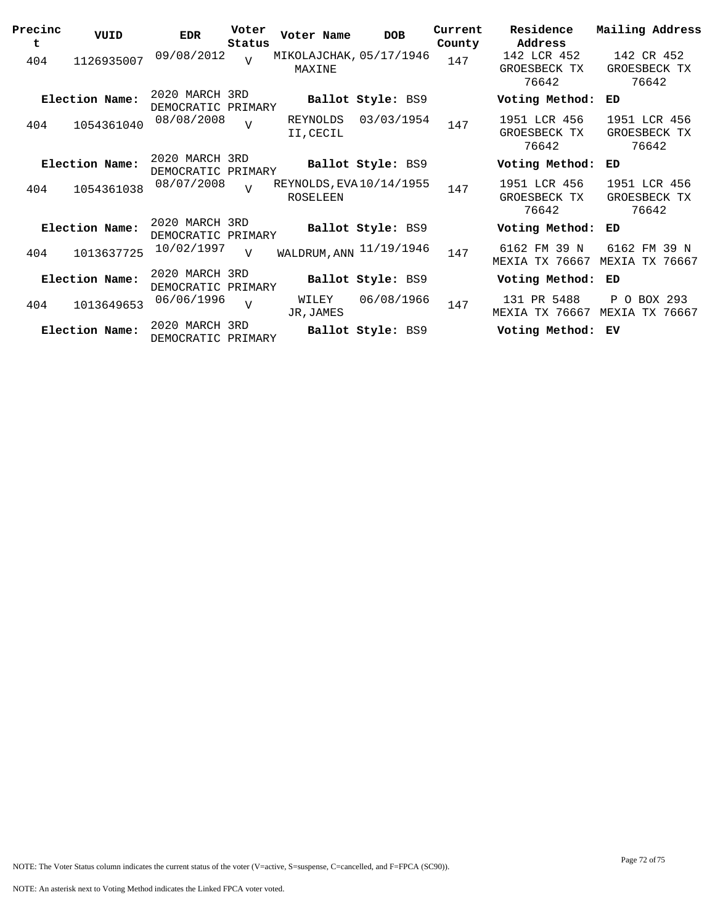| Precinc<br>t | VUID           | <b>EDR</b>                           | Voter<br>Status | Voter Name                                  | <b>DOB</b>        | Current<br>County | Residence<br>Address                  | Mailing Address                                |
|--------------|----------------|--------------------------------------|-----------------|---------------------------------------------|-------------------|-------------------|---------------------------------------|------------------------------------------------|
| 404          | 1126935007     | 09/08/2012                           | $\overline{U}$  | MIKOLAJCHAK, 05/17/1946<br>MAXINE           |                   | 147               | 142 LCR 452<br>GROESBECK TX<br>76642  | 142 CR 452<br>GROESBECK TX<br>76642            |
|              | Election Name: | 2020 MARCH 3RD<br>DEMOCRATIC PRIMARY |                 |                                             | Ballot Style: BS9 |                   | Voting Method:                        | ED                                             |
| 404          | 1054361040     | 08/08/2008                           | $\overline{V}$  | REYNOLDS<br>II, CECIL                       | 03/03/1954        | 147               | 1951 LCR 456<br>GROESBECK TX<br>76642 | 1951 LCR 456<br>GROESBECK TX<br>76642          |
|              | Election Name: | 2020 MARCH 3RD<br>DEMOCRATIC PRIMARY |                 |                                             | Ballot Style: BS9 |                   | Voting Method:                        | ED                                             |
| 404          | 1054361038     | 08/07/2008                           | $\overline{U}$  | REYNOLDS, EVA 10/14/1955<br><b>ROSELEEN</b> |                   | 147               | 1951 LCR 456<br>GROESBECK TX<br>76642 | 1951 LCR 456<br>GROESBECK TX<br>76642          |
|              | Election Name: | 2020 MARCH 3RD<br>DEMOCRATIC PRIMARY |                 |                                             | Ballot Style: BS9 |                   | Voting Method:                        | ED                                             |
| 404          | 1013637725     | 10/02/1997                           | $\overline{v}$  | WALDRUM, ANN 11/19/1946                     |                   | 147               | 6162 FM 39 N<br>MEXIA TX 76667        | 6162 FM 39 N<br>TX 76667<br>MEXIA              |
|              | Election Name: | 2020 MARCH 3RD<br>DEMOCRATIC PRIMARY |                 |                                             | Ballot Style: BS9 |                   | Voting Method:                        | ED                                             |
| 404          | 1013649653     | 06/06/1996                           | $\overline{U}$  | WILEY<br>JR, JAMES                          | 06/08/1966        | 147               | 131 PR 5488<br>MEXIA TX 76667         | $\mathbf{P}$<br>O BOX 293<br>MEXIA<br>TX 76667 |
|              | Election Name: | 2020 MARCH 3RD<br>DEMOCRATIC PRIMARY |                 |                                             | Ballot Style: BS9 |                   | Voting Method:                        | ΕV                                             |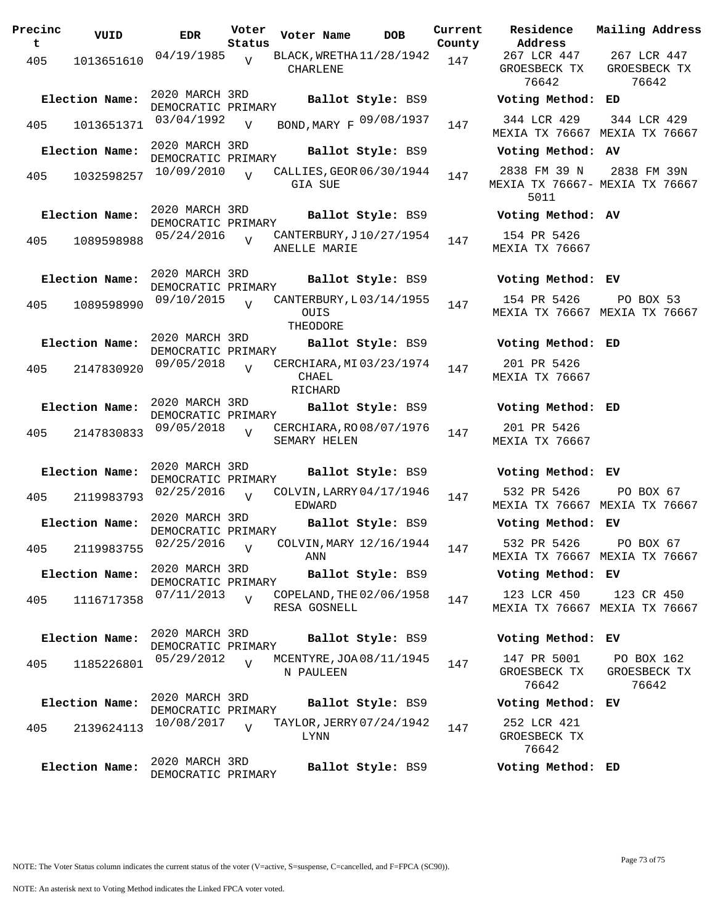| Precinc<br>t. | VUID           | <b>EDR</b>                             | Voter<br>Status | Voter Name                                         | <b>DOB</b>        | Current<br>County | Residence<br>Address                  |
|---------------|----------------|----------------------------------------|-----------------|----------------------------------------------------|-------------------|-------------------|---------------------------------------|
| 405           | 1013651610     | $04/19/1985$ v                         |                 | BLACK, WRETHA 11/28/1942<br>CHARLENE               |                   | 147               | 267 LCR 447<br>GROESBECK TI<br>76642  |
|               | Election Name: | 2020 MARCH 3RD<br>DEMOCRATIC PRIMARY   |                 |                                                    | Ballot Style: BS9 |                   | Voting Metho                          |
| 405           | 1013651371     | 03/04/1992                             | $\overline{V}$  | BOND, MARY F 09/08/1937                            |                   | 147               | 344 LCR 429<br>MEXIA TX 7666          |
|               | Election Name: | 2020 MARCH 3RD<br>DEMOCRATIC PRIMARY   |                 |                                                    | Ballot Style: BS9 |                   | Voting Metho                          |
| 405           | 1032598257     | 10/09/2010                             | $\overline{V}$  | CALLIES, GEOR 06/30/1944<br>GIA SUE                |                   | 147               | 2838 FM 39 I<br>MEXIA TX 7666<br>5011 |
|               | Election Name: | 2020 MARCH 3RD<br>DEMOCRATIC PRIMARY   |                 |                                                    | Ballot Style: BS9 |                   | Voting Metho                          |
| 405           | 1089598988     | 05/24/2016                             | $\overline{V}$  | CANTERBURY, J10/27/1954<br>ANELLE MARIE            |                   | 147               | 154 PR 5426<br><b>MEXIA TX 7666</b>   |
|               | Election Name: | 2020 MARCH 3RD<br>DEMOCRATIC PRIMARY   |                 |                                                    | Ballot Style: BS9 |                   | Voting Metho                          |
|               | 405 1089598990 | 09/10/2015                             | $\overline{v}$  | CANTERBURY, L03/14/1955<br><b>OUIS</b><br>THEODORE |                   | 147               | 154 PR 5426<br><b>MEXIA TX 7666</b>   |
|               | Election Name: | 2020 MARCH 3RD<br>DEMOCRATIC PRIMARY   |                 |                                                    | Ballot Style: BS9 |                   | Voting Metho                          |
|               | 405 2147830920 | $09/05/2018$ V                         |                 | CERCHIARA, MI 03/23/1974<br>CHAEL<br>RICHARD       |                   | 147               | 201 PR 5426<br><b>MEXIA TX 7666</b>   |
|               | Election Name: | 2020 MARCH 3RD<br>DEMOCRATIC PRIMARY   |                 |                                                    | Ballot Style: BS9 |                   | Voting Metho                          |
| 405           | 2147830833     | 09/05/2018                             | $\overline{U}$  | CERCHIARA, RO08/07/1976<br>SEMARY HELEN            |                   | 147               | 201 PR 5426<br>MEXIA TX 7666          |
|               | Election Name: | 2020 MARCH 3RD<br>DEMOCRATIC PRIMARY   |                 |                                                    |                   |                   | Ballot Style: BS9 Voting Metho        |
| 405           | 2119983793     | 02/25/2016                             | $\overline{V}$  | COLVIN, LARRY 04/17/1946<br>EDWARD                 |                   | 147               | 532 PR 5426<br><b>MEXIA TX 7666</b>   |
|               | Election Name: | 2020 MARCH 3RD<br>DEMOCRATIC PRIMARY   |                 |                                                    |                   |                   | Ballot Style: BS9 Voting Metho        |
|               |                | 405 2119983755 02/25/2016 <sub>V</sub> |                 | COLVIN, MARY $12/16/1944$ 147<br>ANN               |                   |                   | 532 PR 5426<br>MEXIA TX 7666          |
|               | Election Name: | 2020 MARCH 3RD<br>DEMOCRATIC PRIMARY   |                 |                                                    | Ballot Style: BS9 |                   | Voting Metho                          |
| 405           | 1116717358     | $07/11/2013$ V                         |                 | COPELAND, THE 02/06/1958<br>RESA GOSNELL           |                   | 147               | 123 LCR 450<br>MEXIA TX 7666          |
|               | Election Name: | 2020 MARCH 3RD<br>DEMOCRATIC PRIMARY   |                 |                                                    | Ballot Style: BS9 |                   | Voting Metho                          |
| 405           | 1185226801     | 05/29/2012                             | $\overline{z}$  | MCENTYRE, JOA 08/11/1945<br>N PAULEEN              |                   | 147               | 147 PR 5001<br>GROESBECK T<br>76642   |
|               | Election Name: | 2020 MARCH 3RD<br>DEMOCRATIC PRIMARY   |                 |                                                    | Ballot Style: BS9 |                   | Voting Metho                          |
| 405           | 2139624113     | 10/08/2017                             | $\overline{U}$  | TAYLOR, JERRY 07/24/1942<br><b>LYNN</b>            |                   | 147               | 252 LCR 421<br>GROESBECK T<br>76642   |
|               | Election Name: | 2020 MARCH 3RD<br>DEMOCRATIC PRIMARY   |                 |                                                    | Ballot Style: BS9 |                   | Voting Metho                          |

76642 76642 **Election Name: Ballot Style:** BS9 **Voting Method: ED** MEXIA TX 76667 MEXIA TX 76667 344 LCR 429 **Election Name: Ballot Style:** BS9 **Voting Method: AV** 2838 FM 39 N MEXIA TX 76667- MEXIA TX 76667 5011 2838 FM 39N **Election Name: Ballot Style:** BS9 **Voting Method: AV** 154 PR 5426 MEXIA TX 76667 **Election Name: Ballot Style:** BS9 **Voting Method: EV** 154 PR 5426 MEXIA TX 76667 MEXIA TX 76667 PO BOX 53 **Election Name: Ballot Style:** BS9 **Voting Method: ED** 201 PR 5426 MEXIA TX 76667 **Election Name: Ballot Style:** BS9 **Voting Method: ED** 201 PR 5426 MEXIA TX 76667

267 LCR 447 GROESBECK TX

**Current Mailing Address**

267 LCR 447 GROESBECK TX

**Election Name: Ballot Style:** BS9 **Voting Method: EV** 532 PR 5426 MEXIA TX 76667 MEXIA TX 76667 PO BOX 67

**Election Name: Ballot Style:** BS9 **Voting Method: EV**

532 PR 5426 MEXIA TX 76667 MEXIA TX 76667 PO BOX 67

#### **Election Name: Ballot Style:** BS9 **Voting Method: EV**

123 LCR 450 MEXIA TX 76667 MEXIA TX 76667 123 CR 450

**Election Name: Ballot Style:** BS9 **Voting Method: EV**

147 PR 5001 GROESBECK TX 76642 PO BOX 162 GROESBECK TX 76642

#### **Election Name: Ballot Style:** BS9 **Voting Method: EV**

252 LCR 421 GROESBECK TX 76642

**Election Name: Ballot Style:** BS9 **Voting Method: ED**

NOTE: The Voter Status column indicates the current status of the voter (V=active, S=suspense, C=cancelled, and F=FPCA (SC90)).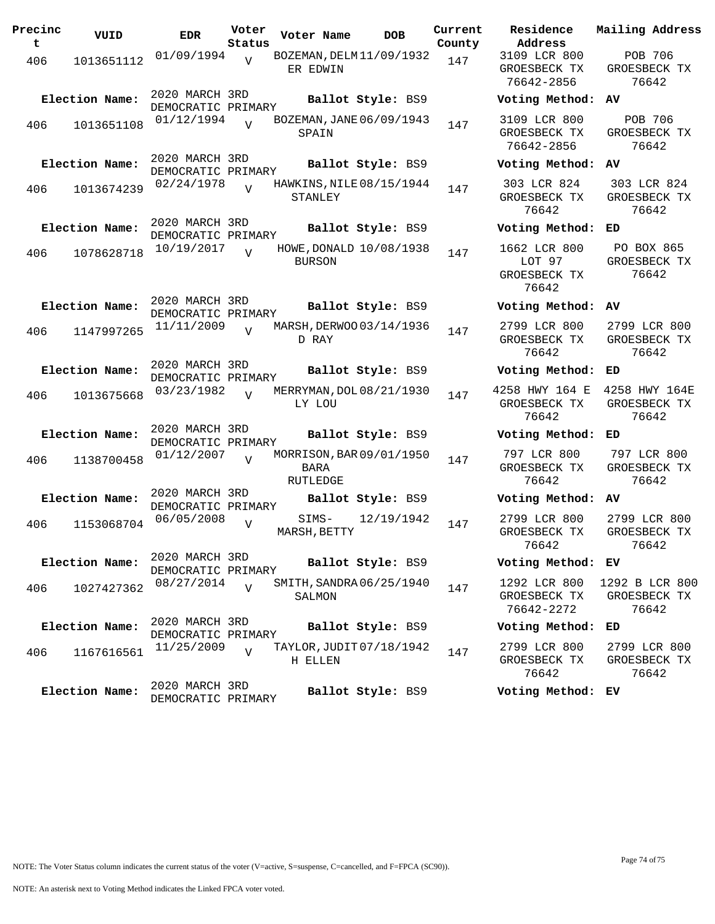| Precinc<br>t | VUID           | <b>EDR</b>                           | Voter<br>Status | Voter Name                                   | <b>DOB</b>        | Current<br>County | Residence<br>Address                          |
|--------------|----------------|--------------------------------------|-----------------|----------------------------------------------|-------------------|-------------------|-----------------------------------------------|
| 406          | 1013651112     | 01/09/1994                           | $\overline{V}$  | BOZEMAN, DELM 11/09/1932<br>ER EDWIN         |                   | 147               | 3109 LCR 80<br>GROESBECK T<br>76642-2856      |
|              | Election Name: | 2020 MARCH 3RD<br>DEMOCRATIC PRIMARY |                 |                                              | Ballot Style: BS9 |                   | Voting Meth                                   |
| 406          | 1013651108     | 01/12/1994                           | $\overline{U}$  | BOZEMAN, JANE 06/09/1943<br>SPAIN            |                   | 147               | 3109 LCR 80<br>GROESBECK T<br>76642-2856      |
|              | Election Name: | 2020 MARCH 3RD<br>DEMOCRATIC PRIMARY |                 |                                              | Ballot Style: BS9 |                   | Voting Meth                                   |
| 406          | 1013674239     | 02/24/1978                           | $\overline{V}$  | HAWKINS, NILE 08/15/1944<br>STANLEY          |                   | 147               | 303 LCR 824<br>GROESBECK T<br>76642           |
|              | Election Name: | 2020 MARCH 3RD<br>DEMOCRATIC PRIMARY |                 |                                              | Ballot Style: BS9 |                   | Voting Meth                                   |
| 406          | 1078628718     | 10/19/2017                           | $\overline{V}$  | HOWE, DONALD 10/08/1938<br><b>BURSON</b>     |                   | 147               | 1662 LCR 80<br>LOT 97<br>GROESBECK T<br>76642 |
|              | Election Name: | 2020 MARCH 3RD<br>DEMOCRATIC PRIMARY |                 |                                              | Ballot Style: BS9 |                   | Voting Meth                                   |
| 406          | 1147997265     | 11/11/2009                           | $\overline{V}$  | MARSH, DERWOO 03/14/1936<br>D RAY            |                   | 147               | 2799 LCR 80<br>GROESBECK T<br>76642           |
|              | Election Name: | 2020 MARCH 3RD<br>DEMOCRATIC PRIMARY |                 |                                              | Ballot Style: BS9 |                   | Voting Meth                                   |
| 406          | 1013675668     | 03/23/1982                           | $\overline{V}$  | MERRYMAN, DOL 08/21/1930<br>LY LOU           |                   | 147               | 4258 HWY 164<br>GROESBECK T<br>76642          |
|              | Election Name: | 2020 MARCH 3RD<br>DEMOCRATIC PRIMARY |                 |                                              | Ballot Style: BS9 |                   | Voting Meth                                   |
| 406          | 1138700458     | 01/12/2007                           | $\overline{U}$  | MORRISON, BAR 09/01/1950<br>BARA<br>RUTLEDGE |                   | 147               | 797 LCR 80<br>GROESBECK T<br>76642            |
|              | Election Name: | 2020 MARCH 3RD<br>DEMOCRATIC PRIMARY |                 |                                              | Ballot Style: BS9 |                   | Voting Meth                                   |
| 406          | 1153068704     | 06/05/2008                           | $\overline{V}$  | SIMS-<br>MARSH, BETTY                        | 12/19/1942        | 147               | 2799 LCR 80<br>GROESBECK T<br>76642           |
|              | Election Name: | 2020 MARCH 3RD<br>DEMOCRATIC PRIMARY |                 |                                              | Ballot Style: BS9 |                   | Voting Meth                                   |
| 406          | 1027427362     | 08/27/2014                           | $\overline{V}$  | SMITH, SANDRA 06/25/1940<br>SALMON           |                   | 147               | 1292 LCR 80<br>GROESBECK T<br>76642-2272      |
|              | Election Name: | 2020 MARCH 3RD<br>DEMOCRATIC PRIMARY |                 |                                              | Ballot Style: BS9 |                   | Voting Meth                                   |
| 406          | 1167616561     | 11/25/2009                           | $\overline{V}$  | TAYLOR, JUDIT 07/18/1942<br>H ELLEN          |                   | 147               | 2799 LCR 80<br>GROESBECK T<br>76642           |
|              | Election Name: | 2020 MARCH 3RD<br>DEMOCRATIC PRIMARY |                 |                                              | Ballot Style: BS9 |                   | Voting Meth                                   |

**Address** 3109 LCR 800 ROESBECK TX 76642-2856 POB 706 GROESBECK TX 76642 **Election Name: Ballot Style:** BS9 **Voting Method: AV** 3109 LCR 800 ROESBECK TX 76642-2856 POB 706 GROESBECK TX 76642 **Election Name: Ballot Style:** BS9 **Voting Method: AV** 03 LCR 824 ROESBECK TX 76642 303 LCR 824 GROESBECK TX 76642 **Election Name: Ballot Style:** BS9 **Voting Method: ED** 1662 LCR 800 LOT 97 ROESBECK TX 76642 PO BOX 865 GROESBECK TX 76642 **Election Name: Ballot Style:** BS9 **Voting Method: AV** 2799 LCR 800 ROESBECK TX 76642 2799 LCR 800 GROESBECK TX 76642 **Election Name: Ballot Style:** BS9 **Voting Method: ED** 4258 HWY 164 E 4258 HWY 164E ROESBECK TX 76642 GROESBECK TX 76642 **Election Name: Ballot Style:** BS9 **Voting Method: ED** 97 LCR 800 ROESBECK TX 76642 797 LCR 800 GROESBECK TX 76642 **Election Name: Ballot Style:** BS9 **Voting Method: AV** 2799 LCR 800 ROESBECK TX 76642 2799 LCR 800 GROESBECK TX 76642 **Election Name: Ballot Style:** BS9 **Voting Method: EV** 1292 LCR 800 ROESBECK TX 76642-2272 1292 B LCR 800 GROESBECK TX 76642 **Election Name: Ballot Style:** BS9 **Voting Method: ED** 2799 LCR 800 ROESBECK TX 76642 2799 LCR 800 GROESBECK TX 76642

**Current Mailing Address**

### **Election Name: Ballot Style:** BS9 **Voting Method: EV**